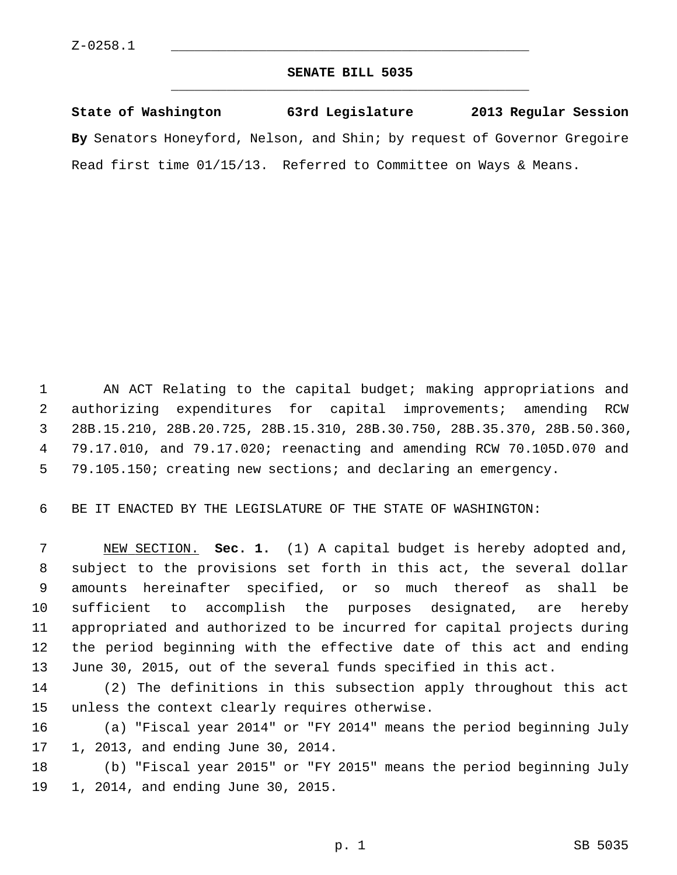### **SENATE BILL 5035** \_\_\_\_\_\_\_\_\_\_\_\_\_\_\_\_\_\_\_\_\_\_\_\_\_\_\_\_\_\_\_\_\_\_\_\_\_\_\_\_\_\_\_\_\_

**State of Washington 63rd Legislature 2013 Regular Session By** Senators Honeyford, Nelson, and Shin; by request of Governor Gregoire Read first time 01/15/13. Referred to Committee on Ways & Means.

 1 AN ACT Relating to the capital budget; making appropriations and 2 authorizing expenditures for capital improvements; amending RCW 3 28B.15.210, 28B.20.725, 28B.15.310, 28B.30.750, 28B.35.370, 28B.50.360, 4 79.17.010, and 79.17.020; reenacting and amending RCW 70.105D.070 and 5 79.105.150; creating new sections; and declaring an emergency.

6 BE IT ENACTED BY THE LEGISLATURE OF THE STATE OF WASHINGTON:

 7 NEW SECTION. **Sec. 1.** (1) A capital budget is hereby adopted and, 8 subject to the provisions set forth in this act, the several dollar 9 amounts hereinafter specified, or so much thereof as shall be 10 sufficient to accomplish the purposes designated, are hereby 11 appropriated and authorized to be incurred for capital projects during 12 the period beginning with the effective date of this act and ending 13 June 30, 2015, out of the several funds specified in this act.

14 (2) The definitions in this subsection apply throughout this act 15 unless the context clearly requires otherwise.

16 (a) "Fiscal year 2014" or "FY 2014" means the period beginning July 17 1, 2013, and ending June 30, 2014.

18 (b) "Fiscal year 2015" or "FY 2015" means the period beginning July 19 1, 2014, and ending June 30, 2015.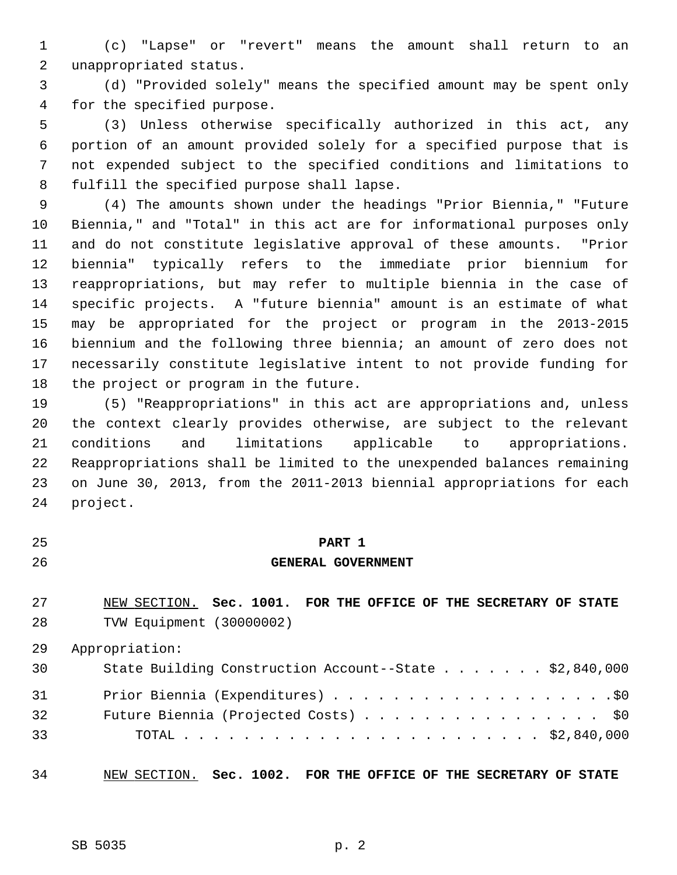1 (c) "Lapse" or "revert" means the amount shall return to an 2 unappropriated status.

 3 (d) "Provided solely" means the specified amount may be spent only 4 for the specified purpose.

 5 (3) Unless otherwise specifically authorized in this act, any 6 portion of an amount provided solely for a specified purpose that is 7 not expended subject to the specified conditions and limitations to 8 fulfill the specified purpose shall lapse.

 9 (4) The amounts shown under the headings "Prior Biennia," "Future 10 Biennia," and "Total" in this act are for informational purposes only 11 and do not constitute legislative approval of these amounts. "Prior 12 biennia" typically refers to the immediate prior biennium for 13 reappropriations, but may refer to multiple biennia in the case of 14 specific projects. A "future biennia" amount is an estimate of what 15 may be appropriated for the project or program in the 2013-2015 16 biennium and the following three biennia; an amount of zero does not 17 necessarily constitute legislative intent to not provide funding for 18 the project or program in the future.

19 (5) "Reappropriations" in this act are appropriations and, unless 20 the context clearly provides otherwise, are subject to the relevant 21 conditions and limitations applicable to appropriations. 22 Reappropriations shall be limited to the unexpended balances remaining 23 on June 30, 2013, from the 2011-2013 biennial appropriations for each 24 project.

## 25 **PART 1**

#### 26 **GENERAL GOVERNMENT**

27 NEW SECTION. **Sec. 1001. FOR THE OFFICE OF THE SECRETARY OF STATE** 28 TVW Equipment (30000002)

29 Appropriation:

| 30 | State Building Construction Account--State \$2,840,000 |
|----|--------------------------------------------------------|
| 31 |                                                        |
| 32 | Future Biennia (Projected Costs) \$0                   |
| 33 |                                                        |

34 NEW SECTION. **Sec. 1002. FOR THE OFFICE OF THE SECRETARY OF STATE**

SB 5035 p. 2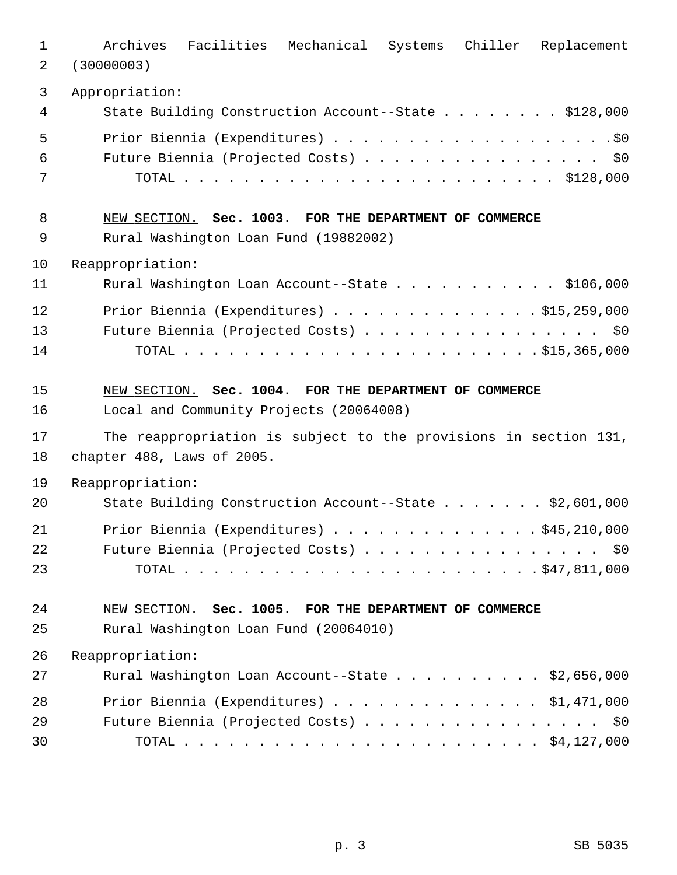| $\mathbf{1}$   | Archives Facilities Mechanical Systems Chiller Replacement                           |
|----------------|--------------------------------------------------------------------------------------|
| 2              | (30000003)                                                                           |
| $\mathbf{3}$   | Appropriation:                                                                       |
| 4              | State Building Construction Account--State \$128,000                                 |
| 5              |                                                                                      |
| 6              | Future Biennia (Projected Costs) \$0                                                 |
| 7              |                                                                                      |
| 8              | NEW SECTION. Sec. 1003. FOR THE DEPARTMENT OF COMMERCE                               |
| 9              | Rural Washington Loan Fund (19882002)                                                |
| 10             | Reappropriation:                                                                     |
| 11             | Rural Washington Loan Account--State \$106,000                                       |
| 12             | Prior Biennia (Expenditures) \$15,259,000                                            |
| 13             | Future Biennia (Projected Costs) \$0                                                 |
| 14             |                                                                                      |
| 15             | NEW SECTION. Sec. 1004. FOR THE DEPARTMENT OF COMMERCE                               |
| 16             | Local and Community Projects (20064008)                                              |
| 17             | The reappropriation is subject to the provisions in section 131,                     |
| 18             | chapter 488, Laws of 2005.                                                           |
| 19             | Reappropriation:                                                                     |
| 20             | State Building Construction Account--State \$2,601,000                               |
| 21<br>22<br>23 | Prior Biennia (Expenditures)<br>\$45,210,000<br>Future Biennia (Projected Costs) \$0 |
| 24             | NEW SECTION. Sec. 1005. FOR THE DEPARTMENT OF COMMERCE                               |
| 25             | Rural Washington Loan Fund (20064010)                                                |
| 26             | Reappropriation:                                                                     |
| 27             | Rural Washington Loan Account--State \$2,656,000                                     |
| 28             | Prior Biennia (Expenditures) $\ldots$ \$1,471,000                                    |
| 29             | Future Biennia (Projected Costs) \$0                                                 |
| 30             |                                                                                      |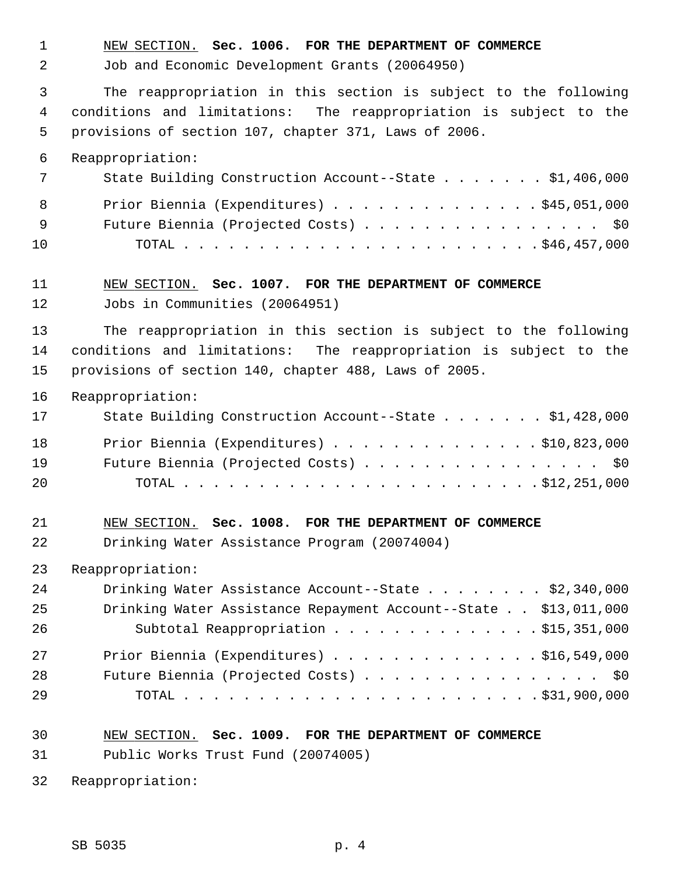1 NEW SECTION. **Sec. 1006. FOR THE DEPARTMENT OF COMMERCE**

2 Job and Economic Development Grants (20064950)

 3 The reappropriation in this section is subject to the following 4 conditions and limitations: The reappropriation is subject to the 5 provisions of section 107, chapter 371, Laws of 2006.

6 Reappropriation:

|     | State Building Construction Account--State \$1,406,000 |
|-----|--------------------------------------------------------|
| 8   | Prior Biennia (Expenditures) $\ldots$ \$45,051,000     |
| - 9 | Future Biennia (Projected Costs) \$0                   |
| 10  |                                                        |

# 11 NEW SECTION. **Sec. 1007. FOR THE DEPARTMENT OF COMMERCE**

12 Jobs in Communities (20064951)

13 The reappropriation in this section is subject to the following 14 conditions and limitations: The reappropriation is subject to the 15 provisions of section 140, chapter 488, Laws of 2005.

16 Reappropriation:

| 17 | State Building Construction Account--State \$1,428,000 |
|----|--------------------------------------------------------|
| 18 | Prior Biennia (Expenditures) \$10,823,000              |
| 19 | Future Biennia (Projected Costs) \$0                   |
| 20 |                                                        |

#### 21 NEW SECTION. **Sec. 1008. FOR THE DEPARTMENT OF COMMERCE**

22 Drinking Water Assistance Program (20074004)

23 Reappropriation:

| 24 | Drinking Water Assistance Account--State \$2,340,000            |
|----|-----------------------------------------------------------------|
| 25 | Drinking Water Assistance Repayment Account--State \$13,011,000 |
| 26 | Subtotal Reappropriation \$15,351,000                           |
| 27 | Prior Biennia (Expenditures) $\ldots$ \$16,549,000              |
| 28 | Future Biennia (Projected Costs) \$0                            |
| 29 |                                                                 |

# 30 NEW SECTION. **Sec. 1009. FOR THE DEPARTMENT OF COMMERCE**

31 Public Works Trust Fund (20074005)

32 Reappropriation: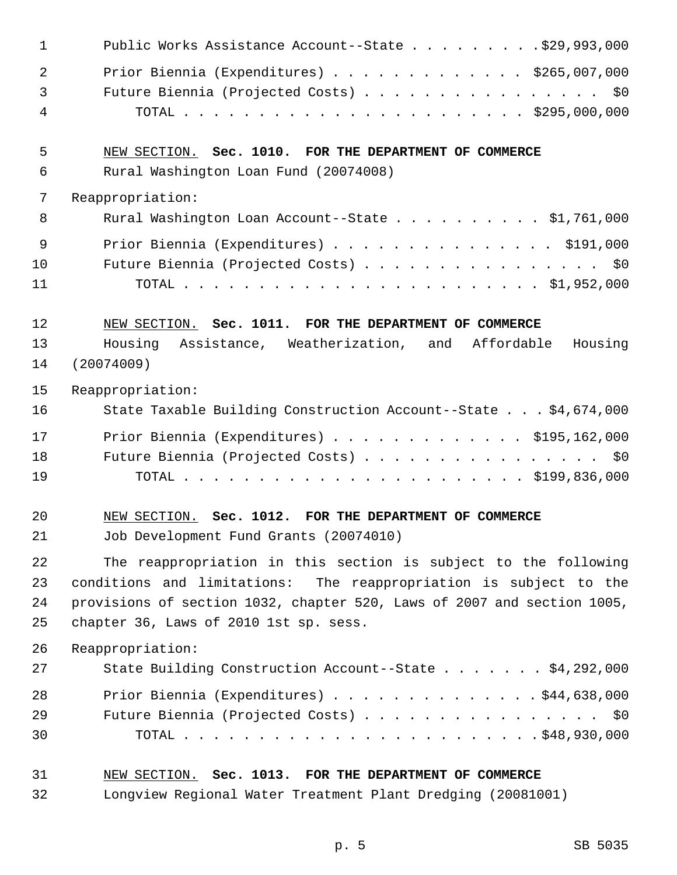| $\mathbf 1$    | Public Works Assistance Account--State $\ldots$ 929,993,000             |
|----------------|-------------------------------------------------------------------------|
| $\overline{2}$ | Prior Biennia (Expenditures) $\ldots$ \$265,007,000                     |
| 3              | Future Biennia (Projected Costs) \$0                                    |
| 4              |                                                                         |
| 5              | NEW SECTION. Sec. 1010. FOR THE DEPARTMENT OF COMMERCE                  |
| 6              | Rural Washington Loan Fund (20074008)                                   |
| 7              | Reappropriation:                                                        |
| 8              | Rural Washington Loan Account--State \$1,761,000                        |
| 9              | Prior Biennia (Expenditures) \$191,000                                  |
| 10             | Future Biennia (Projected Costs) \$0                                    |
| 11             |                                                                         |
| 12             | NEW SECTION. Sec. 1011. FOR THE DEPARTMENT OF COMMERCE                  |
| 13             | Housing Assistance, Weatherization, and Affordable Housing              |
| 14             | (20074009)                                                              |
| 15             | Reappropriation:                                                        |
| 16             | State Taxable Building Construction Account--State \$4,674,000          |
| 17             | Prior Biennia (Expenditures) $\ldots$ \$195,162,000                     |
| 18             | Future Biennia (Projected Costs) \$0                                    |
| 19             |                                                                         |
| 20             | NEW SECTION. Sec. 1012. FOR THE DEPARTMENT OF COMMERCE                  |
| 21             | Job Development Fund Grants (20074010)                                  |
| 22             | The reappropriation in this section is subject to the following         |
| 23             | conditions and limitations: The reappropriation is subject to the       |
| 24             | provisions of section 1032, chapter 520, Laws of 2007 and section 1005, |
| 25             | chapter 36, Laws of 2010 1st sp. sess.                                  |
| 26             | Reappropriation:                                                        |
| 27             | State Building Construction Account--State \$4,292,000                  |
| 28             | Prior Biennia (Expenditures) \$44,638,000                               |
| 29             | Future Biennia (Projected Costs) \$0                                    |
| 30             |                                                                         |
| 31             | NEW SECTION. Sec. 1013. FOR THE DEPARTMENT OF COMMERCE                  |
| 32             | Longview Regional Water Treatment Plant Dredging (20081001)             |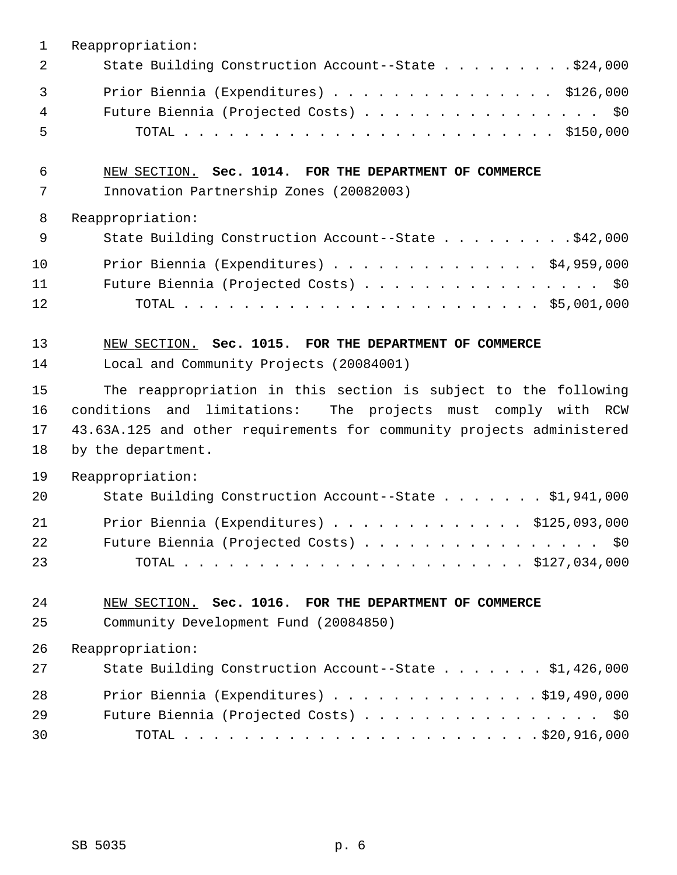| 1                    | Reappropriation:                                                                                                                                                                                                                   |
|----------------------|------------------------------------------------------------------------------------------------------------------------------------------------------------------------------------------------------------------------------------|
| 2                    | State Building Construction Account--State \$24,000                                                                                                                                                                                |
| 3<br>4<br>5          | Prior Biennia (Expenditures) \$126,000<br>Future Biennia (Projected Costs) \$0                                                                                                                                                     |
| 6<br>7               | NEW SECTION. Sec. 1014. FOR THE DEPARTMENT OF COMMERCE<br>Innovation Partnership Zones (20082003)                                                                                                                                  |
| 8                    | Reappropriation:                                                                                                                                                                                                                   |
| 9                    | State Building Construction Account--State \$42,000                                                                                                                                                                                |
| 10<br>11<br>12       | Prior Biennia (Expenditures) $\ldots$ \$4,959,000<br>Future Biennia (Projected Costs) \$0                                                                                                                                          |
| 13<br>14             | NEW SECTION. Sec. 1015. FOR THE DEPARTMENT OF COMMERCE<br>Local and Community Projects (20084001)                                                                                                                                  |
| 15<br>16<br>17<br>18 | The reappropriation in this section is subject to the following<br>and limitations: The projects must comply with RCW<br>conditions<br>43.63A.125 and other requirements for community projects administered<br>by the department. |
| 19<br>20             | Reappropriation:<br>State Building Construction Account--State \$1,941,000                                                                                                                                                         |
| 21<br>22<br>23       | Prior Biennia (Expenditures) $\ldots$ \$125,093,000<br>Future Biennia (Projected Costs) \$0                                                                                                                                        |
| 24<br>25             | NEW SECTION. Sec. 1016. FOR THE DEPARTMENT OF COMMERCE<br>Community Development Fund (20084850)                                                                                                                                    |
| 26                   | Reappropriation:                                                                                                                                                                                                                   |
| 27                   | State Building Construction Account--State \$1,426,000                                                                                                                                                                             |
| 28                   | Prior Biennia (Expenditures) $\ldots$ 919,490,000                                                                                                                                                                                  |
| 29                   | Future Biennia (Projected Costs) \$0                                                                                                                                                                                               |
| 30                   |                                                                                                                                                                                                                                    |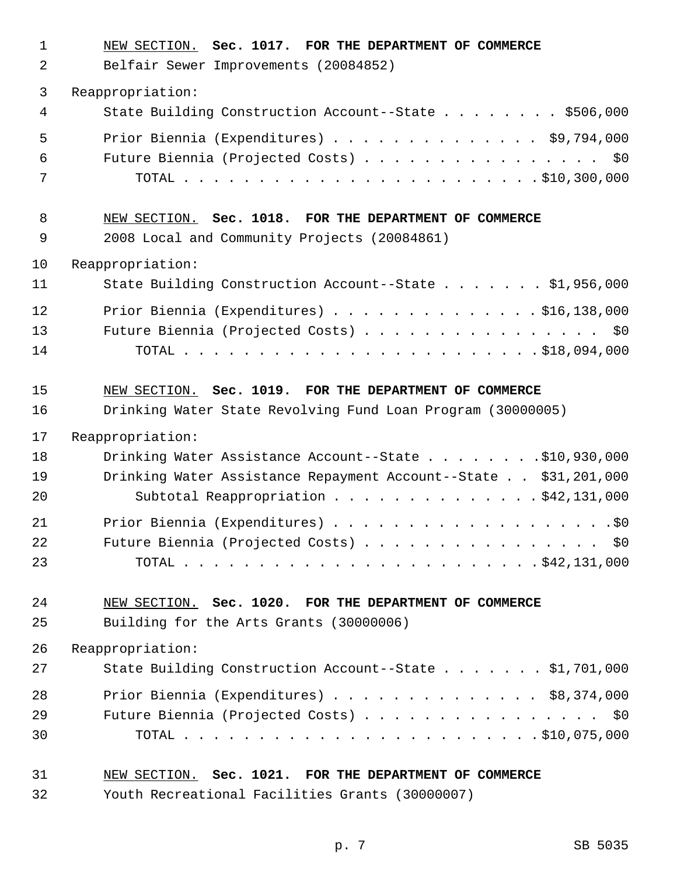| $\mathbf{1}$<br>2 | NEW SECTION. Sec. 1017. FOR THE DEPARTMENT OF COMMERCE<br>Belfair Sewer Improvements (20084852) |
|-------------------|-------------------------------------------------------------------------------------------------|
| 3                 | Reappropriation:                                                                                |
| 4                 | State Building Construction Account--State \$506,000                                            |
| 5                 | Prior Biennia (Expenditures) \$9,794,000                                                        |
| 6                 | Future Biennia (Projected Costs) \$0                                                            |
| 7                 |                                                                                                 |
| 8                 | NEW SECTION. Sec. 1018. FOR THE DEPARTMENT OF COMMERCE                                          |
| 9                 | 2008 Local and Community Projects (20084861)                                                    |
| 10                | Reappropriation:                                                                                |
| 11                | State Building Construction Account--State \$1,956,000                                          |
| 12                | Prior Biennia (Expenditures) \$16,138,000                                                       |
| 13                | Future Biennia (Projected Costs) \$0                                                            |
| 14                |                                                                                                 |
| 15                | NEW SECTION. Sec. 1019. FOR THE DEPARTMENT OF COMMERCE                                          |
| 16                | Drinking Water State Revolving Fund Loan Program (30000005)                                     |
| 17                | Reappropriation:                                                                                |
| 18                | Drinking Water Assistance Account--State \$10,930,000                                           |
| 19                | Drinking Water Assistance Repayment Account--State \$31,201,000                                 |
| 20                | Subtotal Reappropriation \$42,131,000                                                           |
| 21                |                                                                                                 |
| 22                | Future Biennia (Projected Costs) \$0                                                            |
| 23                |                                                                                                 |
| 24                | NEW SECTION. Sec. 1020. FOR THE DEPARTMENT OF COMMERCE                                          |
| 25                | Building for the Arts Grants (30000006)                                                         |
| 26                | Reappropriation:                                                                                |
| 27                | State Building Construction Account--State \$1,701,000                                          |
| 28                | Prior Biennia (Expenditures) $\ldots$ \$8,374,000                                               |
| 29                | Future Biennia (Projected Costs) \$0                                                            |
| 30                |                                                                                                 |
| 31                | NEW SECTION. Sec. 1021. FOR THE DEPARTMENT OF COMMERCE                                          |
| 32                | Youth Recreational Facilities Grants (30000007)                                                 |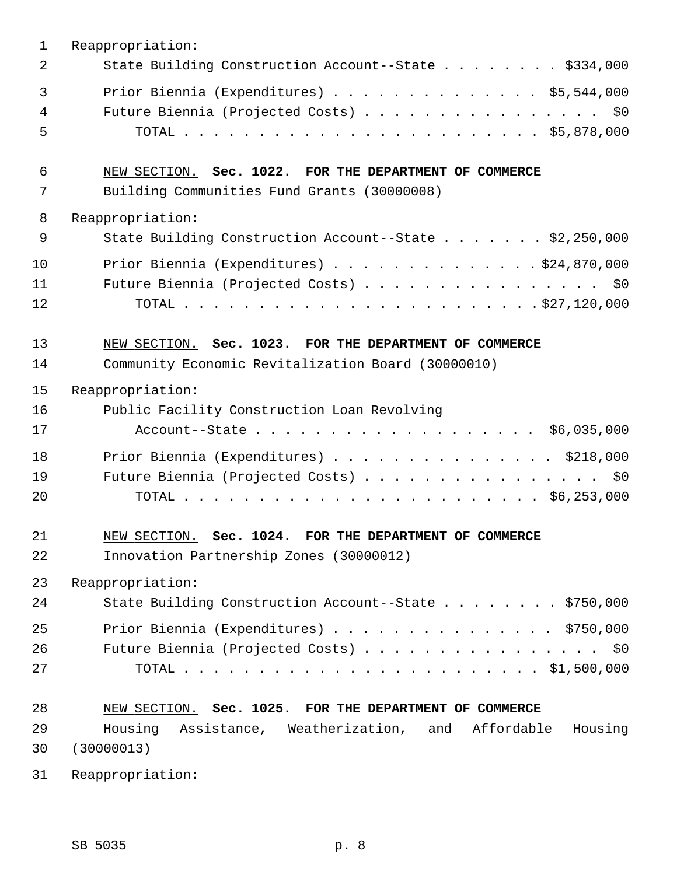| $\mathbf{1}$ | Reappropriation:                                                                                      |
|--------------|-------------------------------------------------------------------------------------------------------|
| 2            | State Building Construction Account--State \$334,000                                                  |
| 3<br>4<br>5  | Prior Biennia (Expenditures) \$5,544,000<br>Future Biennia (Projected Costs) \$0                      |
| 6<br>7       | NEW SECTION. Sec. 1022. FOR THE DEPARTMENT OF COMMERCE<br>Building Communities Fund Grants (30000008) |
| 8            | Reappropriation:                                                                                      |
| 9            | State Building Construction Account--State \$2,250,000                                                |
| 10           | Prior Biennia (Expenditures) \$24,870,000                                                             |
| 11           | Future Biennia (Projected Costs) \$0                                                                  |
| 12           |                                                                                                       |
| 13           | NEW SECTION. Sec. 1023. FOR THE DEPARTMENT OF COMMERCE                                                |
| 14           | Community Economic Revitalization Board (30000010)                                                    |
| 15           | Reappropriation:                                                                                      |
| 16           | Public Facility Construction Loan Revolving                                                           |
| 17           |                                                                                                       |
| 18           | Prior Biennia (Expenditures) \$218,000                                                                |
| 19           | Future Biennia (Projected Costs) \$0                                                                  |
| 20           |                                                                                                       |
| 21<br>22     | NEW SECTION. Sec. 1024. FOR THE DEPARTMENT OF COMMERCE<br>Innovation Partnership Zones (30000012)     |
| 23           | Reappropriation:                                                                                      |
| 24           | State Building Construction Account--State \$750,000                                                  |
| 25           | Prior Biennia (Expenditures) \$750,000                                                                |
| 26           | Future Biennia (Projected Costs) \$0                                                                  |
| 27           |                                                                                                       |
| 28           | NEW SECTION. Sec. 1025. FOR THE DEPARTMENT OF COMMERCE                                                |
| 29           | Housing Assistance, Weatherization, and Affordable<br>Housing                                         |
| 30           | (30000013)                                                                                            |
| 31           | Reappropriation:                                                                                      |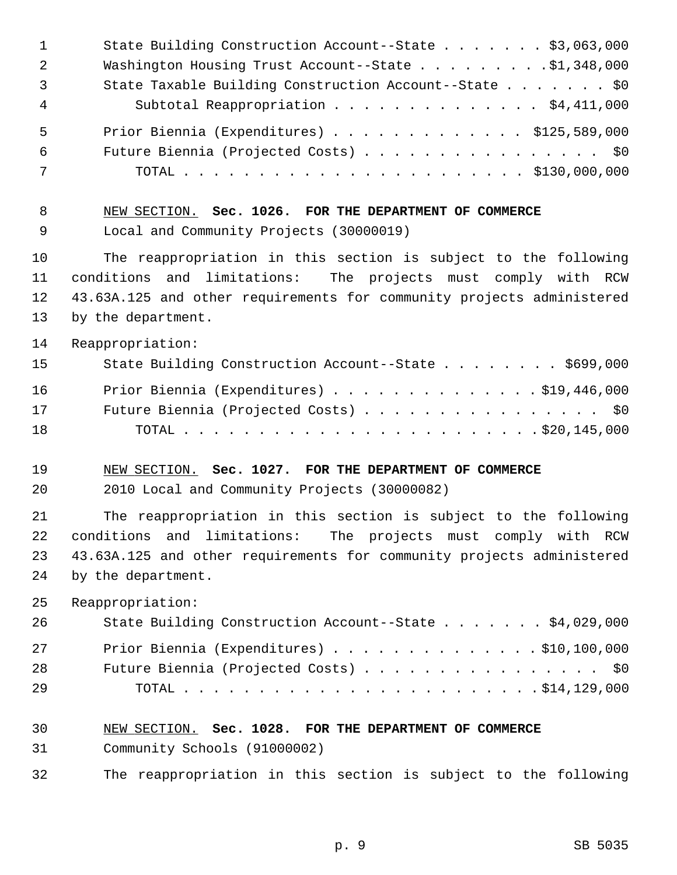| $\mathbf{1}$         | State Building Construction Account--State \$3,063,000                                                                                                                                                                             |
|----------------------|------------------------------------------------------------------------------------------------------------------------------------------------------------------------------------------------------------------------------------|
| 2                    | Washington Housing Trust Account--State \$1,348,000                                                                                                                                                                                |
| 3                    | State Taxable Building Construction Account--State \$0                                                                                                                                                                             |
| $\overline{4}$       | Subtotal Reappropriation \$4,411,000                                                                                                                                                                                               |
| 5                    | Prior Biennia (Expenditures) \$125,589,000                                                                                                                                                                                         |
| 6                    | Future Biennia (Projected Costs) \$0                                                                                                                                                                                               |
| 7                    |                                                                                                                                                                                                                                    |
| 8                    | NEW SECTION. Sec. 1026. FOR THE DEPARTMENT OF COMMERCE                                                                                                                                                                             |
| 9                    | Local and Community Projects (30000019)                                                                                                                                                                                            |
| 10                   | The reappropriation in this section is subject to the following                                                                                                                                                                    |
| 11                   | conditions and limitations: The projects must comply with RCW                                                                                                                                                                      |
| 12                   | 43.63A.125 and other requirements for community projects administered                                                                                                                                                              |
| 13                   | by the department.                                                                                                                                                                                                                 |
| 14                   | Reappropriation:                                                                                                                                                                                                                   |
| 15                   | State Building Construction Account--State \$699,000                                                                                                                                                                               |
| 16                   | Prior Biennia (Expenditures) \$19,446,000                                                                                                                                                                                          |
| 17                   | Future Biennia (Projected Costs) \$0                                                                                                                                                                                               |
| 18                   |                                                                                                                                                                                                                                    |
| 19                   | NEW SECTION. Sec. 1027. FOR THE DEPARTMENT OF COMMERCE                                                                                                                                                                             |
| 20                   | 2010 Local and Community Projects (30000082)                                                                                                                                                                                       |
| 21<br>22<br>23<br>24 | The reappropriation in this section is subject to the following<br>conditions and limitations:<br>The projects must comply with RCW<br>43.63A.125 and other requirements for community projects administered<br>by the department. |
| 25                   | Reappropriation:                                                                                                                                                                                                                   |
| 26                   | State Building Construction Account--State \$4,029,000                                                                                                                                                                             |
| 27                   | Prior Biennia (Expenditures) \$10,100,000                                                                                                                                                                                          |
| 28                   | Future Biennia (Projected Costs) \$0                                                                                                                                                                                               |
| 29                   |                                                                                                                                                                                                                                    |
| 30                   | NEW SECTION. Sec. 1028. FOR THE DEPARTMENT OF COMMERCE                                                                                                                                                                             |
| 31                   | Community Schools (91000002)                                                                                                                                                                                                       |

32 The reappropriation in this section is subject to the following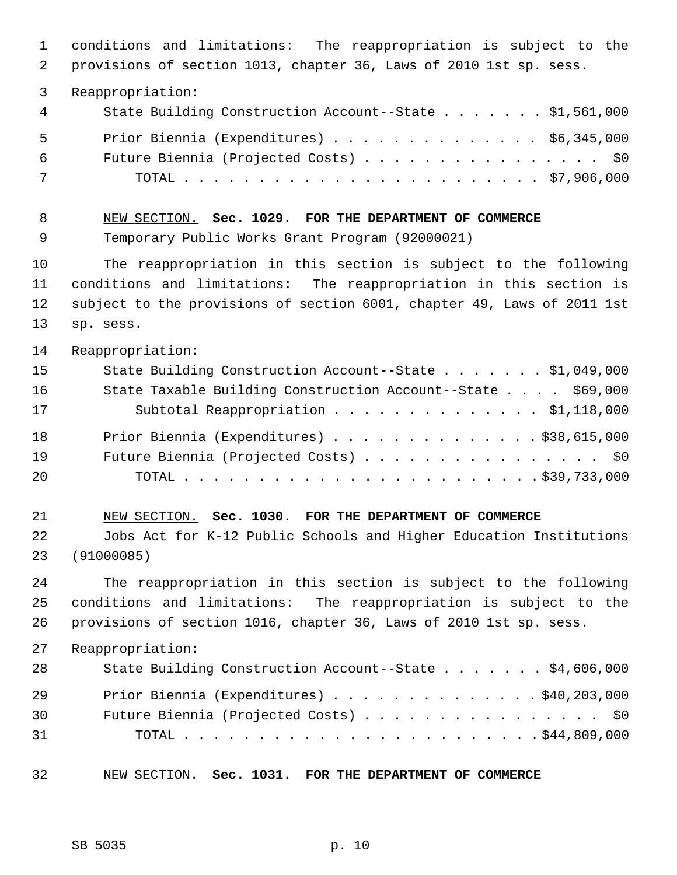1 conditions and limitations: The reappropriation is subject to the 2 provisions of section 1013, chapter 36, Laws of 2010 1st sp. sess. 3 Reappropriation: 4 State Building Construction Account--State . . . . . . . \$1,561,000 5 Prior Biennia (Expenditures) . . . . . . . . . . . . . . \$6,345,000 6 Future Biennia (Projected Costs) . . . . . . . . . . . . . . . . \$0 7 TOTAL . . . . . . . . . . . . . . . . . . . . . . . . \$7,906,000 8 NEW SECTION. **Sec. 1029. FOR THE DEPARTMENT OF COMMERCE** 9 Temporary Public Works Grant Program (92000021) 10 The reappropriation in this section is subject to the following 11 conditions and limitations: The reappropriation in this section is 12 subject to the provisions of section 6001, chapter 49, Laws of 2011 1st 13 sp. sess. 14 Reappropriation: 15 State Building Construction Account--State . . . . . . . \$1,049,000 16 State Taxable Building Construction Account--State . . . . \$69,000 17 Subtotal Reappropriation . . . . . . . . . . . . . . \$1,118,000 18 Prior Biennia (Expenditures) . . . . . . . . . . . . . . \$38,615,000 19 Future Biennia (Projected Costs) . . . . . . . . . . . . . . . . \$0 20 TOTAL . . . . . . . . . . . . . . . . . . . . . . . . \$39,733,000 21 NEW SECTION. **Sec. 1030. FOR THE DEPARTMENT OF COMMERCE** 22 Jobs Act for K-12 Public Schools and Higher Education Institutions 23 (91000085) 24 The reappropriation in this section is subject to the following 25 conditions and limitations: The reappropriation is subject to the 26 provisions of section 1016, chapter 36, Laws of 2010 1st sp. sess. 27 Reappropriation: 28 State Building Construction Account--State . . . . . . \$4,606,000 29 Prior Biennia (Expenditures) . . . . . . . . . . . . . . \$40,203,000 30 Future Biennia (Projected Costs) . . . . . . . . . . . . . . . . \$0 31 TOTAL . . . . . . . . . . . . . . . . . . . . . . . . \$44,809,000 32 NEW SECTION. **Sec. 1031. FOR THE DEPARTMENT OF COMMERCE**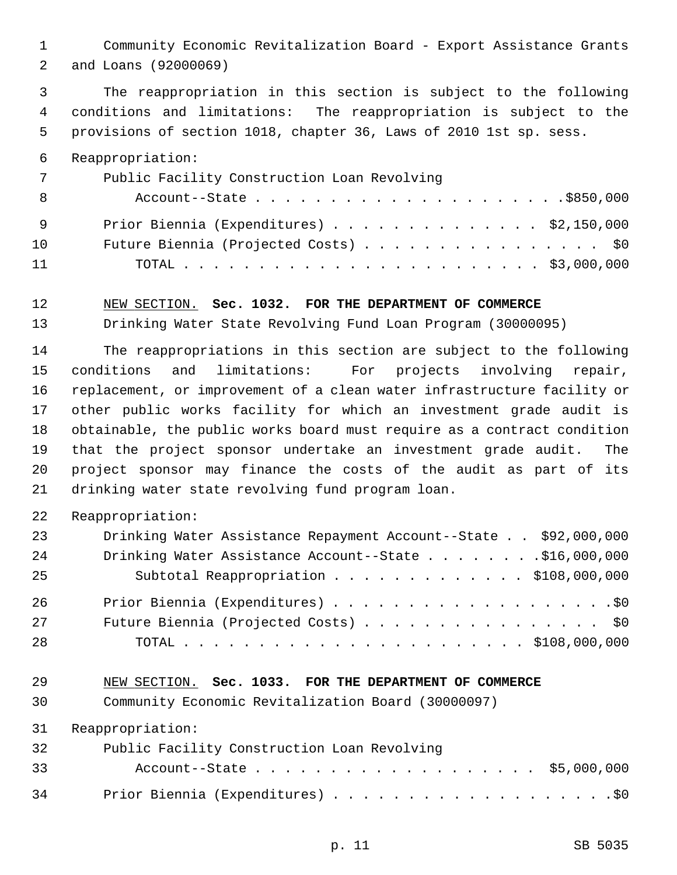1 Community Economic Revitalization Board - Export Assistance Grants 2 and Loans (92000069)

 3 The reappropriation in this section is subject to the following 4 conditions and limitations: The reappropriation is subject to the 5 provisions of section 1018, chapter 36, Laws of 2010 1st sp. sess.

6 Reappropriation:

| 7   | Public Facility Construction Loan Revolving       |
|-----|---------------------------------------------------|
| - 8 |                                                   |
| - 9 | Prior Biennia (Expenditures) $\ldots$ \$2,150,000 |
| 10  | Future Biennia (Projected Costs) \$0              |
| 11  |                                                   |

#### 12 NEW SECTION. **Sec. 1032. FOR THE DEPARTMENT OF COMMERCE**

13 Drinking Water State Revolving Fund Loan Program (30000095)

14 The reappropriations in this section are subject to the following 15 conditions and limitations: For projects involving repair, 16 replacement, or improvement of a clean water infrastructure facility or 17 other public works facility for which an investment grade audit is 18 obtainable, the public works board must require as a contract condition 19 that the project sponsor undertake an investment grade audit. The 20 project sponsor may finance the costs of the audit as part of its 21 drinking water state revolving fund program loan.

22 Reappropriation:

| 23 | Drinking Water Assistance Repayment Account--State \$92,000,000 |
|----|-----------------------------------------------------------------|
| 24 | Drinking Water Assistance Account--State \$16,000,000           |
| 25 | Subtotal Reappropriation \$108,000,000                          |
| 26 |                                                                 |
| 27 | Future Biennia (Projected Costs) \$0                            |
| 28 |                                                                 |

## 29 NEW SECTION. **Sec. 1033. FOR THE DEPARTMENT OF COMMERCE**

30 Community Economic Revitalization Board (30000097)

31 Reappropriation:

| 32 | Public Facility Construction Loan Revolving |
|----|---------------------------------------------|
| 33 | Account--State \$5,000,000                  |
| 34 |                                             |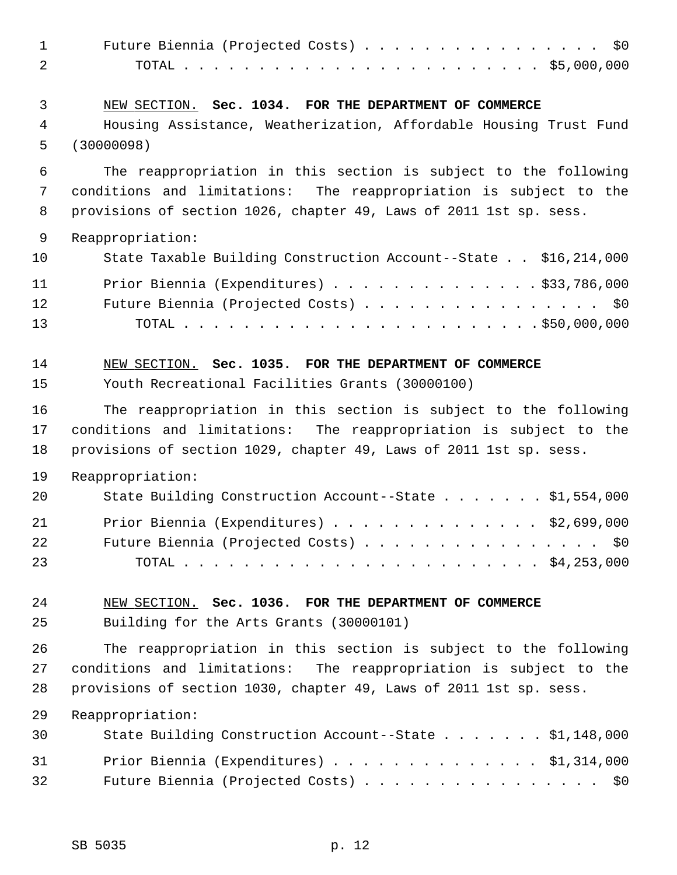| $\mathbf{1}$   | Future Biennia (Projected Costs) \$0                                                |
|----------------|-------------------------------------------------------------------------------------|
| 2              |                                                                                     |
| 3              | NEW SECTION. Sec. 1034. FOR THE DEPARTMENT OF COMMERCE                              |
| $\overline{4}$ | Housing Assistance, Weatherization, Affordable Housing Trust Fund                   |
| 5              | (30000098)                                                                          |
| 6              | The reappropriation in this section is subject to the following                     |
| 7              | conditions and limitations: The reappropriation is subject to the                   |
| 8              | provisions of section 1026, chapter 49, Laws of 2011 1st sp. sess.                  |
| 9              | Reappropriation:                                                                    |
| 10             | State Taxable Building Construction Account--State \$16,214,000                     |
| 11             | Prior Biennia (Expenditures) \$33,786,000                                           |
| 12             | Future Biennia (Projected Costs) \$0                                                |
| 13             |                                                                                     |
| 14             | NEW SECTION. Sec. 1035. FOR THE DEPARTMENT OF COMMERCE                              |
| 15             | Youth Recreational Facilities Grants (30000100)                                     |
| 16             | The reappropriation in this section is subject to the following                     |
| 17             | conditions and limitations: The reappropriation is subject to the                   |
| 18             | provisions of section 1029, chapter 49, Laws of 2011 1st sp. sess.                  |
| 19             | Reappropriation:                                                                    |
| 20             | State Building Construction Account--State \$1,554,000                              |
| 21<br>22<br>23 | Prior Biennia (Expenditures)<br>\$2,699,000<br>Future Biennia (Projected Costs) \$0 |
| 24             | NEW SECTION. Sec. 1036. FOR THE DEPARTMENT OF COMMERCE                              |
| 25             | Building for the Arts Grants (30000101)                                             |
| 26             | The reappropriation in this section is subject to the following                     |
| 27             | conditions and limitations: The reappropriation is subject to the                   |
| 28             | provisions of section 1030, chapter 49, Laws of 2011 1st sp. sess.                  |
| 29             | Reappropriation:                                                                    |
| 30             | State Building Construction Account--State \$1,148,000                              |
| 31             | Prior Biennia (Expenditures) \$1,314,000                                            |
| 32             | Future Biennia (Projected Costs) \$0                                                |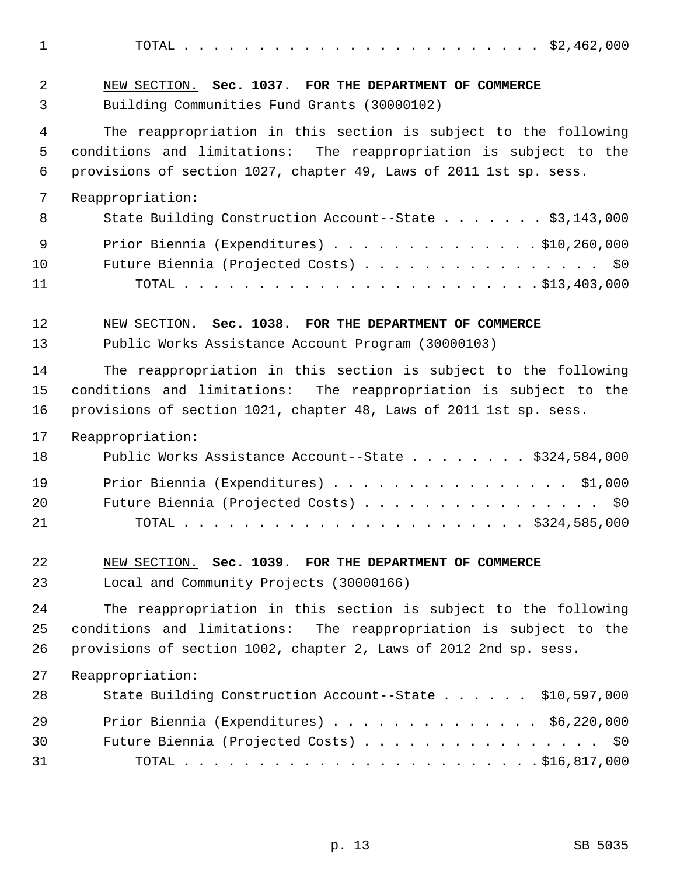1 TOTAL . . . . . . . . . . . . . . . . . . . . . . . . \$2,462,000

| 2  | NEW SECTION. Sec. 1037. FOR THE DEPARTMENT OF COMMERCE             |
|----|--------------------------------------------------------------------|
| 3  | Building Communities Fund Grants (30000102)                        |
| 4  | The reappropriation in this section is subject to the following    |
| 5  | conditions and limitations: The reappropriation is subject to the  |
| 6  | provisions of section 1027, chapter 49, Laws of 2011 1st sp. sess. |
| 7  | Reappropriation:                                                   |
| 8  | State Building Construction Account--State \$3,143,000             |
| 9  | Prior Biennia (Expenditures) \$10,260,000                          |
| 10 | Future Biennia (Projected Costs) \$0                               |
| 11 |                                                                    |
| 12 | NEW SECTION. Sec. 1038. FOR THE DEPARTMENT OF COMMERCE             |
| 13 | Public Works Assistance Account Program (30000103)                 |
| 14 | The reappropriation in this section is subject to the following    |
| 15 | conditions and limitations: The reappropriation is subject to the  |
| 16 | provisions of section 1021, chapter 48, Laws of 2011 1st sp. sess. |
| 17 | Reappropriation:                                                   |
| 18 | Public Works Assistance Account--State \$324,584,000               |
| 19 | Prior Biennia (Expenditures) \$1,000                               |
| 20 | Future Biennia (Projected Costs) \$0                               |
| 21 |                                                                    |
| 22 | NEW SECTION. Sec. 1039. FOR THE DEPARTMENT OF COMMERCE             |
| 23 | Local and Community Projects (30000166)                            |
| 24 | The reappropriation in this section is subject to the following    |
| 25 | conditions and limitations: The reappropriation is subject to the  |
| 26 | provisions of section 1002, chapter 2, Laws of 2012 2nd sp. sess.  |
| 27 | Reappropriation:                                                   |
| 28 | State Building Construction Account--State \$10,597,000            |
| 29 | Prior Biennia (Expenditures) \$6,220,000                           |
| 30 | Future Biennia (Projected Costs) \$0                               |
| 31 |                                                                    |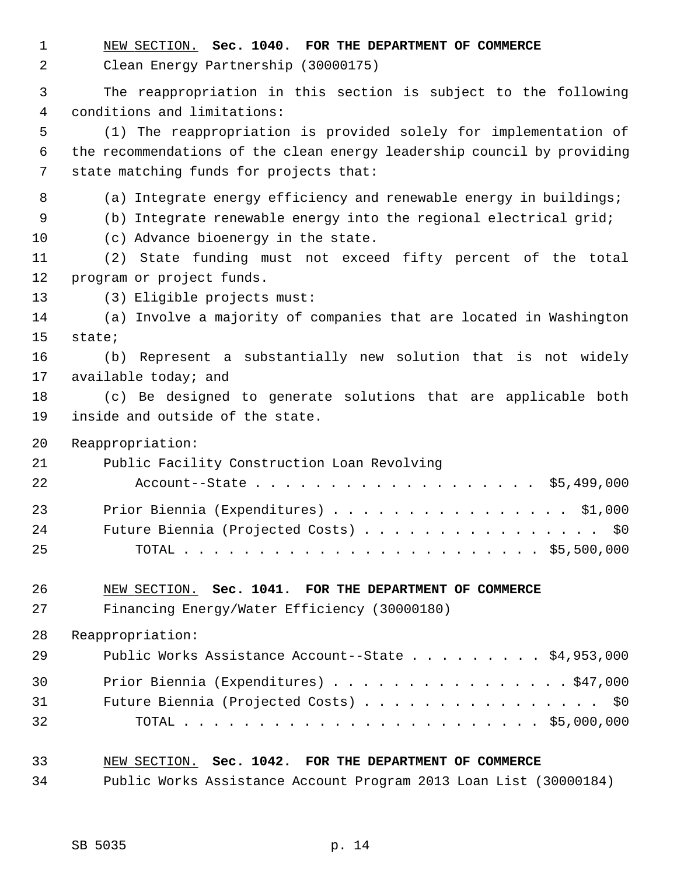1 NEW SECTION. **Sec. 1040. FOR THE DEPARTMENT OF COMMERCE**

```
 2 Clean Energy Partnership (30000175)
```
 3 The reappropriation in this section is subject to the following 4 conditions and limitations:

 5 (1) The reappropriation is provided solely for implementation of 6 the recommendations of the clean energy leadership council by providing 7 state matching funds for projects that:

- 8 (a) Integrate energy efficiency and renewable energy in buildings;
- 9 (b) Integrate renewable energy into the regional electrical grid;
- 10 (c) Advance bioenergy in the state.

11 (2) State funding must not exceed fifty percent of the total 12 program or project funds.

13 (3) Eligible projects must:

14 (a) Involve a majority of companies that are located in Washington 15 state;

16 (b) Represent a substantially new solution that is not widely 17 available today; and

18 (c) Be designed to generate solutions that are applicable both 19 inside and outside of the state.

20 Reappropriation:

| 21 | Public Facility Construction Loan Revolving |
|----|---------------------------------------------|
| 22 | Account--State \$5,499,000                  |
| 23 | Prior Biennia (Expenditures) \$1,000        |
| 24 | Future Biennia (Projected Costs) \$0        |
| 25 |                                             |

## 26 NEW SECTION. **Sec. 1041. FOR THE DEPARTMENT OF COMMERCE**

27 Financing Energy/Water Efficiency (30000180)

28 Reappropriation:

| 29 | Public Works Assistance Account--State \$4,953,000 |
|----|----------------------------------------------------|
| 30 | Prior Biennia (Expenditures) \$47,000              |
| 31 | Future Biennia (Projected Costs) \$0               |
| 32 |                                                    |

# 33 NEW SECTION. **Sec. 1042. FOR THE DEPARTMENT OF COMMERCE** 34 Public Works Assistance Account Program 2013 Loan List (30000184)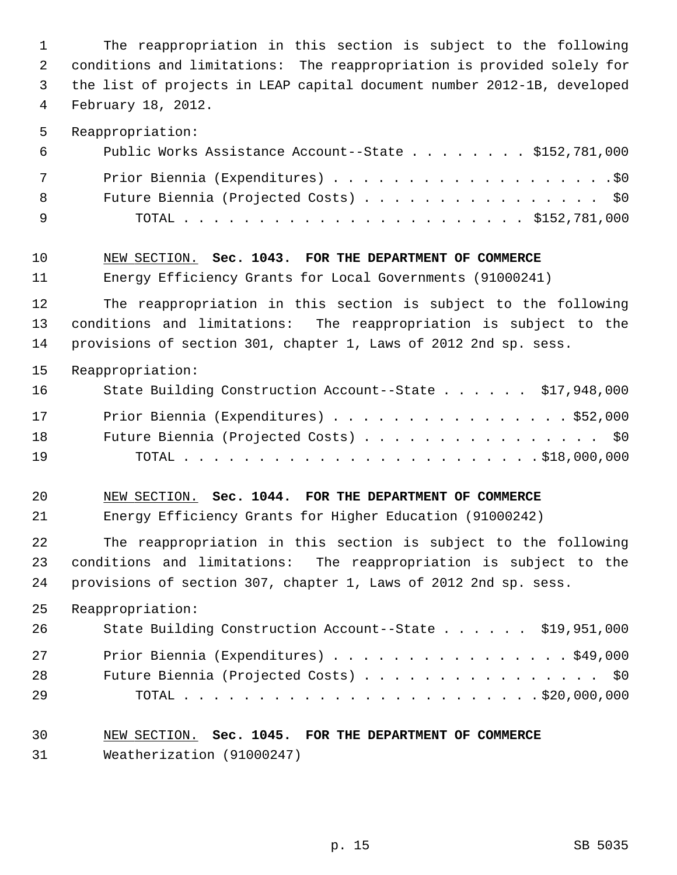1 The reappropriation in this section is subject to the following 2 conditions and limitations: The reappropriation is provided solely for 3 the list of projects in LEAP capital document number 2012-1B, developed 4 February 18, 2012. 5 Reappropriation: 6 Public Works Assistance Account--State . . . . . . . . \$152,781,000 7 Prior Biennia (Expenditures) . . . . . . . . . . . . . . . . . . .\$0 8 Future Biennia (Projected Costs) . . . . . . . . . . . . . . . \$0 9 TOTAL . . . . . . . . . . . . . . . . . . . . . . . \$152,781,000 10 NEW SECTION. **Sec. 1043. FOR THE DEPARTMENT OF COMMERCE** 11 Energy Efficiency Grants for Local Governments (91000241) 12 The reappropriation in this section is subject to the following 13 conditions and limitations: The reappropriation is subject to the 14 provisions of section 301, chapter 1, Laws of 2012 2nd sp. sess. 15 Reappropriation: 16 State Building Construction Account--State . . . . . \$17,948,000 17 Prior Biennia (Expenditures) . . . . . . . . . . . . . . . . \$52,000 18 Future Biennia (Projected Costs) . . . . . . . . . . . . . . . \$0 19 TOTAL . . . . . . . . . . . . . . . . . . . . . . . . \$18,000,000 20 NEW SECTION. **Sec. 1044. FOR THE DEPARTMENT OF COMMERCE** 21 Energy Efficiency Grants for Higher Education (91000242) 22 The reappropriation in this section is subject to the following 23 conditions and limitations: The reappropriation is subject to the 24 provisions of section 307, chapter 1, Laws of 2012 2nd sp. sess. 25 Reappropriation: 26 State Building Construction Account--State . . . . . . \$19,951,000 27 Prior Biennia (Expenditures) . . . . . . . . . . . . . . . . \$49,000 28 Future Biennia (Projected Costs) . . . . . . . . . . . . . . . \$0 29 TOTAL . . . . . . . . . . . . . . . . . . . . . . . . \$20,000,000 30 NEW SECTION. **Sec. 1045. FOR THE DEPARTMENT OF COMMERCE** 31 Weatherization (91000247)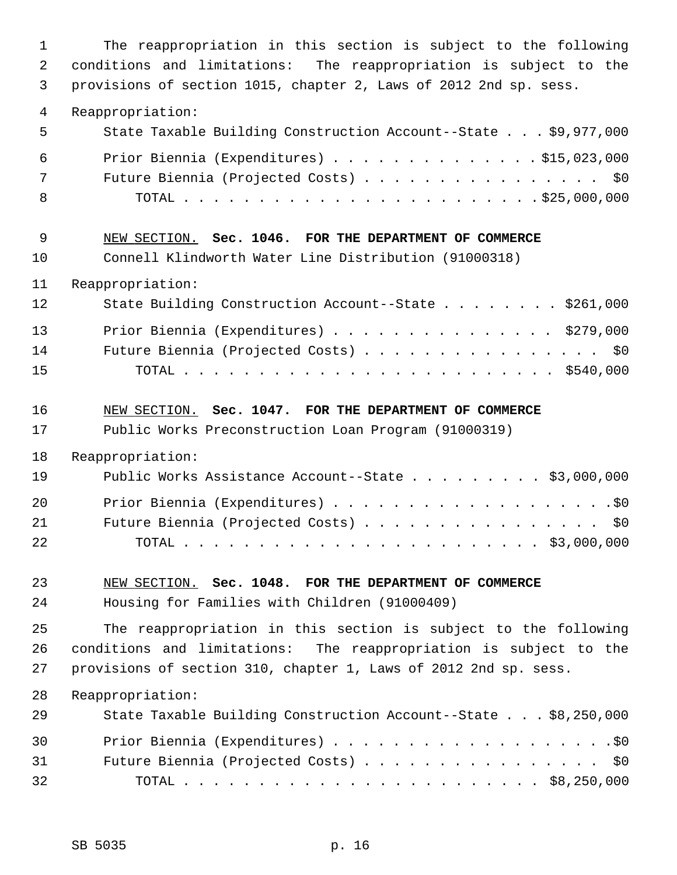1 The reappropriation in this section is subject to the following 2 conditions and limitations: The reappropriation is subject to the 3 provisions of section 1015, chapter 2, Laws of 2012 2nd sp. sess. 4 Reappropriation: 5 State Taxable Building Construction Account--State . . . \$9,977,000 6 Prior Biennia (Expenditures) . . . . . . . . . . . . . . \$15,023,000 7 Future Biennia (Projected Costs) . . . . . . . . . . . . . . . \$0 8 TOTAL . . . . . . . . . . . . . . . . . . . . . . . . \$25,000,000 9 NEW SECTION. **Sec. 1046. FOR THE DEPARTMENT OF COMMERCE** 10 Connell Klindworth Water Line Distribution (91000318) 11 Reappropriation: 12 State Building Construction Account--State . . . . . . . \$261,000 13 Prior Biennia (Expenditures) . . . . . . . . . . . . . . . \$279,000 14 Future Biennia (Projected Costs) . . . . . . . . . . . . . . . \$0 15 TOTAL . . . . . . . . . . . . . . . . . . . . . . . . . \$540,000 16 NEW SECTION. **Sec. 1047. FOR THE DEPARTMENT OF COMMERCE** 17 Public Works Preconstruction Loan Program (91000319) 18 Reappropriation: 19 Public Works Assistance Account--State . . . . . . . . . \$3,000,000 20 Prior Biennia (Expenditures) . . . . . . . . . . . . . . . . . . .\$0 21 Future Biennia (Projected Costs) . . . . . . . . . . . . . . . \$0 22 TOTAL . . . . . . . . . . . . . . . . . . . . . . . . \$3,000,000 23 NEW SECTION. **Sec. 1048. FOR THE DEPARTMENT OF COMMERCE** 24 Housing for Families with Children (91000409) 25 The reappropriation in this section is subject to the following 26 conditions and limitations: The reappropriation is subject to the 27 provisions of section 310, chapter 1, Laws of 2012 2nd sp. sess. 28 Reappropriation: 29 State Taxable Building Construction Account--State . . . \$8,250,000 30 Prior Biennia (Expenditures) . . . . . . . . . . . . . . . . . . .\$0 31 Future Biennia (Projected Costs) . . . . . . . . . . . . . . . . \$0 32 TOTAL . . . . . . . . . . . . . . . . . . . . . . . . \$8,250,000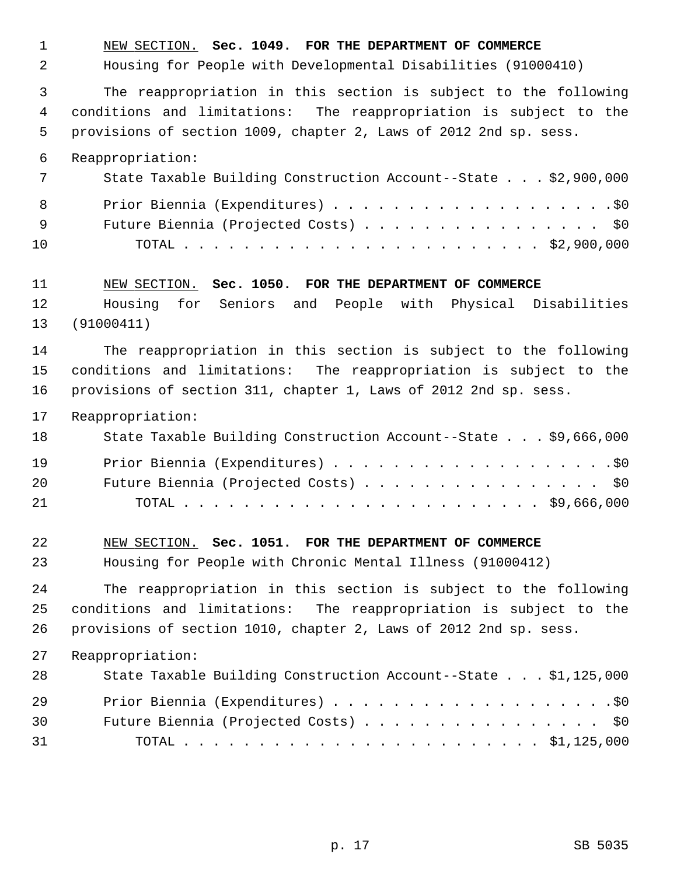1 NEW SECTION. **Sec. 1049. FOR THE DEPARTMENT OF COMMERCE** 2 Housing for People with Developmental Disabilities (91000410) 3 The reappropriation in this section is subject to the following 4 conditions and limitations: The reappropriation is subject to the 5 provisions of section 1009, chapter 2, Laws of 2012 2nd sp. sess. 6 Reappropriation: 7 State Taxable Building Construction Account--State . . . \$2,900,000 8 Prior Biennia (Expenditures) . . . . . . . . . . . . . . . . . . .\$0 9 Future Biennia (Projected Costs) . . . . . . . . . . . . . . . . \$0 10 TOTAL . . . . . . . . . . . . . . . . . . . . . . . . \$2,900,000 11 NEW SECTION. **Sec. 1050. FOR THE DEPARTMENT OF COMMERCE** 12 Housing for Seniors and People with Physical Disabilities 13 (91000411) 14 The reappropriation in this section is subject to the following 15 conditions and limitations: The reappropriation is subject to the 16 provisions of section 311, chapter 1, Laws of 2012 2nd sp. sess. 17 Reappropriation: 18 State Taxable Building Construction Account--State . . . \$9,666,000 19 Prior Biennia (Expenditures) . . . . . . . . . . . . . . . . . . .\$0 20 Future Biennia (Projected Costs) . . . . . . . . . . . . . . . \$0 21 TOTAL . . . . . . . . . . . . . . . . . . . . . . . . \$9,666,000 22 NEW SECTION. **Sec. 1051. FOR THE DEPARTMENT OF COMMERCE** 23 Housing for People with Chronic Mental Illness (91000412) 24 The reappropriation in this section is subject to the following 25 conditions and limitations: The reappropriation is subject to the 26 provisions of section 1010, chapter 2, Laws of 2012 2nd sp. sess. 27 Reappropriation: 28 State Taxable Building Construction Account--State . . . \$1,125,000 29 Prior Biennia (Expenditures) . . . . . . . . . . . . . . . . . . .\$0 30 Future Biennia (Projected Costs) . . . . . . . . . . . . . . . . \$0 31 TOTAL . . . . . . . . . . . . . . . . . . . . . . . . \$1,125,000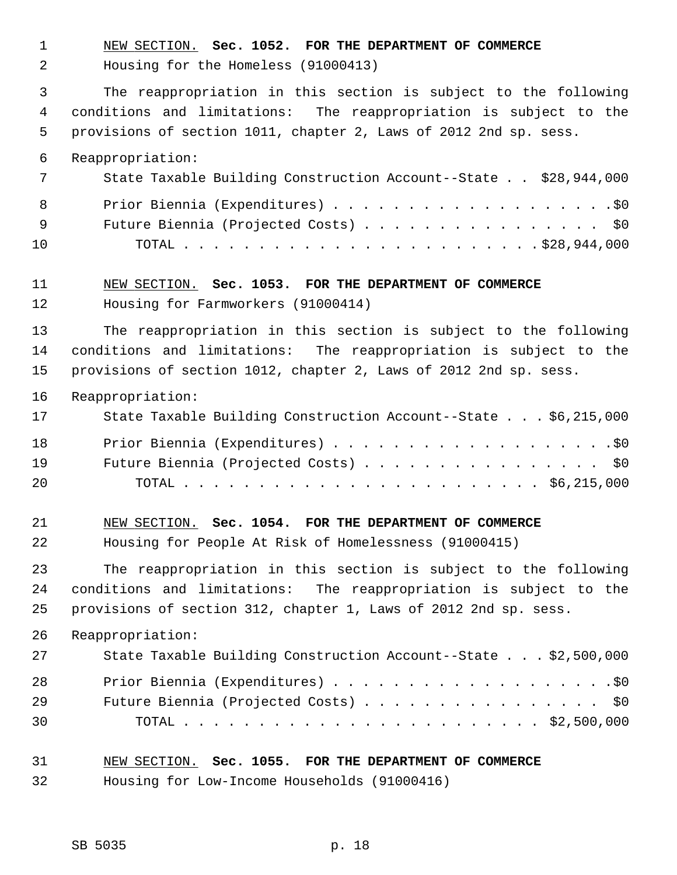1 NEW SECTION. **Sec. 1052. FOR THE DEPARTMENT OF COMMERCE**

2 Housing for the Homeless (91000413)

 3 The reappropriation in this section is subject to the following 4 conditions and limitations: The reappropriation is subject to the 5 provisions of section 1011, chapter 2, Laws of 2012 2nd sp. sess.

6 Reappropriation:

|     | State Taxable Building Construction Account--State \$28,944,000 |
|-----|-----------------------------------------------------------------|
|     | 8                                                               |
| - 9 | Future Biennia (Projected Costs) \$0                            |
| 10  |                                                                 |

# 11 NEW SECTION. **Sec. 1053. FOR THE DEPARTMENT OF COMMERCE**

12 Housing for Farmworkers (91000414)

13 The reappropriation in this section is subject to the following 14 conditions and limitations: The reappropriation is subject to the 15 provisions of section 1012, chapter 2, Laws of 2012 2nd sp. sess.

16 Reappropriation:

| 17 | State Taxable Building Construction Account--State \$6,215,000 |
|----|----------------------------------------------------------------|
| 18 |                                                                |
| 19 | Future Biennia (Projected Costs) \$0                           |
| 20 |                                                                |

# 21 NEW SECTION. **Sec. 1054. FOR THE DEPARTMENT OF COMMERCE** 22 Housing for People At Risk of Homelessness (91000415)

23 The reappropriation in this section is subject to the following 24 conditions and limitations: The reappropriation is subject to the 25 provisions of section 312, chapter 1, Laws of 2012 2nd sp. sess.

26 Reappropriation:

| 27 | State Taxable Building Construction Account--State \$2,500,000 |
|----|----------------------------------------------------------------|
| 28 |                                                                |
| 29 | Future Biennia (Projected Costs) \$0                           |
| 30 |                                                                |

## 31 NEW SECTION. **Sec. 1055. FOR THE DEPARTMENT OF COMMERCE**

32 Housing for Low-Income Households (91000416)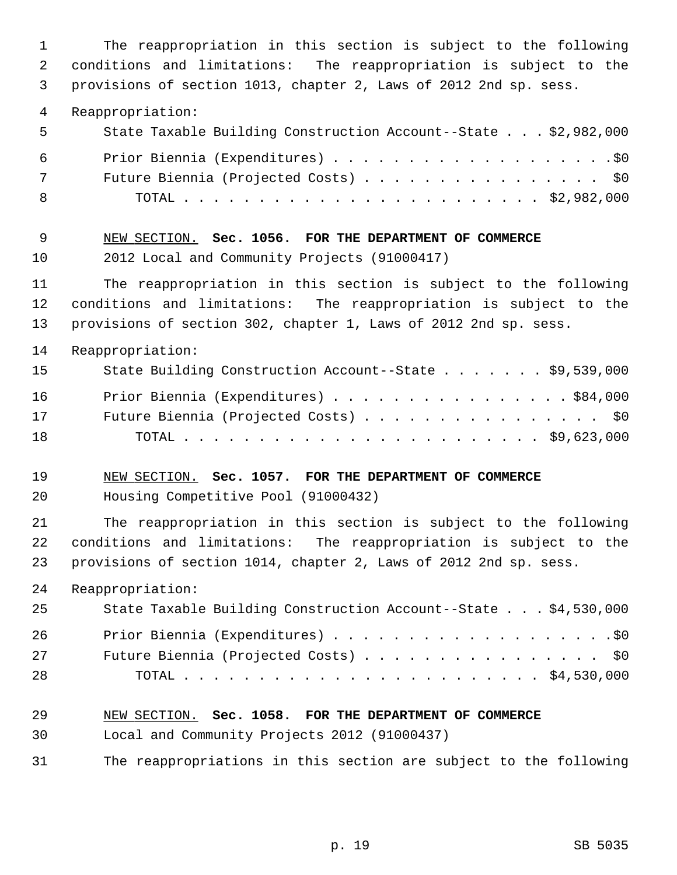1 The reappropriation in this section is subject to the following 2 conditions and limitations: The reappropriation is subject to the 3 provisions of section 1013, chapter 2, Laws of 2012 2nd sp. sess. 4 Reappropriation: 5 State Taxable Building Construction Account--State . . . \$2,982,000 6 Prior Biennia (Expenditures) . . . . . . . . . . . . . . . . . . .\$0 7 Future Biennia (Projected Costs) . . . . . . . . . . . . . . . . \$0 8 TOTAL . . . . . . . . . . . . . . . . . . . . . . . . \$2,982,000 9 NEW SECTION. **Sec. 1056. FOR THE DEPARTMENT OF COMMERCE** 10 2012 Local and Community Projects (91000417) 11 The reappropriation in this section is subject to the following 12 conditions and limitations: The reappropriation is subject to the 13 provisions of section 302, chapter 1, Laws of 2012 2nd sp. sess. 14 Reappropriation: 15 State Building Construction Account--State . . . . . . . \$9,539,000 16 Prior Biennia (Expenditures) . . . . . . . . . . . . . . . . \$84,000 17 Future Biennia (Projected Costs) . . . . . . . . . . . . . . . . \$0 18 TOTAL . . . . . . . . . . . . . . . . . . . . . . . . \$9,623,000 19 NEW SECTION. **Sec. 1057. FOR THE DEPARTMENT OF COMMERCE** 20 Housing Competitive Pool (91000432) 21 The reappropriation in this section is subject to the following 22 conditions and limitations: The reappropriation is subject to the 23 provisions of section 1014, chapter 2, Laws of 2012 2nd sp. sess. 24 Reappropriation: 25 State Taxable Building Construction Account--State . . . \$4,530,000 26 Prior Biennia (Expenditures) . . . . . . . . . . . . . . . . . . .\$0 27 Future Biennia (Projected Costs) . . . . . . . . . . . . . . . \$0 28 TOTAL . . . . . . . . . . . . . . . . . . . . . . . . \$4,530,000 29 NEW SECTION. **Sec. 1058. FOR THE DEPARTMENT OF COMMERCE** 30 Local and Community Projects 2012 (91000437) 31 The reappropriations in this section are subject to the following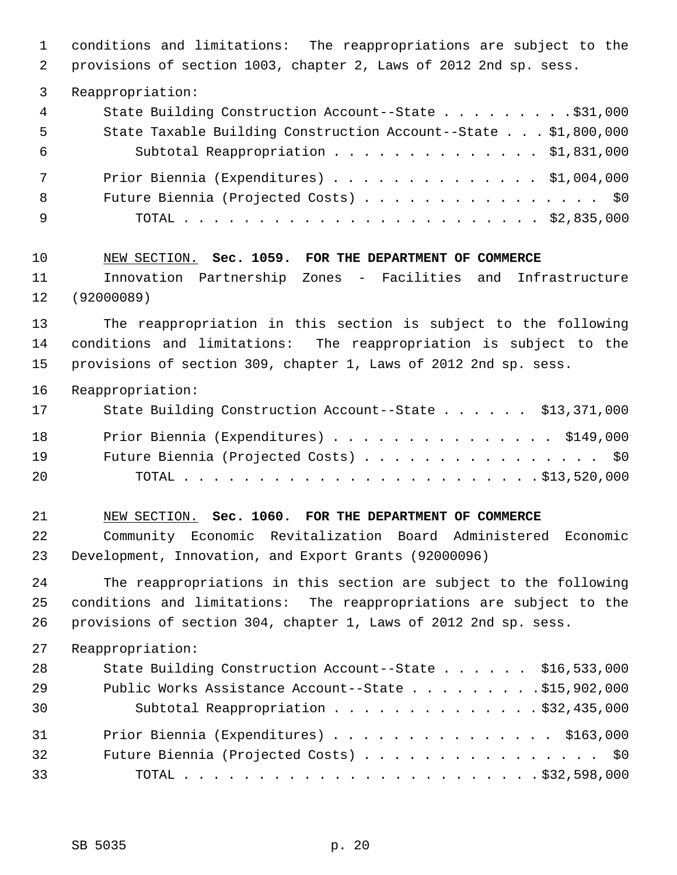1 conditions and limitations: The reappropriations are subject to the 2 provisions of section 1003, chapter 2, Laws of 2012 2nd sp. sess. 3 Reappropriation: 4 State Building Construction Account--State . . . . . . . . \$31,000 5 State Taxable Building Construction Account--State . . . \$1,800,000 6 Subtotal Reappropriation . . . . . . . . . . . . . . \$1,831,000 7 Prior Biennia (Expenditures) . . . . . . . . . . . . . . \$1,004,000 8 Future Biennia (Projected Costs) . . . . . . . . . . . . . . \$0 9 TOTAL . . . . . . . . . . . . . . . . . . . . . . . . \$2,835,000 10 NEW SECTION. **Sec. 1059. FOR THE DEPARTMENT OF COMMERCE** 11 Innovation Partnership Zones - Facilities and Infrastructure 12 (92000089) 13 The reappropriation in this section is subject to the following 14 conditions and limitations: The reappropriation is subject to the 15 provisions of section 309, chapter 1, Laws of 2012 2nd sp. sess. 16 Reappropriation: 17 State Building Construction Account--State . . . . . . \$13,371,000 18 Prior Biennia (Expenditures) . . . . . . . . . . . . . . \$149,000 19 Future Biennia (Projected Costs) . . . . . . . . . . . . . . . . \$0 20 TOTAL . . . . . . . . . . . . . . . . . . . . . . . . \$13,520,000 21 NEW SECTION. **Sec. 1060. FOR THE DEPARTMENT OF COMMERCE** 22 Community Economic Revitalization Board Administered Economic 23 Development, Innovation, and Export Grants (92000096) 24 The reappropriations in this section are subject to the following 25 conditions and limitations: The reappropriations are subject to the 26 provisions of section 304, chapter 1, Laws of 2012 2nd sp. sess. 27 Reappropriation: 28 State Building Construction Account--State . . . . . \$16,533,000 29 Public Works Assistance Account--State . . . . . . . . . \$15,902,000 30 Subtotal Reappropriation . . . . . . . . . . . . . . \$32,435,000 31 Prior Biennia (Expenditures) . . . . . . . . . . . . . . . \$163,000 32 Future Biennia (Projected Costs) . . . . . . . . . . . . . . . . \$0 33 TOTAL . . . . . . . . . . . . . . . . . . . . . . . . \$32,598,000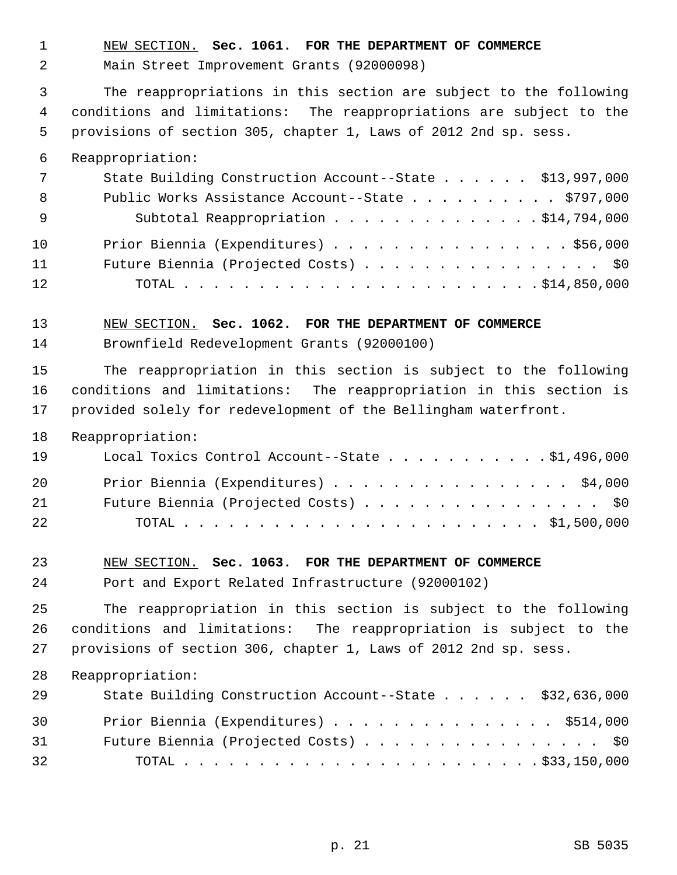1 NEW SECTION. **Sec. 1061. FOR THE DEPARTMENT OF COMMERCE**

2 Main Street Improvement Grants (92000098)

 3 The reappropriations in this section are subject to the following 4 conditions and limitations: The reappropriations are subject to the 5 provisions of section 305, chapter 1, Laws of 2012 2nd sp. sess.

6 Reappropriation:

| 7   | State Building Construction Account--State \$13,997,000 |
|-----|---------------------------------------------------------|
| - 8 | Public Works Assistance Account--State \$797,000        |
| - 9 | Subtotal Reappropriation \$14,794,000                   |
| 10  | Prior Biennia (Expenditures) \$56,000                   |
| 11  | Future Biennia (Projected Costs) \$0                    |
| 12  |                                                         |

#### 13 NEW SECTION. **Sec. 1062. FOR THE DEPARTMENT OF COMMERCE**

14 Brownfield Redevelopment Grants (92000100)

15 The reappropriation in this section is subject to the following 16 conditions and limitations: The reappropriation in this section is 17 provided solely for redevelopment of the Bellingham waterfront.

18 Reappropriation:

| 19 | Local Toxics Control Account--State \$1,496,000 |
|----|-------------------------------------------------|
| 20 | Prior Biennia (Expenditures) \$4,000            |
| 21 | Future Biennia (Projected Costs) \$0            |
| 22 |                                                 |

### 23 NEW SECTION. **Sec. 1063. FOR THE DEPARTMENT OF COMMERCE**

24 Port and Export Related Infrastructure (92000102)

25 The reappropriation in this section is subject to the following 26 conditions and limitations: The reappropriation is subject to the 27 provisions of section 306, chapter 1, Laws of 2012 2nd sp. sess.

## 28 Reappropriation:

| 29 | State Building Construction Account--State \$32,636,000 |
|----|---------------------------------------------------------|
| 30 | Prior Biennia (Expenditures) \$514,000                  |
| 31 | Future Biennia (Projected Costs) \$0                    |
| 32 |                                                         |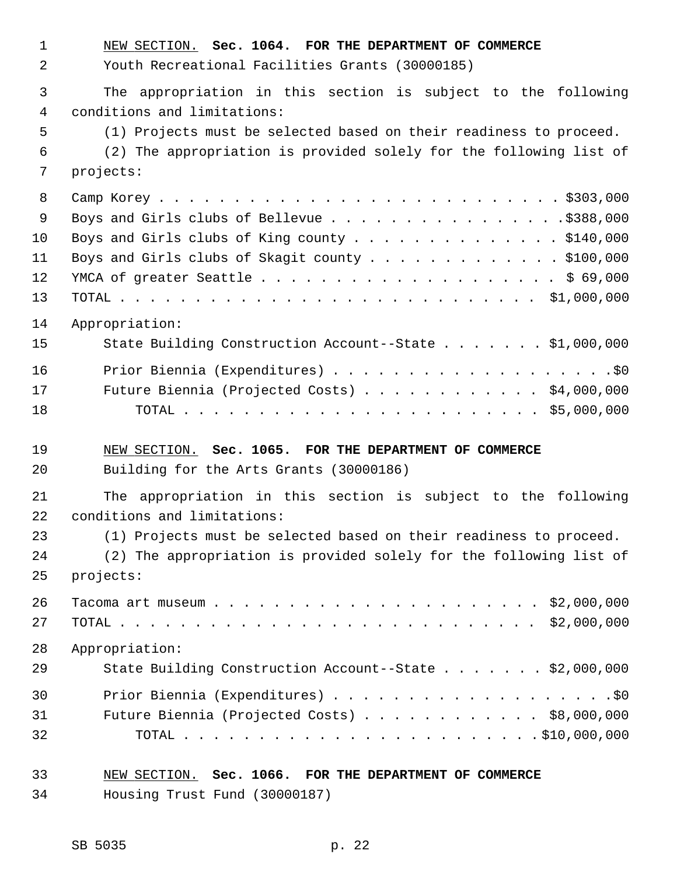1 NEW SECTION. **Sec. 1064. FOR THE DEPARTMENT OF COMMERCE** 2 Youth Recreational Facilities Grants (30000185) 3 The appropriation in this section is subject to the following 4 conditions and limitations: 5 (1) Projects must be selected based on their readiness to proceed. 6 (2) The appropriation is provided solely for the following list of 7 projects: 8 Camp Korey . . . . . . . . . . . . . . . . . . . . . . . . . . . \$303,000 9 Boys and Girls clubs of Bellevue . . . . . . . . . . . . . . . .\$388,000 10 Boys and Girls clubs of King county . . . . . . . . . . . . . . \$140,000 11 Boys and Girls clubs of Skagit county . . . . . . . . . . . . . \$100,000 12 YMCA of greater Seattle . . . . . . . . . . . . . . . . . . . . \$ 69,000 13 TOTAL . . . . . . . . . . . . . . . . . . . . . . . . . . . . \$1,000,000 14 Appropriation: 15 State Building Construction Account--State . . . . . . . \$1,000,000 16 Prior Biennia (Expenditures) . . . . . . . . . . . . . . . . . . .\$0 17 Future Biennia (Projected Costs) . . . . . . . . . . . . \$4,000,000 18 TOTAL . . . . . . . . . . . . . . . . . . . . . . . . \$5,000,000 19 NEW SECTION. **Sec. 1065. FOR THE DEPARTMENT OF COMMERCE** 20 Building for the Arts Grants (30000186) 21 The appropriation in this section is subject to the following 22 conditions and limitations: 23 (1) Projects must be selected based on their readiness to proceed. 24 (2) The appropriation is provided solely for the following list of 25 projects: 26 Tacoma art museum . . . . . . . . . . . . . . . . . . . . . . \$2,000,000 27 TOTAL . . . . . . . . . . . . . . . . . . . . . . . . . . . . \$2,000,000 28 Appropriation: 29 State Building Construction Account--State . . . . . . \$2,000,000 30 Prior Biennia (Expenditures) . . . . . . . . . . . . . . . . . . .\$0 31 Future Biennia (Projected Costs) . . . . . . . . . . . . \$8,000,000 32 TOTAL . . . . . . . . . . . . . . . . . . . . . . . . \$10,000,000 33 NEW SECTION. **Sec. 1066. FOR THE DEPARTMENT OF COMMERCE** 34 Housing Trust Fund (30000187)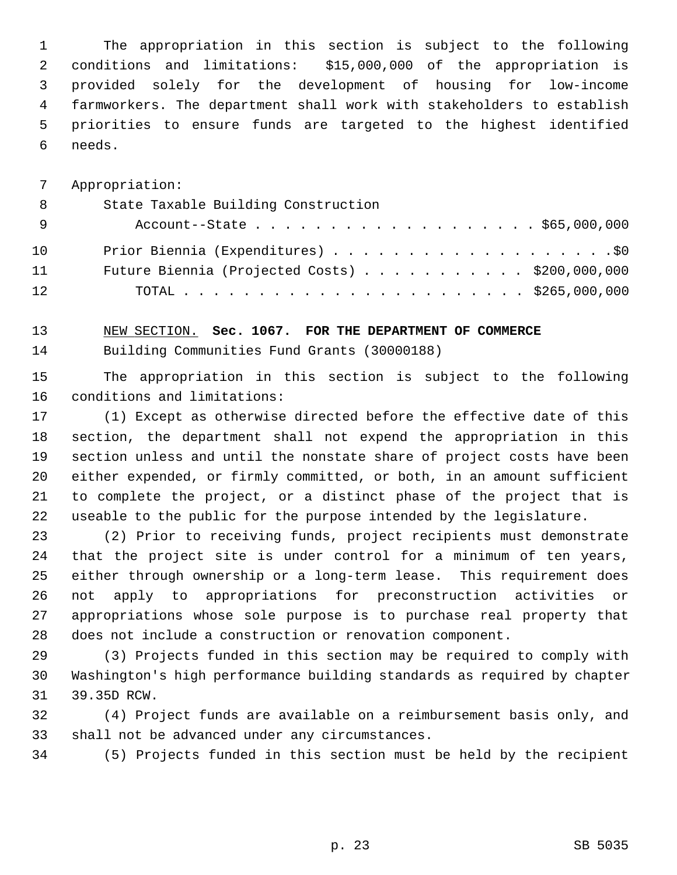1 The appropriation in this section is subject to the following 2 conditions and limitations: \$15,000,000 of the appropriation is 3 provided solely for the development of housing for low-income 4 farmworkers. The department shall work with stakeholders to establish 5 priorities to ensure funds are targeted to the highest identified 6 needs.

7 Appropriation:

| - 8 | State Taxable Building Construction            |
|-----|------------------------------------------------|
| - 9 | Account--State \$65,000,000                    |
| 10  |                                                |
| 11  | Future Biennia (Projected Costs) \$200,000,000 |
| 12  |                                                |

13 NEW SECTION. **Sec. 1067. FOR THE DEPARTMENT OF COMMERCE**

14 Building Communities Fund Grants (30000188)

15 The appropriation in this section is subject to the following 16 conditions and limitations:

17 (1) Except as otherwise directed before the effective date of this 18 section, the department shall not expend the appropriation in this 19 section unless and until the nonstate share of project costs have been 20 either expended, or firmly committed, or both, in an amount sufficient 21 to complete the project, or a distinct phase of the project that is 22 useable to the public for the purpose intended by the legislature.

23 (2) Prior to receiving funds, project recipients must demonstrate 24 that the project site is under control for a minimum of ten years, 25 either through ownership or a long-term lease. This requirement does 26 not apply to appropriations for preconstruction activities or 27 appropriations whose sole purpose is to purchase real property that 28 does not include a construction or renovation component.

29 (3) Projects funded in this section may be required to comply with 30 Washington's high performance building standards as required by chapter 31 39.35D RCW.

32 (4) Project funds are available on a reimbursement basis only, and 33 shall not be advanced under any circumstances.

34 (5) Projects funded in this section must be held by the recipient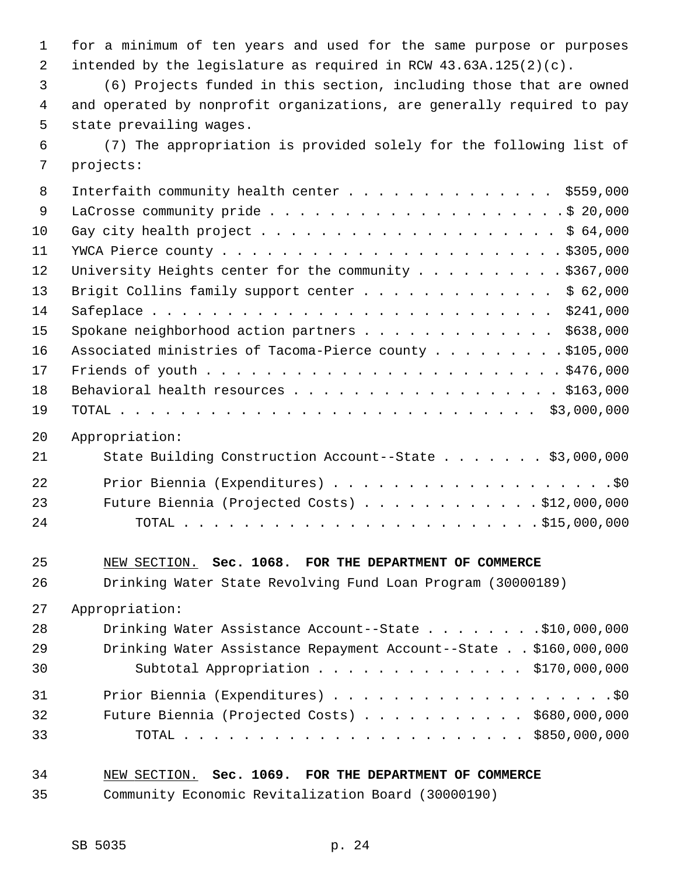1 for a minimum of ten years and used for the same purpose or purposes 2 intended by the legislature as required in RCW 43.63A.125(2)(c).

 3 (6) Projects funded in this section, including those that are owned 4 and operated by nonprofit organizations, are generally required to pay 5 state prevailing wages.

 6 (7) The appropriation is provided solely for the following list of 7 projects:

| 8  | Interfaith community health center $\ldots$ \$559,000       |
|----|-------------------------------------------------------------|
| 9  |                                                             |
| 10 |                                                             |
| 11 |                                                             |
| 12 | University Heights center for the community \$367,000       |
| 13 | Brigit Collins family support center \$ 62,000              |
| 14 |                                                             |
| 15 | Spokane neighborhood action partners \$638,000              |
| 16 | Associated ministries of Tacoma-Pierce county \$105,000     |
| 17 |                                                             |
| 18 | Behavioral health resources \$163,000                       |
| 19 |                                                             |
| 20 | Appropriation:                                              |
| 21 | State Building Construction Account--State \$3,000,000      |
| 22 |                                                             |
| 23 | Future Biennia (Projected Costs) \$12,000,000               |
| 24 |                                                             |
|    |                                                             |
| 25 | NEW SECTION. Sec. 1068. FOR THE DEPARTMENT OF COMMERCE      |
| 26 | Drinking Water State Revolving Fund Loan Program (30000189) |
|    | $27 - 2$                                                    |

27 Appropriation:

| 28 | Drinking Water Assistance Account--State \$10,000,000            |
|----|------------------------------------------------------------------|
| 29 | Drinking Water Assistance Repayment Account--State \$160,000,000 |
| 30 | Subtotal Appropriation $\ldots$ \$170,000,000                    |
| 31 |                                                                  |
| 32 | Future Biennia (Projected Costs) $\ldots$ \$680,000,000          |
| 33 |                                                                  |

## 34 NEW SECTION. **Sec. 1069. FOR THE DEPARTMENT OF COMMERCE**

35 Community Economic Revitalization Board (30000190)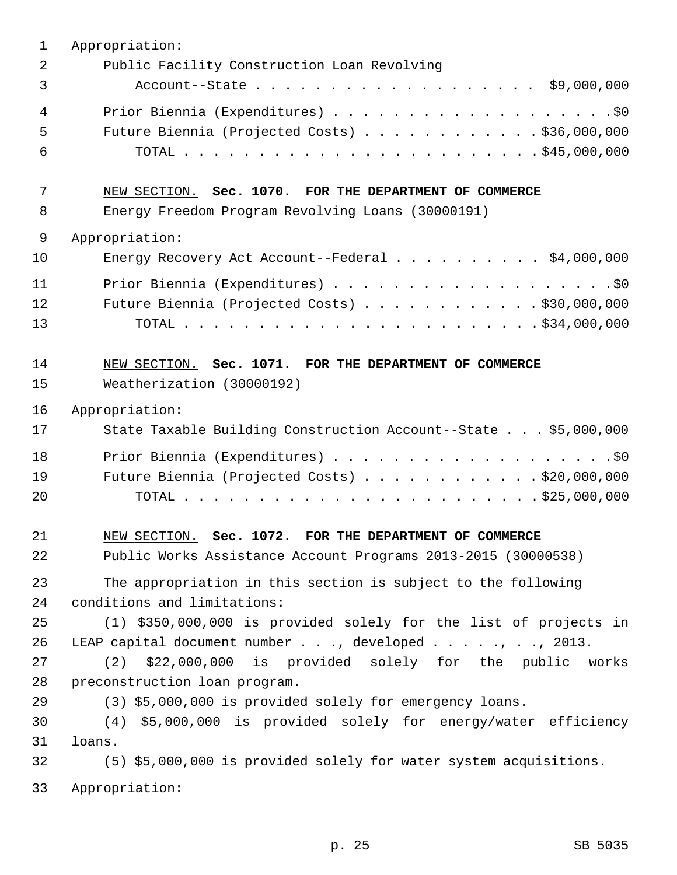| 1  | Appropriation:                                                                           |
|----|------------------------------------------------------------------------------------------|
| 2  | Public Facility Construction Loan Revolving                                              |
| 3  | Account--State \$9,000,000                                                               |
| 4  |                                                                                          |
| 5  | Future Biennia (Projected Costs) \$36,000,000                                            |
| 6  |                                                                                          |
| 7  | NEW SECTION. Sec. 1070. FOR THE DEPARTMENT OF COMMERCE                                   |
| 8  | Energy Freedom Program Revolving Loans (30000191)                                        |
| 9  | Appropriation:                                                                           |
| 10 | Energy Recovery Act Account--Federal $\ldots$ \$4,000,000                                |
| 11 |                                                                                          |
| 12 | Future Biennia (Projected Costs) \$30,000,000                                            |
| 13 |                                                                                          |
| 14 | NEW SECTION. Sec. 1071. FOR THE DEPARTMENT OF COMMERCE                                   |
| 15 | Weatherization (30000192)                                                                |
| 16 | Appropriation:                                                                           |
| 17 | State Taxable Building Construction Account--State \$5,000,000                           |
| 18 |                                                                                          |
| 19 | Future Biennia (Projected Costs) \$20,000,000                                            |
| 20 |                                                                                          |
| 21 | NEW SECTION. Sec. 1072. FOR THE DEPARTMENT OF COMMERCE                                   |
| 22 | Public Works Assistance Account Programs 2013-2015 (30000538)                            |
| 23 | The appropriation in this section is subject to the following                            |
| 24 | conditions and limitations:                                                              |
| 25 | (1) \$350,000,000 is provided solely for the list of projects in                         |
| 26 | LEAP capital document number $\ldots$ , developed $\ldots$ , $\ldots$ , $\ldots$ , 2013. |
| 27 | \$22,000,000 is provided solely for the public works<br>(2)                              |
| 28 | preconstruction loan program.                                                            |
| 29 | (3) \$5,000,000 is provided solely for emergency loans.                                  |
| 30 | (4) \$5,000,000 is provided solely for energy/water efficiency                           |
| 31 | loans.                                                                                   |
| 32 | (5) \$5,000,000 is provided solely for water system acquisitions.                        |
| 33 | Appropriation:                                                                           |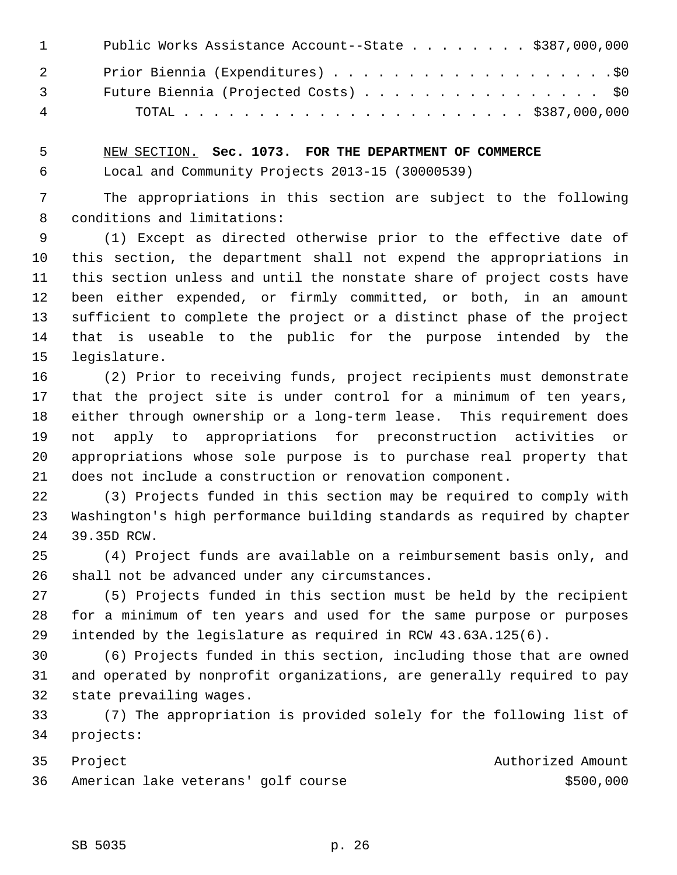| $\mathbf{1}$   | Public Works Assistance Account--State \$387,000,000 |
|----------------|------------------------------------------------------|
| $\overline{2}$ |                                                      |
| $\overline{3}$ | Future Biennia (Projected Costs) \$0                 |
| 4              |                                                      |

 5 NEW SECTION. **Sec. 1073. FOR THE DEPARTMENT OF COMMERCE** 6 Local and Community Projects 2013-15 (30000539)

 7 The appropriations in this section are subject to the following 8 conditions and limitations:

 9 (1) Except as directed otherwise prior to the effective date of 10 this section, the department shall not expend the appropriations in 11 this section unless and until the nonstate share of project costs have 12 been either expended, or firmly committed, or both, in an amount 13 sufficient to complete the project or a distinct phase of the project 14 that is useable to the public for the purpose intended by the 15 legislature.

16 (2) Prior to receiving funds, project recipients must demonstrate 17 that the project site is under control for a minimum of ten years, 18 either through ownership or a long-term lease. This requirement does 19 not apply to appropriations for preconstruction activities or 20 appropriations whose sole purpose is to purchase real property that 21 does not include a construction or renovation component.

22 (3) Projects funded in this section may be required to comply with 23 Washington's high performance building standards as required by chapter 24 39.35D RCW.

25 (4) Project funds are available on a reimbursement basis only, and 26 shall not be advanced under any circumstances.

27 (5) Projects funded in this section must be held by the recipient 28 for a minimum of ten years and used for the same purpose or purposes 29 intended by the legislature as required in RCW 43.63A.125(6).

30 (6) Projects funded in this section, including those that are owned 31 and operated by nonprofit organizations, are generally required to pay 32 state prevailing wages.

33 (7) The appropriation is provided solely for the following list of 34 projects:

35 Project **Authorized Amount** 36 American lake veterans' golf course **\$500,000** \$500,000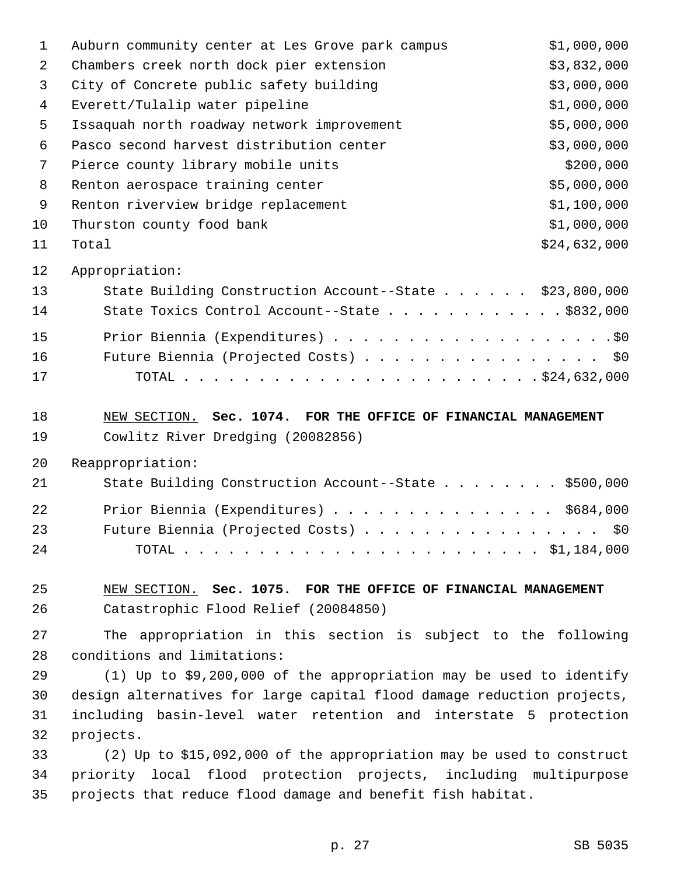| $\mathbf 1$ | Auburn community center at Les Grove park campus                       | \$1,000,000  |
|-------------|------------------------------------------------------------------------|--------------|
| 2           | Chambers creek north dock pier extension                               | \$3,832,000  |
| 3           | City of Concrete public safety building                                | \$3,000,000  |
| 4           | Everett/Tulalip water pipeline                                         | \$1,000,000  |
| 5           | Issaquah north roadway network improvement                             | \$5,000,000  |
| 6           | Pasco second harvest distribution center                               | \$3,000,000  |
| 7           | Pierce county library mobile units                                     | \$200,000    |
| 8           | Renton aerospace training center                                       | \$5,000,000  |
| 9           | Renton riverview bridge replacement                                    | \$1,100,000  |
| 10          | Thurston county food bank                                              | \$1,000,000  |
| 11          | Total                                                                  | \$24,632,000 |
| 12          | Appropriation:                                                         |              |
| 13          | State Building Construction Account--State \$23,800,000                |              |
| 14          | State Toxics Control Account--State \$832,000                          |              |
| 15          |                                                                        |              |
| 16          | Future Biennia (Projected Costs) \$0                                   |              |
| 17          |                                                                        |              |
| 18          | NEW SECTION. Sec. 1074. FOR THE OFFICE OF FINANCIAL MANAGEMENT         |              |
| 19          | Cowlitz River Dredging (20082856)                                      |              |
| 20          | Reappropriation:                                                       |              |
| 21          | State Building Construction Account--State \$500,000                   |              |
| 22          | Prior Biennia (Expenditures) \$684,000                                 |              |
| 23          | Future Biennia (Projected Costs)                                       | \$0          |
| 24          |                                                                        |              |
| 25          | NEW SECTION. Sec. 1075. FOR THE OFFICE OF FINANCIAL MANAGEMENT         |              |
| 26          | Catastrophic Flood Relief (20084850)                                   |              |
| 27          | The appropriation in this section is subject to the following          |              |
| 28          | conditions and limitations:                                            |              |
| 29          | (1) Up to \$9,200,000 of the appropriation may be used to identify     |              |
| 30          | design alternatives for large capital flood damage reduction projects, |              |
| 31          | including basin-level water retention and interstate 5 protection      |              |
| 32          | projects.                                                              |              |
| 33          | $(2)$ Up to \$15,092,000 of the appropriation may be used to construct |              |
| 34          | priority local flood protection projects, including multipurpose       |              |
| 35          | projects that reduce flood damage and benefit fish habitat.            |              |
|             |                                                                        |              |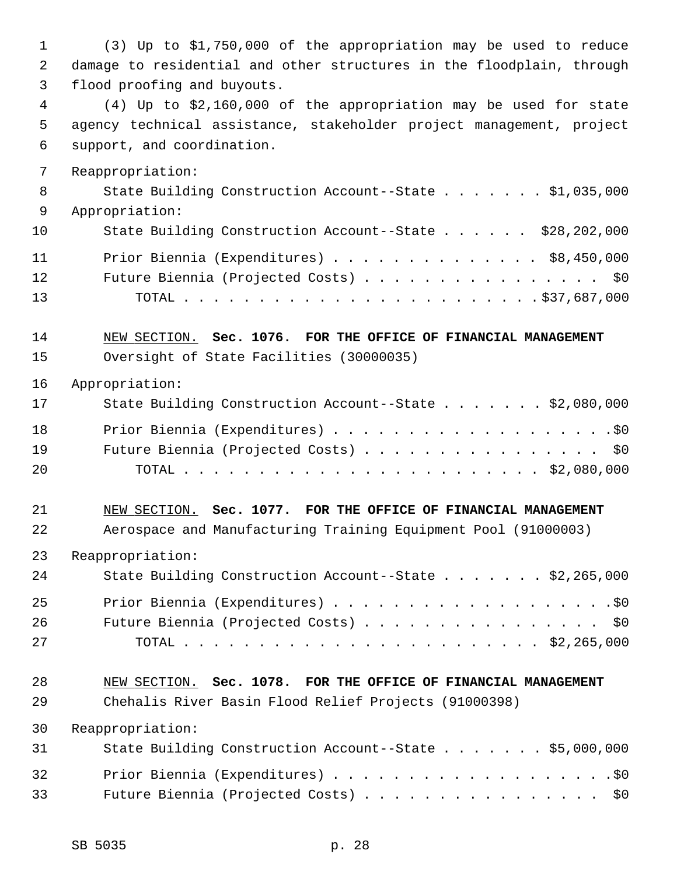| 1        | (3) Up to \$1,750,000 of the appropriation may be used to reduce                                     |
|----------|------------------------------------------------------------------------------------------------------|
| 2<br>3   | damage to residential and other structures in the floodplain, through<br>flood proofing and buyouts. |
| 4        | $(4)$ Up to \$2,160,000 of the appropriation may be used for state                                   |
| 5        | agency technical assistance, stakeholder project management, project                                 |
| 6        | support, and coordination.                                                                           |
|          |                                                                                                      |
| 7        | Reappropriation:                                                                                     |
| 8<br>9   | State Building Construction Account--State \$1,035,000<br>Appropriation:                             |
| 10       | State Building Construction Account--State \$28,202,000                                              |
| 11       | Prior Biennia (Expenditures) \$8,450,000                                                             |
| 12       | Future Biennia (Projected Costs) \$0                                                                 |
| 13       |                                                                                                      |
|          |                                                                                                      |
| 14       | NEW SECTION. Sec. 1076. FOR THE OFFICE OF FINANCIAL MANAGEMENT                                       |
| 15       | Oversight of State Facilities (30000035)                                                             |
| 16       | Appropriation:                                                                                       |
| 17       | State Building Construction Account--State \$2,080,000                                               |
|          |                                                                                                      |
| 18<br>19 | Future Biennia (Projected Costs) \$0                                                                 |
| 20       |                                                                                                      |
|          |                                                                                                      |
| 21       | NEW SECTION. Sec. 1077. FOR THE OFFICE OF FINANCIAL MANAGEMENT                                       |
| 22       | Aerospace and Manufacturing Training Equipment Pool (91000003)                                       |
| 23       | Reappropriation:                                                                                     |
| 24       | State Building Construction Account--State \$2,265,000                                               |
| 25       |                                                                                                      |
| 26       | Future Biennia (Projected Costs) \$0                                                                 |
| 27       |                                                                                                      |
|          |                                                                                                      |
| 28       | NEW SECTION. Sec. 1078. FOR THE OFFICE OF FINANCIAL MANAGEMENT                                       |
| 29       | Chehalis River Basin Flood Relief Projects (91000398)                                                |
| 30       | Reappropriation:                                                                                     |
| 31       | State Building Construction Account--State \$5,000,000                                               |
| 32       |                                                                                                      |
| 33       | Future Biennia (Projected Costs) \$0                                                                 |
|          |                                                                                                      |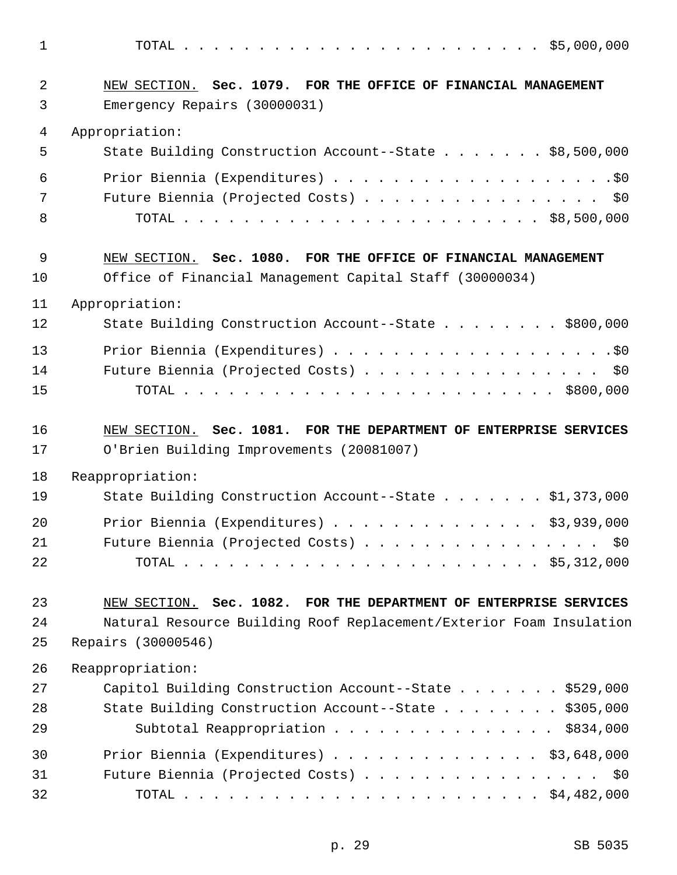1 TOTAL . . . . . . . . . . . . . . . . . . . . . . . . \$5,000,000 2 NEW SECTION. **Sec. 1079. FOR THE OFFICE OF FINANCIAL MANAGEMENT** 3 Emergency Repairs (30000031) 4 Appropriation: 5 State Building Construction Account--State . . . . . . . \$8,500,000 6 Prior Biennia (Expenditures) . . . . . . . . . . . . . . . . . . .\$0 7 Future Biennia (Projected Costs) . . . . . . . . . . . . . . . \$0 8 TOTAL . . . . . . . . . . . . . . . . . . . . . . . . \$8,500,000 9 NEW SECTION. **Sec. 1080. FOR THE OFFICE OF FINANCIAL MANAGEMENT** 10 Office of Financial Management Capital Staff (30000034) 11 Appropriation: 12 State Building Construction Account--State . . . . . . . . \$800,000 13 Prior Biennia (Expenditures) . . . . . . . . . . . . . . . . . . .\$0 14 Future Biennia (Projected Costs) . . . . . . . . . . . . . . . . \$0 15 TOTAL . . . . . . . . . . . . . . . . . . . . . . . . . \$800,000 16 NEW SECTION. **Sec. 1081. FOR THE DEPARTMENT OF ENTERPRISE SERVICES** 17 O'Brien Building Improvements (20081007) 18 Reappropriation: 19 State Building Construction Account--State . . . . . . . \$1,373,000 20 Prior Biennia (Expenditures) . . . . . . . . . . . . . . \$3,939,000 21 Future Biennia (Projected Costs) . . . . . . . . . . . . . . . \$0 22 TOTAL . . . . . . . . . . . . . . . . . . . . . . . . \$5,312,000 23 NEW SECTION. **Sec. 1082. FOR THE DEPARTMENT OF ENTERPRISE SERVICES** 24 Natural Resource Building Roof Replacement/Exterior Foam Insulation 25 Repairs (30000546) 26 Reappropriation: 27 Capitol Building Construction Account--State . . . . . . . \$529,000 28 State Building Construction Account--State . . . . . . . . \$305,000 29 Subtotal Reappropriation . . . . . . . . . . . . . . \$834,000 30 Prior Biennia (Expenditures) . . . . . . . . . . . . . . \$3,648,000 31 Future Biennia (Projected Costs) . . . . . . . . . . . . . . . . \$0 32 TOTAL . . . . . . . . . . . . . . . . . . . . . . . . \$4,482,000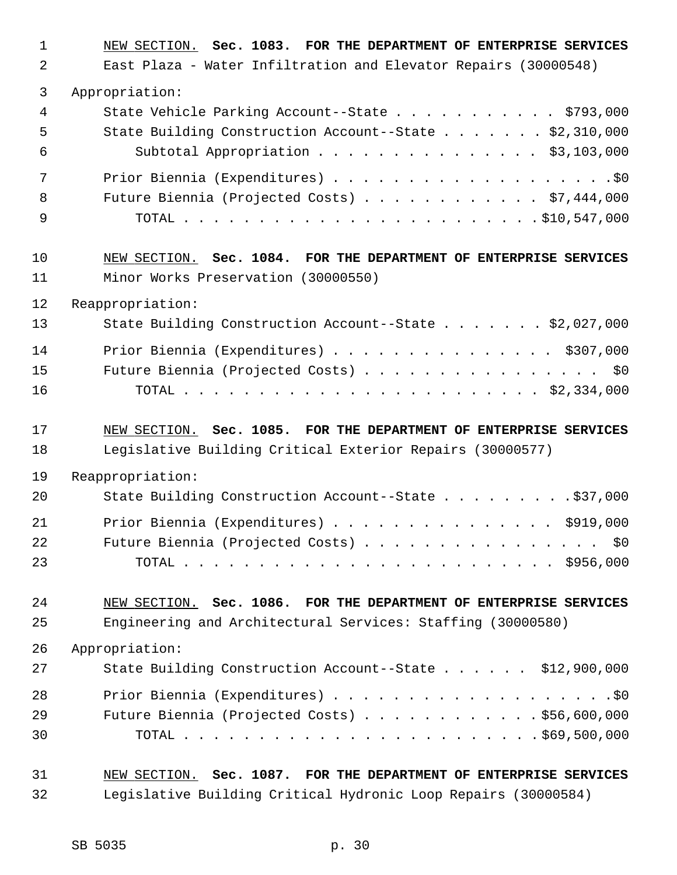| $\mathbf{1}$ | NEW SECTION. Sec. 1083. FOR THE DEPARTMENT OF ENTERPRISE SERVICES |
|--------------|-------------------------------------------------------------------|
| 2            | East Plaza - Water Infiltration and Elevator Repairs (30000548)   |
| 3            | Appropriation:                                                    |
| 4            | State Vehicle Parking Account--State \$793,000                    |
| 5            | State Building Construction Account--State \$2,310,000            |
| 6            | Subtotal Appropriation \$3,103,000                                |
| 7            |                                                                   |
| 8            | Future Biennia (Projected Costs) \$7,444,000                      |
| 9            |                                                                   |
| 10           | NEW SECTION. Sec. 1084. FOR THE DEPARTMENT OF ENTERPRISE SERVICES |
| 11           | Minor Works Preservation (30000550)                               |
| 12           | Reappropriation:                                                  |
| 13           | State Building Construction Account--State \$2,027,000            |
| 14           | Prior Biennia (Expenditures) \$307,000                            |
| 15           | Future Biennia (Projected Costs) \$0                              |
| 16           |                                                                   |
|              |                                                                   |
| 17           | NEW SECTION. Sec. 1085. FOR THE DEPARTMENT OF ENTERPRISE SERVICES |
| 18           | Legislative Building Critical Exterior Repairs (30000577)         |
| 19           | Reappropriation:                                                  |
| 20           | State Building Construction Account--State \$37,000               |
| 21           | Prior Biennia (Expenditures) \$919,000                            |
| 22           | Future Biennia (Projected Costs) \$0                              |
| 23           |                                                                   |
| 24           | NEW SECTION. Sec. 1086. FOR THE DEPARTMENT OF ENTERPRISE SERVICES |
| 25           | Engineering and Architectural Services: Staffing (30000580)       |
| 26           | Appropriation:                                                    |
| 27           | State Building Construction Account--State \$12,900,000           |
| 28           |                                                                   |
| 29           | Future Biennia (Projected Costs) \$56,600,000                     |
| 30           |                                                                   |
| 31           | NEW SECTION. Sec. 1087. FOR THE DEPARTMENT OF ENTERPRISE SERVICES |
| 32           | Legislative Building Critical Hydronic Loop Repairs (30000584)    |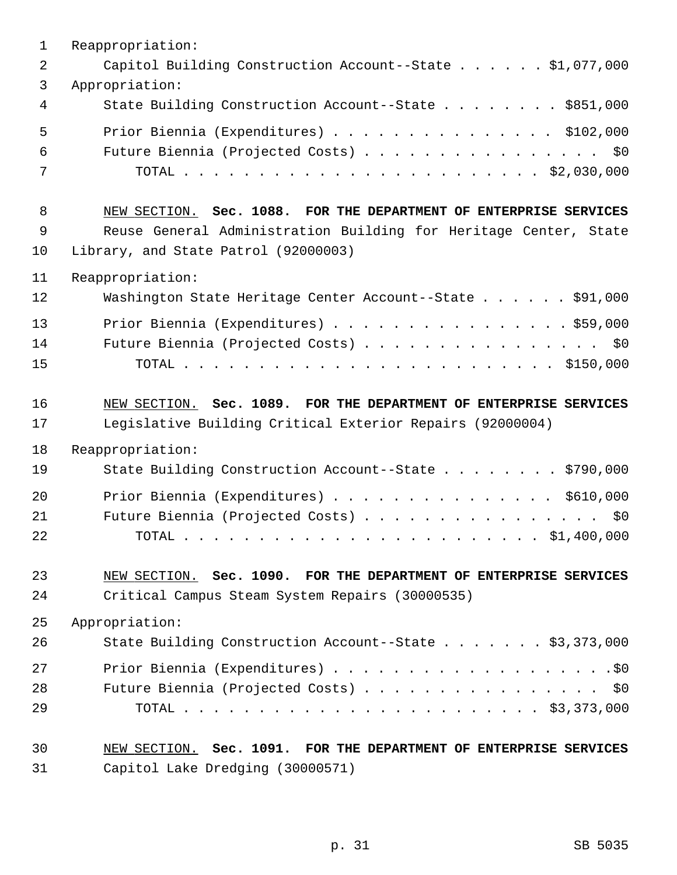| $\mathbf{1}$ | Reappropriation:                                                  |
|--------------|-------------------------------------------------------------------|
| 2            | Capitol Building Construction Account--State \$1,077,000          |
| 3            | Appropriation:                                                    |
| 4            | State Building Construction Account--State \$851,000              |
| 5            | Prior Biennia (Expenditures) \$102,000                            |
| 6            | Future Biennia (Projected Costs) \$0                              |
| 7            |                                                                   |
| 8            | NEW SECTION. Sec. 1088. FOR THE DEPARTMENT OF ENTERPRISE SERVICES |
| 9            | Reuse General Administration Building for Heritage Center, State  |
| 10           | Library, and State Patrol (92000003)                              |
| 11           | Reappropriation:                                                  |
| 12           | Washington State Heritage Center Account--State \$91,000          |
| 13           | Prior Biennia (Expenditures) \$59,000                             |
| 14           | Future Biennia (Projected Costs) \$0                              |
| 15           |                                                                   |
| 16           | NEW SECTION. Sec. 1089. FOR THE DEPARTMENT OF ENTERPRISE SERVICES |
| 17           | Legislative Building Critical Exterior Repairs (92000004)         |
| 18           | Reappropriation:                                                  |
| 19           | State Building Construction Account--State \$790,000              |
| 20           | Prior Biennia (Expenditures) \$610,000                            |
| 21           | Future Biennia (Projected Costs)<br>\$0\$                         |
| 22           |                                                                   |
| 23           | NEW SECTION. Sec. 1090. FOR THE DEPARTMENT OF ENTERPRISE SERVICES |
| 24           | Critical Campus Steam System Repairs (30000535)                   |
| 25           | Appropriation:                                                    |
| 26           | State Building Construction Account--State \$3,373,000            |
| 27           |                                                                   |
| 28           | Future Biennia (Projected Costs) \$0                              |
| 29           |                                                                   |
| 30           | NEW SECTION. Sec. 1091. FOR THE DEPARTMENT OF ENTERPRISE SERVICES |
| 31           | Capitol Lake Dredging (30000571)                                  |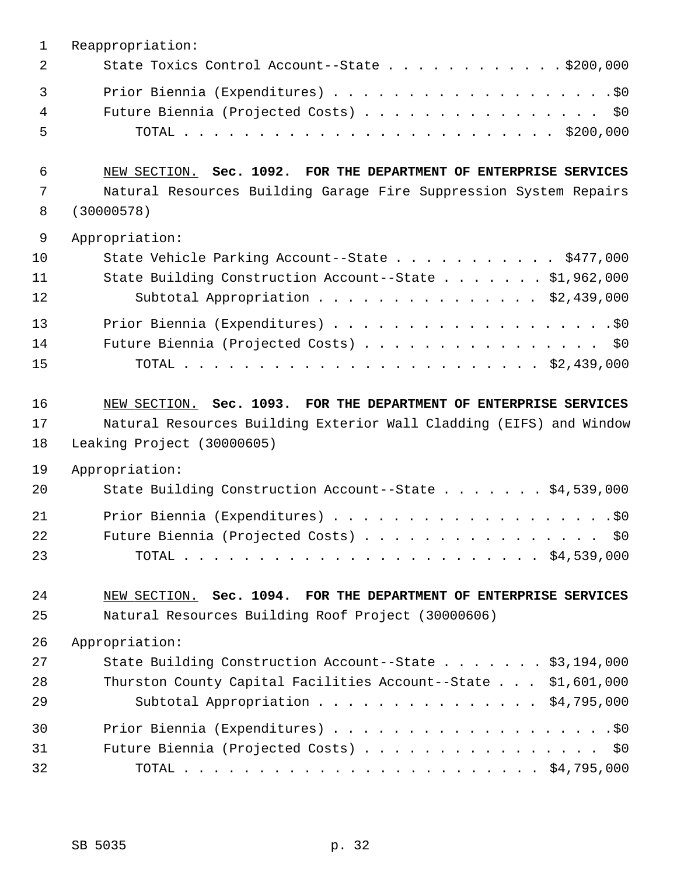| $\mathbf 1$ | Reappropriation:                                                    |
|-------------|---------------------------------------------------------------------|
| 2           | State Toxics Control Account--State \$200,000                       |
| 3           |                                                                     |
| 4           | Future Biennia (Projected Costs) \$0                                |
| 5           |                                                                     |
| 6           | NEW SECTION. Sec. 1092. FOR THE DEPARTMENT OF ENTERPRISE SERVICES   |
| 7           | Natural Resources Building Garage Fire Suppression System Repairs   |
| 8           | (30000578)                                                          |
| 9           | Appropriation:                                                      |
| 10          | State Vehicle Parking Account--State \$477,000                      |
| 11          | State Building Construction Account--State \$1,962,000              |
| 12          | Subtotal Appropriation \$2,439,000                                  |
| 13          |                                                                     |
| 14          | Future Biennia (Projected Costs) \$0                                |
| 15          |                                                                     |
| 16          | NEW SECTION. Sec. 1093. FOR THE DEPARTMENT OF ENTERPRISE SERVICES   |
| 17          | Natural Resources Building Exterior Wall Cladding (EIFS) and Window |
| 18          | Leaking Project (30000605)                                          |
| 19          | Appropriation:                                                      |
| 20          | State Building Construction Account--State \$4,539,000              |
| 21          |                                                                     |
| 22          | Future Biennia (Projected Costs) \$0                                |
| 23          |                                                                     |
| 24          | NEW SECTION. Sec. 1094. FOR THE DEPARTMENT OF ENTERPRISE SERVICES   |
| 25          | Natural Resources Building Roof Project (30000606)                  |
| 26          | Appropriation:                                                      |
| 27          | State Building Construction Account--State \$3,194,000              |
| 28          | Thurston County Capital Facilities Account--State \$1,601,000       |
| 29          | Subtotal Appropriation $\ldots$ \$4,795,000                         |
| 30          |                                                                     |
| 31          | Future Biennia (Projected Costs) \$0                                |
| 32          |                                                                     |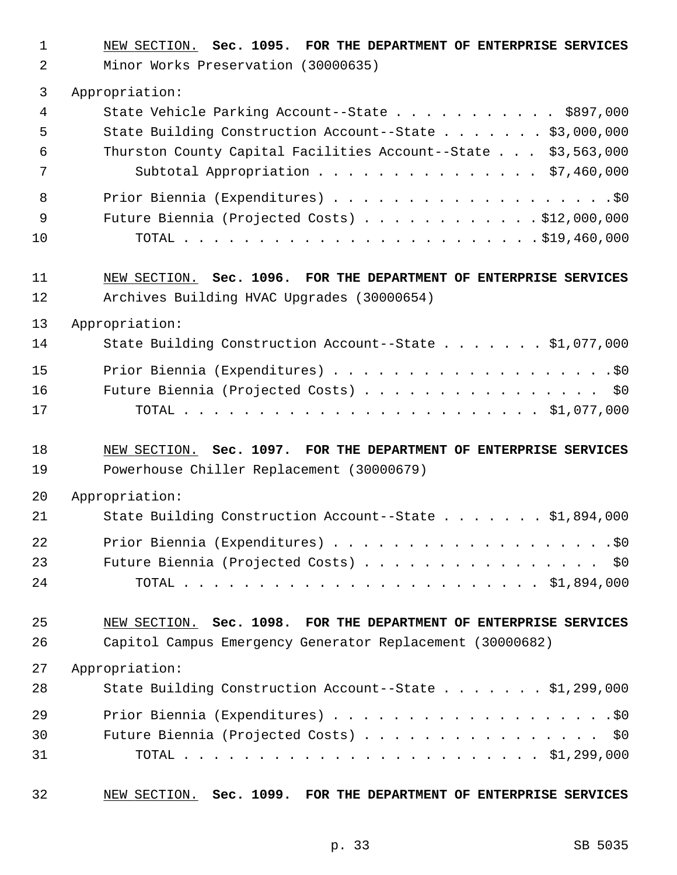1 NEW SECTION. **Sec. 1095. FOR THE DEPARTMENT OF ENTERPRISE SERVICES**

2 Minor Works Preservation (30000635)

| 3              | Appropriation:                                                    |
|----------------|-------------------------------------------------------------------|
| 4              | State Vehicle Parking Account--State \$897,000                    |
| 5              | State Building Construction Account--State \$3,000,000            |
| 6              | Thurston County Capital Facilities Account--State \$3,563,000     |
| 7              | Subtotal Appropriation \$7,460,000                                |
| 8              |                                                                   |
| $\overline{9}$ | Future Biennia (Projected Costs) $\ldots$ \$12,000,000            |
| 10             |                                                                   |
| 11             | NEW SECTION. Sec. 1096. FOR THE DEPARTMENT OF ENTERPRISE SERVICES |
| 12             | Archives Building HVAC Upgrades (30000654)                        |
| 13             | Appropriation:                                                    |
| 14             | State Building Construction Account--State \$1,077,000            |
| 15             |                                                                   |
| 16             | Future Biennia (Projected Costs) \$0                              |
| 17             |                                                                   |
| 18             | NEW SECTION. Sec. 1097. FOR THE DEPARTMENT OF ENTERPRISE SERVICES |
| 19             | Powerhouse Chiller Replacement (30000679)                         |
| 20             | Appropriation:                                                    |
| 21             | State Building Construction Account--State \$1,894,000            |
| 22             |                                                                   |
| 23             | Future Biennia (Projected Costs)<br>\$0\$                         |

24 TOTAL . . . . . . . . . . . . . . . . . . . . . . . . \$1,894,000

25 NEW SECTION. **Sec. 1098. FOR THE DEPARTMENT OF ENTERPRISE SERVICES** 26 Capitol Campus Emergency Generator Replacement (30000682)

27 Appropriation:

| 28 | State Building Construction Account--State \$1,299,000 |
|----|--------------------------------------------------------|
| 29 |                                                        |
| 30 | Future Biennia (Projected Costs) \$0                   |
| 31 |                                                        |

32 NEW SECTION. **Sec. 1099. FOR THE DEPARTMENT OF ENTERPRISE SERVICES**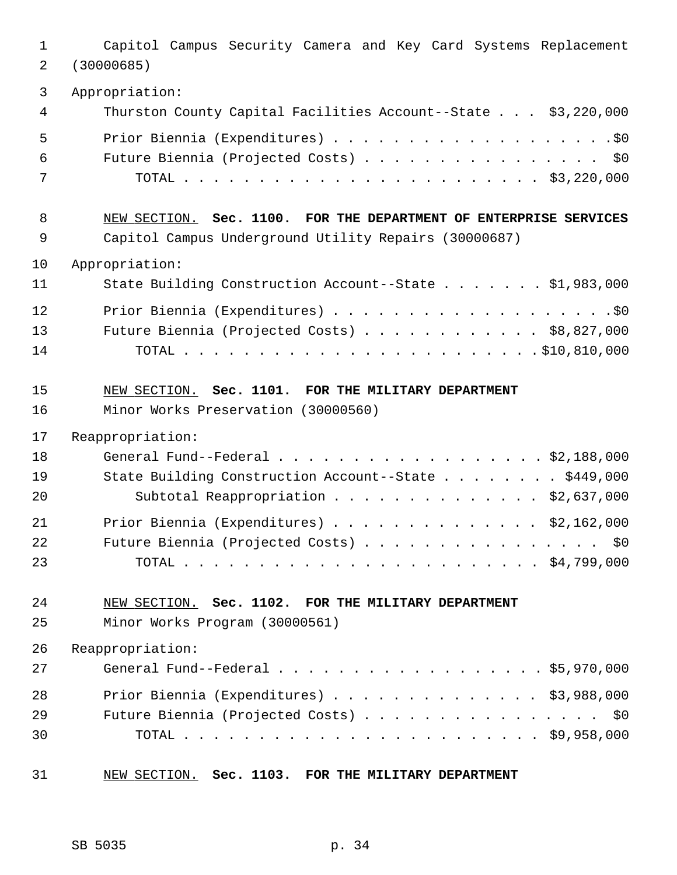1 Capitol Campus Security Camera and Key Card Systems Replacement 2 (30000685) 3 Appropriation: 4 Thurston County Capital Facilities Account--State . . . \$3,220,000 5 Prior Biennia (Expenditures) . . . . . . . . . . . . . . . . . . .\$0 6 Future Biennia (Projected Costs) . . . . . . . . . . . . . . . . \$0 7 TOTAL . . . . . . . . . . . . . . . . . . . . . . . . \$3,220,000 8 NEW SECTION. **Sec. 1100. FOR THE DEPARTMENT OF ENTERPRISE SERVICES** 9 Capitol Campus Underground Utility Repairs (30000687) 10 Appropriation: 11 State Building Construction Account--State . . . . . . . \$1,983,000 12 Prior Biennia (Expenditures) . . . . . . . . . . . . . . . . . . .\$0 13 Future Biennia (Projected Costs) . . . . . . . . . . . . \$8,827,000 14 TOTAL . . . . . . . . . . . . . . . . . . . . . . . . \$10,810,000 15 NEW SECTION. **Sec. 1101. FOR THE MILITARY DEPARTMENT** 16 Minor Works Preservation (30000560) 17 Reappropriation: 18 General Fund--Federal . . . . . . . . . . . . . . . . . . \$2,188,000 19 State Building Construction Account--State . . . . . . . . \$449,000 20 Subtotal Reappropriation . . . . . . . . . . . . . . \$2,637,000 21 Prior Biennia (Expenditures) . . . . . . . . . . . . . . \$2,162,000 22 Future Biennia (Projected Costs) . . . . . . . . . . . . . . . \$0 23 TOTAL . . . . . . . . . . . . . . . . . . . . . . . . \$4,799,000 24 NEW SECTION. **Sec. 1102. FOR THE MILITARY DEPARTMENT** 25 Minor Works Program (30000561) 26 Reappropriation: 27 General Fund--Federal . . . . . . . . . . . . . . . . . . \$5,970,000 28 Prior Biennia (Expenditures) . . . . . . . . . . . . . . \$3,988,000 29 Future Biennia (Projected Costs) . . . . . . . . . . . . . . . \$0 30 TOTAL . . . . . . . . . . . . . . . . . . . . . . . . \$9,958,000 31 NEW SECTION. **Sec. 1103. FOR THE MILITARY DEPARTMENT**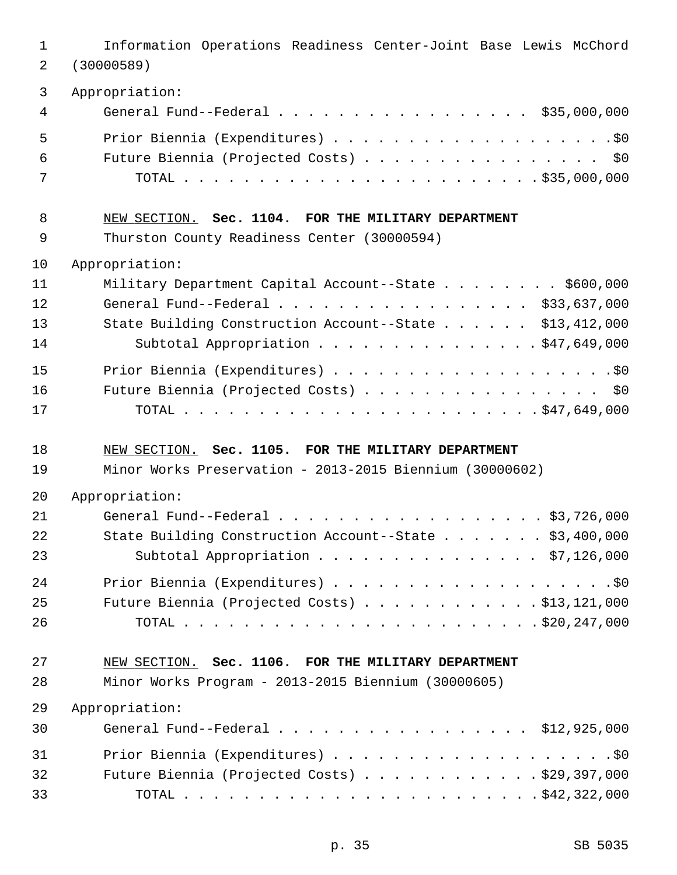| $\mathbf{1}$<br>2 | Information Operations Readiness Center-Joint Base Lewis McChord<br>(30000589) |
|-------------------|--------------------------------------------------------------------------------|
| 3                 | Appropriation:                                                                 |
| 4                 | General Fund--Federal \$35,000,000                                             |
| 5                 |                                                                                |
| 6                 | Future Biennia (Projected Costs) \$0                                           |
| 7                 |                                                                                |
| 8                 | NEW SECTION. Sec. 1104. FOR THE MILITARY DEPARTMENT                            |
| 9                 | Thurston County Readiness Center (30000594)                                    |
| 10                | Appropriation:                                                                 |
| 11                | Military Department Capital Account--State \$600,000                           |
| 12                | General Fund--Federal \$33,637,000                                             |
| 13                | State Building Construction Account--State \$13,412,000                        |
| 14                | Subtotal Appropriation \$47,649,000                                            |
| 15                |                                                                                |
| 16                | Future Biennia (Projected Costs) \$0                                           |
| 17                |                                                                                |
|                   |                                                                                |
| 18                | NEW SECTION. Sec. 1105. FOR THE MILITARY DEPARTMENT                            |
| 19                | Minor Works Preservation - 2013-2015 Biennium (30000602)                       |
| 20                | Appropriation:                                                                 |
| 21                | General Fund--Federal \$3,726,000                                              |
| 22                | State Building Construction Account--State \$3,400,000                         |
| 23                | Subtotal Appropriation \$7,126,000                                             |
| 24                |                                                                                |
| 25                | Future Biennia (Projected Costs) \$13,121,000                                  |
| 26                |                                                                                |
| 27                | NEW SECTION. Sec. 1106. FOR THE MILITARY DEPARTMENT                            |
| 28                | Minor Works Program - 2013-2015 Biennium (30000605)                            |
| 29                | Appropriation:                                                                 |
| 30                | General Fund--Federal \$12,925,000                                             |
| 31                |                                                                                |
| 32                | Future Biennia (Projected Costs) $\ldots$ \$29,397,000                         |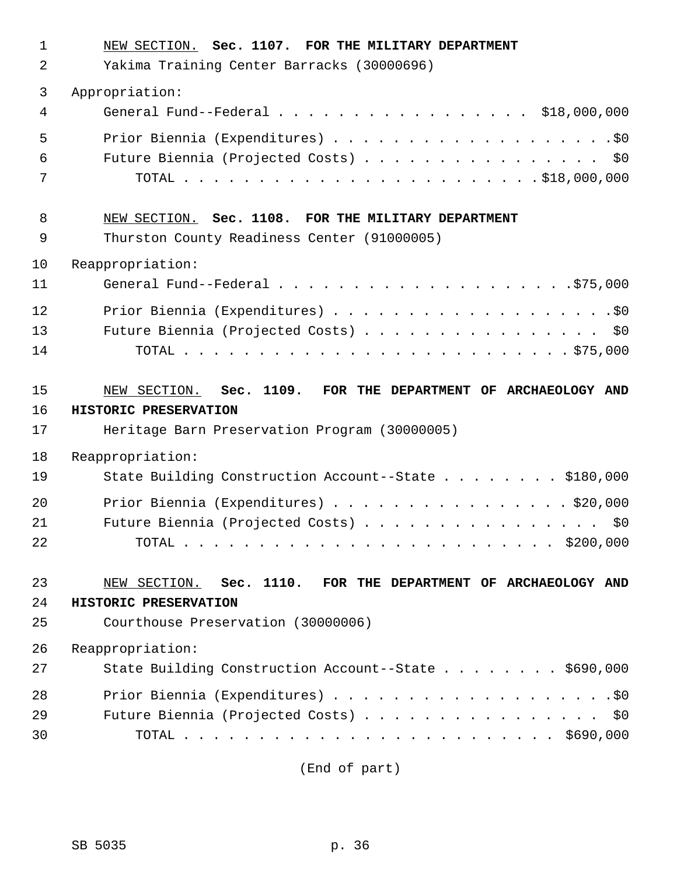| $\mathbf 1$ | NEW SECTION. Sec. 1107. FOR THE MILITARY DEPARTMENT           |
|-------------|---------------------------------------------------------------|
| 2           | Yakima Training Center Barracks (30000696)                    |
| 3           | Appropriation:                                                |
| 4           | General Fund--Federal \$18,000,000                            |
| 5           |                                                               |
| 6           | Future Biennia (Projected Costs) \$0                          |
| 7           |                                                               |
| 8           | NEW SECTION. Sec. 1108. FOR THE MILITARY DEPARTMENT           |
| 9           | Thurston County Readiness Center (91000005)                   |
| 10          | Reappropriation:                                              |
| 11          |                                                               |
| 12          |                                                               |
| 13          | Future Biennia (Projected Costs) \$0                          |
| 14          |                                                               |
| 15          | NEW SECTION. Sec. 1109. FOR THE DEPARTMENT OF ARCHAEOLOGY AND |
|             |                                                               |
| 16          | HISTORIC PRESERVATION                                         |
| 17          | Heritage Barn Preservation Program (30000005)                 |
| 18          | Reappropriation:                                              |
| 19          | State Building Construction Account--State \$180,000          |
| 20          | Prior Biennia (Expenditures) \$20,000                         |
| 21          | Future Biennia (Projected Costs)<br>\$0                       |
| 22          |                                                               |
| 23          | NEW SECTION. Sec. 1110. FOR THE DEPARTMENT OF ARCHAEOLOGY AND |
| 24          | HISTORIC PRESERVATION                                         |
| 25          | Courthouse Preservation (30000006)                            |
| 26          | Reappropriation:                                              |
| 27          | State Building Construction Account--State \$690,000          |
| 28          |                                                               |
| 29          | Future Biennia (Projected Costs) \$0                          |

(End of part)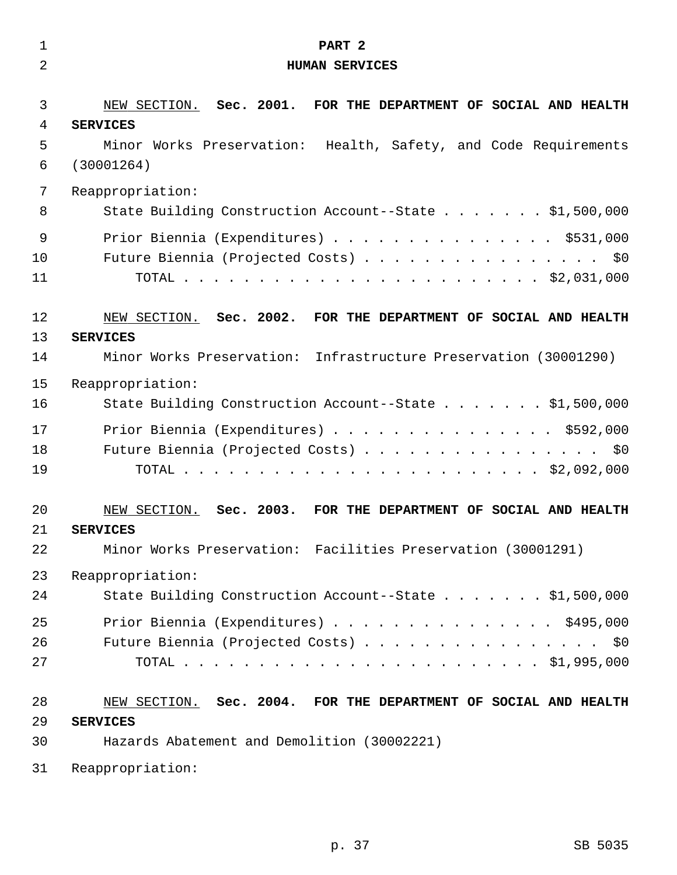| $\mathbf 1$ | PART <sub>2</sub>                                                |
|-------------|------------------------------------------------------------------|
| 2           | <b>HUMAN SERVICES</b>                                            |
|             |                                                                  |
| 3           | NEW SECTION. Sec. 2001. FOR THE DEPARTMENT OF SOCIAL AND HEALTH  |
| 4           | <b>SERVICES</b>                                                  |
| 5           | Minor Works Preservation: Health, Safety, and Code Requirements  |
| 6           | (30001264)                                                       |
| 7           | Reappropriation:                                                 |
| 8           | State Building Construction Account--State \$1,500,000           |
| $\mathsf 9$ | Prior Biennia (Expenditures) \$531,000                           |
| 10          | Future Biennia (Projected Costs) \$0                             |
| 11          |                                                                  |
|             |                                                                  |
| 12          | NEW SECTION. Sec. 2002. FOR THE DEPARTMENT OF SOCIAL AND HEALTH  |
| 13          | <b>SERVICES</b>                                                  |
| 14          | Minor Works Preservation: Infrastructure Preservation (30001290) |
| 15          | Reappropriation:                                                 |
| 16          | State Building Construction Account--State \$1,500,000           |
| 17          | Prior Biennia (Expenditures) \$592,000                           |
| 18          | Future Biennia (Projected Costs) \$0                             |
| 19          |                                                                  |
|             |                                                                  |
| 20          | NEW SECTION. Sec. 2003. FOR THE DEPARTMENT OF SOCIAL AND HEALTH  |
| 21          | <b>SERVICES</b>                                                  |
| 22          | Minor Works Preservation: Facilities Preservation (30001291)     |
| 23          | Reappropriation:                                                 |
| 24          | State Building Construction Account--State \$1,500,000           |
| 25          | Prior Biennia (Expenditures) \$495,000                           |
| 26          | Future Biennia (Projected Costs) \$0                             |
| 27          |                                                                  |
|             |                                                                  |
| 28          | NEW SECTION. Sec. 2004. FOR THE DEPARTMENT OF SOCIAL AND HEALTH  |
| 29          | <b>SERVICES</b>                                                  |
| 30          | Hazards Abatement and Demolition (30002221)                      |
| 31          | Reappropriation:                                                 |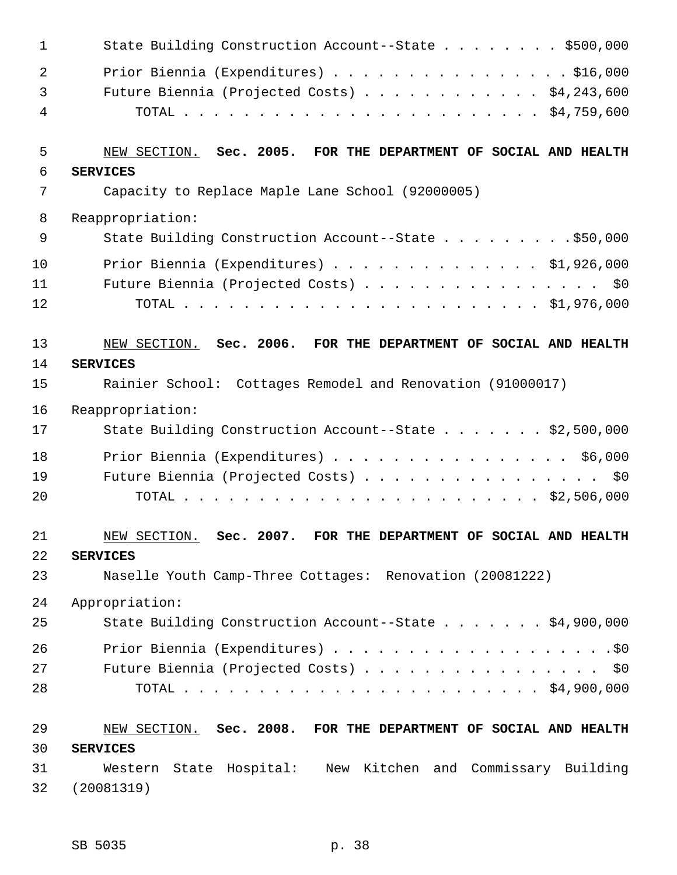| $\mathbf 1$    | State Building Construction Account--State \$500,000            |
|----------------|-----------------------------------------------------------------|
| $\overline{2}$ | Prior Biennia (Expenditures) \$16,000                           |
| 3              | Future Biennia (Projected Costs) $\ldots$ \$4,243,600           |
| 4              |                                                                 |
|                |                                                                 |
| 5              | NEW SECTION. Sec. 2005. FOR THE DEPARTMENT OF SOCIAL AND HEALTH |
| 6              | <b>SERVICES</b>                                                 |
| 7              | Capacity to Replace Maple Lane School (92000005)                |
| 8              | Reappropriation:                                                |
| 9              | State Building Construction Account--State \$50,000             |
| 10             | Prior Biennia (Expenditures) \$1,926,000                        |
| 11             | Future Biennia (Projected Costs) \$0                            |
| 12             |                                                                 |
|                |                                                                 |
| 13             | NEW SECTION. Sec. 2006. FOR THE DEPARTMENT OF SOCIAL AND HEALTH |
| 14             | <b>SERVICES</b>                                                 |
| 15             | Rainier School: Cottages Remodel and Renovation (91000017)      |
| 16             | Reappropriation:                                                |
| 17             | State Building Construction Account--State \$2,500,000          |
| 18             | Prior Biennia (Expenditures) \$6,000                            |
| 19             | Future Biennia (Projected Costs) \$0                            |
| 20             |                                                                 |
|                |                                                                 |
| 21             | NEW SECTION. Sec. 2007. FOR THE DEPARTMENT OF SOCIAL AND HEALTH |
| 22             | <b>SERVICES</b>                                                 |
| 23             | Naselle Youth Camp-Three Cottages: Renovation (20081222)        |
| 24             | Appropriation:                                                  |
| 25             | State Building Construction Account--State \$4,900,000          |
| 26             |                                                                 |
| 27             | Future Biennia (Projected Costs) \$0                            |
| 28             |                                                                 |
|                |                                                                 |
| 29             | NEW SECTION. Sec. 2008. FOR THE DEPARTMENT OF SOCIAL AND HEALTH |
| 30             | <b>SERVICES</b>                                                 |
| 31             | Western State Hospital: New Kitchen and Commissary Building     |
| 32             | (20081319)                                                      |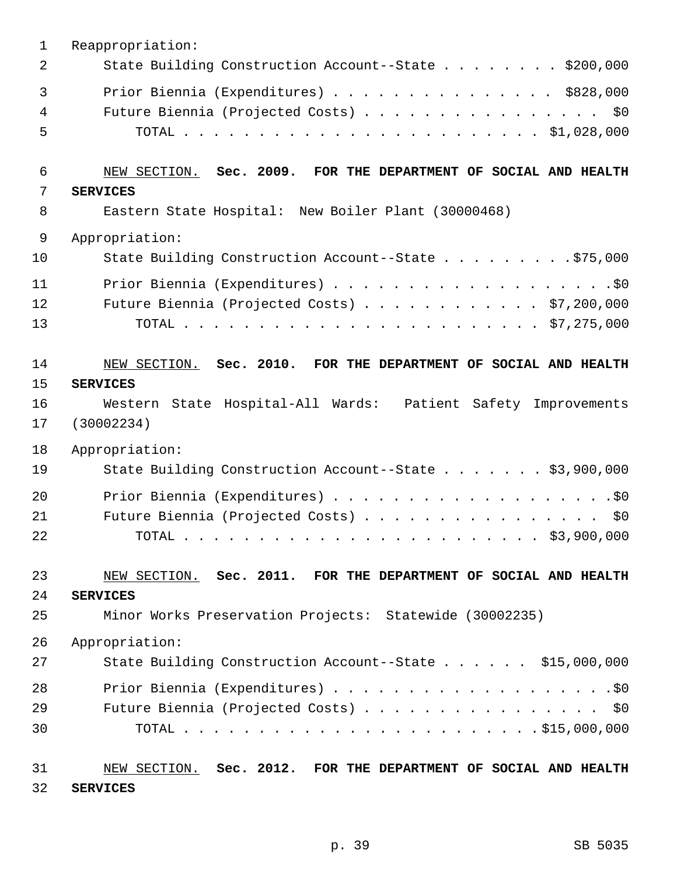| $\mathbf 1$            | Reappropriation:                                                                                                                                                  |
|------------------------|-------------------------------------------------------------------------------------------------------------------------------------------------------------------|
| 2                      | State Building Construction Account--State \$200,000                                                                                                              |
| $\mathbf{3}$<br>4<br>5 | Prior Biennia (Expenditures) \$828,000<br>Future Biennia (Projected Costs) \$0                                                                                    |
| 6                      | NEW SECTION. Sec. 2009. FOR THE DEPARTMENT OF SOCIAL AND HEALTH                                                                                                   |
| 7                      | <b>SERVICES</b>                                                                                                                                                   |
| 8                      | Eastern State Hospital: New Boiler Plant (30000468)                                                                                                               |
| $\mathsf 9$            | Appropriation:                                                                                                                                                    |
| 10                     | State Building Construction Account--State \$75,000                                                                                                               |
| 11                     |                                                                                                                                                                   |
| 12                     | Future Biennia (Projected Costs) \$7,200,000                                                                                                                      |
| 13                     |                                                                                                                                                                   |
| 14<br>15<br>16<br>17   | NEW SECTION. Sec. 2010. FOR THE DEPARTMENT OF SOCIAL AND HEALTH<br><b>SERVICES</b><br>Western State Hospital-All Wards: Patient Safety Improvements<br>(30002234) |
| 18                     | Appropriation:                                                                                                                                                    |
| 19                     | State Building Construction Account--State \$3,900,000                                                                                                            |
| 20<br>21<br>22         | Future Biennia (Projected Costs) \$0                                                                                                                              |
| 23                     | NEW SECTION. Sec. 2011. FOR THE DEPARTMENT OF SOCIAL AND HEALTH                                                                                                   |
| 24                     | <b>SERVICES</b>                                                                                                                                                   |
| 25                     | Minor Works Preservation Projects: Statewide (30002235)                                                                                                           |
| 26                     | Appropriation:                                                                                                                                                    |
| 27                     | State Building Construction Account--State \$15,000,000                                                                                                           |
| 28                     |                                                                                                                                                                   |
| 29                     | Future Biennia (Projected Costs) \$0                                                                                                                              |
| 30                     |                                                                                                                                                                   |
| 31<br>32               | NEW SECTION. Sec. 2012. FOR THE DEPARTMENT OF SOCIAL AND HEALTH<br><b>SERVICES</b>                                                                                |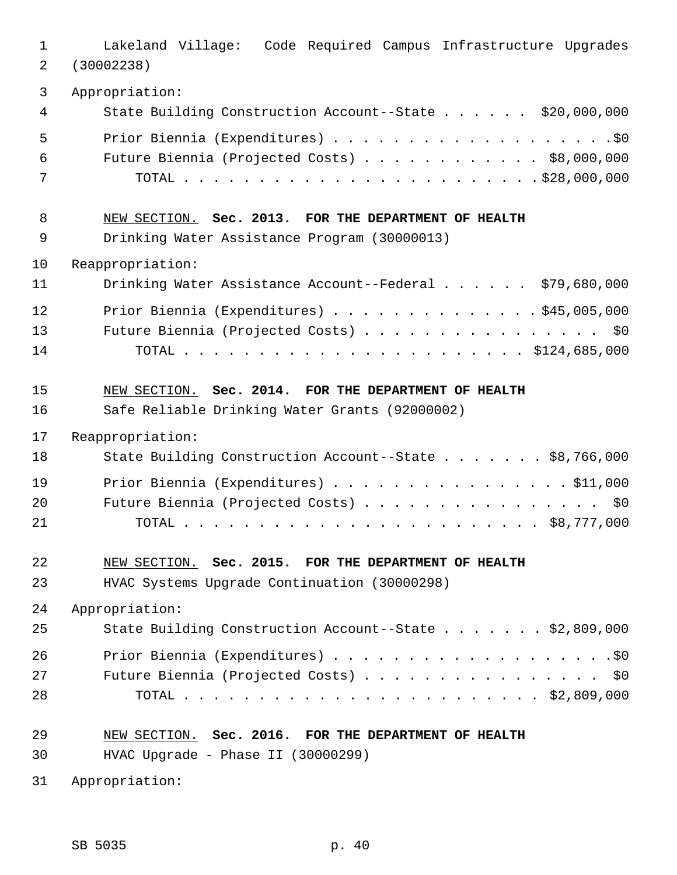| $\mathbf{1}$ | Lakeland Village: Code Required Campus Infrastructure Upgrades |
|--------------|----------------------------------------------------------------|
| 2            | (30002238)                                                     |
| $\mathbf{3}$ | Appropriation:                                                 |
| 4            | State Building Construction Account--State \$20,000,000        |
| 5            |                                                                |
| 6            | Future Biennia (Projected Costs) \$8,000,000                   |
| 7            |                                                                |
| 8            | NEW SECTION. Sec. 2013. FOR THE DEPARTMENT OF HEALTH           |
| 9            | Drinking Water Assistance Program (30000013)                   |
| 10           | Reappropriation:                                               |
| 11           | Drinking Water Assistance Account--Federal \$79,680,000        |
| 12           | Prior Biennia (Expenditures) \$45,005,000                      |
| 13           | Future Biennia (Projected Costs) \$0                           |
| 14           |                                                                |
| 15           | NEW SECTION. Sec. 2014. FOR THE DEPARTMENT OF HEALTH           |
| 16           | Safe Reliable Drinking Water Grants (92000002)                 |
| 17           | Reappropriation:                                               |
| 18           | State Building Construction Account--State \$8,766,000         |
| 19           | Prior Biennia (Expenditures) \$11,000                          |
| 20           | Future Biennia (Projected Costs) \$0                           |
| 21           |                                                                |
| 22           | NEW SECTION. Sec. 2015. FOR THE DEPARTMENT OF HEALTH           |
| 23           | HVAC Systems Upgrade Continuation (30000298)                   |
| 24           | Appropriation:                                                 |
| 25           | State Building Construction Account--State \$2,809,000         |
| 26           |                                                                |
| 27           | Future Biennia (Projected Costs) \$0                           |
| 28           |                                                                |
| 29           | NEW SECTION. Sec. 2016. FOR THE DEPARTMENT OF HEALTH           |
| 30           | HVAC Upgrade - Phase II (30000299)                             |
| 31           | Appropriation:                                                 |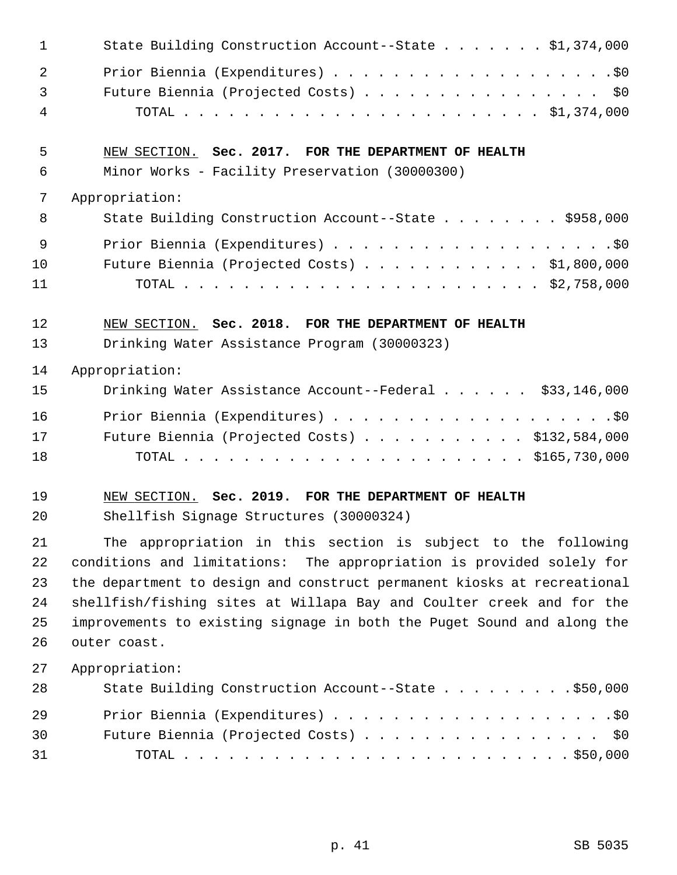| $\mathbf{1}$   | State Building Construction Account--State \$1,374,000                  |
|----------------|-------------------------------------------------------------------------|
| $\overline{2}$ |                                                                         |
| 3              | Future Biennia (Projected Costs) \$0                                    |
| 4              |                                                                         |
| 5              | NEW SECTION. Sec. 2017. FOR THE DEPARTMENT OF HEALTH                    |
| 6              | Minor Works - Facility Preservation (30000300)                          |
| 7              | Appropriation:                                                          |
| 8              | State Building Construction Account--State \$958,000                    |
| 9              |                                                                         |
| 10             | Future Biennia (Projected Costs) \$1,800,000                            |
| 11             |                                                                         |
| 12             | NEW SECTION. Sec. 2018. FOR THE DEPARTMENT OF HEALTH                    |
| 13             | Drinking Water Assistance Program (30000323)                            |
| 14             | Appropriation:                                                          |
| 15             | Drinking Water Assistance Account--Federal \$33,146,000                 |
| 16             |                                                                         |
| 17             | Future Biennia (Projected Costs) \$132,584,000                          |
| 18             |                                                                         |
| 19             | NEW SECTION. Sec. 2019. FOR THE DEPARTMENT OF HEALTH                    |
| 20             | Shellfish Signage Structures (30000324)                                 |
| 21             | The appropriation in this section is subject to the following           |
| 22             | conditions and limitations: The appropriation is provided solely for    |
| 23             | the department to design and construct permanent kiosks at recreational |
| 24             | shellfish/fishing sites at Willapa Bay and Coulter creek and for the    |
| 25             | improvements to existing signage in both the Puget Sound and along the  |
| 26             | outer coast.                                                            |
| 27             | Appropriation:                                                          |
| 28             | State Building Construction Account--State \$50,000                     |
| 29             |                                                                         |
| 30             |                                                                         |
|                | Future Biennia (Projected Costs) \$0                                    |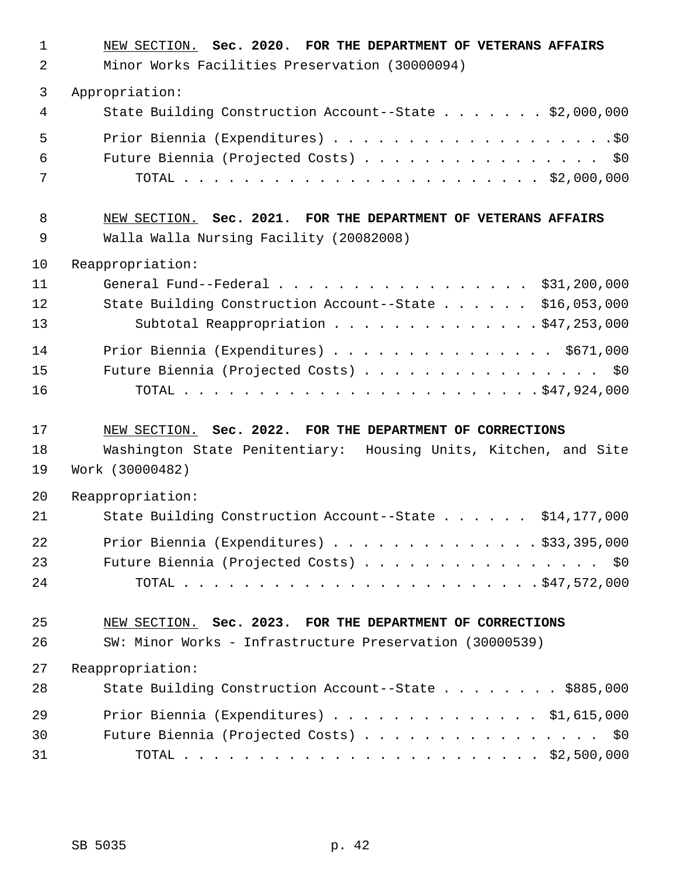| $\mathbf{1}$<br>2    | NEW SECTION. Sec. 2020. FOR THE DEPARTMENT OF VETERANS AFFAIRS<br>Minor Works Facilities Preservation (30000094)                                           |
|----------------------|------------------------------------------------------------------------------------------------------------------------------------------------------------|
| $\mathfrak{Z}$       | Appropriation:                                                                                                                                             |
| 4                    | State Building Construction Account--State \$2,000,000                                                                                                     |
| 5<br>6<br>7          | Future Biennia (Projected Costs) \$0                                                                                                                       |
| 8<br>9               | NEW SECTION. Sec. 2021. FOR THE DEPARTMENT OF VETERANS AFFAIRS<br>Walla Walla Nursing Facility (20082008)                                                  |
| 10<br>11<br>12<br>13 | Reappropriation:<br>General Fund--Federal \$31,200,000<br>State Building Construction Account--State \$16,053,000<br>Subtotal Reappropriation \$47,253,000 |
| 14<br>15<br>16       | Prior Biennia (Expenditures) \$671,000<br>Future Biennia (Projected Costs) \$0                                                                             |
| 17<br>18<br>19       | NEW SECTION. Sec. 2022. FOR THE DEPARTMENT OF CORRECTIONS<br>Washington State Penitentiary: Housing Units, Kitchen, and Site<br>Work (30000482)            |
| 20                   | Reappropriation:                                                                                                                                           |
| 21                   | State Building Construction Account--State \$14,177,000                                                                                                    |
| 22<br>23<br>24       | Prior Biennia (Expenditures) \$33,395,000<br>Future Biennia (Projected Costs) \$0                                                                          |
| 25<br>26             | NEW SECTION. Sec. 2023. FOR THE DEPARTMENT OF CORRECTIONS<br>SW: Minor Works - Infrastructure Preservation (30000539)                                      |
| 27                   | Reappropriation:                                                                                                                                           |
| 28                   | State Building Construction Account--State \$885,000                                                                                                       |
| 29                   | Prior Biennia (Expenditures) \$1,615,000                                                                                                                   |
| 30                   | Future Biennia (Projected Costs) \$0                                                                                                                       |
| 31                   |                                                                                                                                                            |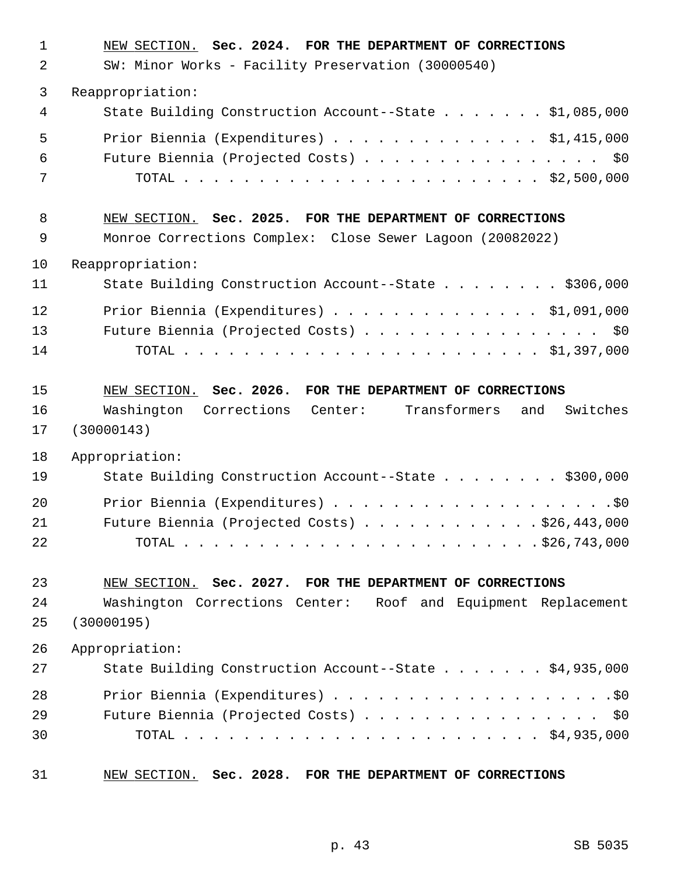| $\mathbf{1}$ | NEW SECTION. Sec. 2024. FOR THE DEPARTMENT OF CORRECTIONS         |
|--------------|-------------------------------------------------------------------|
| 2            | SW: Minor Works - Facility Preservation (30000540)                |
| 3            | Reappropriation:                                                  |
| 4            | State Building Construction Account--State \$1,085,000            |
| 5            | Prior Biennia (Expenditures) \$1,415,000                          |
| 6            | Future Biennia (Projected Costs) \$0                              |
| 7            |                                                                   |
| 8            | NEW SECTION. Sec. 2025. FOR THE DEPARTMENT OF CORRECTIONS         |
| 9            | Monroe Corrections Complex: Close Sewer Lagoon (20082022)         |
| 10           | Reappropriation:                                                  |
| 11           | State Building Construction Account--State \$306,000              |
| 12           | Prior Biennia (Expenditures) \$1,091,000                          |
| 13           | Future Biennia (Projected Costs) \$0                              |
| 14           |                                                                   |
| 15           | NEW SECTION. Sec. 2026. FOR THE DEPARTMENT OF CORRECTIONS         |
| 16           | Washington Corrections<br>Center: Transformers<br>Switches<br>and |
| 17           | (30000143)                                                        |
| 18           | Appropriation:                                                    |
| 19           | State Building Construction Account--State \$300,000              |
| 20           |                                                                   |
| 21           | Future Biennia (Projected Costs) \$26,443,000                     |
| 22           |                                                                   |
| 23           | NEW SECTION. Sec. 2027. FOR THE DEPARTMENT OF CORRECTIONS         |
| 24           | Washington Corrections Center: Roof and Equipment Replacement     |
| 25           | (30000195)                                                        |
| 26           | Appropriation:                                                    |
| 27           | State Building Construction Account--State \$4,935,000            |
| 28           |                                                                   |
| 29           | Future Biennia (Projected Costs) \$0                              |
| 30           |                                                                   |
| 31           | NEW SECTION. Sec. 2028. FOR THE DEPARTMENT OF CORRECTIONS         |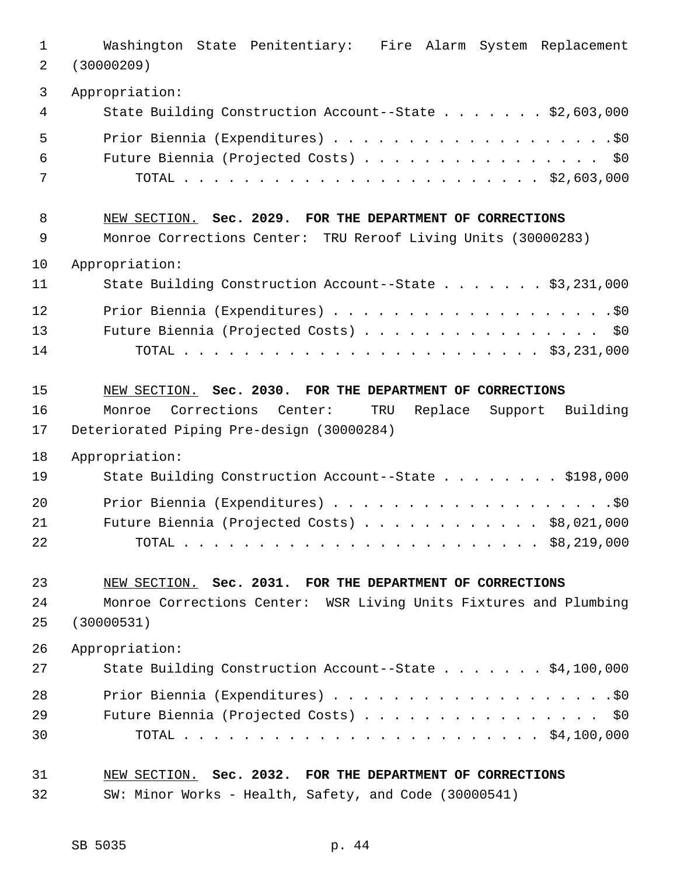| $\mathbf 1$    | Washington State Penitentiary: Fire Alarm System Replacement                                                                                                                  |
|----------------|-------------------------------------------------------------------------------------------------------------------------------------------------------------------------------|
| 2              | (30000209)                                                                                                                                                                    |
| 3              | Appropriation:                                                                                                                                                                |
| 4              | State Building Construction Account--State \$2,603,000                                                                                                                        |
| 5              |                                                                                                                                                                               |
| 6              | Future Biennia (Projected Costs) \$0                                                                                                                                          |
| 7              |                                                                                                                                                                               |
| 8              | NEW SECTION. Sec. 2029. FOR THE DEPARTMENT OF CORRECTIONS                                                                                                                     |
| 9              | Monroe Corrections Center: TRU Reroof Living Units (30000283)                                                                                                                 |
| 10             | Appropriation:                                                                                                                                                                |
| 11             | State Building Construction Account--State \$3,231,000                                                                                                                        |
| 12             |                                                                                                                                                                               |
| 13             | Future Biennia (Projected Costs) \$0                                                                                                                                          |
| 14             |                                                                                                                                                                               |
| 15<br>16<br>17 | NEW SECTION. Sec. 2030. FOR THE DEPARTMENT OF CORRECTIONS<br>Corrections<br>Center:<br>Replace Support Building<br>TRU<br>Monroe<br>Deteriorated Piping Pre-design (30000284) |
| 18             | Appropriation:                                                                                                                                                                |
| 19             | State Building Construction Account--State \$198,000                                                                                                                          |
| 20             |                                                                                                                                                                               |
| 21             | Future Biennia (Projected Costs) \$8,021,000                                                                                                                                  |
| 22             |                                                                                                                                                                               |
| 23             | NEW SECTION. Sec. 2031. FOR THE DEPARTMENT OF CORRECTIONS                                                                                                                     |
| 24             | Monroe Corrections Center: WSR Living Units Fixtures and Plumbing                                                                                                             |
| 25             | (30000531)                                                                                                                                                                    |
| 26             | Appropriation:                                                                                                                                                                |
| 27             | State Building Construction Account--State \$4,100,000                                                                                                                        |
| 28             |                                                                                                                                                                               |
| 29             | Future Biennia (Projected Costs) \$0                                                                                                                                          |
| 30             |                                                                                                                                                                               |
| 31             | NEW SECTION. Sec. 2032. FOR THE DEPARTMENT OF CORRECTIONS                                                                                                                     |
| 32             | SW: Minor Works - Health, Safety, and Code (30000541)                                                                                                                         |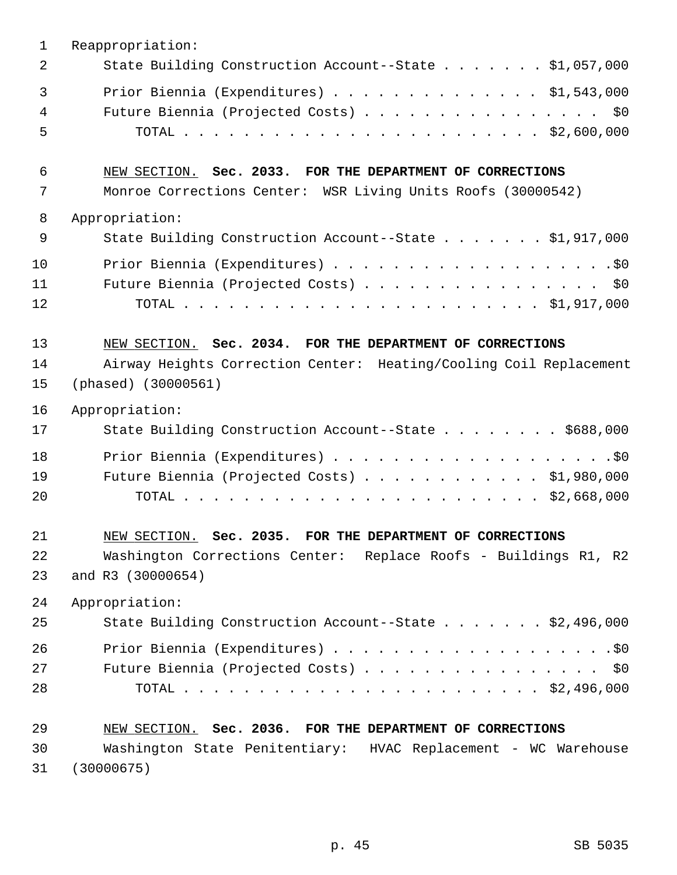| $\mathbf 1$    | Reappropriation:                                                                                                                                       |
|----------------|--------------------------------------------------------------------------------------------------------------------------------------------------------|
| 2              | State Building Construction Account--State \$1,057,000                                                                                                 |
| 3<br>4<br>5    | Prior Biennia (Expenditures) \$1,543,000<br>Future Biennia (Projected Costs) \$0                                                                       |
| 6<br>7         | NEW SECTION. Sec. 2033. FOR THE DEPARTMENT OF CORRECTIONS<br>Monroe Corrections Center: WSR Living Units Roofs (30000542)                              |
| 8              | Appropriation:                                                                                                                                         |
| 9              | State Building Construction Account--State \$1,917,000                                                                                                 |
| 10<br>11<br>12 | Future Biennia (Projected Costs) \$0                                                                                                                   |
| 13<br>14<br>15 | NEW SECTION. Sec. 2034. FOR THE DEPARTMENT OF CORRECTIONS<br>Airway Heights Correction Center: Heating/Cooling Coil Replacement<br>(phased) (30000561) |
| 16             | Appropriation:                                                                                                                                         |
| 17             | State Building Construction Account--State \$688,000                                                                                                   |
| 18<br>19<br>20 | Future Biennia (Projected Costs) \$1,980,000                                                                                                           |
| 21             | NEW SECTION. Sec. 2035. FOR THE DEPARTMENT OF CORRECTIONS                                                                                              |
| 22<br>23       | Washington Corrections Center: Replace Roofs - Buildings R1, R2<br>and R3 (30000654)                                                                   |
| 24             | Appropriation:                                                                                                                                         |
| 25             | State Building Construction Account--State \$2,496,000                                                                                                 |
| 26<br>27<br>28 | Future Biennia (Projected Costs) \$0                                                                                                                   |
| 29             | NEW SECTION. Sec. 2036. FOR THE DEPARTMENT OF CORRECTIONS                                                                                              |
| 30             | Washington State Penitentiary: HVAC Replacement - WC Warehouse                                                                                         |
| 31             | (30000675)                                                                                                                                             |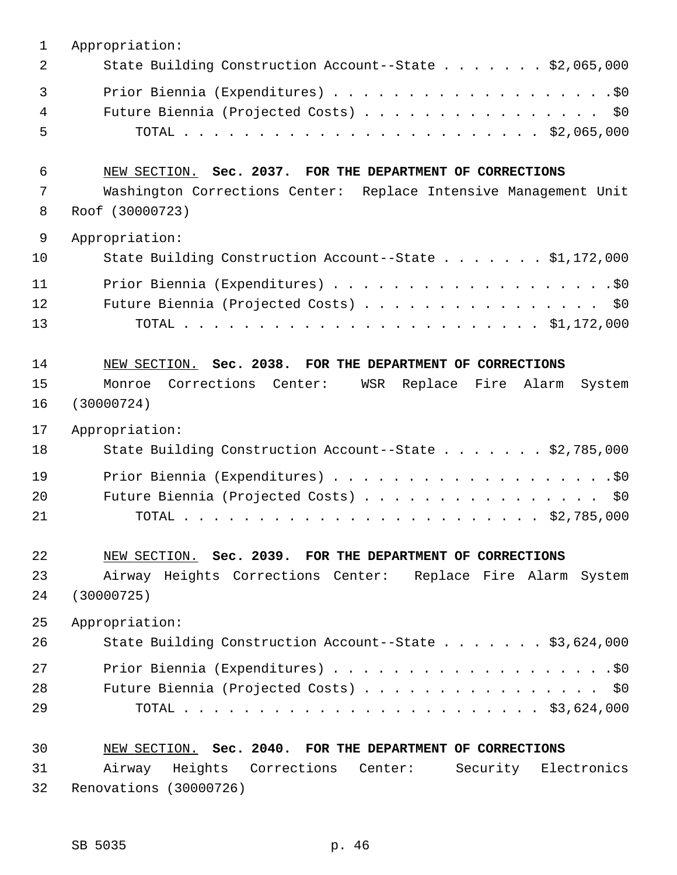| $\mathbf{1}$      | Appropriation:                                                                      |
|-------------------|-------------------------------------------------------------------------------------|
| 2                 | State Building Construction Account--State \$2,065,000                              |
| 3                 |                                                                                     |
| 4                 | Future Biennia (Projected Costs) \$0                                                |
| 5                 |                                                                                     |
| 6                 | NEW SECTION. Sec. 2037. FOR THE DEPARTMENT OF CORRECTIONS                           |
| 7<br>8            | Washington Corrections Center: Replace Intensive Management Unit<br>Roof (30000723) |
|                   |                                                                                     |
| $\mathsf 9$<br>10 | Appropriation:<br>State Building Construction Account--State \$1,172,000            |
| 11                |                                                                                     |
| 12                | Future Biennia (Projected Costs) \$0                                                |
| 13                |                                                                                     |
|                   |                                                                                     |
| 14                | NEW SECTION. Sec. 2038. FOR THE DEPARTMENT OF CORRECTIONS                           |
| 15                | Corrections Center:<br>WSR Replace Fire Alarm<br>Monroe<br>System                   |
| 16                | (30000724)                                                                          |
| 17                | Appropriation:                                                                      |
| 18                | State Building Construction Account--State \$2,785,000                              |
| 19                |                                                                                     |
| 20                | Future Biennia (Projected Costs) \$0                                                |
| 21                |                                                                                     |
| 22                | NEW SECTION. Sec. 2039. FOR THE DEPARTMENT OF CORRECTIONS                           |
| 23                | Airway Heights Corrections Center: Replace Fire Alarm System                        |
| 24                | (30000725)                                                                          |
| 25                | Appropriation:                                                                      |
| 26                | State Building Construction Account--State \$3,624,000                              |
| 27                |                                                                                     |
| 28                | Future Biennia (Projected Costs) \$0                                                |
| 29                |                                                                                     |
| 30                | NEW SECTION. Sec. 2040. FOR THE DEPARTMENT OF CORRECTIONS                           |
| 31                | Airway Heights Corrections Center: Security Electronics                             |
| 32                | Renovations (30000726)                                                              |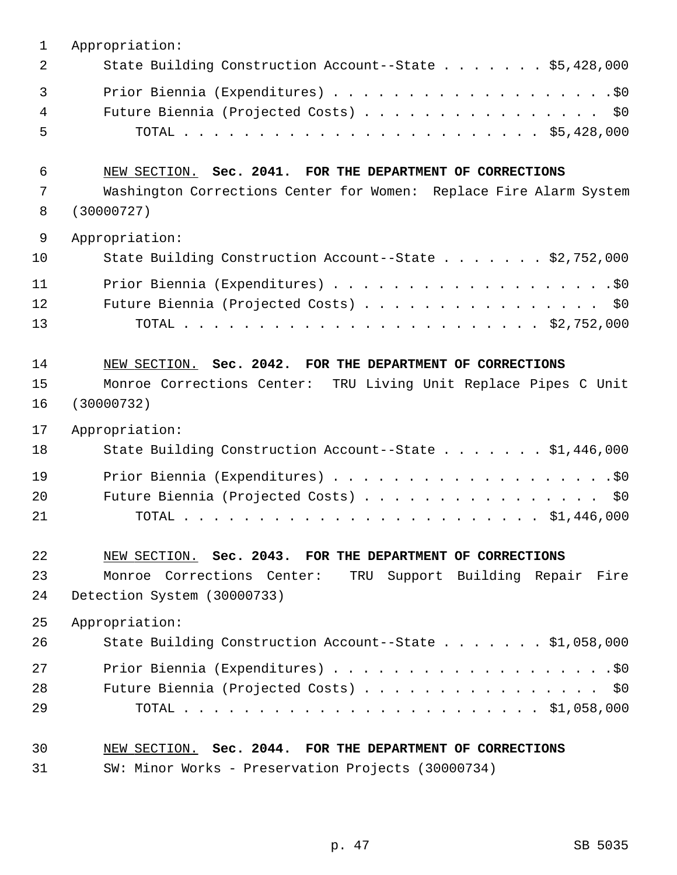| $\mathbf{1}$ | Appropriation:                                                                                                                  |
|--------------|---------------------------------------------------------------------------------------------------------------------------------|
| 2            | State Building Construction Account--State \$5,428,000                                                                          |
| 3            |                                                                                                                                 |
| 4            | Future Biennia (Projected Costs) \$0                                                                                            |
| 5            |                                                                                                                                 |
| 6<br>7       | NEW SECTION. Sec. 2041. FOR THE DEPARTMENT OF CORRECTIONS<br>Washington Corrections Center for Women: Replace Fire Alarm System |
| 8            | (30000727)                                                                                                                      |
| 9            | Appropriation:                                                                                                                  |
| 10           | State Building Construction Account--State \$2,752,000                                                                          |
| 11           |                                                                                                                                 |
| 12           | Future Biennia (Projected Costs) \$0                                                                                            |
| 13           |                                                                                                                                 |
|              |                                                                                                                                 |
| 14           | NEW SECTION. Sec. 2042. FOR THE DEPARTMENT OF CORRECTIONS                                                                       |
| 15           | Monroe Corrections Center: TRU Living Unit Replace Pipes C Unit                                                                 |
| 16           | (30000732)                                                                                                                      |
| 17           | Appropriation:                                                                                                                  |
| 18           | State Building Construction Account--State \$1,446,000                                                                          |
| 19           |                                                                                                                                 |
| 20           | Future Biennia (Projected Costs)<br>\$0                                                                                         |
| 21           |                                                                                                                                 |
|              |                                                                                                                                 |
| 22           | NEW SECTION. Sec. 2043. FOR THE DEPARTMENT OF CORRECTIONS                                                                       |
| 23           | Monroe Corrections Center:<br>TRU Support Building Repair Fire                                                                  |
| 24           | Detection System (30000733)                                                                                                     |
| 25           | Appropriation:                                                                                                                  |
| 26           | State Building Construction Account--State \$1,058,000                                                                          |
| 27           |                                                                                                                                 |
| 28           | Future Biennia (Projected Costs)<br>\$0                                                                                         |
| 29           |                                                                                                                                 |
| 30           | NEW SECTION. Sec. 2044. FOR THE DEPARTMENT OF CORRECTIONS                                                                       |
| 31           | SW: Minor Works - Preservation Projects (30000734)                                                                              |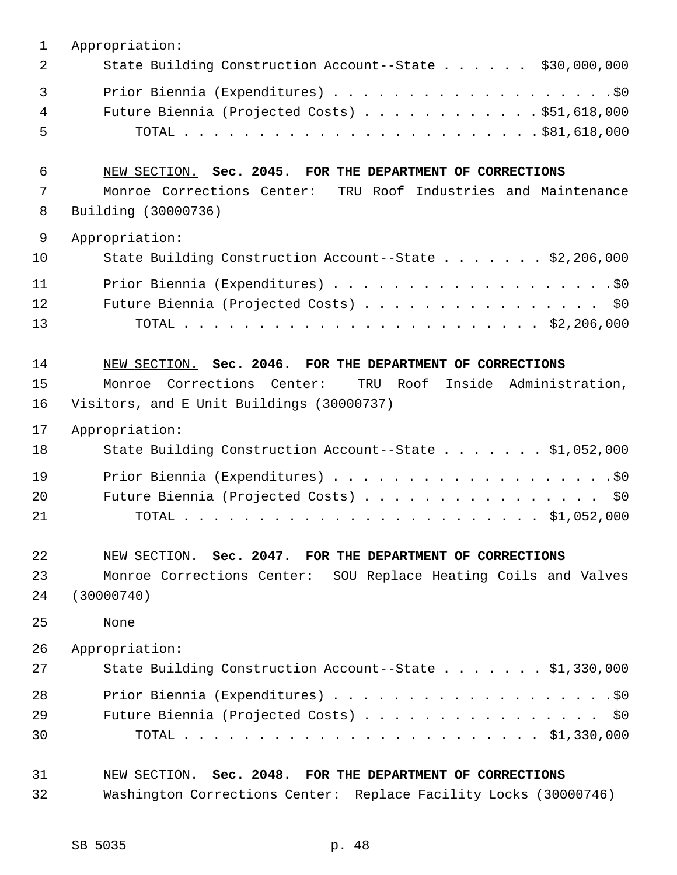| 1           | Appropriation:                                                                                                   |
|-------------|------------------------------------------------------------------------------------------------------------------|
| 2           | State Building Construction Account--State \$30,000,000                                                          |
| 3<br>4<br>5 | Future Biennia (Projected Costs) \$51,618,000                                                                    |
| 6           | NEW SECTION. Sec. 2045. FOR THE DEPARTMENT OF CORRECTIONS                                                        |
| 7<br>8      | Monroe Corrections Center: TRU Roof Industries and Maintenance<br>Building (30000736)                            |
| 9           | Appropriation:                                                                                                   |
| 10          | State Building Construction Account--State \$2,206,000                                                           |
| 11          |                                                                                                                  |
| 12<br>13    | Future Biennia (Projected Costs) \$0                                                                             |
| 14          | NEW SECTION. Sec. 2046. FOR THE DEPARTMENT OF CORRECTIONS                                                        |
| 15<br>16    | Corrections Center:<br>Inside Administration,<br>TRU Roof<br>Monroe<br>Visitors, and E Unit Buildings (30000737) |
| 17          | Appropriation:                                                                                                   |
| 18          | State Building Construction Account--State \$1,052,000                                                           |
| 19          |                                                                                                                  |
| 20          | Future Biennia (Projected Costs) \$0                                                                             |
| 21          |                                                                                                                  |
| 22          | NEW SECTION. Sec. 2047. FOR THE DEPARTMENT OF CORRECTIONS                                                        |
| 23          | Monroe Corrections Center: SOU Replace Heating Coils and Valves                                                  |
| 24          | (30000740)                                                                                                       |
| 25          | None                                                                                                             |
| 26          | Appropriation:                                                                                                   |
| 27          | State Building Construction Account--State \$1,330,000                                                           |
| 28          |                                                                                                                  |
| 29          | Future Biennia (Projected Costs) \$0                                                                             |
| 30          |                                                                                                                  |
| 31          | NEW SECTION. Sec. 2048. FOR THE DEPARTMENT OF CORRECTIONS                                                        |
| 32          | Washington Corrections Center: Replace Facility Locks (30000746)                                                 |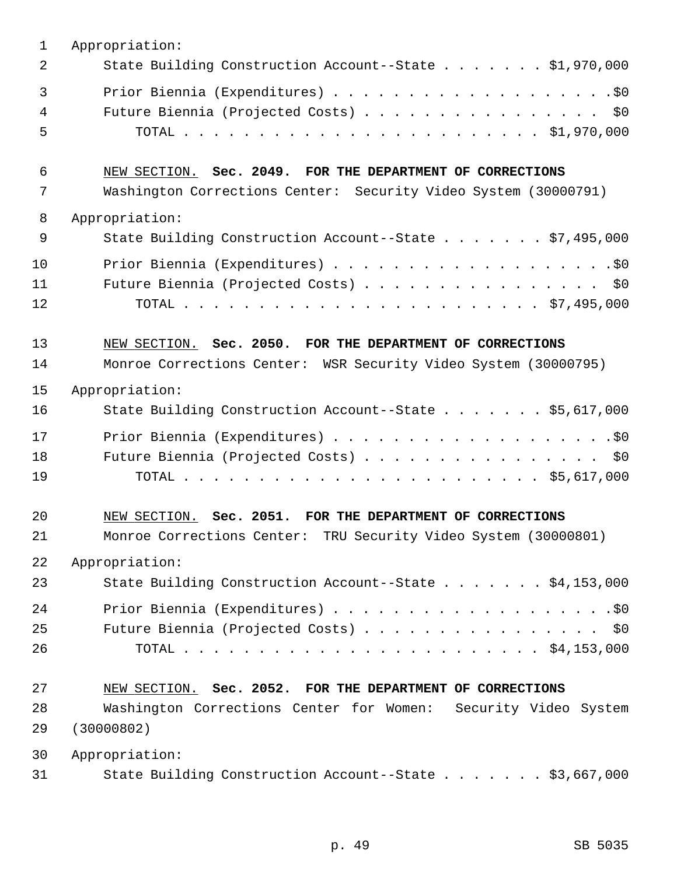| 1  | Appropriation:                                                  |
|----|-----------------------------------------------------------------|
| 2  | State Building Construction Account--State \$1,970,000          |
| 3  |                                                                 |
| 4  | Future Biennia (Projected Costs)<br>\$0                         |
| 5  |                                                                 |
| 6  | NEW SECTION. Sec. 2049. FOR THE DEPARTMENT OF CORRECTIONS       |
| 7  | Washington Corrections Center: Security Video System (30000791) |
| 8  | Appropriation:                                                  |
| 9  | State Building Construction Account--State \$7,495,000          |
| 10 |                                                                 |
| 11 | Future Biennia (Projected Costs) \$0                            |
| 12 |                                                                 |
| 13 | NEW SECTION. Sec. 2050. FOR THE DEPARTMENT OF CORRECTIONS       |
| 14 | Monroe Corrections Center: WSR Security Video System (30000795) |
| 15 | Appropriation:                                                  |
| 16 | State Building Construction Account--State \$5,617,000          |
| 17 |                                                                 |
| 18 | Future Biennia (Projected Costs)<br>\$0                         |
| 19 |                                                                 |
| 20 | NEW SECTION. Sec. 2051. FOR THE DEPARTMENT OF CORRECTIONS       |
| 21 | Monroe Corrections Center: TRU Security Video System (30000801) |
| 22 | Appropriation:                                                  |
| 23 | State Building Construction Account--State \$4,153,000          |
| 24 |                                                                 |
| 25 | Future Biennia (Projected Costs) \$0                            |
| 26 |                                                                 |
| 27 | NEW SECTION. Sec. 2052. FOR THE DEPARTMENT OF CORRECTIONS       |
| 28 | Washington Corrections Center for Women: Security Video System  |
| 29 | (30000802)                                                      |
| 30 | Appropriation:                                                  |
| 31 | State Building Construction Account--State \$3,667,000          |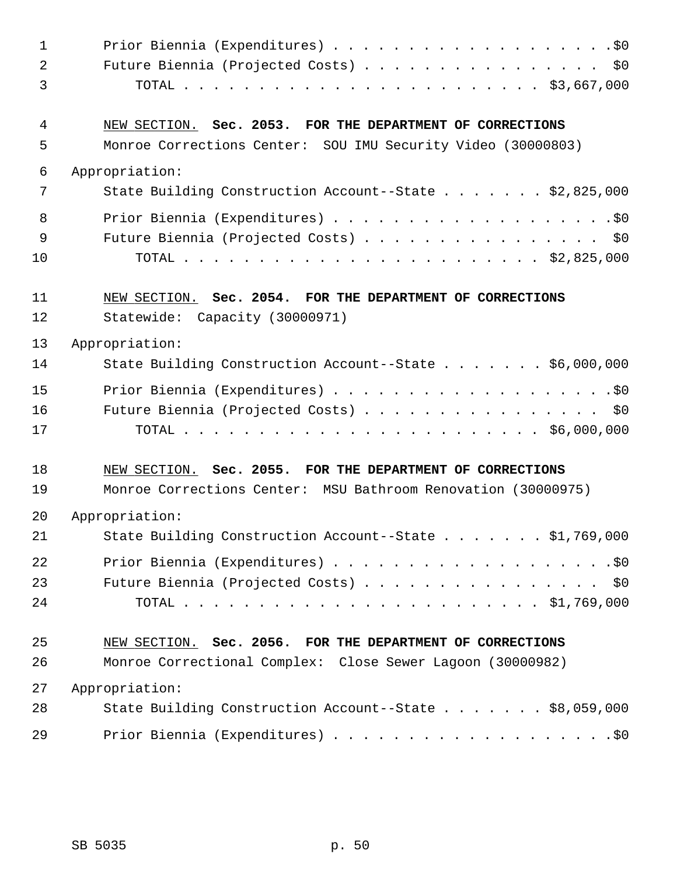| $\mathbf{1}$   |                                                               |
|----------------|---------------------------------------------------------------|
| $\overline{2}$ | Future Biennia (Projected Costs) \$0                          |
| 3              |                                                               |
| 4              | NEW SECTION. Sec. 2053. FOR THE DEPARTMENT OF CORRECTIONS     |
| 5              | Monroe Corrections Center: SOU IMU Security Video (30000803)  |
| $\epsilon$     | Appropriation:                                                |
| 7              | State Building Construction Account--State \$2,825,000        |
| 8              |                                                               |
| 9              | Future Biennia (Projected Costs) \$0                          |
| 10             |                                                               |
| 11             | NEW SECTION. Sec. 2054. FOR THE DEPARTMENT OF CORRECTIONS     |
| 12             | Statewide: Capacity (30000971)                                |
| 13             | Appropriation:                                                |
| 14             | State Building Construction Account--State \$6,000,000        |
| 15             |                                                               |
| 16             | Future Biennia (Projected Costs) \$0                          |
| 17             |                                                               |
| 18             | NEW SECTION. Sec. 2055. FOR THE DEPARTMENT OF CORRECTIONS     |
| 19             | Monroe Corrections Center: MSU Bathroom Renovation (30000975) |
| 20             | Appropriation:                                                |
| 21             | State Building Construction Account--State \$1,769,000        |
| 22             |                                                               |
| 23             | Future Biennia (Projected Costs) \$0                          |
| 24             |                                                               |
| 25             | NEW SECTION. Sec. 2056. FOR THE DEPARTMENT OF CORRECTIONS     |
| 26             | Monroe Correctional Complex: Close Sewer Lagoon (30000982)    |
| 27             | Appropriation:                                                |
| 28             | State Building Construction Account--State \$8,059,000        |
| 29             |                                                               |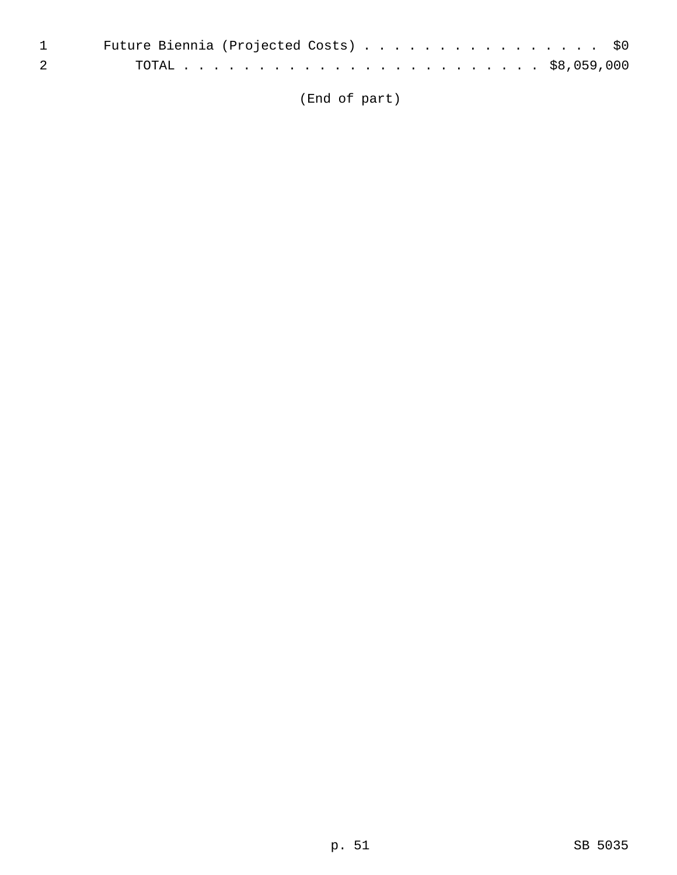|                                                                                                                                                                                                                                                                                                                                    | 1 Future Biennia (Projected Costs) \$0 |
|------------------------------------------------------------------------------------------------------------------------------------------------------------------------------------------------------------------------------------------------------------------------------------------------------------------------------------|----------------------------------------|
| $\overline{2}$ and $\overline{2}$ and $\overline{2}$ and $\overline{2}$ and $\overline{2}$ and $\overline{2}$ and $\overline{2}$ and $\overline{2}$ and $\overline{2}$ and $\overline{2}$ and $\overline{2}$ and $\overline{2}$ and $\overline{2}$ and $\overline{2}$ and $\overline{2}$ and $\overline{2}$ and $\overline{2}$ and |                                        |

(End of part)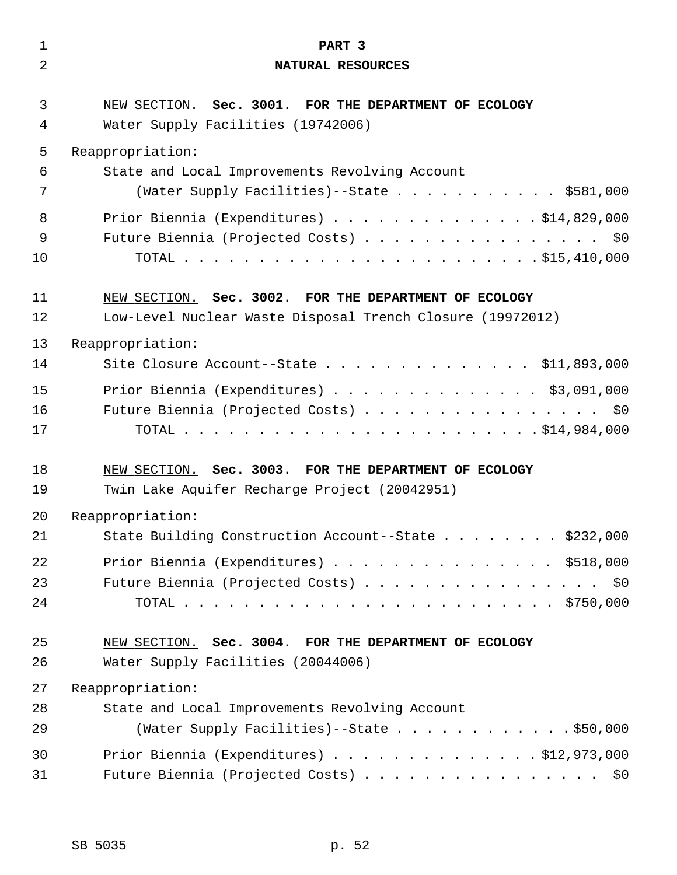| $\mathbf 1$ | PART 3                                                                                                              |
|-------------|---------------------------------------------------------------------------------------------------------------------|
| 2           | NATURAL RESOURCES                                                                                                   |
| 3<br>4      | NEW SECTION. Sec. 3001. FOR THE DEPARTMENT OF ECOLOGY<br>Water Supply Facilities (19742006)                         |
| 5           | Reappropriation:                                                                                                    |
| 6           | State and Local Improvements Revolving Account                                                                      |
| 7           | (Water Supply Facilities)--State \$581,000                                                                          |
| 8           | Prior Biennia (Expenditures) \$14,829,000                                                                           |
| 9           | Future Biennia (Projected Costs) \$0                                                                                |
| 10          |                                                                                                                     |
| 11<br>12    | NEW SECTION. Sec. 3002. FOR THE DEPARTMENT OF ECOLOGY<br>Low-Level Nuclear Waste Disposal Trench Closure (19972012) |
| 13          | Reappropriation:                                                                                                    |
| 14          | Site Closure Account--State $\ldots$ \$11,893,000                                                                   |
| 15          | Prior Biennia (Expenditures) \$3,091,000                                                                            |
| 16          | Future Biennia (Projected Costs)<br>\$0                                                                             |
| 17          |                                                                                                                     |
| 18          | NEW SECTION. Sec. 3003. FOR THE DEPARTMENT OF ECOLOGY                                                               |
| 19          | Twin Lake Aquifer Recharge Project (20042951)                                                                       |
| 20          | Reappropriation:                                                                                                    |
| 21          | State Building Construction Account--State \$232,000                                                                |
| 22          | Prior Biennia (Expenditures) \$518,000                                                                              |
| 23          | Future Biennia (Projected Costs) \$0                                                                                |
| 24          |                                                                                                                     |
| 25<br>26    | NEW SECTION. Sec. 3004. FOR THE DEPARTMENT OF ECOLOGY<br>Water Supply Facilities (20044006)                         |
| 27          | Reappropriation:                                                                                                    |
| 28          | State and Local Improvements Revolving Account                                                                      |
| 29          | (Water Supply Facilities)--State \$50,000                                                                           |
| 30          | Prior Biennia (Expenditures) $\ldots$ \$12,973,000                                                                  |
| 31          | Future Biennia (Projected Costs) \$0                                                                                |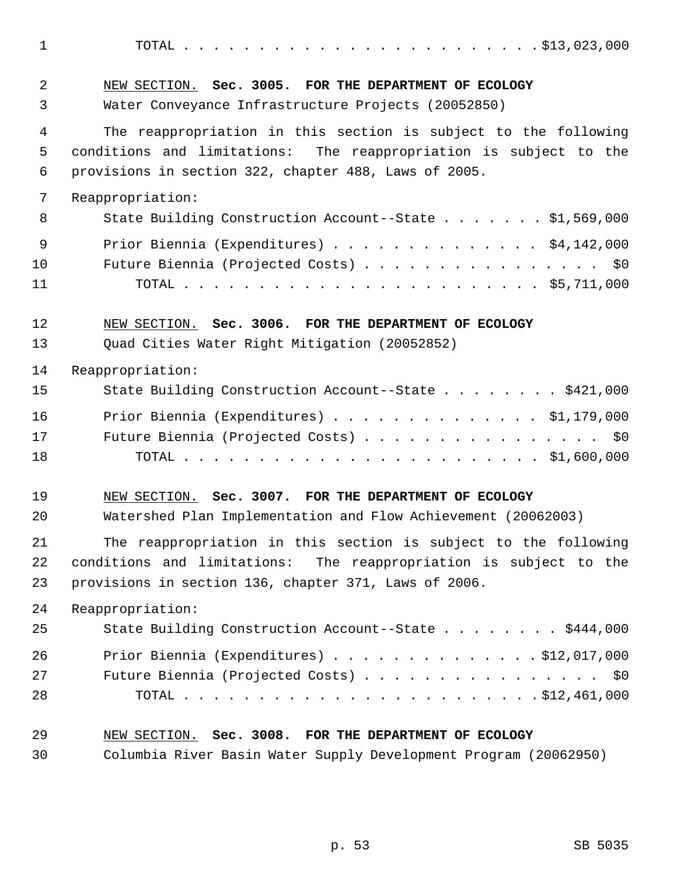1 TOTAL . . . . . . . . . . . . . . . . . . . . . . . . \$13,023,000 2 NEW SECTION. **Sec. 3005. FOR THE DEPARTMENT OF ECOLOGY** 3 Water Conveyance Infrastructure Projects (20052850) 4 The reappropriation in this section is subject to the following 5 conditions and limitations: The reappropriation is subject to the 6 provisions in section 322, chapter 488, Laws of 2005. 7 Reappropriation: 8 State Building Construction Account--State . . . . . . \$1,569,000 9 Prior Biennia (Expenditures) . . . . . . . . . . . . . . \$4,142,000 10 Future Biennia (Projected Costs) . . . . . . . . . . . . . . . . \$0 11 TOTAL . . . . . . . . . . . . . . . . . . . . . . . . \$5,711,000 12 NEW SECTION. **Sec. 3006. FOR THE DEPARTMENT OF ECOLOGY** 13 Quad Cities Water Right Mitigation (20052852) 14 Reappropriation: 15 State Building Construction Account--State . . . . . . . . \$421,000 16 Prior Biennia (Expenditures) . . . . . . . . . . . . . . \$1,179,000 17 Future Biennia (Projected Costs) . . . . . . . . . . . . . . . \$0 18 TOTAL . . . . . . . . . . . . . . . . . . . . . . . . \$1,600,000 19 NEW SECTION. **Sec. 3007. FOR THE DEPARTMENT OF ECOLOGY** 20 Watershed Plan Implementation and Flow Achievement (20062003) 21 The reappropriation in this section is subject to the following 22 conditions and limitations: The reappropriation is subject to the 23 provisions in section 136, chapter 371, Laws of 2006. 24 Reappropriation: 25 State Building Construction Account--State . . . . . . . . \$444,000 26 Prior Biennia (Expenditures) . . . . . . . . . . . . . . \$12,017,000 27 Future Biennia (Projected Costs) . . . . . . . . . . . . . . . \$0 28 TOTAL . . . . . . . . . . . . . . . . . . . . . . . . \$12,461,000 29 NEW SECTION. **Sec. 3008. FOR THE DEPARTMENT OF ECOLOGY**

30 Columbia River Basin Water Supply Development Program (20062950)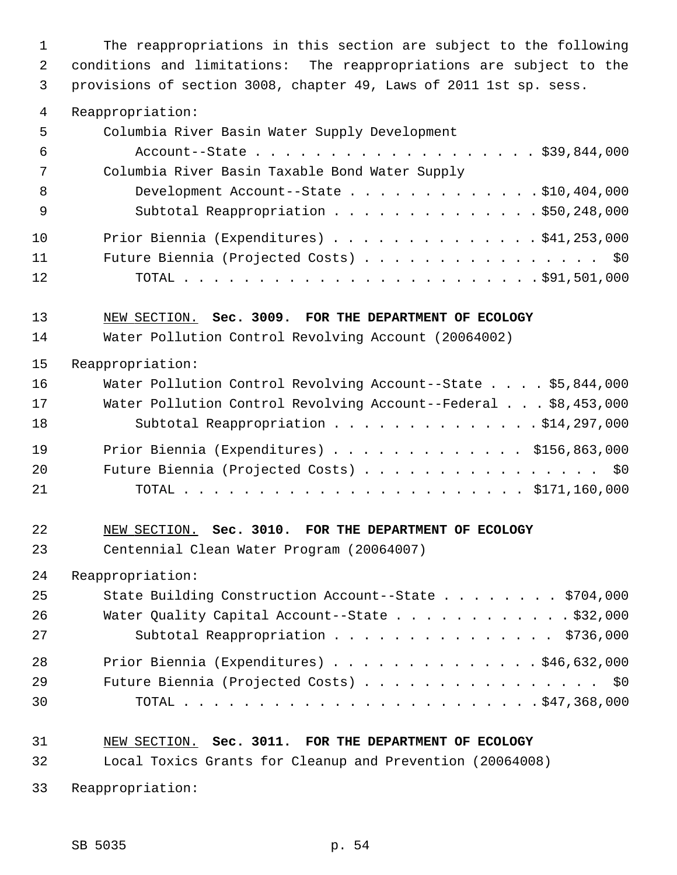1 The reappropriations in this section are subject to the following 2 conditions and limitations: The reappropriations are subject to the 3 provisions of section 3008, chapter 49, Laws of 2011 1st sp. sess.

4 Reappropriation:

| 5   | Columbia River Basin Water Supply Development  |
|-----|------------------------------------------------|
| -6  | Account--State \$39,844,000                    |
| 7   | Columbia River Basin Taxable Bond Water Supply |
| -8  | Development Account--State \$10,404,000        |
| - 9 | Subtotal Reappropriation \$50,248,000          |
| 10  | Prior Biennia (Expenditures) \$41,253,000      |
| 11  | Future Biennia (Projected Costs) \$0           |
| 12  |                                                |

13 NEW SECTION. **Sec. 3009. FOR THE DEPARTMENT OF ECOLOGY**

14 Water Pollution Control Revolving Account (20064002)

15 Reappropriation:

| 16 | Water Pollution Control Revolving Account--State \$5,844,000   |
|----|----------------------------------------------------------------|
| 17 | Water Pollution Control Revolving Account--Federal \$8,453,000 |
| 18 | Subtotal Reappropriation \$14,297,000                          |
| 19 | Prior Biennia (Expenditures) $\ldots$ \$156,863,000            |
| 20 | Future Biennia (Projected Costs) \$0                           |
| 21 |                                                                |

22 NEW SECTION. **Sec. 3010. FOR THE DEPARTMENT OF ECOLOGY**

23 Centennial Clean Water Program (20064007)

24 Reappropriation:

| 25 | State Building Construction Account--State \$704,000 |
|----|------------------------------------------------------|
| 26 | Water Quality Capital Account--State \$32,000        |
| 27 | Subtotal Reappropriation \$736,000                   |
| 28 | Prior Biennia (Expenditures) $\ldots$ \$46,632,000   |
| 29 | Future Biennia (Projected Costs) \$0                 |
| 30 |                                                      |

# 31 NEW SECTION. **Sec. 3011. FOR THE DEPARTMENT OF ECOLOGY**

32 Local Toxics Grants for Cleanup and Prevention (20064008)

33 Reappropriation: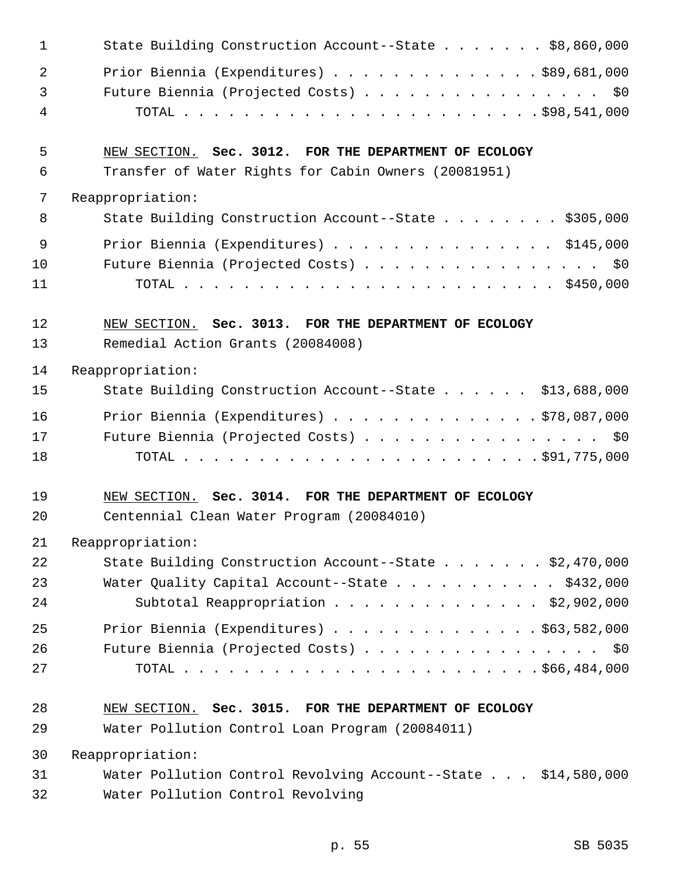| $\mathbf{1}$   | State Building Construction Account--State \$8,860,000        |
|----------------|---------------------------------------------------------------|
| 2              | Prior Biennia (Expenditures) \$89,681,000                     |
| $\mathfrak{Z}$ | Future Biennia (Projected Costs) \$0                          |
| 4              |                                                               |
| 5              | NEW SECTION. Sec. 3012. FOR THE DEPARTMENT OF ECOLOGY         |
| 6              | Transfer of Water Rights for Cabin Owners (20081951)          |
| 7              | Reappropriation:                                              |
| 8              | State Building Construction Account--State \$305,000          |
| 9              | Prior Biennia (Expenditures) \$145,000                        |
| 10             | Future Biennia (Projected Costs) \$0                          |
| 11             |                                                               |
| 12             | NEW SECTION. Sec. 3013. FOR THE DEPARTMENT OF ECOLOGY         |
| 13             | Remedial Action Grants (20084008)                             |
| 14             | Reappropriation:                                              |
| 15             | State Building Construction Account--State \$13,688,000       |
| 16             | Prior Biennia (Expenditures) \$78,087,000                     |
| 17             | Future Biennia (Projected Costs) \$0                          |
| 18             |                                                               |
| 19             | NEW SECTION. Sec. 3014. FOR THE DEPARTMENT OF ECOLOGY         |
| 20             | Centennial Clean Water Program (20084010)                     |
| 21             | Reappropriation:                                              |
| 22             | State Building Construction Account--State \$2,470,000        |
| 23             | Water Quality Capital Account--State \$432,000                |
| 24             | Subtotal Reappropriation \$2,902,000                          |
| 25             | Prior Biennia (Expenditures) $\ldots$ \$63,582,000            |
| 26             | Future Biennia (Projected Costs) \$0                          |
| 27             |                                                               |
| 28             | NEW SECTION. Sec. 3015. FOR THE DEPARTMENT OF ECOLOGY         |
| 29             | Water Pollution Control Loan Program (20084011)               |
| 30             | Reappropriation:                                              |
| 31             | Water Pollution Control Revolving Account--State \$14,580,000 |
| 32             | Water Pollution Control Revolving                             |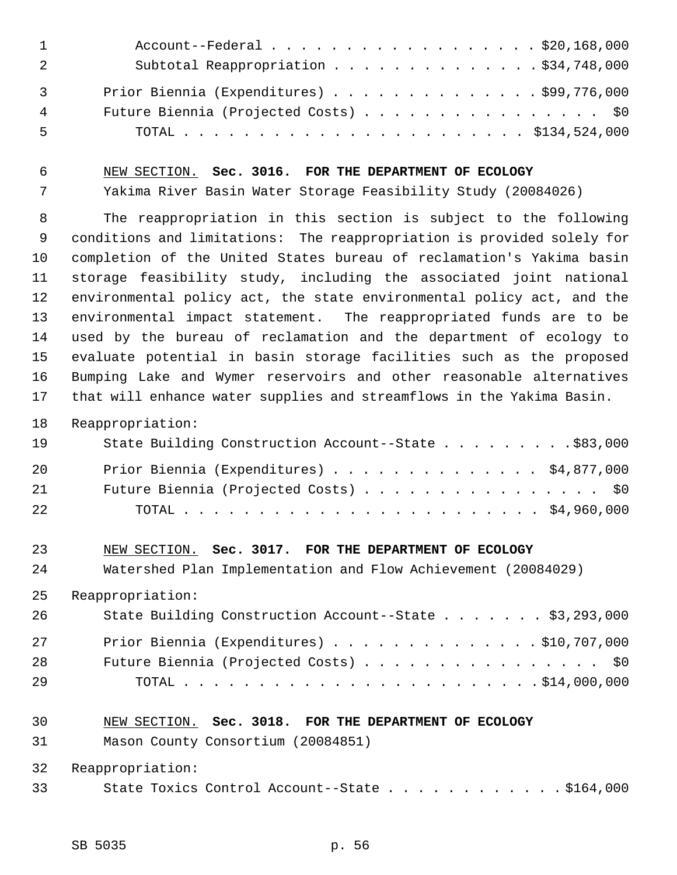|                | Account--Federal \$20,168,000             |
|----------------|-------------------------------------------|
| - 2            | Subtotal Reappropriation \$34,748,000     |
| $\overline{3}$ | Prior Biennia (Expenditures) \$99,776,000 |
| 4              | Future Biennia (Projected Costs) \$0      |
| 5              |                                           |

6 NEW SECTION. **Sec. 3016. FOR THE DEPARTMENT OF ECOLOGY**

7 Yakima River Basin Water Storage Feasibility Study (20084026)

 8 The reappropriation in this section is subject to the following 9 conditions and limitations: The reappropriation is provided solely for 10 completion of the United States bureau of reclamation's Yakima basin 11 storage feasibility study, including the associated joint national 12 environmental policy act, the state environmental policy act, and the 13 environmental impact statement. The reappropriated funds are to be 14 used by the bureau of reclamation and the department of ecology to 15 evaluate potential in basin storage facilities such as the proposed 16 Bumping Lake and Wymer reservoirs and other reasonable alternatives 17 that will enhance water supplies and streamflows in the Yakima Basin.

18 Reappropriation:

| 19   | State Building Construction Account--State \$83,000 |
|------|-----------------------------------------------------|
| -20  | Prior Biennia (Expenditures) \$4,877,000            |
| 21   | Future Biennia (Projected Costs) \$0                |
| 2.2. |                                                     |

#### 23 NEW SECTION. **Sec. 3017. FOR THE DEPARTMENT OF ECOLOGY**

24 Watershed Plan Implementation and Flow Achievement (20084029)

25 Reappropriation:

| 26 | State Building Construction Account--State \$3,293,000 |
|----|--------------------------------------------------------|
| 27 | Prior Biennia (Expenditures) $\ldots$ \$10,707,000     |
| 28 | Future Biennia (Projected Costs) \$0                   |
| 29 |                                                        |

## 30 NEW SECTION. **Sec. 3018. FOR THE DEPARTMENT OF ECOLOGY**

31 Mason County Consortium (20084851)

32 Reappropriation:

33 State Toxics Control Account--State . . . . . . . . . . . . \$164,000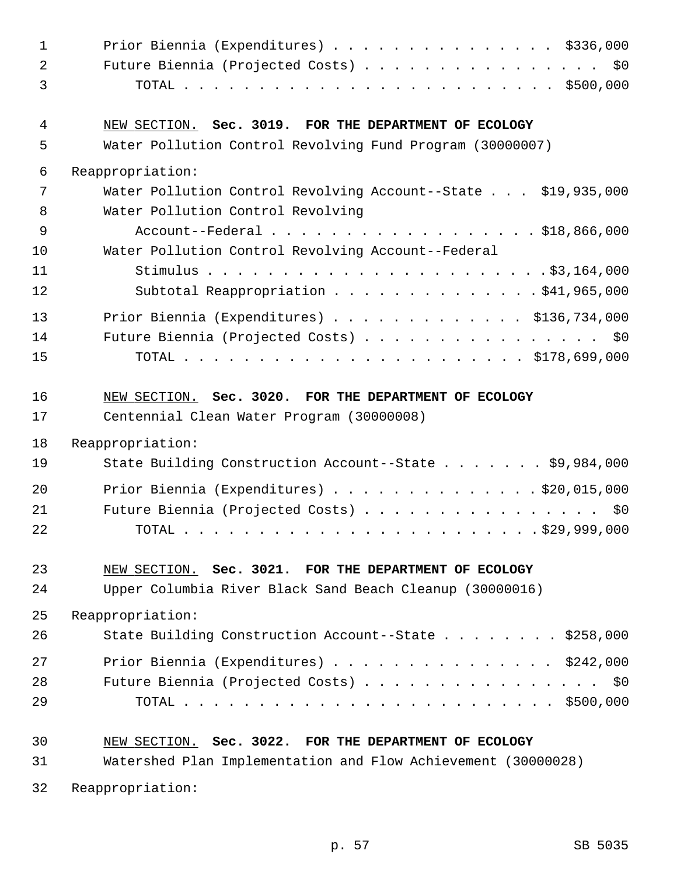| $\mathbf 1$    | Prior Biennia (Expenditures) \$336,000                        |
|----------------|---------------------------------------------------------------|
| 2              | Future Biennia (Projected Costs) \$0                          |
| 3              |                                                               |
| $\overline{4}$ | NEW SECTION. Sec. 3019. FOR THE DEPARTMENT OF ECOLOGY         |
| 5              | Water Pollution Control Revolving Fund Program (30000007)     |
| 6              | Reappropriation:                                              |
| 7              | Water Pollution Control Revolving Account--State \$19,935,000 |
| 8              | Water Pollution Control Revolving                             |
| 9              | Account--Federal \$18,866,000                                 |
| 10             | Water Pollution Control Revolving Account--Federal            |
| 11             |                                                               |
| 12             | Subtotal Reappropriation \$41,965,000                         |
| 13             | Prior Biennia (Expenditures) \$136,734,000                    |
| 14             | Future Biennia (Projected Costs) \$0                          |
| 15             |                                                               |
|                |                                                               |
| 16             | NEW SECTION. Sec. 3020. FOR THE DEPARTMENT OF ECOLOGY         |
| 17             | Centennial Clean Water Program (30000008)                     |
| 18             | Reappropriation:                                              |
| 19             | State Building Construction Account--State \$9,984,000        |
|                |                                                               |
| 20             | Prior Biennia (Expenditures) \$20,015,000                     |
| 21             | Future Biennia (Projected Costs) \$0                          |
| 22             |                                                               |
| 23             | NEW SECTION. Sec. 3021. FOR THE DEPARTMENT OF ECOLOGY         |
| 24             | Upper Columbia River Black Sand Beach Cleanup (30000016)      |
|                |                                                               |
| 25             | Reappropriation:                                              |
| 26             | State Building Construction Account--State \$258,000          |
| 27             | Prior Biennia (Expenditures) \$242,000                        |
| 28             | Future Biennia (Projected Costs) \$0                          |
| 29             |                                                               |
|                |                                                               |
| 30             | NEW SECTION. Sec. 3022. FOR THE DEPARTMENT OF ECOLOGY         |
| 31             | Watershed Plan Implementation and Flow Achievement (30000028) |
| 32             | Reappropriation:                                              |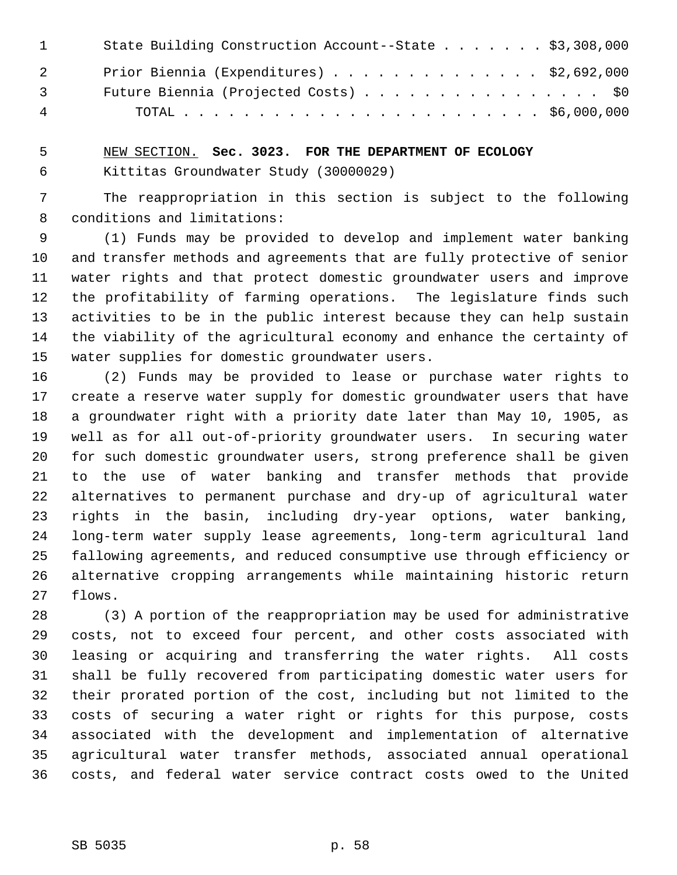| $\mathbf{1}$   | State Building Construction Account--State \$3,308,000 |
|----------------|--------------------------------------------------------|
| $\overline{2}$ | Prior Biennia (Expenditures) $\ldots$ \$2,692,000      |
| $\overline{3}$ | Future Biennia (Projected Costs) \$0                   |
| 4              |                                                        |

 5 NEW SECTION. **Sec. 3023. FOR THE DEPARTMENT OF ECOLOGY** 6 Kittitas Groundwater Study (30000029)

 7 The reappropriation in this section is subject to the following 8 conditions and limitations:

 9 (1) Funds may be provided to develop and implement water banking 10 and transfer methods and agreements that are fully protective of senior 11 water rights and that protect domestic groundwater users and improve 12 the profitability of farming operations. The legislature finds such 13 activities to be in the public interest because they can help sustain 14 the viability of the agricultural economy and enhance the certainty of 15 water supplies for domestic groundwater users.

16 (2) Funds may be provided to lease or purchase water rights to 17 create a reserve water supply for domestic groundwater users that have 18 a groundwater right with a priority date later than May 10, 1905, as 19 well as for all out-of-priority groundwater users. In securing water 20 for such domestic groundwater users, strong preference shall be given 21 to the use of water banking and transfer methods that provide 22 alternatives to permanent purchase and dry-up of agricultural water 23 rights in the basin, including dry-year options, water banking, 24 long-term water supply lease agreements, long-term agricultural land 25 fallowing agreements, and reduced consumptive use through efficiency or 26 alternative cropping arrangements while maintaining historic return 27 flows.

28 (3) A portion of the reappropriation may be used for administrative 29 costs, not to exceed four percent, and other costs associated with 30 leasing or acquiring and transferring the water rights. All costs 31 shall be fully recovered from participating domestic water users for 32 their prorated portion of the cost, including but not limited to the 33 costs of securing a water right or rights for this purpose, costs 34 associated with the development and implementation of alternative 35 agricultural water transfer methods, associated annual operational 36 costs, and federal water service contract costs owed to the United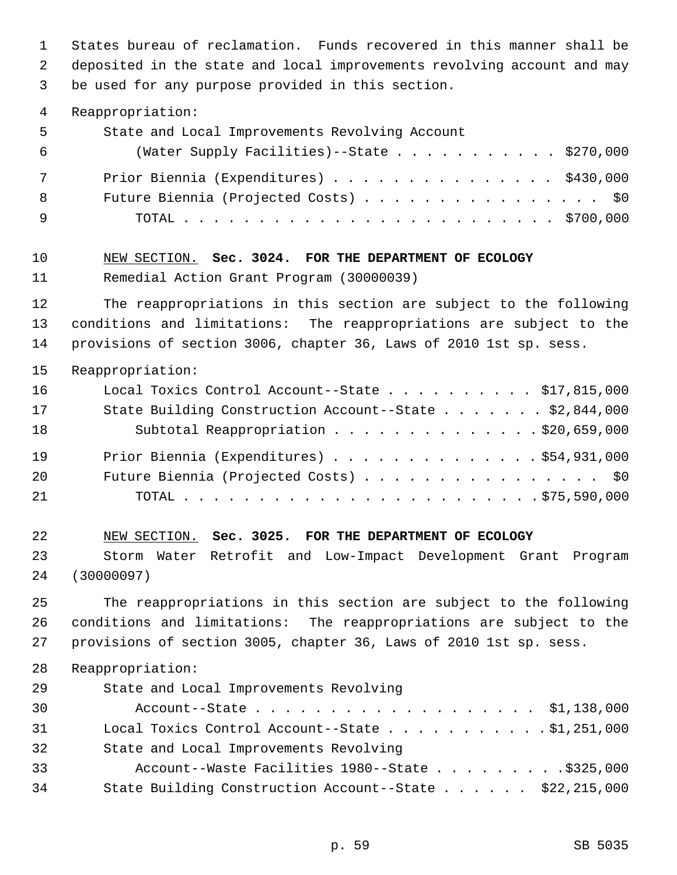1 States bureau of reclamation. Funds recovered in this manner shall be 2 deposited in the state and local improvements revolving account and may 3 be used for any purpose provided in this section. 4 Reappropriation: 5 State and Local Improvements Revolving Account 6 (Water Supply Facilities)--State . . . . . . . . . . . \$270,000 7 Prior Biennia (Expenditures) . . . . . . . . . . . . . . . \$430,000 8 Future Biennia (Projected Costs) . . . . . . . . . . . . . . . \$0 9 TOTAL . . . . . . . . . . . . . . . . . . . . . . . . . \$700,000 10 NEW SECTION. **Sec. 3024. FOR THE DEPARTMENT OF ECOLOGY** 11 Remedial Action Grant Program (30000039) 12 The reappropriations in this section are subject to the following 13 conditions and limitations: The reappropriations are subject to the 14 provisions of section 3006, chapter 36, Laws of 2010 1st sp. sess. 15 Reappropriation: 16 Local Toxics Control Account--State . . . . . . . . . . \$17,815,000 17 State Building Construction Account--State . . . . . . . \$2,844,000 18 Subtotal Reappropriation . . . . . . . . . . . . . \$20,659,000 19 Prior Biennia (Expenditures) . . . . . . . . . . . . . . \$54,931,000 20 Future Biennia (Projected Costs) . . . . . . . . . . . . . . . \$0 21 TOTAL . . . . . . . . . . . . . . . . . . . . . . . . \$75,590,000 22 NEW SECTION. **Sec. 3025. FOR THE DEPARTMENT OF ECOLOGY** 23 Storm Water Retrofit and Low-Impact Development Grant Program 24 (30000097) 25 The reappropriations in this section are subject to the following 26 conditions and limitations: The reappropriations are subject to the 27 provisions of section 3005, chapter 36, Laws of 2010 1st sp. sess. 28 Reappropriation: 29 State and Local Improvements Revolving 30 Account--State . . . . . . . . . . . . . . . . . . . \$1,138,000 31 Local Toxics Control Account--State . . . . . . . . . . . \$1,251,000 32 State and Local Improvements Revolving 33 Account--Waste Facilities 1980--State . . . . . . . . . \$325,000 34 State Building Construction Account--State . . . . . . \$22,215,000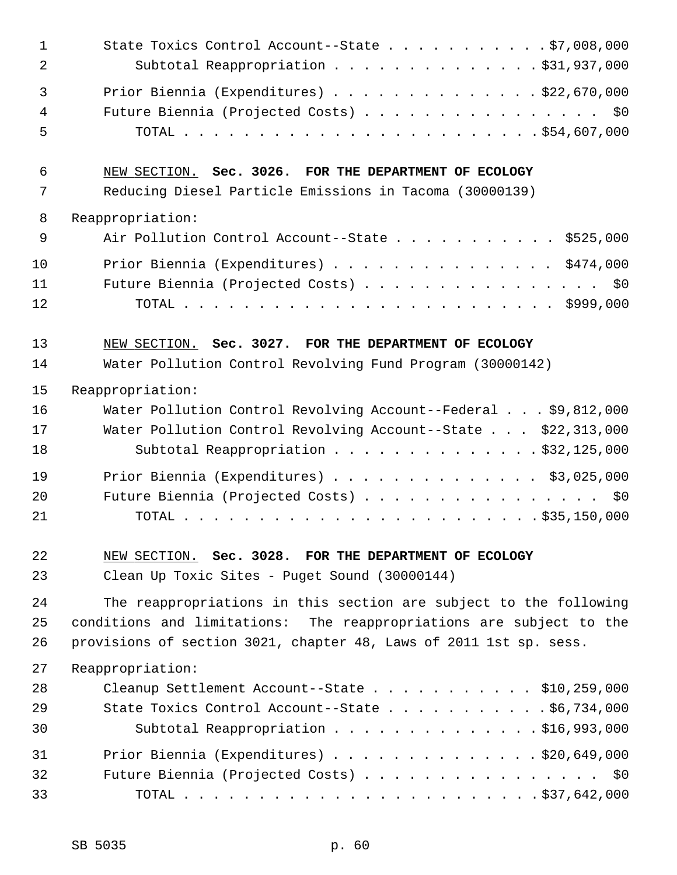| $\mathbf 1$ | State Toxics Control Account--State $\ldots$ 97,008,000             |
|-------------|---------------------------------------------------------------------|
| 2           | Subtotal Reappropriation \$31,937,000                               |
| 3           | Prior Biennia (Expenditures) \$22,670,000                           |
| 4           | Future Biennia (Projected Costs) \$0                                |
| 5           |                                                                     |
| 6           | NEW SECTION. Sec. 3026. FOR THE DEPARTMENT OF ECOLOGY               |
| 7           | Reducing Diesel Particle Emissions in Tacoma (30000139)             |
| 8           | Reappropriation:                                                    |
| 9           | Air Pollution Control Account--State \$525,000                      |
| 10          | Prior Biennia (Expenditures) \$474,000                              |
| 11          | Future Biennia (Projected Costs) \$0                                |
| 12          |                                                                     |
| 13          | NEW SECTION. Sec. 3027. FOR THE DEPARTMENT OF ECOLOGY               |
| 14          | Water Pollution Control Revolving Fund Program (30000142)           |
| 15          | Reappropriation:                                                    |
| 16          | Water Pollution Control Revolving Account--Federal \$9,812,000      |
| 17          | Water Pollution Control Revolving Account--State \$22,313,000       |
| 18          | Subtotal Reappropriation \$32,125,000                               |
| 19          | Prior Biennia (Expenditures) $\ldots$ \$3,025,000                   |
| 20          | Future Biennia (Projected Costs) \$0                                |
| 21          |                                                                     |
| 22          | NEW SECTION. Sec. 3028. FOR THE DEPARTMENT OF ECOLOGY               |
| 23          | Clean Up Toxic Sites - Puget Sound (30000144)                       |
| 24          | The reappropriations in this section are subject to the following   |
| 25          | conditions and limitations: The reappropriations are subject to the |
| 26          | provisions of section 3021, chapter 48, Laws of 2011 1st sp. sess.  |
| 27          | Reappropriation:                                                    |
| 28          | Cleanup Settlement Account--State \$10,259,000                      |
| 29          | State Toxics Control Account--State $\ldots$ \$6,734,000            |
| 30          | Subtotal Reappropriation \$16,993,000                               |
| 31          | Prior Biennia (Expenditures) $\ldots$ 920,649,000                   |
| 32          | Future Biennia (Projected Costs) \$0                                |
| 33          |                                                                     |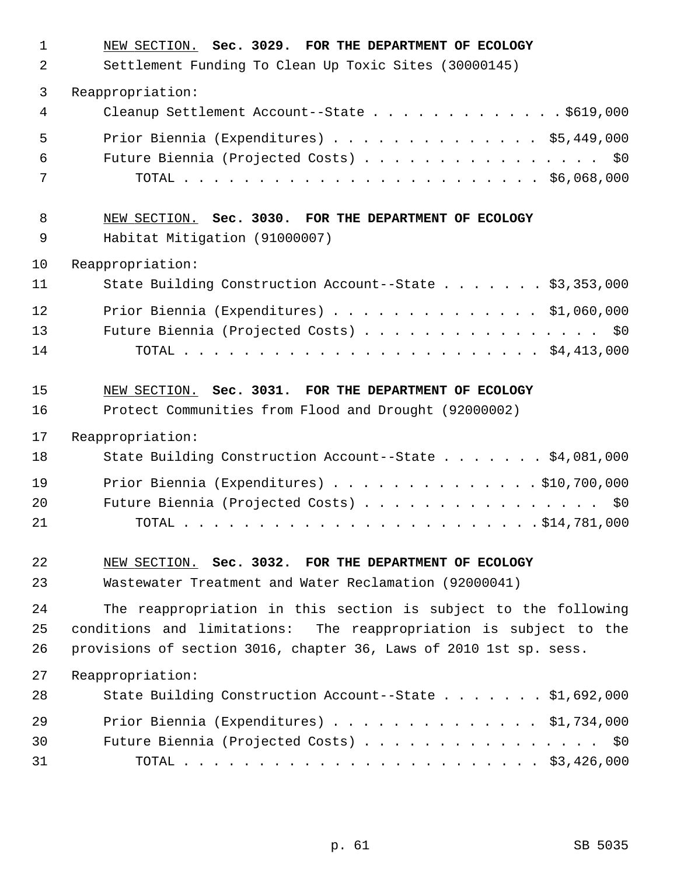| $\mathbf{1}$<br>2 | NEW SECTION. Sec. 3029. FOR THE DEPARTMENT OF ECOLOGY<br>Settlement Funding To Clean Up Toxic Sites (30000145) |
|-------------------|----------------------------------------------------------------------------------------------------------------|
| 3                 | Reappropriation:                                                                                               |
| 4                 | Cleanup Settlement Account--State \$619,000                                                                    |
| 5                 | Prior Biennia (Expenditures) \$5,449,000                                                                       |
| 6                 | Future Biennia (Projected Costs) \$0                                                                           |
| 7                 |                                                                                                                |
| 8<br>9            | NEW SECTION. Sec. 3030. FOR THE DEPARTMENT OF ECOLOGY<br>Habitat Mitigation (91000007)                         |
| 10                | Reappropriation:                                                                                               |
| 11                | State Building Construction Account--State \$3,353,000                                                         |
| 12                | Prior Biennia (Expenditures) \$1,060,000                                                                       |
| 13                | Future Biennia (Projected Costs) \$0                                                                           |
| 14                |                                                                                                                |
| 15<br>16          | NEW SECTION. Sec. 3031. FOR THE DEPARTMENT OF ECOLOGY<br>Protect Communities from Flood and Drought (92000002) |
| 17                | Reappropriation:                                                                                               |
| 18                | State Building Construction Account--State \$4,081,000                                                         |
| 19                | Prior Biennia (Expenditures) \$10,700,000                                                                      |
| 20                | Future Biennia (Projected Costs) \$0                                                                           |
| 21                |                                                                                                                |
| 22                | NEW SECTION. Sec. 3032. FOR THE DEPARTMENT OF ECOLOGY                                                          |
| 23                | Wastewater Treatment and Water Reclamation (92000041)                                                          |
| 24                | The reappropriation in this section is subject to the following                                                |
| 25                | conditions and limitations: The reappropriation is subject to the                                              |
| 26                | provisions of section 3016, chapter 36, Laws of 2010 1st sp. sess.                                             |
| 27                | Reappropriation:                                                                                               |
| 28                | State Building Construction Account--State \$1,692,000                                                         |
| 29                | Prior Biennia (Expenditures) \$1,734,000                                                                       |
| 30<br>31          | Future Biennia (Projected Costs) \$0                                                                           |
|                   |                                                                                                                |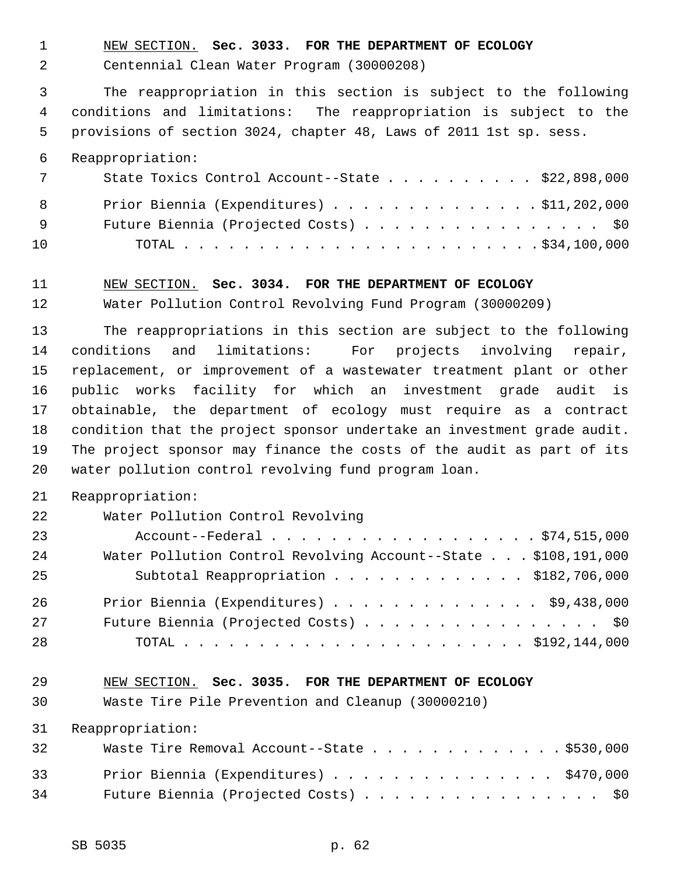1 NEW SECTION. **Sec. 3033. FOR THE DEPARTMENT OF ECOLOGY**

2 Centennial Clean Water Program (30000208)

 3 The reappropriation in this section is subject to the following 4 conditions and limitations: The reappropriation is subject to the 5 provisions of section 3024, chapter 48, Laws of 2011 1st sp. sess.

6 Reappropriation:

| 7   | State Toxics Control Account--State $\ldots$ \$22,898,000 |
|-----|-----------------------------------------------------------|
|     | Prior Biennia (Expenditures) $\ldots$ \$11,202,000<br>8   |
| - 9 | Future Biennia (Projected Costs) \$0                      |
| 10  |                                                           |

#### 11 NEW SECTION. **Sec. 3034. FOR THE DEPARTMENT OF ECOLOGY**

12 Water Pollution Control Revolving Fund Program (30000209)

13 The reappropriations in this section are subject to the following 14 conditions and limitations: For projects involving repair, 15 replacement, or improvement of a wastewater treatment plant or other 16 public works facility for which an investment grade audit is 17 obtainable, the department of ecology must require as a contract 18 condition that the project sponsor undertake an investment grade audit. 19 The project sponsor may finance the costs of the audit as part of its 20 water pollution control revolving fund program loan.

### 21 Reappropriation:

| 22 | Water Pollution Control Revolving                              |
|----|----------------------------------------------------------------|
| 23 | Account--Federal \$74,515,000                                  |
| 24 | Water Pollution Control Revolving Account--State \$108,191,000 |
| 25 | Subtotal Reappropriation \$182,706,000                         |
| 26 | Prior Biennia (Expenditures) $\ldots$ \$9,438,000              |
| 27 | Future Biennia (Projected Costs) \$0                           |
| 28 |                                                                |

## 29 NEW SECTION. **Sec. 3035. FOR THE DEPARTMENT OF ECOLOGY**

30 Waste Tire Pile Prevention and Cleanup (30000210)

31 Reappropriation:

| 32 | Waste Tire Removal Account--State \$530,000 |
|----|---------------------------------------------|
| 33 | Prior Biennia (Expenditures) \$470,000      |
| 34 | Future Biennia (Projected Costs) \$0        |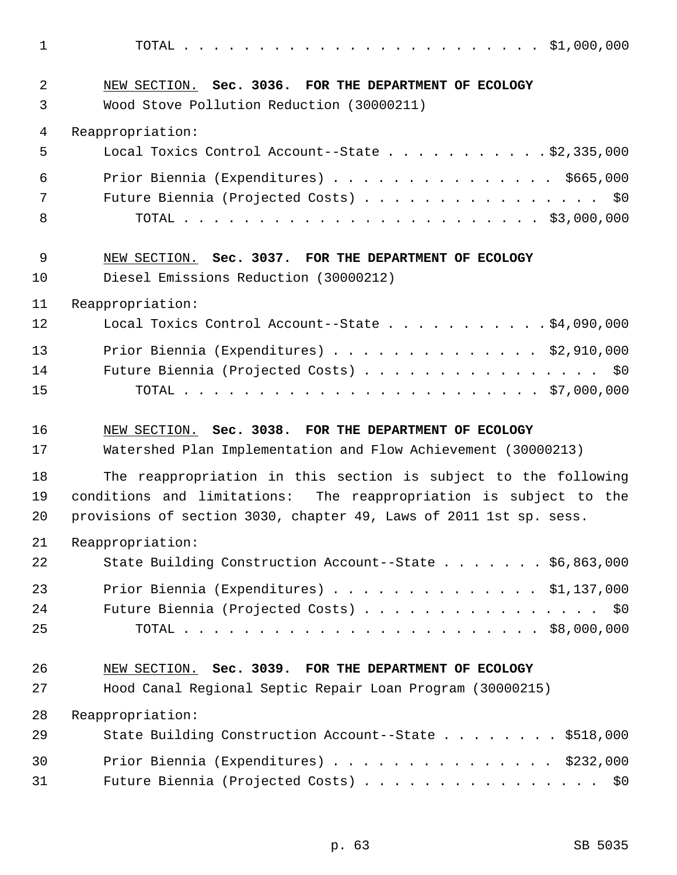1 TOTAL . . . . . . . . . . . . . . . . . . . . . . . . \$1,000,000 2 NEW SECTION. **Sec. 3036. FOR THE DEPARTMENT OF ECOLOGY** 3 Wood Stove Pollution Reduction (30000211) 4 Reappropriation: 5 Local Toxics Control Account--State . . . . . . . . . . . \$2,335,000 6 Prior Biennia (Expenditures) . . . . . . . . . . . . . . . \$665,000 7 Future Biennia (Projected Costs) . . . . . . . . . . . . . . . \$0 8 TOTAL . . . . . . . . . . . . . . . . . . . . . . . . \$3,000,000 9 NEW SECTION. **Sec. 3037. FOR THE DEPARTMENT OF ECOLOGY** 10 Diesel Emissions Reduction (30000212) 11 Reappropriation: 12 Local Toxics Control Account--State . . . . . . . . . . \$4,090,000 13 Prior Biennia (Expenditures) . . . . . . . . . . . . . . \$2,910,000 14 Future Biennia (Projected Costs) . . . . . . . . . . . . . . . \$0 15 TOTAL . . . . . . . . . . . . . . . . . . . . . . . . \$7,000,000 16 NEW SECTION. **Sec. 3038. FOR THE DEPARTMENT OF ECOLOGY** 17 Watershed Plan Implementation and Flow Achievement (30000213) 18 The reappropriation in this section is subject to the following 19 conditions and limitations: The reappropriation is subject to the 20 provisions of section 3030, chapter 49, Laws of 2011 1st sp. sess. 21 Reappropriation: 22 State Building Construction Account--State . . . . . . \$6,863,000 23 Prior Biennia (Expenditures) . . . . . . . . . . . . . . \$1,137,000 24 Future Biennia (Projected Costs) . . . . . . . . . . . . . . . \$0 25 TOTAL . . . . . . . . . . . . . . . . . . . . . . . . \$8,000,000 26 NEW SECTION. **Sec. 3039. FOR THE DEPARTMENT OF ECOLOGY** 27 Hood Canal Regional Septic Repair Loan Program (30000215) 28 Reappropriation: 29 State Building Construction Account--State . . . . . . . \$518,000 30 Prior Biennia (Expenditures) . . . . . . . . . . . . . . . \$232,000 31 Future Biennia (Projected Costs) . . . . . . . . . . . . . . . \$0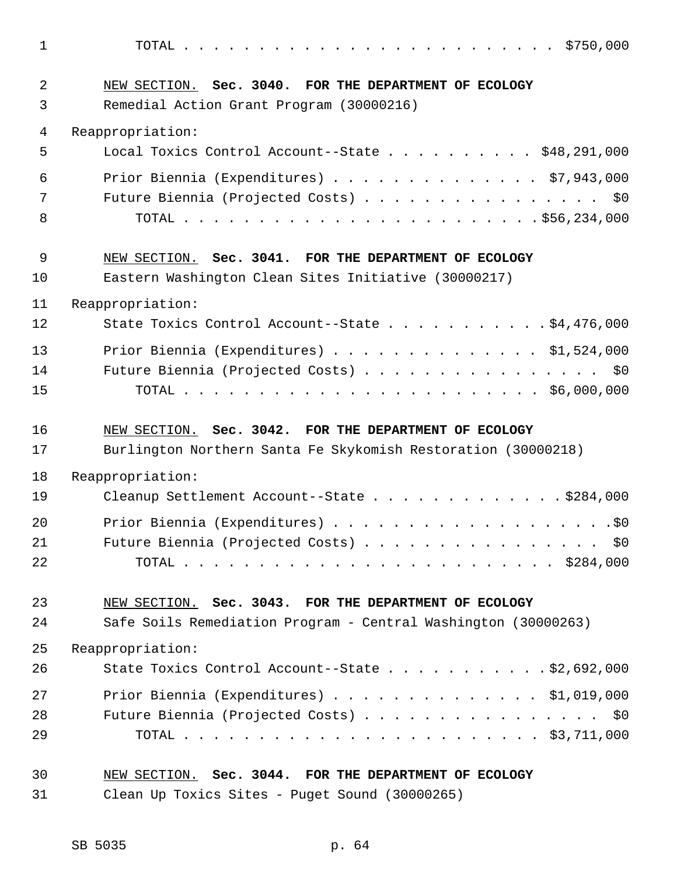1 TOTAL . . . . . . . . . . . . . . . . . . . . . . . . . \$750,000 2 NEW SECTION. **Sec. 3040. FOR THE DEPARTMENT OF ECOLOGY** 3 Remedial Action Grant Program (30000216) 4 Reappropriation: 5 Local Toxics Control Account--State . . . . . . . . . . \$48,291,000 6 Prior Biennia (Expenditures) . . . . . . . . . . . . . . \$7,943,000 7 Future Biennia (Projected Costs) . . . . . . . . . . . . . . . \$0 8 TOTAL . . . . . . . . . . . . . . . . . . . . . . . . \$56,234,000 9 NEW SECTION. **Sec. 3041. FOR THE DEPARTMENT OF ECOLOGY** 10 Eastern Washington Clean Sites Initiative (30000217) 11 Reappropriation: 12 State Toxics Control Account--State . . . . . . . . . . \$4,476,000 13 Prior Biennia (Expenditures) . . . . . . . . . . . . . \$1,524,000 14 Future Biennia (Projected Costs) . . . . . . . . . . . . . . . . \$0 15 TOTAL . . . . . . . . . . . . . . . . . . . . . . . . \$6,000,000 16 NEW SECTION. **Sec. 3042. FOR THE DEPARTMENT OF ECOLOGY** 17 Burlington Northern Santa Fe Skykomish Restoration (30000218) 18 Reappropriation: 19 Cleanup Settlement Account--State . . . . . . . . . . . . \$284,000 20 Prior Biennia (Expenditures) . . . . . . . . . . . . . . . . . . .\$0 21 Future Biennia (Projected Costs) . . . . . . . . . . . . . . . \$0 22 TOTAL . . . . . . . . . . . . . . . . . . . . . . . . . \$284,000 23 NEW SECTION. **Sec. 3043. FOR THE DEPARTMENT OF ECOLOGY** 24 Safe Soils Remediation Program - Central Washington (30000263) 25 Reappropriation: 26 State Toxics Control Account--State . . . . . . . . . . . \$2,692,000 27 Prior Biennia (Expenditures) . . . . . . . . . . . . . . \$1,019,000 28 Future Biennia (Projected Costs) . . . . . . . . . . . . . . . \$0 29 TOTAL . . . . . . . . . . . . . . . . . . . . . . . . \$3,711,000 30 NEW SECTION. **Sec. 3044. FOR THE DEPARTMENT OF ECOLOGY** 31 Clean Up Toxics Sites - Puget Sound (30000265)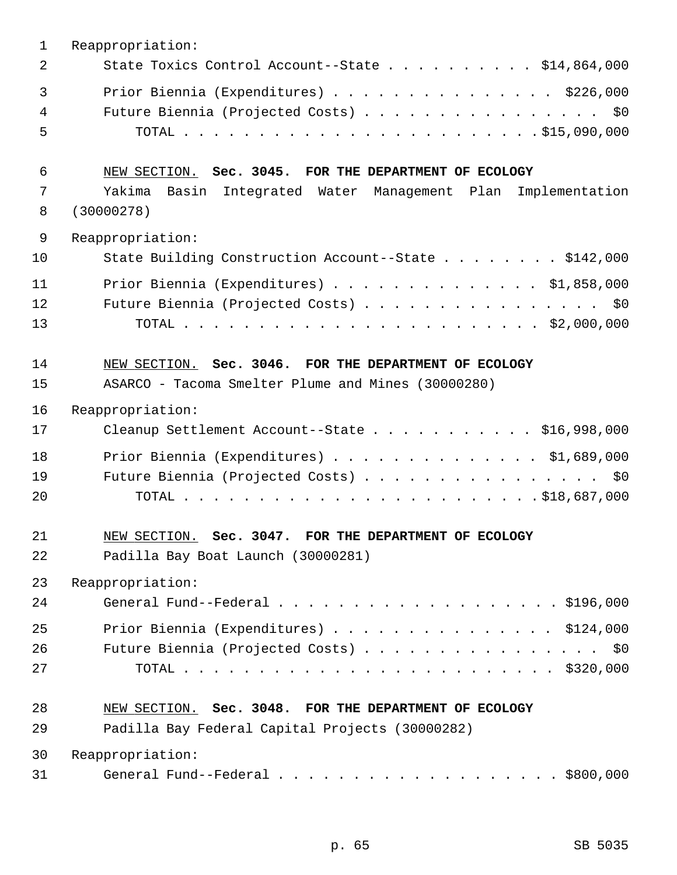| $\mathbf{1}$ | Reappropriation:                                                |
|--------------|-----------------------------------------------------------------|
| 2            | State Toxics Control Account--State \$14,864,000                |
| 3            | Prior Biennia (Expenditures) \$226,000                          |
| 4            | Future Biennia (Projected Costs) \$0                            |
| 5            |                                                                 |
| 6            | NEW SECTION. Sec. 3045. FOR THE DEPARTMENT OF ECOLOGY           |
| 7            | Yakima<br>Basin Integrated Water Management Plan Implementation |
| 8            | (30000278)                                                      |
| 9            | Reappropriation:                                                |
| 10           | State Building Construction Account--State \$142,000            |
| 11           | Prior Biennia (Expenditures) \$1,858,000                        |
| 12           | Future Biennia (Projected Costs) \$0                            |
| 13           |                                                                 |
| 14           | NEW SECTION. Sec. 3046. FOR THE DEPARTMENT OF ECOLOGY           |
| 15           | ASARCO - Tacoma Smelter Plume and Mines (30000280)              |
| 16           | Reappropriation:                                                |
| 17           | Cleanup Settlement Account--State \$16,998,000                  |
| 18           | Prior Biennia (Expenditures) $\ldots$ \$1,689,000               |
| 19           | Future Biennia (Projected Costs) \$0                            |
| 20           |                                                                 |
| 21           | NEW SECTION. Sec. 3047. FOR THE DEPARTMENT OF ECOLOGY           |
| 22           | Padilla Bay Boat Launch (30000281)                              |
| 23           | Reappropriation:                                                |
| 24           | General Fund--Federal $\ldots$ , 5196,000                       |
| 25           | Prior Biennia (Expenditures) $\ldots$ \$124,000                 |
| 26           | Future Biennia (Projected Costs) \$0                            |
| 27           |                                                                 |
| 28           | NEW SECTION. Sec. 3048. FOR THE DEPARTMENT OF ECOLOGY           |
| 29           | Padilla Bay Federal Capital Projects (30000282)                 |
| 30           | Reappropriation:                                                |
| 31           | General Fund--Federal $\ldots$ , \$800,000                      |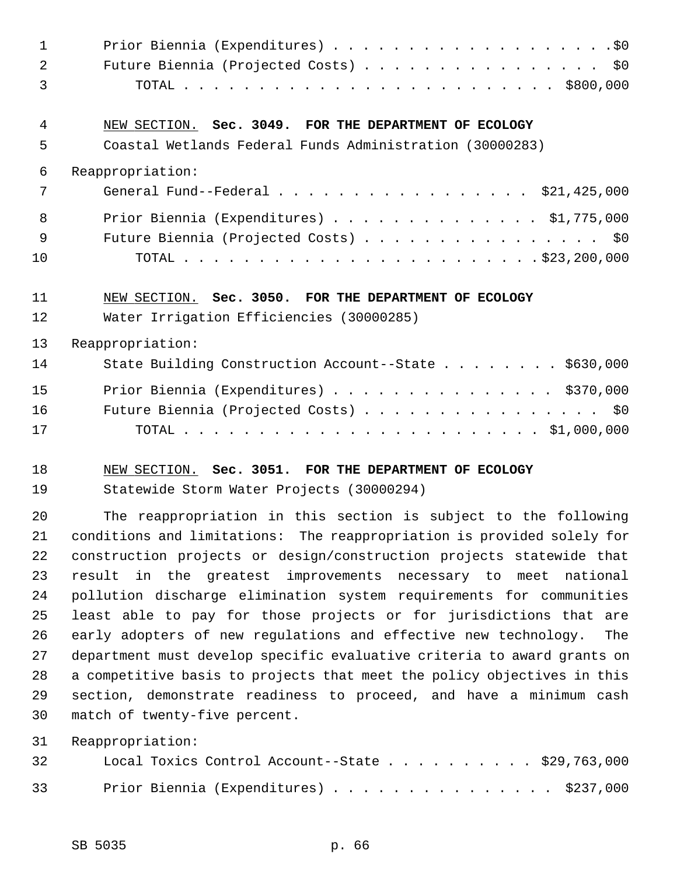| $\mathbf 1$ |                                                                                                                               |
|-------------|-------------------------------------------------------------------------------------------------------------------------------|
| 2           | Future Biennia (Projected Costs) \$0                                                                                          |
| 3           |                                                                                                                               |
| 4           | NEW SECTION. Sec. 3049. FOR THE DEPARTMENT OF ECOLOGY                                                                         |
| 5           | Coastal Wetlands Federal Funds Administration (30000283)                                                                      |
| 6           | Reappropriation:                                                                                                              |
| 7           | General Fund--Federal \$21,425,000                                                                                            |
| 8           | Prior Biennia (Expenditures) \$1,775,000                                                                                      |
| 9           | Future Biennia (Projected Costs) \$0                                                                                          |
| 10          |                                                                                                                               |
| 11          | NEW SECTION. Sec. 3050. FOR THE DEPARTMENT OF ECOLOGY                                                                         |
| 12          | Water Irrigation Efficiencies (30000285)                                                                                      |
| 13          | Reappropriation:                                                                                                              |
| 14          | State Building Construction Account--State \$630,000                                                                          |
| 15          | Prior Biennia (Expenditures) \$370,000                                                                                        |
| 16          | Future Biennia (Projected Costs) \$0                                                                                          |
| 17          |                                                                                                                               |
| 18          | NEW SECTION. Sec. 3051. FOR THE DEPARTMENT OF ECOLOGY                                                                         |
| 19          | Statewide Storm Water Projects (30000294)                                                                                     |
| 20          | The reappropriation in this section is subject to the following                                                               |
| 21          | conditions and limitations: The reappropriation is provided solely for                                                        |
| 22          | construction projects or design/construction projects statewide that                                                          |
| 23          | result in the greatest improvements necessary to meet national                                                                |
| 24          | pollution discharge elimination system requirements for communities                                                           |
| 25          | least able to pay for those projects or for jurisdictions that are                                                            |
| 26          | early adopters of new regulations and effective new technology.<br>The                                                        |
| 27          | department must develop specific evaluative criteria to award grants on                                                       |
| 28          | a competitive basis to projects that meet the policy objectives in this                                                       |
| 29          | section, demonstrate readiness to proceed, and have a minimum cash                                                            |
| 30          | match of twenty-five percent.                                                                                                 |
| 31          | Reappropriation:                                                                                                              |
| つつ          | Local Toxing Control Account--State<br>$\mathcal{L} \cap \Omega \quad \mathcal{L} \subset \mathcal{L} \quad \cap \cap \Omega$ |

| 32 |  |  |  |  |  |  |  |  | LOCAL TOXICS CONTROL ACCOUNT--STATE $\frac{5}{4}$ , $\frac{1}{0}$ , $\frac{1}{0}$ |
|----|--|--|--|--|--|--|--|--|-----------------------------------------------------------------------------------|
| 33 |  |  |  |  |  |  |  |  | Prior Biennia (Expenditures) \$237,000                                            |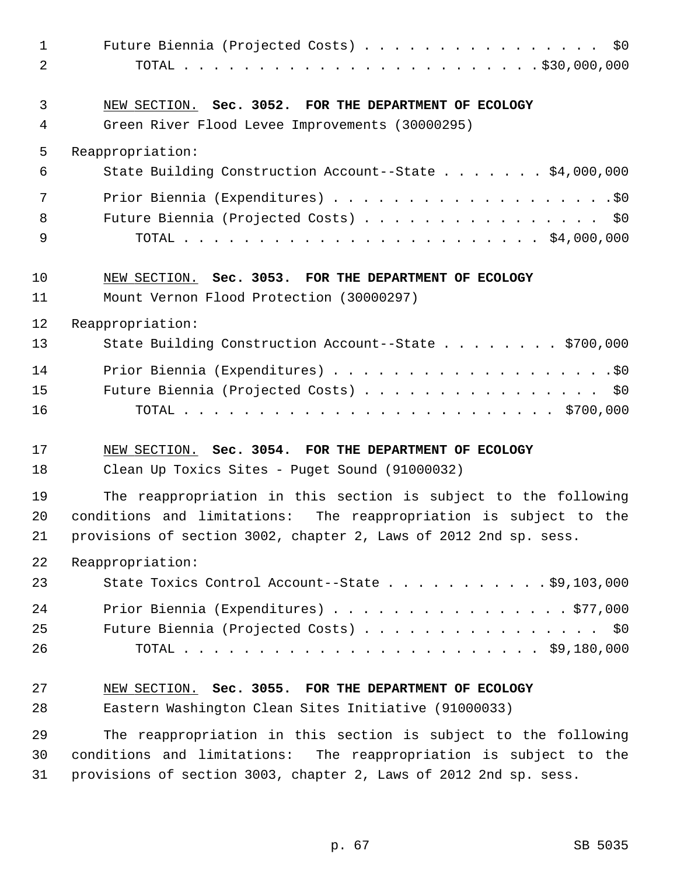| $\mathbf{1}$<br>2 | Future Biennia (Projected Costs) \$0                                                                     |
|-------------------|----------------------------------------------------------------------------------------------------------|
| 3<br>4            | NEW SECTION. Sec. 3052. FOR THE DEPARTMENT OF ECOLOGY<br>Green River Flood Levee Improvements (30000295) |
| 5                 | Reappropriation:                                                                                         |
| 6                 | State Building Construction Account--State \$4,000,000                                                   |
| 7                 |                                                                                                          |
| 8                 | Future Biennia (Projected Costs) \$0                                                                     |
| 9                 |                                                                                                          |
| 10                | NEW SECTION. Sec. 3053. FOR THE DEPARTMENT OF ECOLOGY                                                    |
| 11                | Mount Vernon Flood Protection (30000297)                                                                 |
| 12                | Reappropriation:                                                                                         |
| 13                | State Building Construction Account--State \$700,000                                                     |
| 14                |                                                                                                          |
| 15                | Future Biennia (Projected Costs) \$0                                                                     |
| 16                |                                                                                                          |
| 17                | NEW SECTION. Sec. 3054. FOR THE DEPARTMENT OF ECOLOGY                                                    |
| 18                | Clean Up Toxics Sites - Puget Sound (91000032)                                                           |
| 19                | The reappropriation in this section is subject to the following                                          |
| 20                | conditions and limitations: The reappropriation is subject to the                                        |
| 21                | provisions of section 3002, chapter 2, Laws of 2012 2nd sp. sess.                                        |
| 22                | Reappropriation:                                                                                         |
| 23                | State Toxics Control Account--State $\ldots$ \$9,103,000                                                 |
| 24                | Prior Biennia (Expenditures) \$77,000                                                                    |
| 25                | Future Biennia (Projected Costs) \$0                                                                     |
| 26                |                                                                                                          |
| 27                | NEW SECTION. Sec. 3055. FOR THE DEPARTMENT OF ECOLOGY                                                    |
| 28                | Eastern Washington Clean Sites Initiative (91000033)                                                     |
| 29                | The reappropriation in this section is subject to the following                                          |
| 30                | conditions and limitations: The reappropriation is subject to the                                        |
| 31                | provisions of section 3003, chapter 2, Laws of 2012 2nd sp. sess.                                        |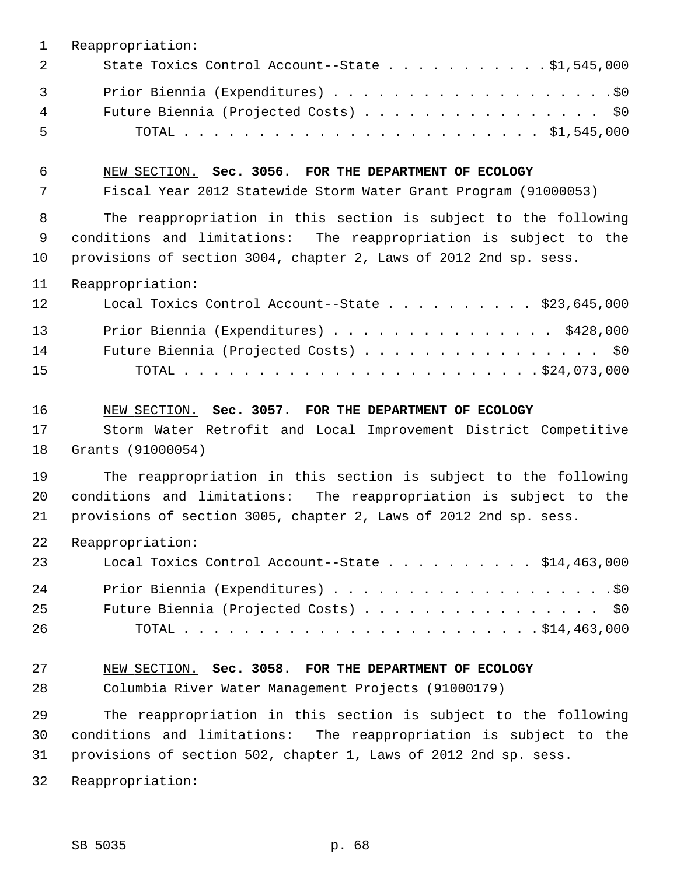| $\mathbf 1$ | Reappropriation:                                                  |
|-------------|-------------------------------------------------------------------|
| 2           | State Toxics Control Account--State 51,545,000                    |
| 3           |                                                                   |
| 4           | Future Biennia (Projected Costs) \$0                              |
| 5           |                                                                   |
| 6           | NEW SECTION. Sec. 3056. FOR THE DEPARTMENT OF ECOLOGY             |
| 7           | Fiscal Year 2012 Statewide Storm Water Grant Program (91000053)   |
| 8           | The reappropriation in this section is subject to the following   |
| 9           | conditions and limitations: The reappropriation is subject to the |
| 10          | provisions of section 3004, chapter 2, Laws of 2012 2nd sp. sess. |
| 11          | Reappropriation:                                                  |
| 12          | Local Toxics Control Account--State \$23,645,000                  |
| 13          | Prior Biennia (Expenditures) \$428,000                            |
| 14          | Future Biennia (Projected Costs) \$0                              |
| 15          |                                                                   |
| 16          | NEW SECTION. Sec. 3057. FOR THE DEPARTMENT OF ECOLOGY             |
| 17          | Storm Water Retrofit and Local Improvement District Competitive   |
| 18          | Grants (91000054)                                                 |
| 19          | The reappropriation in this section is subject to the following   |
| 20          | conditions and limitations: The reappropriation is subject to the |
| 21          | provisions of section 3005, chapter 2, Laws of 2012 2nd sp. sess. |
| 22          | Reappropriation:                                                  |
| 23          | Local Toxics Control Account--State $\ldots$ \$14,463,000         |
| 24          |                                                                   |
| 25          | Future Biennia (Projected Costs) \$0                              |
| 26          |                                                                   |
| 27          | NEW SECTION. Sec. 3058. FOR THE DEPARTMENT OF ECOLOGY             |
| 28          | Columbia River Water Management Projects (91000179)               |
| 29          | The reappropriation in this section is subject to the following   |
| 30          | conditions and limitations: The reappropriation is subject to the |
| 31          | provisions of section 502, chapter 1, Laws of 2012 2nd sp. sess.  |
| 32          | Reappropriation:                                                  |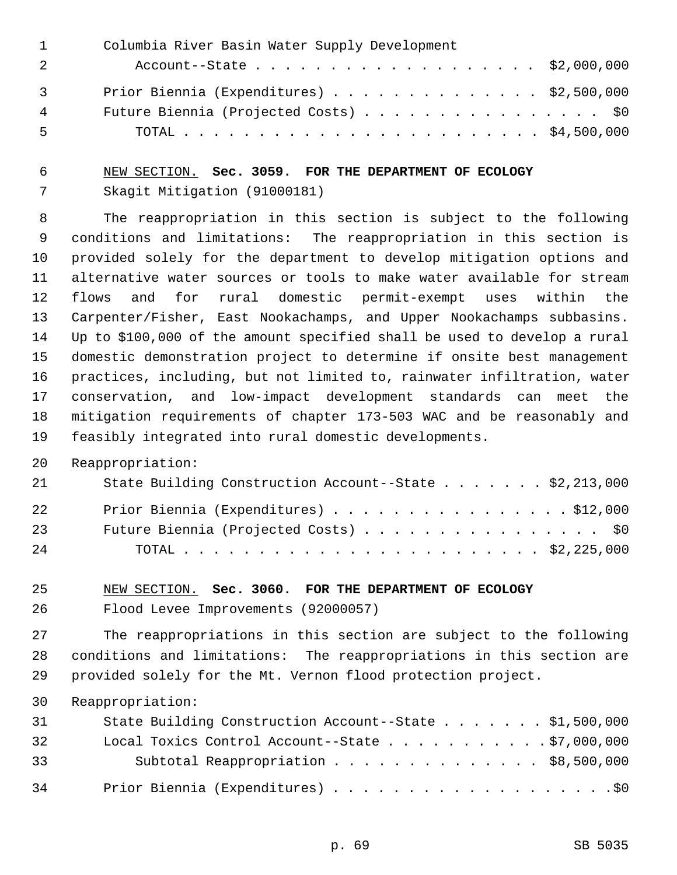|                | Columbia River Basin Water Supply Development |
|----------------|-----------------------------------------------|
|                | Account--State \$2,000,000                    |
| $\overline{3}$ | Prior Biennia (Expenditures) \$2,500,000      |
| 4              | Future Biennia (Projected Costs) \$0          |
| 5              |                                               |

# 6 NEW SECTION. **Sec. 3059. FOR THE DEPARTMENT OF ECOLOGY** 7 Skagit Mitigation (91000181)

 8 The reappropriation in this section is subject to the following 9 conditions and limitations: The reappropriation in this section is 10 provided solely for the department to develop mitigation options and 11 alternative water sources or tools to make water available for stream 12 flows and for rural domestic permit-exempt uses within the 13 Carpenter/Fisher, East Nookachamps, and Upper Nookachamps subbasins. 14 Up to \$100,000 of the amount specified shall be used to develop a rural 15 domestic demonstration project to determine if onsite best management 16 practices, including, but not limited to, rainwater infiltration, water 17 conservation, and low-impact development standards can meet the 18 mitigation requirements of chapter 173-503 WAC and be reasonably and 19 feasibly integrated into rural domestic developments.

20 Reappropriation:

| 21  | State Building Construction Account--State \$2,213,000 |
|-----|--------------------------------------------------------|
| 22  | Prior Biennia (Expenditures) \$12,000                  |
| 23  | Future Biennia (Projected Costs) \$0                   |
| 2.4 |                                                        |

## 25 NEW SECTION. **Sec. 3060. FOR THE DEPARTMENT OF ECOLOGY**

26 Flood Levee Improvements (92000057)

27 The reappropriations in this section are subject to the following 28 conditions and limitations: The reappropriations in this section are 29 provided solely for the Mt. Vernon flood protection project.

30 Reappropriation:

| 31 | State Building Construction Account--State \$1,500,000   |
|----|----------------------------------------------------------|
| 32 | Local Toxics Control Account--State $\ldots$ \$7,000,000 |
| 33 | Subtotal Reappropriation \$8,500,000                     |
| 34 |                                                          |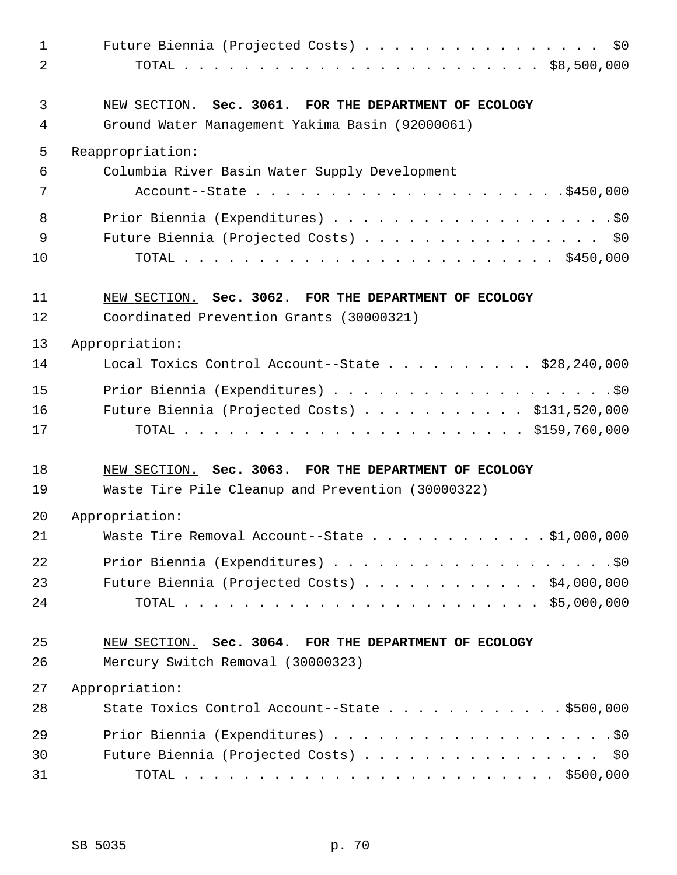| $\mathbf 1$<br>2 | \$0\$<br>Future Biennia (Projected Costs)                                                                |
|------------------|----------------------------------------------------------------------------------------------------------|
| 3<br>4           | NEW SECTION. Sec. 3061. FOR THE DEPARTMENT OF ECOLOGY<br>Ground Water Management Yakima Basin (92000061) |
| 5                | Reappropriation:                                                                                         |
| 6                | Columbia River Basin Water Supply Development                                                            |
| 7                |                                                                                                          |
| 8                |                                                                                                          |
| 9                | Future Biennia (Projected Costs) \$0                                                                     |
| 10               |                                                                                                          |
| 11<br>12         | NEW SECTION. Sec. 3062. FOR THE DEPARTMENT OF ECOLOGY<br>Coordinated Prevention Grants (30000321)        |
|                  |                                                                                                          |
| 13               | Appropriation:                                                                                           |
| 14               | Local Toxics Control Account--State \$28,240,000                                                         |
| 15               |                                                                                                          |
| 16               | Future Biennia (Projected Costs) \$131,520,000                                                           |
| 17               |                                                                                                          |
| 18               | NEW SECTION. Sec. 3063. FOR THE DEPARTMENT OF ECOLOGY                                                    |
| 19               | Waste Tire Pile Cleanup and Prevention (30000322)                                                        |
| 20               | Appropriation:                                                                                           |
| 21               | Waste Tire Removal Account--State \$1,000,000                                                            |
| 22               |                                                                                                          |
| 23               | Future Biennia (Projected Costs) $\ldots$ \$4,000,000                                                    |
| 24               |                                                                                                          |
| 25               | NEW SECTION. Sec. 3064. FOR THE DEPARTMENT OF ECOLOGY                                                    |
| 26               | Mercury Switch Removal (30000323)                                                                        |
| 27               | Appropriation:                                                                                           |
| 28               | State Toxics Control Account--State $\ldots$ \$500,000                                                   |
| 29               |                                                                                                          |
| 30               | Future Biennia (Projected Costs) \$0                                                                     |
| 31               |                                                                                                          |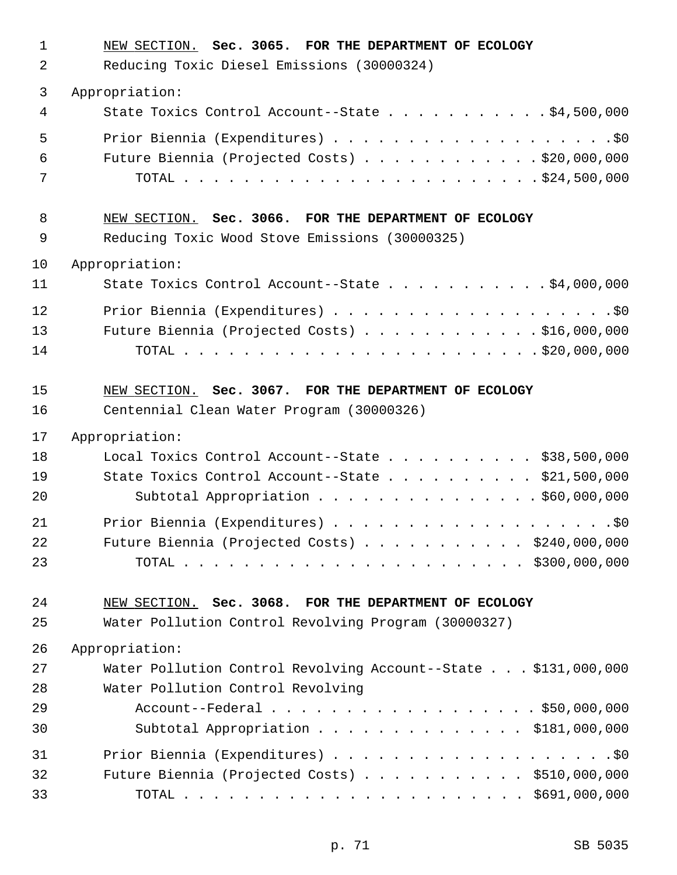| $\mathbf 1$<br>2 | NEW SECTION. Sec. 3065. FOR THE DEPARTMENT OF ECOLOGY<br>Reducing Toxic Diesel Emissions (30000324) |
|------------------|-----------------------------------------------------------------------------------------------------|
| 3                | Appropriation:                                                                                      |
| 4                | State Toxics Control Account--State \$4,500,000                                                     |
| 5                |                                                                                                     |
| 6                | Future Biennia (Projected Costs) \$20,000,000                                                       |
| 7                |                                                                                                     |
| 8                | NEW SECTION. Sec. 3066. FOR THE DEPARTMENT OF ECOLOGY                                               |
| 9                | Reducing Toxic Wood Stove Emissions (30000325)                                                      |
| 10               | Appropriation:                                                                                      |
| 11               | State Toxics Control Account--State \$4,000,000                                                     |
| 12               |                                                                                                     |
| 13               | Future Biennia (Projected Costs) \$16,000,000                                                       |
| 14               |                                                                                                     |
| 15               | NEW SECTION. Sec. 3067. FOR THE DEPARTMENT OF ECOLOGY                                               |
| 16               | Centennial Clean Water Program (30000326)                                                           |
| 17               | Appropriation:                                                                                      |
| 18               | Local Toxics Control Account--State \$38,500,000                                                    |
| 19               | State Toxics Control Account--State \$21,500,000                                                    |
| 20               | Subtotal Appropriation \$60,000,000                                                                 |
| 21               |                                                                                                     |
| 22               | Future Biennia (Projected Costs) \$240,000,000                                                      |
| 23               |                                                                                                     |
| 24               | NEW SECTION. Sec. 3068. FOR THE DEPARTMENT OF ECOLOGY                                               |
| 25               | Water Pollution Control Revolving Program (30000327)                                                |
| 26               | Appropriation:                                                                                      |
| 27               | Water Pollution Control Revolving Account--State \$131,000,000                                      |
| 28               | Water Pollution Control Revolving                                                                   |
| 29               | Account--Federal \$50,000,000                                                                       |
| 30               | Subtotal Appropriation $\ldots$ \$181,000,000                                                       |
| 31               |                                                                                                     |
| 32               | Future Biennia (Projected Costs) \$510,000,000                                                      |
| 33               |                                                                                                     |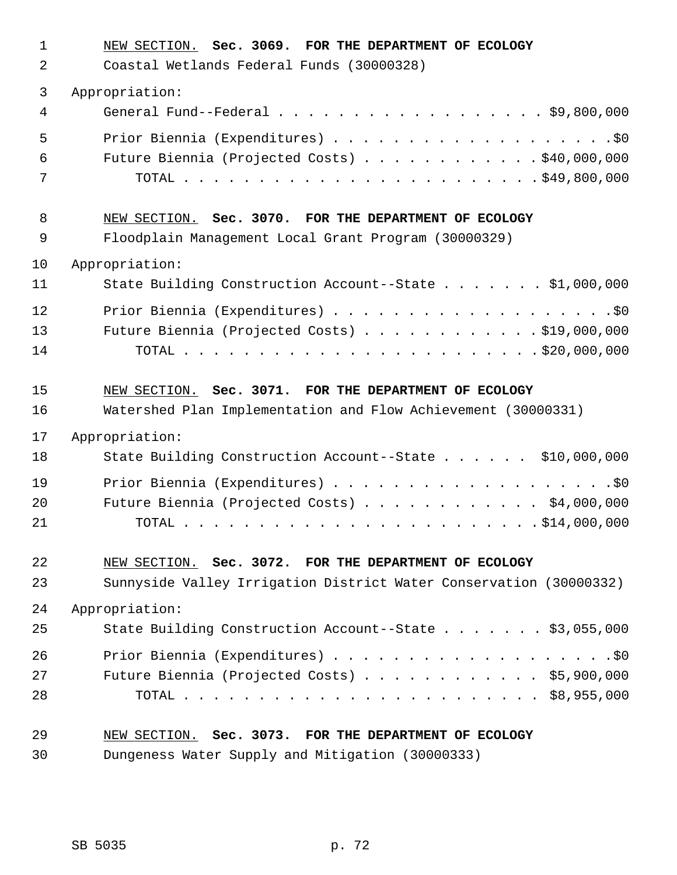| $\mathbf{1}$<br>2 | NEW SECTION. Sec. 3069. FOR THE DEPARTMENT OF ECOLOGY<br>Coastal Wetlands Federal Funds (30000328) |
|-------------------|----------------------------------------------------------------------------------------------------|
| 3                 | Appropriation:                                                                                     |
| 4                 | General Fund--Federal \$9,800,000                                                                  |
| 5                 |                                                                                                    |
| 6                 | Future Biennia (Projected Costs) \$40,000,000                                                      |
| 7                 |                                                                                                    |
| 8                 | NEW SECTION. Sec. 3070. FOR THE DEPARTMENT OF ECOLOGY                                              |
| 9                 | Floodplain Management Local Grant Program (30000329)                                               |
| 10                | Appropriation:                                                                                     |
| 11                | State Building Construction Account--State \$1,000,000                                             |
| 12                |                                                                                                    |
| 13                | Future Biennia (Projected Costs) \$19,000,000                                                      |
| 14                |                                                                                                    |
| 15                | NEW SECTION. Sec. 3071. FOR THE DEPARTMENT OF ECOLOGY                                              |
| 16                | Watershed Plan Implementation and Flow Achievement (30000331)                                      |
| 17                | Appropriation:                                                                                     |
| 18                | State Building Construction Account--State \$10,000,000                                            |
| 19                |                                                                                                    |
| 20                | Future Biennia (Projected Costs) \$4,000,000                                                       |
| 21                |                                                                                                    |
| 22                | NEW SECTION. Sec. 3072. FOR THE DEPARTMENT OF ECOLOGY                                              |
| 23                | Sunnyside Valley Irrigation District Water Conservation (30000332)                                 |
| 24                | Appropriation:                                                                                     |
| 25                | State Building Construction Account--State \$3,055,000                                             |
| 26                |                                                                                                    |
| 27                | Future Biennia (Projected Costs) $\ldots$ \$5,900,000                                              |
| 28                |                                                                                                    |
| 29                | NEW SECTION. Sec. 3073. FOR THE DEPARTMENT OF ECOLOGY                                              |
| 30                | Dungeness Water Supply and Mitigation (30000333)                                                   |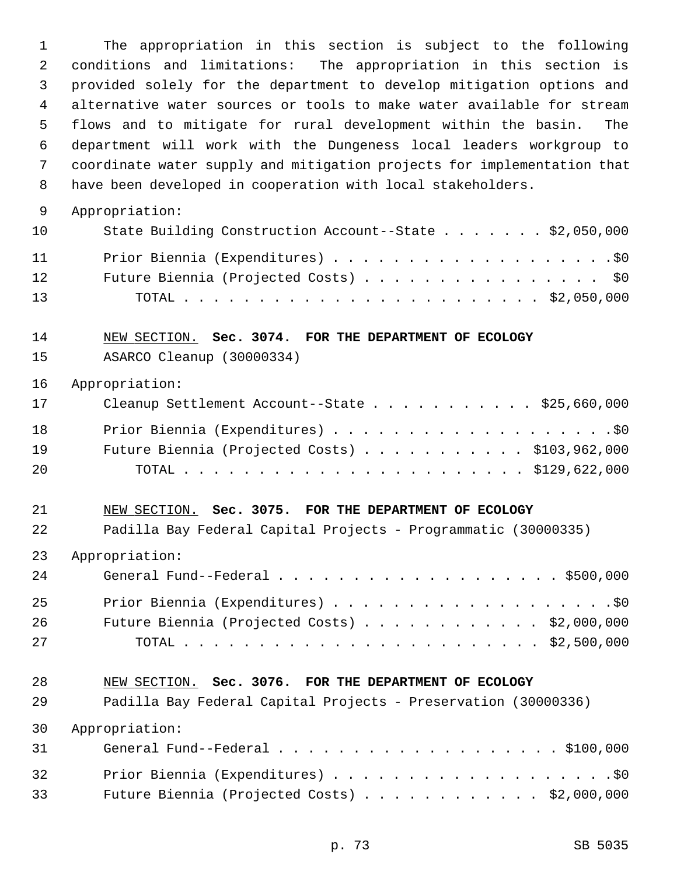1 The appropriation in this section is subject to the following 2 conditions and limitations: The appropriation in this section is 3 provided solely for the department to develop mitigation options and 4 alternative water sources or tools to make water available for stream 5 flows and to mitigate for rural development within the basin. The 6 department will work with the Dungeness local leaders workgroup to 7 coordinate water supply and mitigation projects for implementation that 8 have been developed in cooperation with local stakeholders. 9 Appropriation: 10 State Building Construction Account--State . . . . . . \$2,050,000 11 Prior Biennia (Expenditures) . . . . . . . . . . . . . . . . . . .\$0 12 Future Biennia (Projected Costs) . . . . . . . . . . . . . . . . \$0 13 TOTAL . . . . . . . . . . . . . . . . . . . . . . . . \$2,050,000 14 NEW SECTION. **Sec. 3074. FOR THE DEPARTMENT OF ECOLOGY** 15 ASARCO Cleanup (30000334) 16 Appropriation: 17 Cleanup Settlement Account--State . . . . . . . . . . \$25,660,000 18 Prior Biennia (Expenditures) . . . . . . . . . . . . . . . . . . .\$0 19 Future Biennia (Projected Costs) . . . . . . . . . . . \$103,962,000 20 TOTAL . . . . . . . . . . . . . . . . . . . . . . . \$129,622,000 21 NEW SECTION. **Sec. 3075. FOR THE DEPARTMENT OF ECOLOGY** 22 Padilla Bay Federal Capital Projects - Programmatic (30000335) 23 Appropriation: 24 General Fund--Federal . . . . . . . . . . . . . . . . . . . \$500,000 25 Prior Biennia (Expenditures) . . . . . . . . . . . . . . . . . . .\$0 26 Future Biennia (Projected Costs) . . . . . . . . . . . . \$2,000,000 27 TOTAL . . . . . . . . . . . . . . . . . . . . . . . . \$2,500,000 28 NEW SECTION. **Sec. 3076. FOR THE DEPARTMENT OF ECOLOGY** 29 Padilla Bay Federal Capital Projects - Preservation (30000336) 30 Appropriation: 31 General Fund--Federal . . . . . . . . . . . . . . . . . . . \$100,000 32 Prior Biennia (Expenditures) . . . . . . . . . . . . . . . . . . .\$0 33 Future Biennia (Projected Costs) . . . . . . . . . . . . \$2,000,000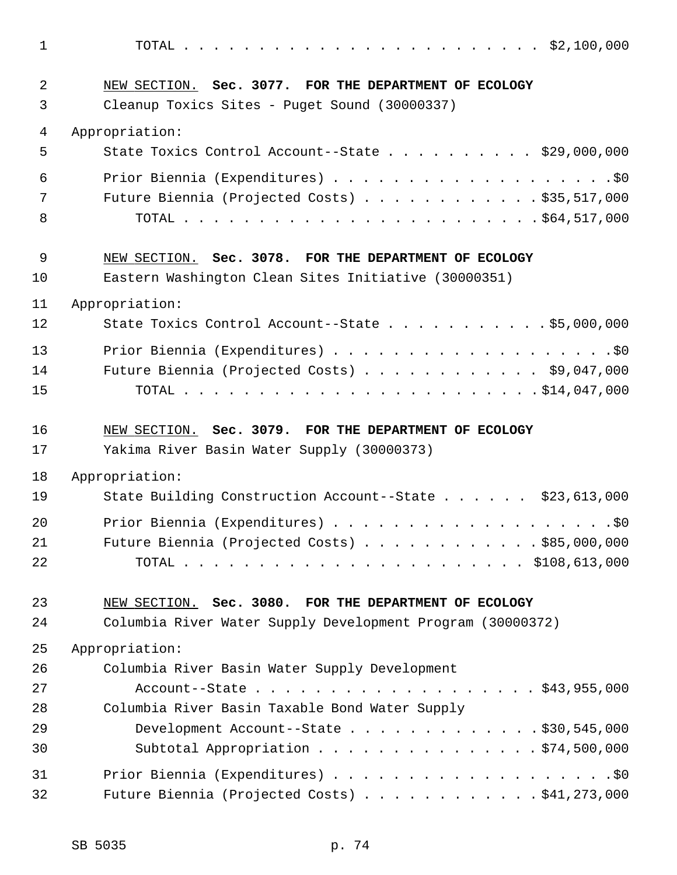1 TOTAL . . . . . . . . . . . . . . . . . . . . . . . . \$2,100,000 2 NEW SECTION. **Sec. 3077. FOR THE DEPARTMENT OF ECOLOGY** 3 Cleanup Toxics Sites - Puget Sound (30000337) 4 Appropriation: 5 State Toxics Control Account--State . . . . . . . . . . \$29,000,000 6 Prior Biennia (Expenditures) . . . . . . . . . . . . . . . . . . .\$0 7 Future Biennia (Projected Costs) . . . . . . . . . . . \$35,517,000 8 TOTAL . . . . . . . . . . . . . . . . . . . . . . . . \$64,517,000 9 NEW SECTION. **Sec. 3078. FOR THE DEPARTMENT OF ECOLOGY** 10 Eastern Washington Clean Sites Initiative (30000351) 11 Appropriation: 12 State Toxics Control Account--State . . . . . . . . . . . \$5,000,000 13 Prior Biennia (Expenditures) . . . . . . . . . . . . . . . . . . .\$0 14 Future Biennia (Projected Costs) . . . . . . . . . . . . \$9,047,000 15 TOTAL . . . . . . . . . . . . . . . . . . . . . . . . \$14,047,000 16 NEW SECTION. **Sec. 3079. FOR THE DEPARTMENT OF ECOLOGY** 17 Yakima River Basin Water Supply (30000373) 18 Appropriation: 19 State Building Construction Account--State . . . . . . \$23,613,000 20 Prior Biennia (Expenditures) . . . . . . . . . . . . . . . . . . .\$0 21 Future Biennia (Projected Costs) . . . . . . . . . . . . \$85,000,000 22 TOTAL . . . . . . . . . . . . . . . . . . . . . . . \$108,613,000 23 NEW SECTION. **Sec. 3080. FOR THE DEPARTMENT OF ECOLOGY** 24 Columbia River Water Supply Development Program (30000372) 25 Appropriation: 26 Columbia River Basin Water Supply Development 27 Account--State . . . . . . . . . . . . . . . . . . . \$43,955,000 28 Columbia River Basin Taxable Bond Water Supply 29 Development Account--State . . . . . . . . . . . . . \$30,545,000 30 Subtotal Appropriation . . . . . . . . . . . . . . . \$74,500,000 31 Prior Biennia (Expenditures) . . . . . . . . . . . . . . . . . . .\$0

32 Future Biennia (Projected Costs) . . . . . . . . . . . . \$41,273,000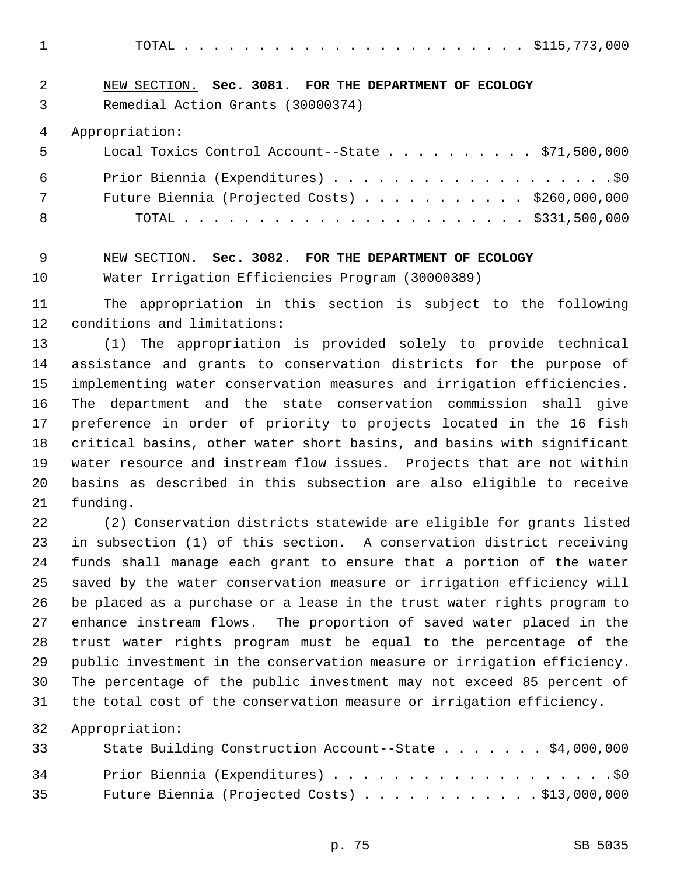1 TOTAL . . . . . . . . . . . . . . . . . . . . . . . \$115,773,000

## 2 NEW SECTION. **Sec. 3081. FOR THE DEPARTMENT OF ECOLOGY**

3 Remedial Action Grants (30000374)

4 Appropriation:

| 5   | Local Toxics Control Account--State \$71,500,000 |
|-----|--------------------------------------------------|
| 6   |                                                  |
| 7   | Future Biennia (Projected Costs) \$260,000,000   |
| - 8 |                                                  |

#### 9 NEW SECTION. **Sec. 3082. FOR THE DEPARTMENT OF ECOLOGY**

10 Water Irrigation Efficiencies Program (30000389)

11 The appropriation in this section is subject to the following 12 conditions and limitations:

13 (1) The appropriation is provided solely to provide technical 14 assistance and grants to conservation districts for the purpose of 15 implementing water conservation measures and irrigation efficiencies. 16 The department and the state conservation commission shall give 17 preference in order of priority to projects located in the 16 fish 18 critical basins, other water short basins, and basins with significant 19 water resource and instream flow issues. Projects that are not within 20 basins as described in this subsection are also eligible to receive 21 funding.

22 (2) Conservation districts statewide are eligible for grants listed 23 in subsection (1) of this section. A conservation district receiving 24 funds shall manage each grant to ensure that a portion of the water 25 saved by the water conservation measure or irrigation efficiency will 26 be placed as a purchase or a lease in the trust water rights program to 27 enhance instream flows. The proportion of saved water placed in the 28 trust water rights program must be equal to the percentage of the 29 public investment in the conservation measure or irrigation efficiency. 30 The percentage of the public investment may not exceed 85 percent of 31 the total cost of the conservation measure or irrigation efficiency.

32 Appropriation:

| 33 | State Building Construction Account--State \$4,000,000 |
|----|--------------------------------------------------------|
| 34 |                                                        |
| 35 | Future Biennia (Projected Costs) $\ldots$ \$13,000,000 |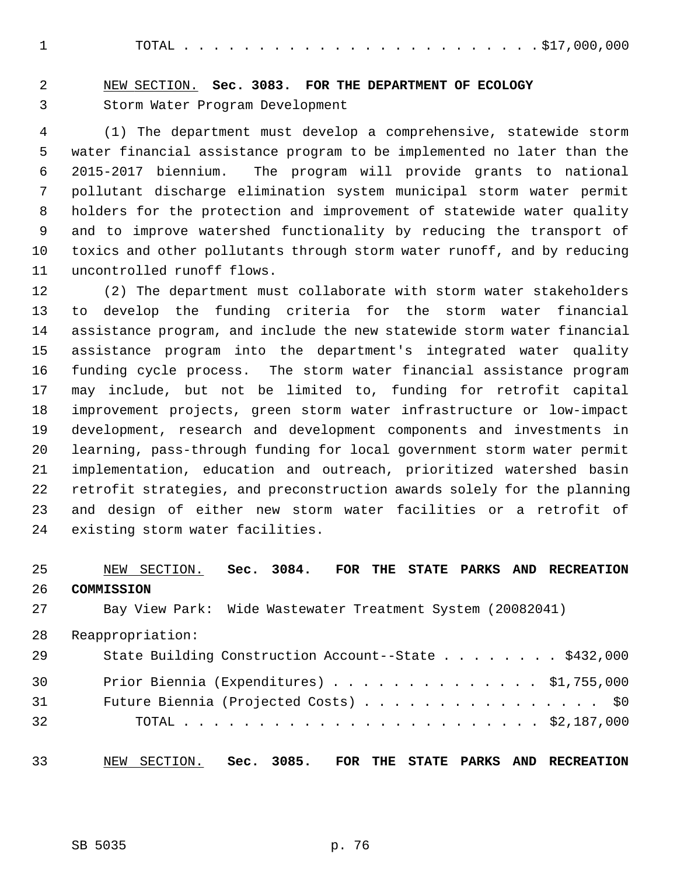1 TOTAL . . . . . . . . . . . . . . . . . . . . . . . . \$17,000,000

## 2 NEW SECTION. **Sec. 3083. FOR THE DEPARTMENT OF ECOLOGY** 3 Storm Water Program Development

 4 (1) The department must develop a comprehensive, statewide storm 5 water financial assistance program to be implemented no later than the 6 2015-2017 biennium. The program will provide grants to national 7 pollutant discharge elimination system municipal storm water permit 8 holders for the protection and improvement of statewide water quality 9 and to improve watershed functionality by reducing the transport of 10 toxics and other pollutants through storm water runoff, and by reducing 11 uncontrolled runoff flows.

12 (2) The department must collaborate with storm water stakeholders 13 to develop the funding criteria for the storm water financial 14 assistance program, and include the new statewide storm water financial 15 assistance program into the department's integrated water quality 16 funding cycle process. The storm water financial assistance program 17 may include, but not be limited to, funding for retrofit capital 18 improvement projects, green storm water infrastructure or low-impact 19 development, research and development components and investments in 20 learning, pass-through funding for local government storm water permit 21 implementation, education and outreach, prioritized watershed basin 22 retrofit strategies, and preconstruction awards solely for the planning 23 and design of either new storm water facilities or a retrofit of 24 existing storm water facilities.

## 25 NEW SECTION. **Sec. 3084. FOR THE STATE PARKS AND RECREATION** 26 **COMMISSION** 27 Bay View Park: Wide Wastewater Treatment System (20082041) 28 Reappropriation: 29 State Building Construction Account--State . . . . . . . . \$432,000 30 Prior Biennia (Expenditures) . . . . . . . . . . . . . . \$1,755,000 31 Future Biennia (Projected Costs) . . . . . . . . . . . . . . . . \$0 32 TOTAL . . . . . . . . . . . . . . . . . . . . . . . . \$2,187,000

33 NEW SECTION. **Sec. 3085. FOR THE STATE PARKS AND RECREATION**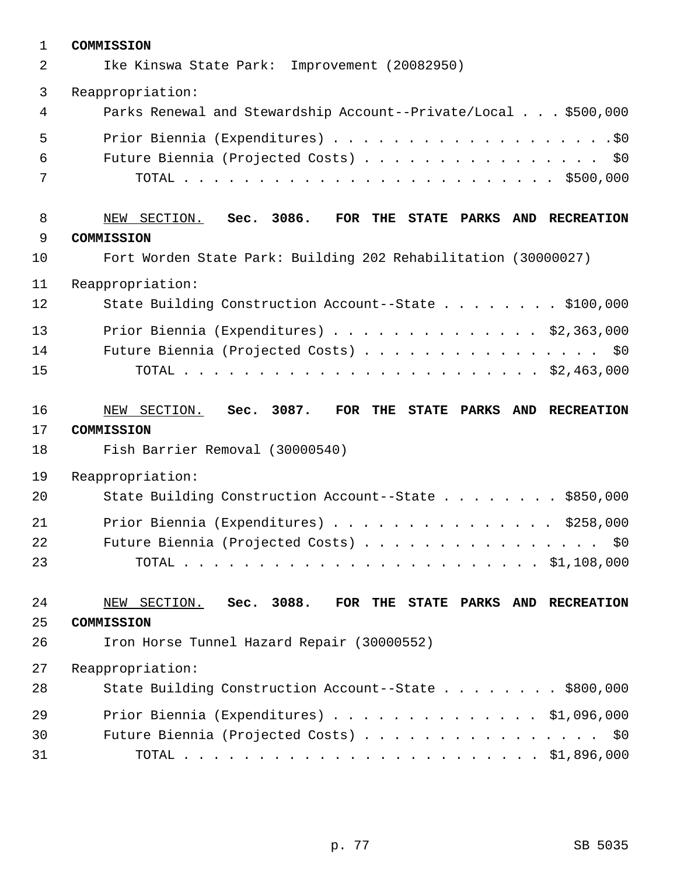| $\mathbf{1}$ | COMMISSION                                                     |
|--------------|----------------------------------------------------------------|
| 2            | Ike Kinswa State Park: Improvement (20082950)                  |
| 3            | Reappropriation:                                               |
| 4            | Parks Renewal and Stewardship Account--Private/Local \$500,000 |
| 5            |                                                                |
| 6            | Future Biennia (Projected Costs) \$0                           |
| 7            |                                                                |
| 8            | NEW SECTION. Sec. 3086.<br>FOR THE STATE PARKS AND RECREATION  |
| 9            | COMMISSION                                                     |
| 10           | Fort Worden State Park: Building 202 Rehabilitation (30000027) |
| 11           | Reappropriation:                                               |
| 12           | State Building Construction Account--State \$100,000           |
| 13           | Prior Biennia (Expenditures) \$2,363,000                       |
| 14           | Future Biennia (Projected Costs) \$0                           |
| 15           |                                                                |
|              |                                                                |
| 16           | NEW SECTION. Sec. 3087.<br>FOR THE STATE PARKS AND RECREATION  |
| 17           | COMMISSION                                                     |
| 18           | Fish Barrier Removal (30000540)                                |
| 19           | Reappropriation:                                               |
| 20           | State Building Construction Account--State \$850,000           |
| 21           | Prior Biennia (Expenditures) \$258,000                         |
| 22           | Future Biennia (Projected Costs) \$0                           |
| 23           |                                                                |
| 24           | NEW SECTION. Sec. 3088.<br>FOR THE STATE PARKS AND RECREATION  |
| 25           | COMMISSION                                                     |
| 26           | Iron Horse Tunnel Hazard Repair (30000552)                     |
| 27           | Reappropriation:                                               |
| 28           | State Building Construction Account--State \$800,000           |
| 29           | Prior Biennia (Expenditures) \$1,096,000                       |
| 30           | Future Biennia (Projected Costs) \$0                           |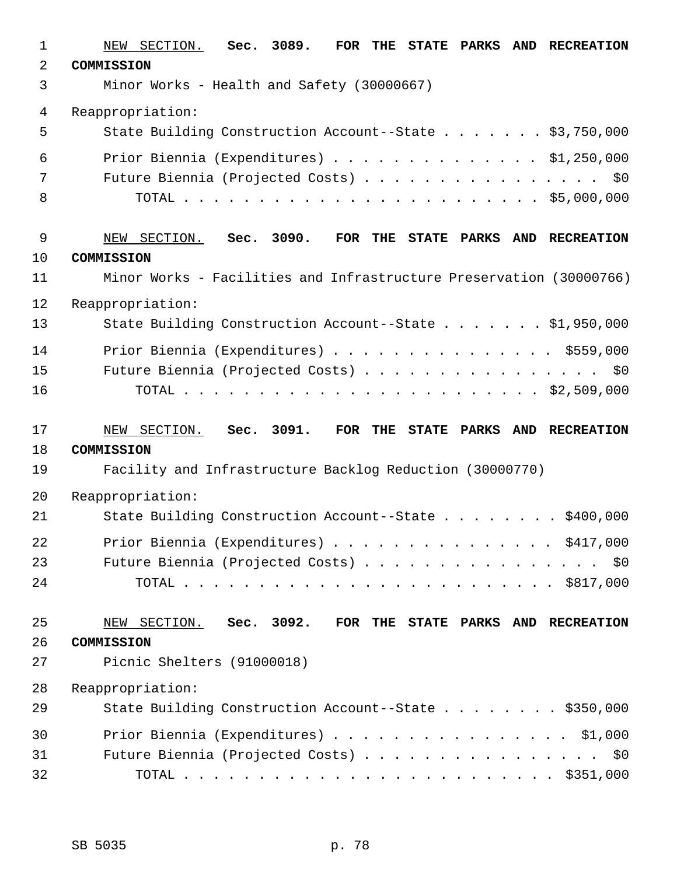| $\mathbf{1}$ | Sec. 3089.<br>NEW SECTION.<br>FOR THE STATE PARKS<br>AND RECREATION |
|--------------|---------------------------------------------------------------------|
| 2            | COMMISSION                                                          |
| 3            | Minor Works - Health and Safety (30000667)                          |
| 4            | Reappropriation:                                                    |
| 5            | State Building Construction Account--State \$3,750,000              |
| 6            | Prior Biennia (Expenditures) \$1,250,000                            |
| 7            | Future Biennia (Projected Costs) \$0                                |
| 8            |                                                                     |
| $\mathsf 9$  | NEW SECTION.<br>Sec. 3090.<br>FOR THE STATE PARKS AND RECREATION    |
| 10           | COMMISSION                                                          |
| 11           | Minor Works - Facilities and Infrastructure Preservation (30000766) |
| 12           | Reappropriation:                                                    |
| 13           | State Building Construction Account--State \$1,950,000              |
| 14           | Prior Biennia (Expenditures) \$559,000                              |
| 15           | Future Biennia (Projected Costs) \$0                                |
| 16           |                                                                     |
|              |                                                                     |
| 17           | Sec. 3091.<br>NEW SECTION.<br>FOR THE STATE PARKS AND RECREATION    |
| 18           | COMMISSION                                                          |
| 19           | Facility and Infrastructure Backlog Reduction (30000770)            |
| 20           | Reappropriation:                                                    |
| 21           | State Building Construction Account--State \$400,000                |
| 22           | Prior Biennia (Expenditures) \$417,000                              |
| 23           | Future Biennia (Projected Costs) \$0                                |
| 24           |                                                                     |
| 25           | NEW SECTION. Sec. 3092.<br>FOR THE STATE PARKS AND RECREATION       |
| 26           | COMMISSION                                                          |
| 27           | Picnic Shelters (91000018)                                          |
| 28           | Reappropriation:                                                    |
| 29           | State Building Construction Account--State \$350,000                |
| 30           | Prior Biennia (Expenditures) \$1,000                                |
| 31           | Future Biennia (Projected Costs) \$0                                |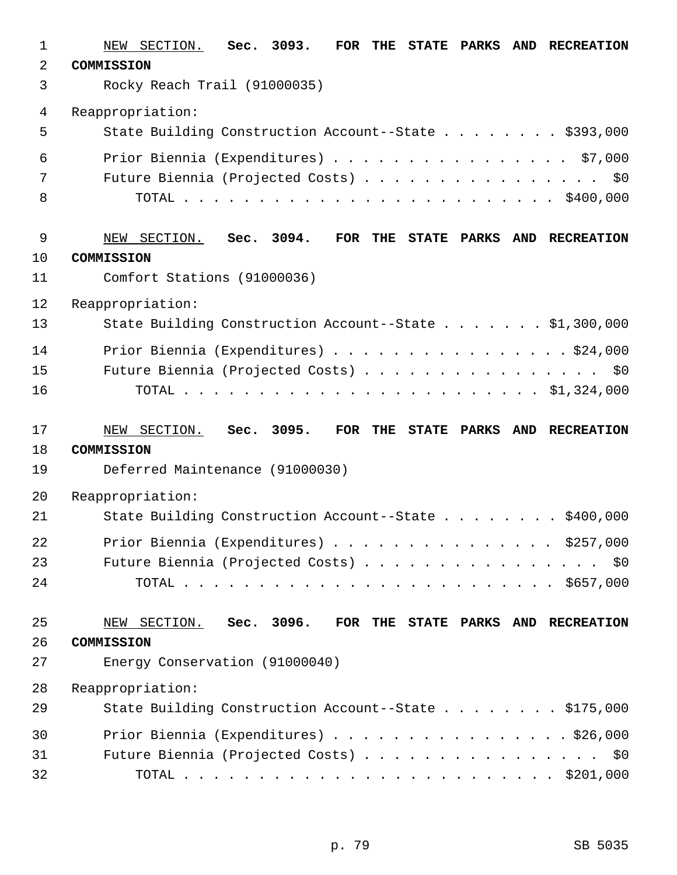| 1              | Sec. 3093.<br>FOR THE<br>NEW SECTION.<br><b>STATE PARKS</b><br><b>AND</b><br><b>RECREATION</b> |
|----------------|------------------------------------------------------------------------------------------------|
| $\overline{a}$ | COMMISSION                                                                                     |
| 3              | Rocky Reach Trail (91000035)                                                                   |
| 4              | Reappropriation:                                                                               |
| 5              | State Building Construction Account--State \$393,000                                           |
| 6              | Prior Biennia (Expenditures) \$7,000                                                           |
| 7              | Future Biennia (Projected Costs) \$0                                                           |
| 8              |                                                                                                |
| $\mathsf 9$    | Sec. 3094.<br>FOR THE STATE PARKS AND RECREATION<br>NEW SECTION.                               |
| 10             | COMMISSION                                                                                     |
| 11             | Comfort Stations (91000036)                                                                    |
| 12             | Reappropriation:                                                                               |
| 13             | State Building Construction Account--State \$1,300,000                                         |
| 14             | Prior Biennia (Expenditures) \$24,000                                                          |
| 15             | Future Biennia (Projected Costs) \$0                                                           |
| 16             |                                                                                                |
|                |                                                                                                |
| 17             | NEW SECTION. Sec. 3095.<br>FOR THE STATE PARKS AND RECREATION                                  |
| 18             | COMMISSION                                                                                     |
| 19             | Deferred Maintenance (91000030)                                                                |
| 20             | Reappropriation:                                                                               |
| 21             | State Building Construction Account--State \$400,000                                           |
| 22             | Prior Biennia (Expenditures) $\ldots$ \$257,000                                                |
| 23             | Future Biennia (Projected Costs) \$0                                                           |
| 24             |                                                                                                |
| 25             | FOR THE STATE PARKS AND RECREATION                                                             |
| 26             | NEW SECTION. Sec. 3096.<br>COMMISSION                                                          |
| 27             | Energy Conservation (91000040)                                                                 |
| 28             | Reappropriation:                                                                               |
| 29             | State Building Construction Account--State \$175,000                                           |
| 30             | Prior Biennia (Expenditures) \$26,000                                                          |
| 31             | Future Biennia (Projected Costs) \$0                                                           |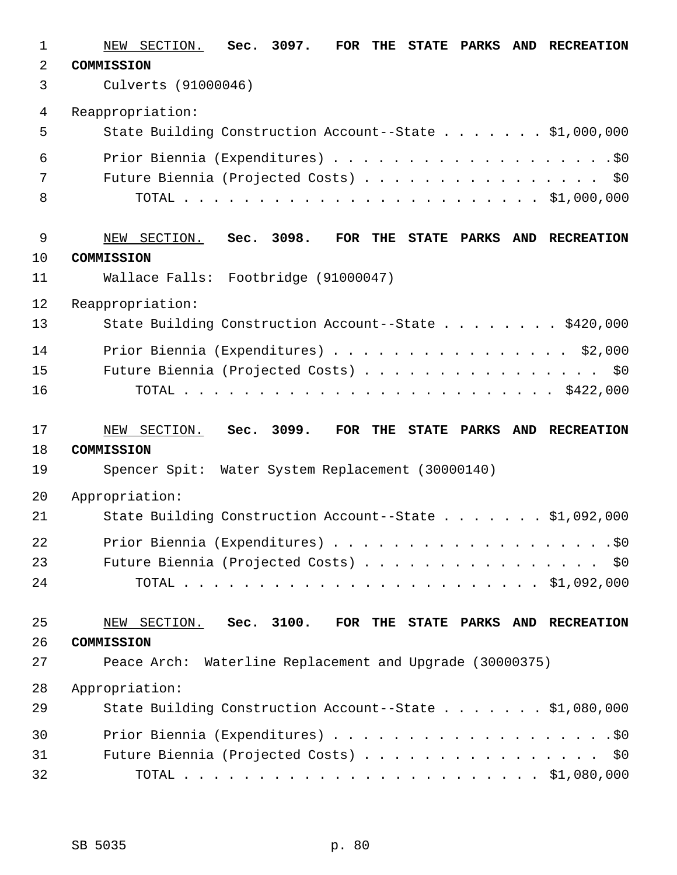| $\mathbf 1$    | NEW SECTION. Sec. 3097.<br>FOR THE<br><b>STATE PARKS</b><br><b>AND</b><br><b>RECREATION</b> |
|----------------|---------------------------------------------------------------------------------------------|
| $\overline{a}$ | COMMISSION                                                                                  |
| 3              | Culverts (91000046)                                                                         |
| 4              | Reappropriation:                                                                            |
| 5              | State Building Construction Account--State \$1,000,000                                      |
| 6              |                                                                                             |
| 7              | Future Biennia (Projected Costs) \$0                                                        |
| 8              |                                                                                             |
|                |                                                                                             |
| 9<br>10        | Sec. 3098.<br>FOR THE<br>NEW SECTION.<br>STATE PARKS AND RECREATION<br>COMMISSION           |
| 11             | Wallace Falls: Footbridge (91000047)                                                        |
|                |                                                                                             |
| 12<br>13       | Reappropriation:<br>State Building Construction Account--State \$420,000                    |
|                |                                                                                             |
| 14             | Prior Biennia (Expenditures) \$2,000                                                        |
| 15             | Future Biennia (Projected Costs) \$0                                                        |
| 16             |                                                                                             |
| 17             | NEW SECTION. Sec. 3099.<br>FOR THE<br>STATE PARKS AND RECREATION                            |
| 18             | COMMISSION                                                                                  |
| 19             | Spencer Spit: Water System Replacement (30000140)                                           |
| 20             | Appropriation:                                                                              |
| 21             | State Building Construction Account--State \$1,092,000                                      |
| 22             |                                                                                             |
| 23             | Future Biennia (Projected Costs) \$0                                                        |
| 24             |                                                                                             |
|                |                                                                                             |
|                |                                                                                             |
| 25             | NEW SECTION. Sec. 3100. FOR THE STATE PARKS AND RECREATION                                  |
| 26             | COMMISSION                                                                                  |
| 27             | Peace Arch: Waterline Replacement and Upgrade (30000375)                                    |
| 28             | Appropriation:                                                                              |
| 29             | State Building Construction Account--State \$1,080,000                                      |
| 30             |                                                                                             |
| 31<br>32       | Future Biennia (Projected Costs) \$0                                                        |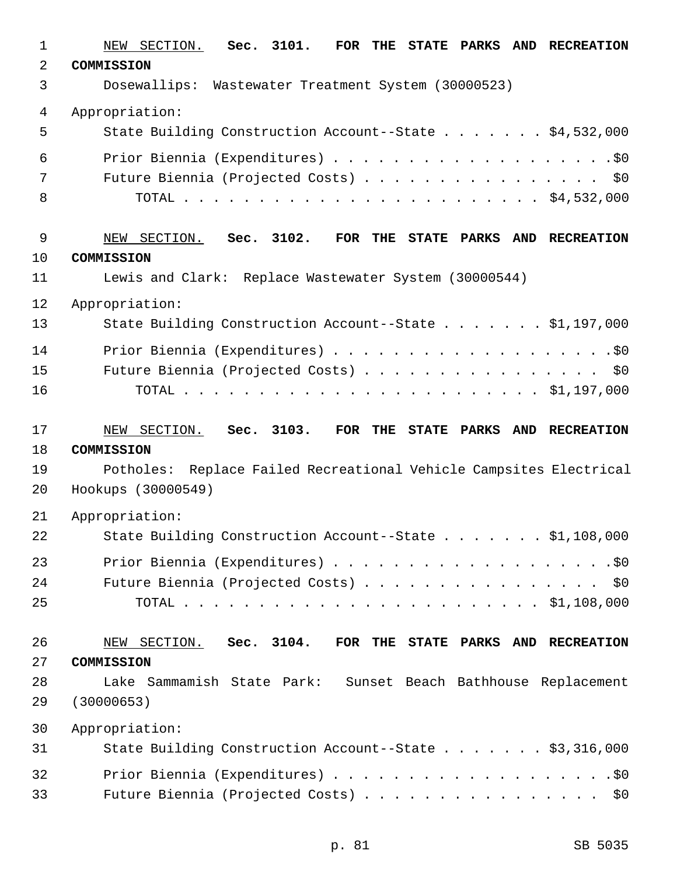| $\mathbf{1}$ | NEW SECTION. Sec. 3101.<br>FOR THE STATE PARKS AND RECREATION      |
|--------------|--------------------------------------------------------------------|
| 2            | COMMISSION                                                         |
| 3            | Dosewallips: Wastewater Treatment System (30000523)                |
| 4            | Appropriation:                                                     |
| 5            | State Building Construction Account--State \$4,532,000             |
| 6            |                                                                    |
| 7            | Future Biennia (Projected Costs) \$0                               |
| 8            |                                                                    |
| $\mathsf 9$  | NEW SECTION. Sec. 3102.<br>FOR THE STATE PARKS AND RECREATION      |
| 10           | COMMISSION                                                         |
| 11           | Lewis and Clark: Replace Wastewater System (30000544)              |
| 12           | Appropriation:                                                     |
| 13           | State Building Construction Account--State \$1,197,000             |
| 14           |                                                                    |
| 15           | Future Biennia (Projected Costs) \$0                               |
| 16           |                                                                    |
| 17           | NEW SECTION. Sec. 3103.<br>FOR THE STATE PARKS AND RECREATION      |
| 18           | COMMISSION                                                         |
| 19           | Potholes: Replace Failed Recreational Vehicle Campsites Electrical |
| 20           | Hookups (30000549)                                                 |
| 21           | Appropriation:                                                     |
| 22           | State Building Construction Account--State \$1,108,000             |
| 23           |                                                                    |
| 24           | Future Biennia (Projected Costs) \$0                               |
| 25           |                                                                    |
| 26           | FOR THE STATE PARKS AND RECREATION<br>NEW SECTION. Sec. 3104.      |
| 27           | COMMISSION                                                         |
| 28           | Lake Sammamish State Park: Sunset Beach Bathhouse Replacement      |
| 29           | (30000653)                                                         |
| 30           | Appropriation:                                                     |
| 31           | State Building Construction Account--State \$3,316,000             |
| 32           |                                                                    |
| 33           | Future Biennia (Projected Costs) \$0                               |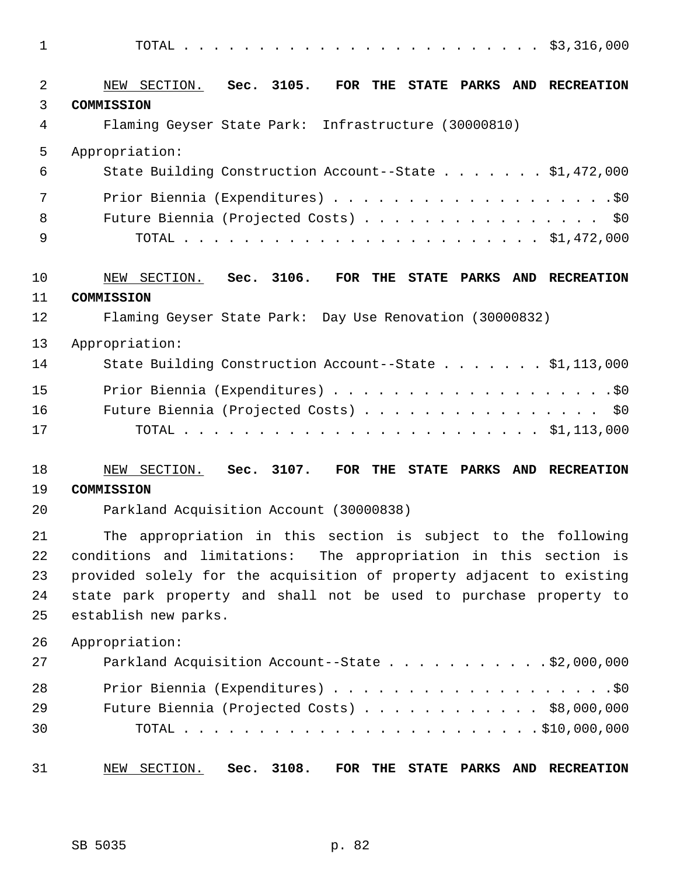| $\mathbf 1$    |                                                                        |
|----------------|------------------------------------------------------------------------|
| $\overline{2}$ | NEW SECTION. Sec. 3105.<br>FOR THE<br>STATE PARKS AND RECREATION       |
| 3              | COMMISSION                                                             |
| 4              | Flaming Geyser State Park: Infrastructure (30000810)                   |
| 5              | Appropriation:                                                         |
| 6              | State Building Construction Account--State \$1,472,000                 |
| 7              |                                                                        |
| 8              | Future Biennia (Projected Costs)<br>\$0                                |
| 9              |                                                                        |
| 10             | NEW SECTION. Sec. 3106.<br>FOR THE<br>STATE PARKS AND RECREATION       |
| 11             | COMMISSION                                                             |
| 12             | Flaming Geyser State Park: Day Use Renovation (30000832)               |
| 13             | Appropriation:                                                         |
| 14             | State Building Construction Account--State \$1,113,000                 |
| 15             |                                                                        |
| 16             | Future Biennia (Projected Costs)<br>\$0\$                              |
| 17             |                                                                        |
| 18             | SECTION.<br>Sec. 3107.<br>FOR THE<br>STATE PARKS AND RECREATION<br>NEW |
| 19             | COMMISSION                                                             |
| 20             | Parkland Acquisition Account (30000838)                                |
| 21             | The appropriation in this section is subject to the following          |
| 22             | conditions and limitations: The appropriation in this section is       |
| 23             | provided solely for the acquisition of property adjacent to existing   |
| 24             | state park property and shall not be used to purchase property to      |
| 25             | establish new parks.                                                   |
| 26             | Appropriation:                                                         |
| 27             | Parkland Acquisition Account--State $\ldots$ 92,000,000                |
| 28             |                                                                        |
| 29             | Future Biennia (Projected Costs) \$8,000,000                           |
| 30             |                                                                        |
| 31             | Sec. 3108.<br>NEW SECTION.<br>FOR THE STATE PARKS AND RECREATION       |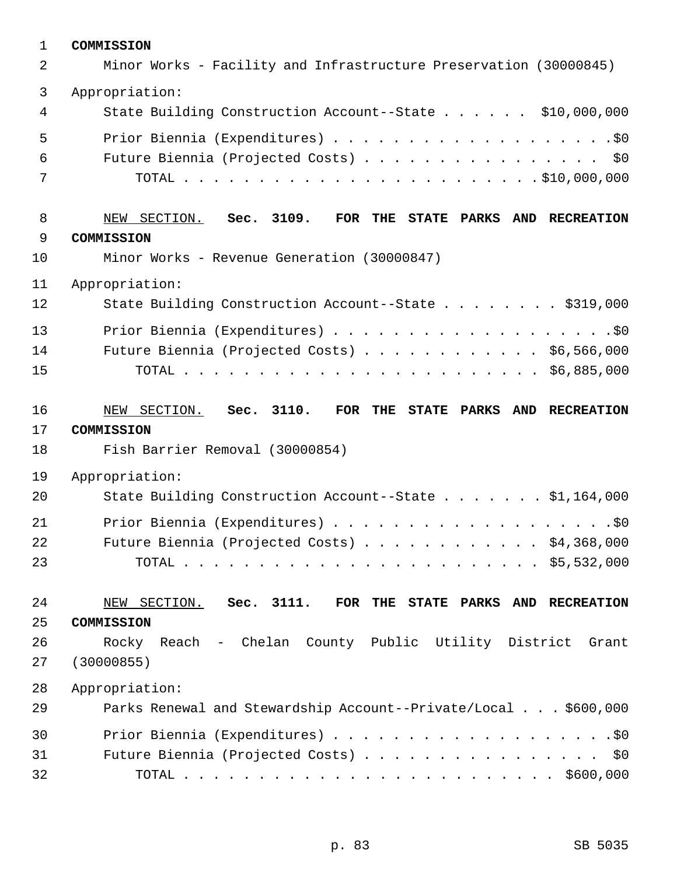| $\mathbf 1$ | COMMISSION                                                        |
|-------------|-------------------------------------------------------------------|
| 2           | Minor Works - Facility and Infrastructure Preservation (30000845) |
| 3           | Appropriation:                                                    |
| 4           | State Building Construction Account--State \$10,000,000           |
| 5           |                                                                   |
| 6           | Future Biennia (Projected Costs) \$0                              |
| 7           |                                                                   |
| 8           | NEW SECTION. Sec. 3109.<br>FOR THE STATE PARKS AND RECREATION     |
| 9           | COMMISSION                                                        |
| 10          | Minor Works - Revenue Generation (30000847)                       |
| 11          | Appropriation:                                                    |
| 12          | State Building Construction Account--State \$319,000              |
| 13          |                                                                   |
| 14          | Future Biennia (Projected Costs) \$6,566,000                      |
| 15          |                                                                   |
| 16          | NEW SECTION. Sec. 3110.<br>FOR THE STATE PARKS AND RECREATION     |
| 17          | COMMISSION                                                        |
| 18          | Fish Barrier Removal (30000854)                                   |
| 19          | Appropriation:                                                    |
| 20          | State Building Construction Account--State \$1,164,000            |
| 21          |                                                                   |
| 22          | Future Biennia (Projected Costs) $\ldots$ \$4,368,000             |
| 23          |                                                                   |
| 24          | Sec. 3111.<br>FOR THE STATE PARKS AND RECREATION<br>NEW SECTION.  |
| 25          | COMMISSION                                                        |
| 26          | Rocky Reach - Chelan County Public Utility District Grant         |
| 27          | (30000855)                                                        |
| 28          | Appropriation:                                                    |
| 29          | Parks Renewal and Stewardship Account--Private/Local \$600,000    |
| 30          |                                                                   |
| 31          | Future Biennia (Projected Costs) \$0                              |
| 32          |                                                                   |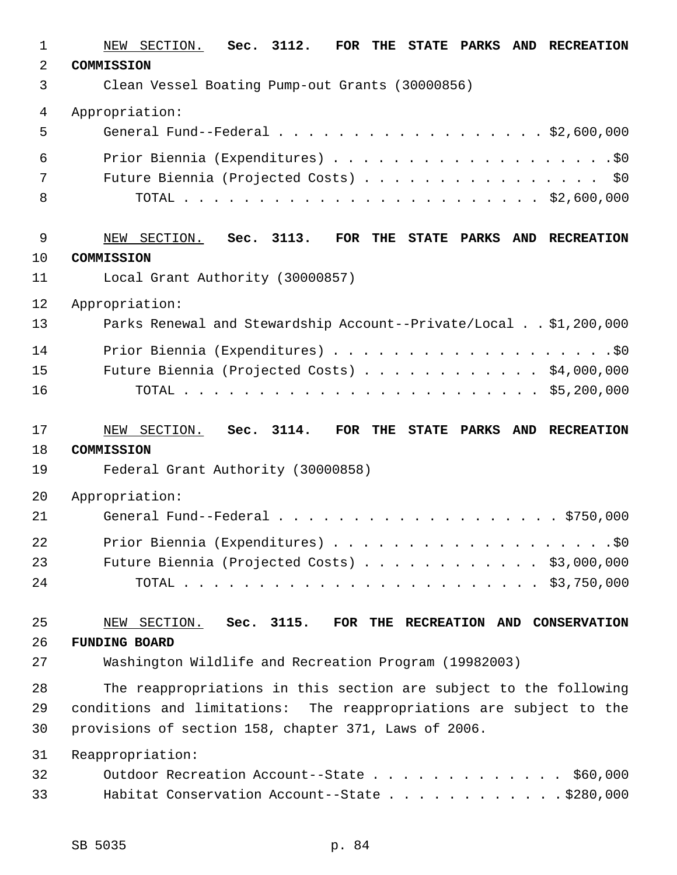| 1  | SECTION.<br>Sec. 3112.<br>FOR THE STATE PARKS<br><b>AND</b><br><b>RECREATION</b><br>NEW |
|----|-----------------------------------------------------------------------------------------|
| 2  | COMMISSION                                                                              |
| 3  | Clean Vessel Boating Pump-out Grants (30000856)                                         |
| 4  | Appropriation:                                                                          |
| 5  | General Fund--Federal $\ldots$ , \$2,600,000                                            |
| 6  |                                                                                         |
| 7  | Future Biennia (Projected Costs) \$0                                                    |
| 8  |                                                                                         |
| 9  | SECTION.<br>Sec. 3113.<br>FOR THE STATE PARKS AND RECREATION<br>NEW                     |
| 10 | COMMISSION                                                                              |
| 11 | Local Grant Authority (30000857)                                                        |
| 12 | Appropriation:                                                                          |
| 13 | Parks Renewal and Stewardship Account--Private/Local \$1,200,000                        |
| 14 |                                                                                         |
| 15 | Future Biennia (Projected Costs) \$4,000,000                                            |
| 16 |                                                                                         |
|    |                                                                                         |
| 17 | Sec. 3114.<br>NEW SECTION.<br>FOR THE STATE PARKS AND RECREATION                        |
| 18 | COMMISSION                                                                              |
| 19 | Federal Grant Authority (30000858)                                                      |
| 20 | Appropriation:                                                                          |
| 21 |                                                                                         |
| 22 |                                                                                         |
| 23 | Future Biennia (Projected Costs) \$3,000,000                                            |
| 24 |                                                                                         |
| 25 | NEW SECTION. Sec. 3115.<br>FOR THE RECREATION AND CONSERVATION                          |
| 26 | <b>FUNDING BOARD</b>                                                                    |
| 27 | Washington Wildlife and Recreation Program (19982003)                                   |
| 28 | The reappropriations in this section are subject to the following                       |
| 29 | conditions and limitations: The reappropriations are subject to the                     |
| 30 | provisions of section 158, chapter 371, Laws of 2006.                                   |
| 31 | Reappropriation:                                                                        |
| 32 | Outdoor Recreation Account--State \$60,000                                              |
| 33 | Habitat Conservation Account--State \$280,000                                           |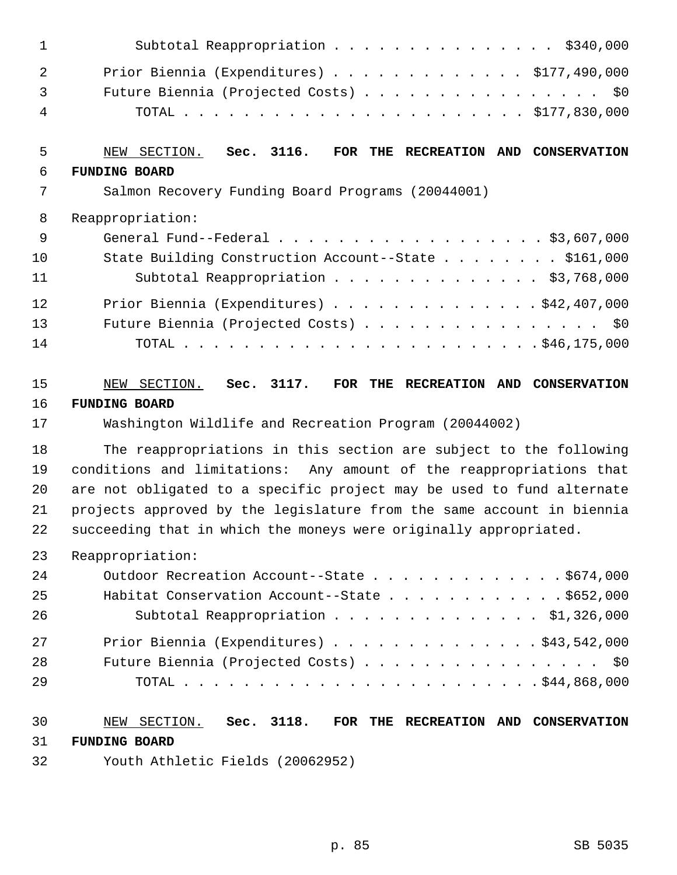| $\mathbf{1}$   | Subtotal Reappropriation \$340,000                                    |
|----------------|-----------------------------------------------------------------------|
| $\overline{2}$ | Prior Biennia (Expenditures) \$177,490,000                            |
| 3              | Future Biennia (Projected Costs) \$0                                  |
| 4              |                                                                       |
| 5              | NEW SECTION. Sec. 3116.<br>FOR THE RECREATION AND CONSERVATION        |
| 6              | <b>FUNDING BOARD</b>                                                  |
| 7              | Salmon Recovery Funding Board Programs (20044001)                     |
| 8              | Reappropriation:                                                      |
| $\overline{9}$ | General Fund--Federal \$3,607,000                                     |
| 10             | State Building Construction Account--State \$161,000                  |
| 11             | Subtotal Reappropriation \$3,768,000                                  |
| 12             | Prior Biennia (Expenditures) \$42,407,000                             |
| 13             | Future Biennia (Projected Costs) \$0                                  |
| 14             |                                                                       |
| 15             | NEW SECTION. Sec. 3117. FOR THE RECREATION AND CONSERVATION           |
| 16             | <b>FUNDING BOARD</b>                                                  |
| 17             | Washington Wildlife and Recreation Program (20044002)                 |
| 18             | The reappropriations in this section are subject to the following     |
| 19             | conditions and limitations: Any amount of the reappropriations that   |
| 20             | are not obligated to a specific project may be used to fund alternate |
| 21             | projects approved by the legislature from the same account in biennia |
| 22             | succeeding that in which the moneys were originally appropriated.     |
| 23             | Reappropriation:                                                      |
| 24             | Outdoor Recreation Account--State \$674,000                           |
| 25             | Habitat Conservation Account--State $\ldots$ \$652,000                |
| 26             | Subtotal Reappropriation \$1,326,000                                  |
| 27             | Prior Biennia (Expenditures) $\ldots$ \$43,542,000                    |
| 28             | Future Biennia (Projected Costs) \$0                                  |
| 29             |                                                                       |
| 30             | NEW SECTION. Sec. 3118. FOR THE RECREATION AND CONSERVATION           |
| 31             | <b>FUNDING BOARD</b>                                                  |
| 32             | Youth Athletic Fields (20062952)                                      |

p. 85 SB 5035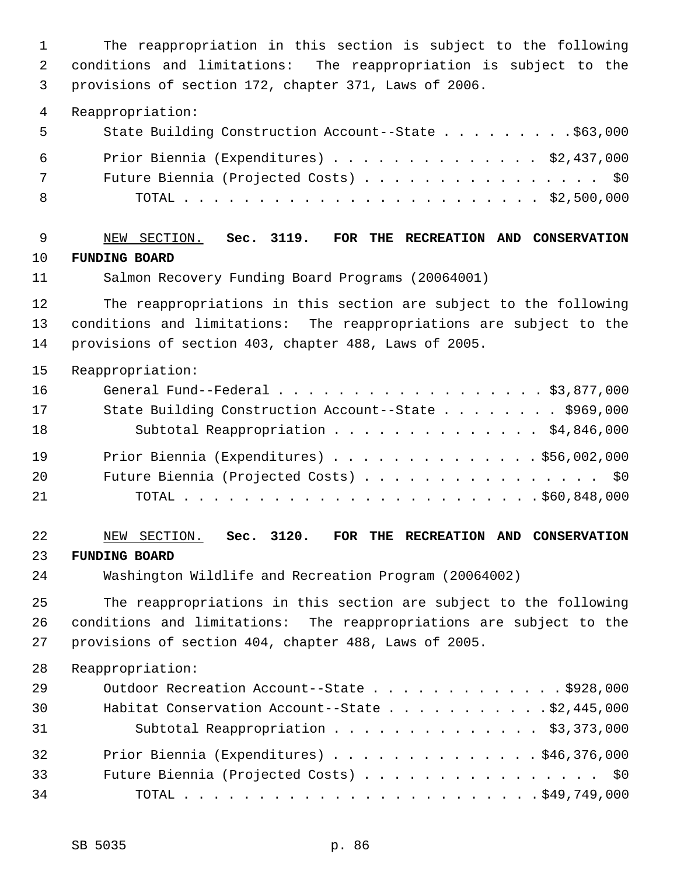1 The reappropriation in this section is subject to the following 2 conditions and limitations: The reappropriation is subject to the 3 provisions of section 172, chapter 371, Laws of 2006.

4 Reappropriation:

| 5   | State Building Construction Account--State \$63,000 |
|-----|-----------------------------------------------------|
| 6   | Prior Biennia (Expenditures) \$2,437,000            |
| 7   | Future Biennia (Projected Costs) \$0                |
| - 8 |                                                     |

 9 NEW SECTION. **Sec. 3119. FOR THE RECREATION AND CONSERVATION** 10 **FUNDING BOARD**

11 Salmon Recovery Funding Board Programs (20064001)

12 The reappropriations in this section are subject to the following 13 conditions and limitations: The reappropriations are subject to the 14 provisions of section 403, chapter 488, Laws of 2005.

15 Reappropriation:

| 16 | General Fund--Federal $\ldots$ , $\ldots$ , $\ldots$ , $\ldots$ , $\ldots$ , $\frac{1}{3}$ , 877, 000 |
|----|-------------------------------------------------------------------------------------------------------|
| 17 | State Building Construction Account--State \$969,000                                                  |
| 18 | Subtotal Reappropriation \$4,846,000                                                                  |
| 19 | Prior Biennia (Expenditures) \$56,002,000                                                             |
| 20 | Future Biennia (Projected Costs) \$0                                                                  |
| 21 |                                                                                                       |

22 NEW SECTION. **Sec. 3120. FOR THE RECREATION AND CONSERVATION** 23 **FUNDING BOARD**

24 Washington Wildlife and Recreation Program (20064002)

25 The reappropriations in this section are subject to the following 26 conditions and limitations: The reappropriations are subject to the 27 provisions of section 404, chapter 488, Laws of 2005.

| 29 | Outdoor Recreation Account--State \$928,000         |
|----|-----------------------------------------------------|
| 30 | Habitat Conservation Account--State \$2,445,000     |
| 31 | Subtotal Reappropriation \$3,373,000                |
| 32 | Prior Biennia (Expenditures) $\ldots$ 946, 376, 000 |
| 33 | Future Biennia (Projected Costs) \$0                |
| 34 |                                                     |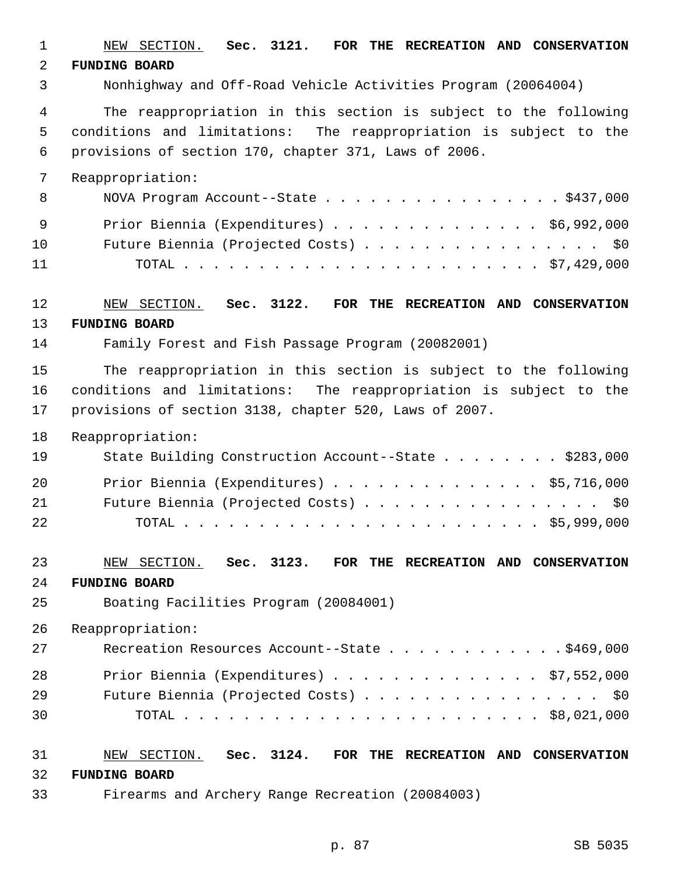1 NEW SECTION. **Sec. 3121. FOR THE RECREATION AND CONSERVATION** 2 **FUNDING BOARD** 3 Nonhighway and Off-Road Vehicle Activities Program (20064004) 4 The reappropriation in this section is subject to the following 5 conditions and limitations: The reappropriation is subject to the 6 provisions of section 170, chapter 371, Laws of 2006. 7 Reappropriation: 8 NOVA Program Account--State . . . . . . . . . . . . . . . \$437,000 9 Prior Biennia (Expenditures) . . . . . . . . . . . . . . \$6,992,000 10 Future Biennia (Projected Costs) . . . . . . . . . . . . . . . . \$0 11 TOTAL . . . . . . . . . . . . . . . . . . . . . . . . \$7,429,000 12 NEW SECTION. **Sec. 3122. FOR THE RECREATION AND CONSERVATION** 13 **FUNDING BOARD** 14 Family Forest and Fish Passage Program (20082001) 15 The reappropriation in this section is subject to the following 16 conditions and limitations: The reappropriation is subject to the 17 provisions of section 3138, chapter 520, Laws of 2007. 18 Reappropriation: 19 State Building Construction Account--State . . . . . . . . \$283,000 20 Prior Biennia (Expenditures) . . . . . . . . . . . . . . \$5,716,000 21 Future Biennia (Projected Costs) . . . . . . . . . . . . . . . . \$0 22 TOTAL . . . . . . . . . . . . . . . . . . . . . . . . \$5,999,000 23 NEW SECTION. **Sec. 3123. FOR THE RECREATION AND CONSERVATION** 24 **FUNDING BOARD** 25 Boating Facilities Program (20084001) 26 Reappropriation: 27 Recreation Resources Account--State . . . . . . . . . . . \$469,000 28 Prior Biennia (Expenditures) . . . . . . . . . . . . . . \$7,552,000 29 Future Biennia (Projected Costs) . . . . . . . . . . . . . . . . \$0 30 TOTAL . . . . . . . . . . . . . . . . . . . . . . . . \$8,021,000 31 NEW SECTION. **Sec. 3124. FOR THE RECREATION AND CONSERVATION** 32 **FUNDING BOARD** 33 Firearms and Archery Range Recreation (20084003)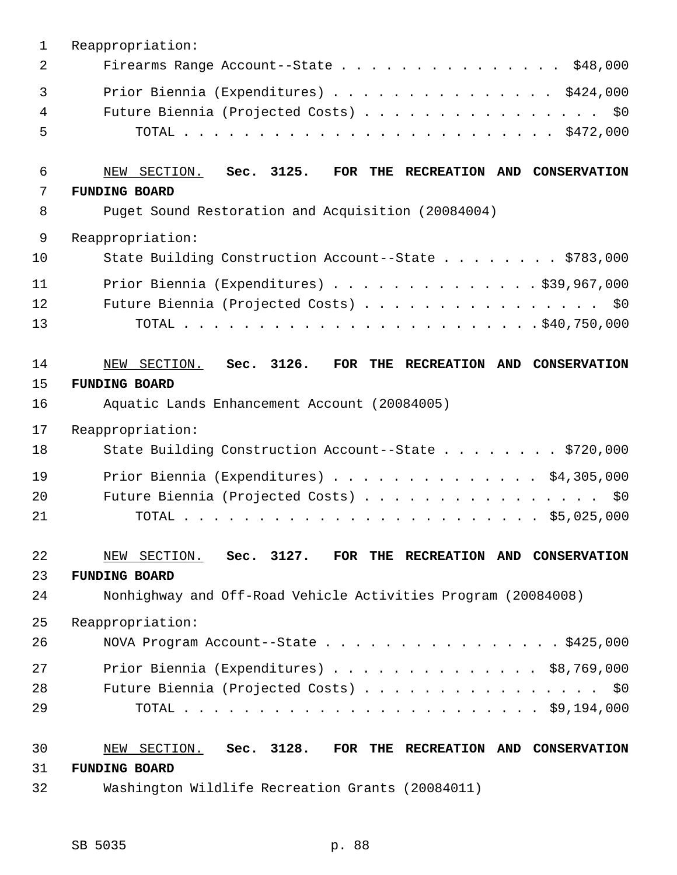| $\mathbf 1$ | Reappropriation:                                               |
|-------------|----------------------------------------------------------------|
| 2           | Firearms Range Account--State \$48,000                         |
| 3           | Prior Biennia (Expenditures) \$424,000                         |
| 4           | Future Biennia (Projected Costs) \$0                           |
| 5           |                                                                |
| 6           | NEW SECTION. Sec. 3125.<br>FOR THE RECREATION AND CONSERVATION |
| 7           | <b>FUNDING BOARD</b>                                           |
| 8           | Puget Sound Restoration and Acquisition (20084004)             |
| 9           | Reappropriation:                                               |
| 10          | State Building Construction Account--State \$783,000           |
| 11          | Prior Biennia (Expenditures) $\ldots$ 939,967,000              |
| 12          | Future Biennia (Projected Costs) \$0                           |
| 13          |                                                                |
| 14          | NEW SECTION. Sec. 3126.<br>FOR THE RECREATION AND CONSERVATION |
| 15          | <b>FUNDING BOARD</b>                                           |
| 16          | Aquatic Lands Enhancement Account (20084005)                   |
| 17          | Reappropriation:                                               |
| 18          | State Building Construction Account--State \$720,000           |
| 19          | Prior Biennia (Expenditures) $\ldots$ \$4,305,000              |
| 20          | Future Biennia (Projected Costs)<br>\$0                        |
| 21          |                                                                |
| 22          | NEW SECTION. Sec. 3127. FOR THE RECREATION AND CONSERVATION    |
| 23          | <b>FUNDING BOARD</b>                                           |
| 24          | Nonhighway and Off-Road Vehicle Activities Program (20084008)  |
| 25          | Reappropriation:                                               |
| 26          | NOVA Program Account--State $\ldots$ \$425,000                 |
| 27          | Prior Biennia (Expenditures) $\ldots$ \$8,769,000              |
| 28          | Future Biennia (Projected Costs)<br>\$0                        |
| 29          |                                                                |
| 30          | NEW SECTION. Sec. 3128. FOR THE RECREATION AND CONSERVATION    |
| 31          | <b>FUNDING BOARD</b>                                           |
| 32          | Washington Wildlife Recreation Grants (20084011)               |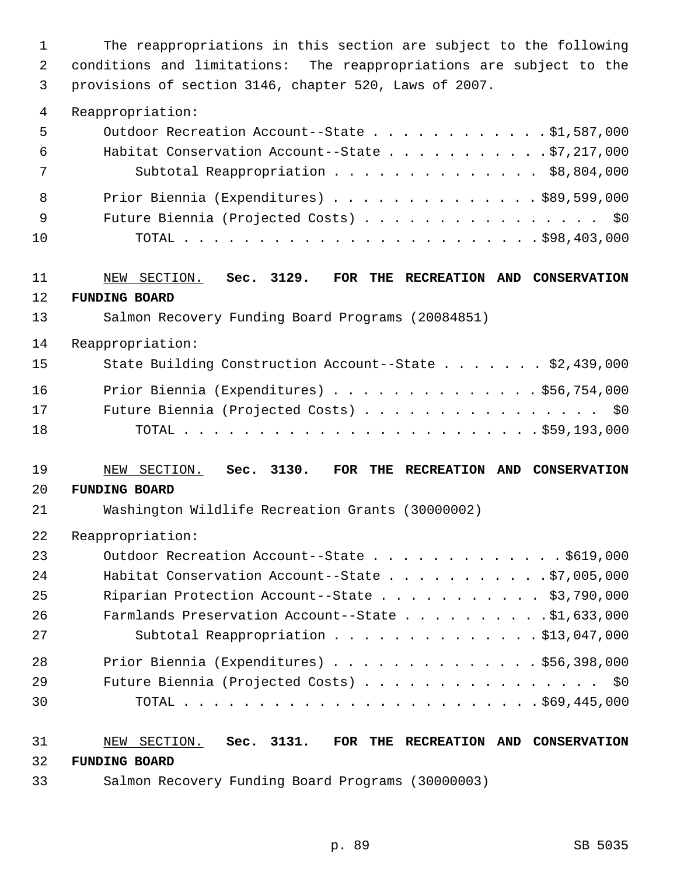1 The reappropriations in this section are subject to the following 2 conditions and limitations: The reappropriations are subject to the 3 provisions of section 3146, chapter 520, Laws of 2007.

#### 4 Reappropriation:

| 5   | Outdoor Recreation Account--State \$1,587,000           |
|-----|---------------------------------------------------------|
| - 6 | Habitat Conservation Account--State $\ldots$ 97,217,000 |
| 7   | Subtotal Reappropriation \$8,804,000                    |
| - 8 | Prior Biennia (Expenditures) \$89,599,000               |
| - 9 | Future Biennia (Projected Costs) \$0                    |
| 10  |                                                         |

## 11 NEW SECTION. **Sec. 3129. FOR THE RECREATION AND CONSERVATION** 12 **FUNDING BOARD**

#### 13 Salmon Recovery Funding Board Programs (20084851)

14 Reappropriation:

| 15 | State Building Construction Account--State \$2,439,000 |
|----|--------------------------------------------------------|
| 16 | Prior Biennia (Expenditures) \$56,754,000              |
| 17 | Future Biennia (Projected Costs) \$0                   |
| 18 |                                                        |

#### 19 NEW SECTION. **Sec. 3130. FOR THE RECREATION AND CONSERVATION**

#### 20 **FUNDING BOARD**

21 Washington Wildlife Recreation Grants (30000002)

22 Reappropriation:

| 23 | Outdoor Recreation Account--State \$619,000             |
|----|---------------------------------------------------------|
| 24 | Habitat Conservation Account--State $\ldots$ 97,005,000 |
| 25 | Riparian Protection Account--State \$3,790,000          |
| 26 | Farmlands Preservation Account--State \$1,633,000       |
| 27 | Subtotal Reappropriation \$13,047,000                   |
| 28 | Prior Biennia (Expenditures) \$56,398,000               |
| 29 | Future Biennia (Projected Costs) \$0                    |
| 30 |                                                         |

## 31 NEW SECTION. **Sec. 3131. FOR THE RECREATION AND CONSERVATION** 32 **FUNDING BOARD**

33 Salmon Recovery Funding Board Programs (30000003)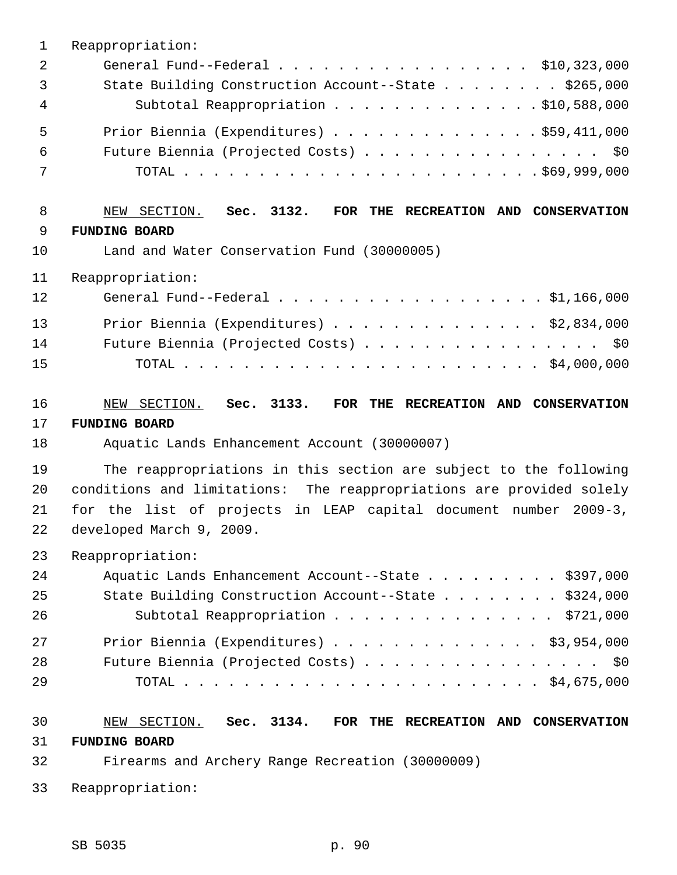| $\mathbf{1}$   | Reappropriation:                                                     |
|----------------|----------------------------------------------------------------------|
| $\overline{2}$ | General Fund--Federal $\ldots$ , \$10,323,000                        |
| 3              | State Building Construction Account--State \$265,000                 |
| 4              | Subtotal Reappropriation \$10,588,000                                |
| 5              | Prior Biennia (Expenditures) \$59,411,000                            |
| 6              | Future Biennia (Projected Costs) \$0                                 |
| 7              |                                                                      |
| 8              | NEW SECTION. Sec. 3132.<br>FOR THE RECREATION AND CONSERVATION       |
| 9              | <b>FUNDING BOARD</b>                                                 |
| 10             | Land and Water Conservation Fund (30000005)                          |
| 11             | Reappropriation:                                                     |
| 12             | General Fund--Federal \$1,166,000                                    |
| 13             | Prior Biennia (Expenditures) $\ldots$ \$2,834,000                    |
| 14             | Future Biennia (Projected Costs) \$0                                 |
| 15             |                                                                      |
| 16             | NEW SECTION. Sec. 3133.<br>FOR THE RECREATION AND CONSERVATION       |
| 17             | <b>FUNDING BOARD</b>                                                 |
| 18             | Aquatic Lands Enhancement Account (30000007)                         |
| 19             | The reappropriations in this section are subject to the following    |
| 20             | conditions and limitations: The reappropriations are provided solely |
| 21             | for the list of projects in LEAP capital document number 2009-3,     |
| 22             | developed March 9, 2009.                                             |
| 23             | Reappropriation:                                                     |
| 24             | Aquatic Lands Enhancement Account--State \$397,000                   |
| 25             | State Building Construction Account--State \$324,000                 |
| 26             | Subtotal Reappropriation \$721,000                                   |
| 27             | Prior Biennia (Expenditures) \$3,954,000                             |
| 28             | Future Biennia (Projected Costs) \$0                                 |
| 29             |                                                                      |
| 30             | NEW SECTION. Sec. 3134. FOR THE RECREATION AND CONSERVATION          |
| 31             | <b>FUNDING BOARD</b>                                                 |
|                |                                                                      |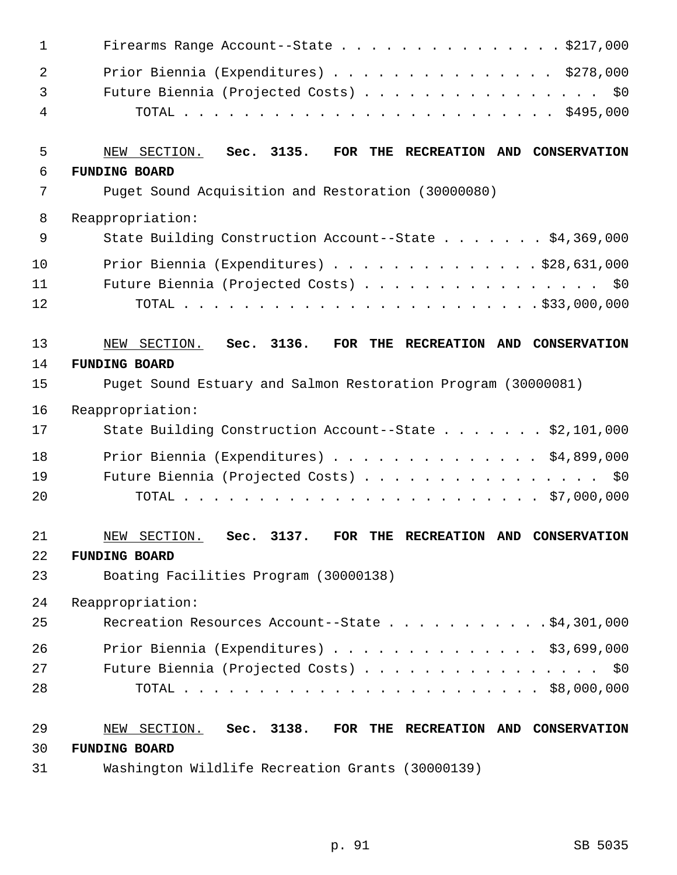| $\mathbf{1}$ | Firearms Range Account--State \$217,000                        |
|--------------|----------------------------------------------------------------|
| 2            | Prior Biennia (Expenditures) \$278,000                         |
| 3            | Future Biennia (Projected Costs) \$0                           |
| 4            |                                                                |
| 5            | NEW SECTION. Sec. 3135.<br>FOR THE RECREATION AND CONSERVATION |
| 6            | <b>FUNDING BOARD</b>                                           |
| 7            | Puget Sound Acquisition and Restoration (30000080)             |
| 8            | Reappropriation:                                               |
| 9            | State Building Construction Account--State \$4,369,000         |
| 10           | Prior Biennia (Expenditures) $\ldots$ \$28,631,000             |
| 11           | Future Biennia (Projected Costs) \$0                           |
| 12           |                                                                |
| 13           | NEW SECTION. Sec. 3136.<br>FOR THE RECREATION AND CONSERVATION |
| 14           | <b>FUNDING BOARD</b>                                           |
| 15           | Puget Sound Estuary and Salmon Restoration Program (30000081)  |
| 16           | Reappropriation:                                               |
| 17           | State Building Construction Account--State \$2,101,000         |
| 18           | Prior Biennia (Expenditures) $\ldots$ \$4,899,000              |
| 19           | Future Biennia (Projected Costs) \$0                           |
| 20           |                                                                |
| 21           | NEW SECTION. Sec. 3137. FOR THE RECREATION AND CONSERVATION    |
| 22           | <b>FUNDING BOARD</b>                                           |
| 23           | Boating Facilities Program (30000138)                          |
| 24           | Reappropriation:                                               |
| 25           | Recreation Resources Account--State \$4,301,000                |
| 26           | Prior Biennia (Expenditures) \$3,699,000                       |
| 27           | Future Biennia (Projected Costs) \$0                           |
| 28           |                                                                |
| 29           | NEW SECTION. Sec. 3138. FOR THE RECREATION AND CONSERVATION    |
| 30           | <b>FUNDING BOARD</b>                                           |
| 31           | Washington Wildlife Recreation Grants (30000139)               |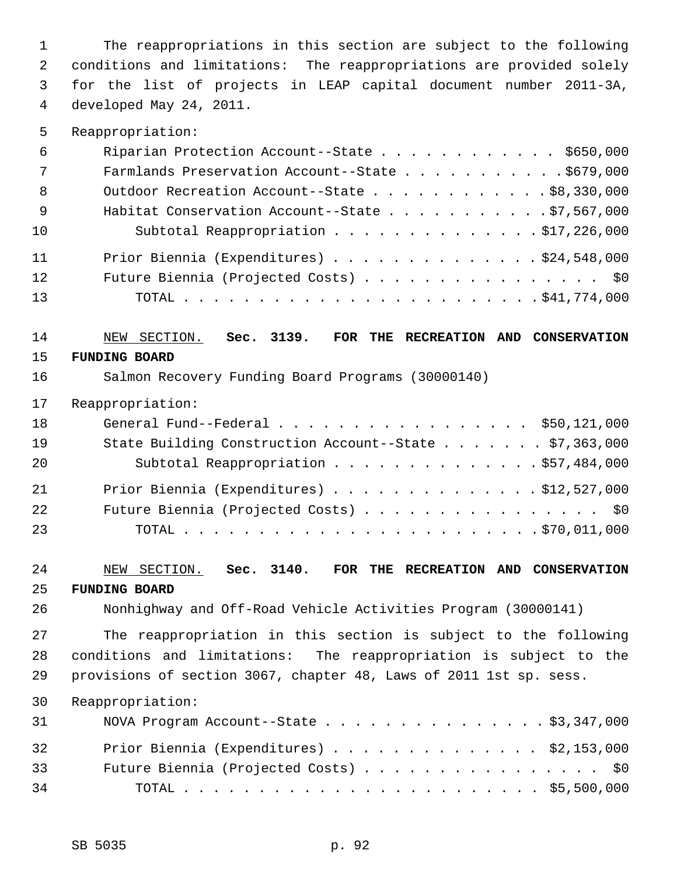1 The reappropriations in this section are subject to the following 2 conditions and limitations: The reappropriations are provided solely 3 for the list of projects in LEAP capital document number 2011-3A, 4 developed May 24, 2011.

5 Reappropriation:

| 6                            | Riparian Protection Account--State \$650,000            |
|------------------------------|---------------------------------------------------------|
| $7\phantom{.0}\phantom{.0}7$ | Farmlands Preservation Account--State \$679,000         |
| - 8                          | Outdoor Recreation Account--State \$8,330,000           |
| - 9                          | Habitat Conservation Account--State $\ldots$ 97,567,000 |
| 10                           | Subtotal Reappropriation \$17,226,000                   |
| 11                           | Prior Biennia (Expenditures) \$24,548,000               |
| 12                           | Future Biennia (Projected Costs) \$0                    |
| 13                           |                                                         |

# 14 NEW SECTION. **Sec. 3139. FOR THE RECREATION AND CONSERVATION**

- 15 **FUNDING BOARD**
- 16 Salmon Recovery Funding Board Programs (30000140)
- 17 Reappropriation:

| 18 | General Fund--Federal $\ldots$ , , , ,  \$50,121,000   |
|----|--------------------------------------------------------|
| 19 | State Building Construction Account--State \$7,363,000 |
| 20 | Subtotal Reappropriation \$57,484,000                  |
| 21 | Prior Biennia (Expenditures) $\ldots$ \$12,527,000     |
| 22 | Future Biennia (Projected Costs) \$0                   |
| 23 |                                                        |

## 24 NEW SECTION. **Sec. 3140. FOR THE RECREATION AND CONSERVATION** 25 **FUNDING BOARD**

26 Nonhighway and Off-Road Vehicle Activities Program (30000141)

27 The reappropriation in this section is subject to the following 28 conditions and limitations: The reappropriation is subject to the 29 provisions of section 3067, chapter 48, Laws of 2011 1st sp. sess.

| 31 | NOVA Program Account--State $\ldots$ \$3,347,000 |
|----|--------------------------------------------------|
| 32 | Prior Biennia (Expenditures) \$2,153,000         |
| 33 | Future Biennia (Projected Costs) \$0             |
| 34 |                                                  |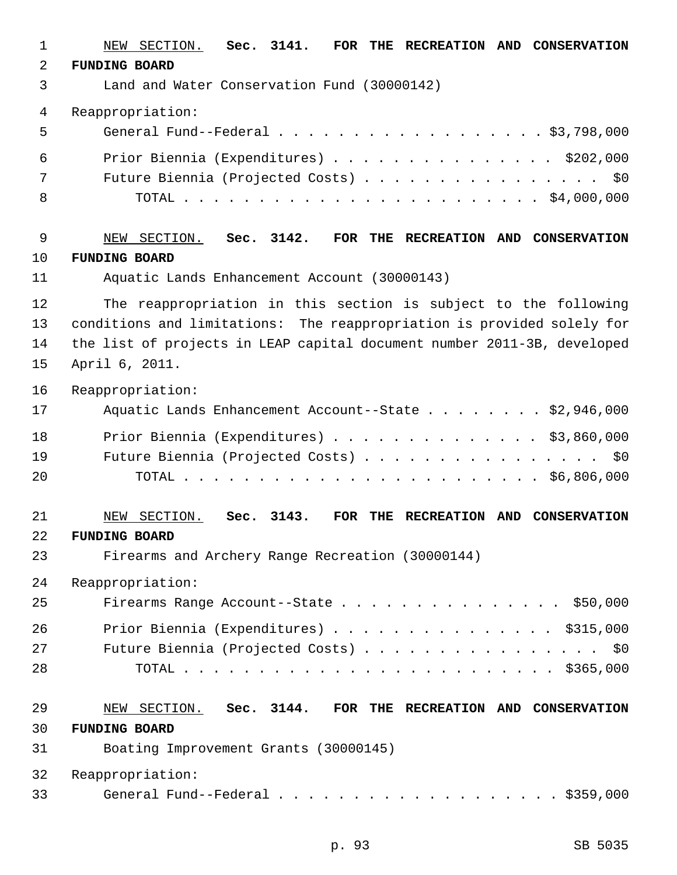| 1  | NEW SECTION.<br>Sec. 3141.<br>FOR THE RECREATION AND CONSERVATION       |
|----|-------------------------------------------------------------------------|
| 2  | <b>FUNDING BOARD</b>                                                    |
| 3  | Land and Water Conservation Fund (30000142)                             |
| 4  | Reappropriation:                                                        |
| 5  | General Fund--Federal \$3,798,000                                       |
| 6  | Prior Biennia (Expenditures) $\ldots$ \$202,000                         |
| 7  | Future Biennia (Projected Costs) \$0                                    |
| 8  |                                                                         |
| 9  | Sec. 3142.<br>NEW SECTION.<br>FOR THE RECREATION AND CONSERVATION       |
| 10 | <b>FUNDING BOARD</b>                                                    |
| 11 | Aquatic Lands Enhancement Account (30000143)                            |
| 12 | The reappropriation in this section is subject to the following         |
| 13 | conditions and limitations: The reappropriation is provided solely for  |
| 14 | the list of projects in LEAP capital document number 2011-3B, developed |
| 15 | April 6, 2011.                                                          |
| 16 | Reappropriation:                                                        |
| 17 | Aquatic Lands Enhancement Account--State $\ldots$ \$2,946,000           |
| 18 | Prior Biennia (Expenditures) $\ldots$ \$3,860,000                       |
| 19 | Future Biennia (Projected Costs) \$0                                    |
| 20 |                                                                         |
| 21 | SECTION.<br>3143.<br>FOR THE RECREATION AND CONSERVATION<br>Sec.<br>NEW |
| 22 | <b>FUNDING BOARD</b>                                                    |
| 23 | Firearms and Archery Range Recreation (30000144)                        |
| 24 | Reappropriation:                                                        |
| 25 | Firearms Range Account--State \$50,000                                  |
| 26 | Prior Biennia (Expenditures) $\ldots$ \$315,000                         |
| 27 | Future Biennia (Projected Costs) \$0                                    |
| 28 |                                                                         |
| 29 | NEW SECTION. Sec. 3144. FOR THE RECREATION AND CONSERVATION             |
| 30 | <b>FUNDING BOARD</b>                                                    |
| 31 | Boating Improvement Grants (30000145)                                   |
| 32 | Reappropriation:                                                        |
| 33 | General Fund--Federal $\ldots$ \$359,000                                |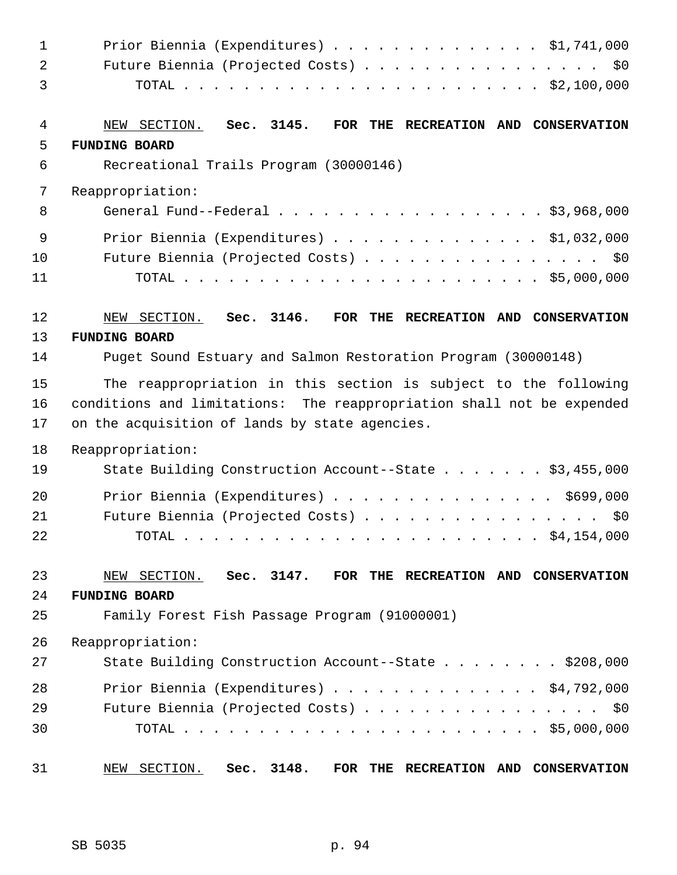| $\mathbf{1}$<br>$\overline{a}$<br>3 | Prior Biennia (Expenditures) \$1,741,000<br>Future Biennia (Projected Costs) \$0                                                                                                           |
|-------------------------------------|--------------------------------------------------------------------------------------------------------------------------------------------------------------------------------------------|
| 4<br>5<br>6                         | NEW SECTION.<br>Sec. 3145.<br>FOR THE RECREATION AND CONSERVATION<br><b>FUNDING BOARD</b><br>Recreational Trails Program (30000146)                                                        |
| 7<br>8                              | Reappropriation:<br>General Fund--Federal $\ldots$ \$3,968,000                                                                                                                             |
| 9<br>10<br>11                       | Prior Biennia (Expenditures) \$1,032,000<br>Future Biennia (Projected Costs) \$0                                                                                                           |
| 12                                  | Sec. 3146.<br>NEW SECTION.<br>FOR THE RECREATION AND CONSERVATION                                                                                                                          |
| 13                                  | <b>FUNDING BOARD</b>                                                                                                                                                                       |
| 14                                  | Puget Sound Estuary and Salmon Restoration Program (30000148)                                                                                                                              |
| 15<br>16<br>17                      | The reappropriation in this section is subject to the following<br>conditions and limitations: The reappropriation shall not be expended<br>on the acquisition of lands by state agencies. |
| 18<br>19                            | Reappropriation:<br>State Building Construction Account--State \$3,455,000                                                                                                                 |
| 20<br>21<br>22                      | Prior Biennia (Expenditures) \$699,000<br>Future Biennia (Projected Costs)<br>\$0                                                                                                          |
| 23<br>24<br>25                      | NEW SECTION. Sec. 3147.<br>FOR THE RECREATION AND CONSERVATION<br><b>FUNDING BOARD</b><br>Family Forest Fish Passage Program (91000001)                                                    |
| 26                                  | Reappropriation:                                                                                                                                                                           |
| 27                                  | State Building Construction Account--State \$208,000                                                                                                                                       |
| 28<br>29<br>30                      | Prior Biennia (Expenditures) $\ldots$ \$4,792,000<br>Future Biennia (Projected Costs) \$0                                                                                                  |
| 31                                  | NEW SECTION.<br>Sec. 3148.<br>FOR<br>THE RECREATION AND CONSERVATION                                                                                                                       |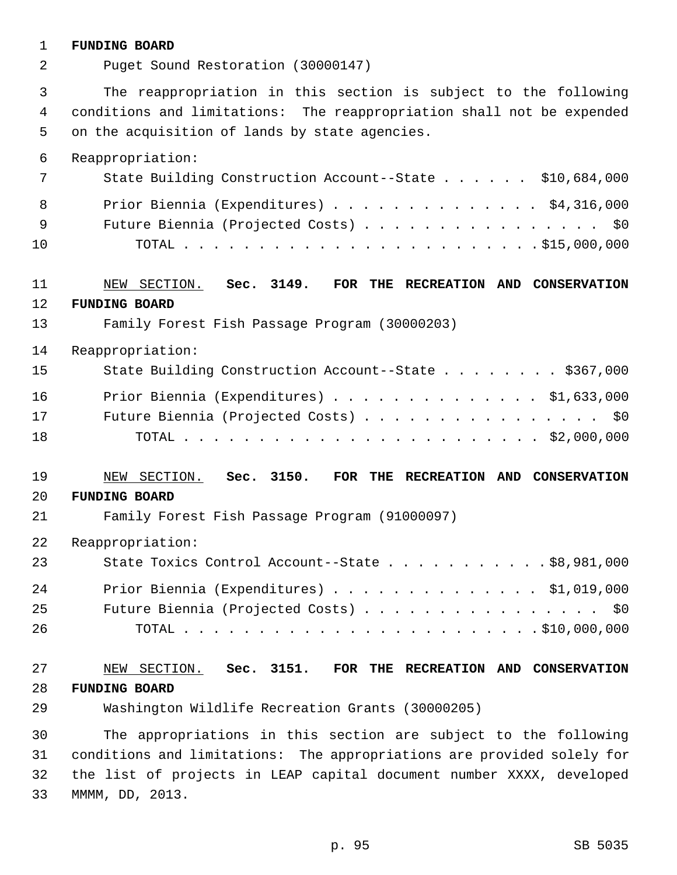### 1 **FUNDING BOARD**

| 2           | Puget Sound Restoration (30000147)                                                                                                                                                         |
|-------------|--------------------------------------------------------------------------------------------------------------------------------------------------------------------------------------------|
| 3<br>4<br>5 | The reappropriation in this section is subject to the following<br>conditions and limitations: The reappropriation shall not be expended<br>on the acquisition of lands by state agencies. |
| 6           | Reappropriation:                                                                                                                                                                           |
| 7           | State Building Construction Account--State \$10,684,000                                                                                                                                    |
| 8           | Prior Biennia (Expenditures) \$4,316,000                                                                                                                                                   |
| 9           | Future Biennia (Projected Costs) \$0                                                                                                                                                       |
| 10          |                                                                                                                                                                                            |
| 11          | Sec. 3149. FOR THE RECREATION AND CONSERVATION<br>NEW SECTION.                                                                                                                             |
| 12          | <b>FUNDING BOARD</b>                                                                                                                                                                       |
| 13          | Family Forest Fish Passage Program (30000203)                                                                                                                                              |
| 14          | Reappropriation:                                                                                                                                                                           |
| 15          | State Building Construction Account--State \$367,000                                                                                                                                       |
| 16          | Prior Biennia (Expenditures) \$1,633,000                                                                                                                                                   |
| 17          | Future Biennia (Projected Costs) \$0                                                                                                                                                       |
| 18          |                                                                                                                                                                                            |
| 19          | NEW SECTION. Sec. 3150.<br>FOR THE RECREATION AND CONSERVATION                                                                                                                             |
| 20          | <b>FUNDING BOARD</b>                                                                                                                                                                       |
| 21          | Family Forest Fish Passage Program (91000097)                                                                                                                                              |
| 22          | Reappropriation:                                                                                                                                                                           |
| 23          | State Toxics Control Account--State \$8,981,000                                                                                                                                            |
| 24          | Prior Biennia (Expenditures) $\ldots$ \$1,019,000                                                                                                                                          |
| 25          | Future Biennia (Projected Costs) \$0                                                                                                                                                       |
| 26          |                                                                                                                                                                                            |
| 27          | NEW SECTION. Sec. 3151. FOR THE RECREATION AND CONSERVATION                                                                                                                                |
| 28          | <b>FUNDING BOARD</b>                                                                                                                                                                       |
| 29          | Washington Wildlife Recreation Grants (30000205)                                                                                                                                           |
| 30          | The appropriations in this section are subject to the following                                                                                                                            |
| 31          | conditions and limitations: The appropriations are provided solely for                                                                                                                     |
| 32          | the list of projects in LEAP capital document number XXXX, developed                                                                                                                       |
| 33          | MMMM, DD, 2013.                                                                                                                                                                            |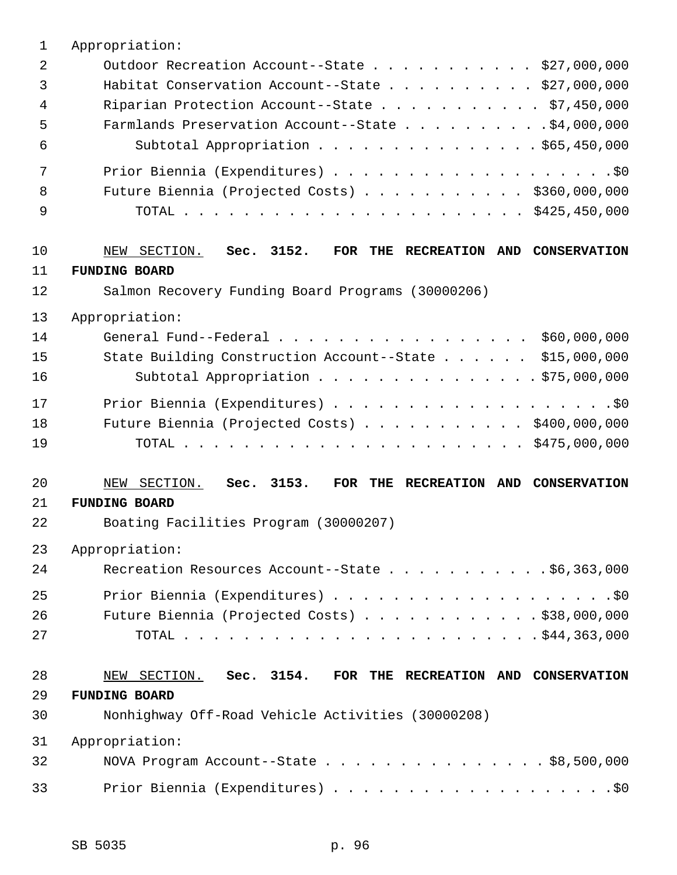| $\mathbf 1$    | Appropriation:                                                    |
|----------------|-------------------------------------------------------------------|
| $\overline{2}$ | Outdoor Recreation Account--State \$27,000,000                    |
| 3              | Habitat Conservation Account--State \$27,000,000                  |
| 4              | Riparian Protection Account--State \$7,450,000                    |
| 5              | Farmlands Preservation Account--State \$4,000,000                 |
| 6              | Subtotal Appropriation \$65,450,000                               |
| 7              |                                                                   |
| 8              | Future Biennia (Projected Costs) $\ldots$ \$360,000,000           |
| 9              |                                                                   |
| 10             | NEW SECTION.<br>Sec. 3152.<br>FOR THE RECREATION AND CONSERVATION |
| 11             | <b>FUNDING BOARD</b>                                              |
| 12             | Salmon Recovery Funding Board Programs (30000206)                 |
| 13             | Appropriation:                                                    |
| 14             | General Fund--Federal $\ldots$ , \$60,000,000                     |
| 15             | State Building Construction Account--State \$15,000,000           |
| 16             | Subtotal Appropriation $\ldots$ \$75,000,000                      |
| 17             |                                                                   |
| 18             | Future Biennia (Projected Costs) \$400,000,000                    |
| 19             |                                                                   |
| 20             | Sec. 3153.<br>NEW SECTION.<br>FOR THE RECREATION AND CONSERVATION |
| 21             | <b>FUNDING BOARD</b>                                              |
| 22             | Boating Facilities Program (30000207)                             |
| 23             | Appropriation:                                                    |
| 24             | Recreation Resources Account--State \$6,363,000                   |
| 25             |                                                                   |
| 26             | Future Biennia (Projected Costs) \$38,000,000                     |
| 27             |                                                                   |
| 28             | NEW SECTION. Sec. 3154. FOR THE RECREATION AND CONSERVATION       |
| 29             | <b>FUNDING BOARD</b>                                              |
| 30             | Nonhighway Off-Road Vehicle Activities (30000208)                 |
| 31             | Appropriation:                                                    |
| 32             | NOVA Program Account--State \$8,500,000                           |
| 33             |                                                                   |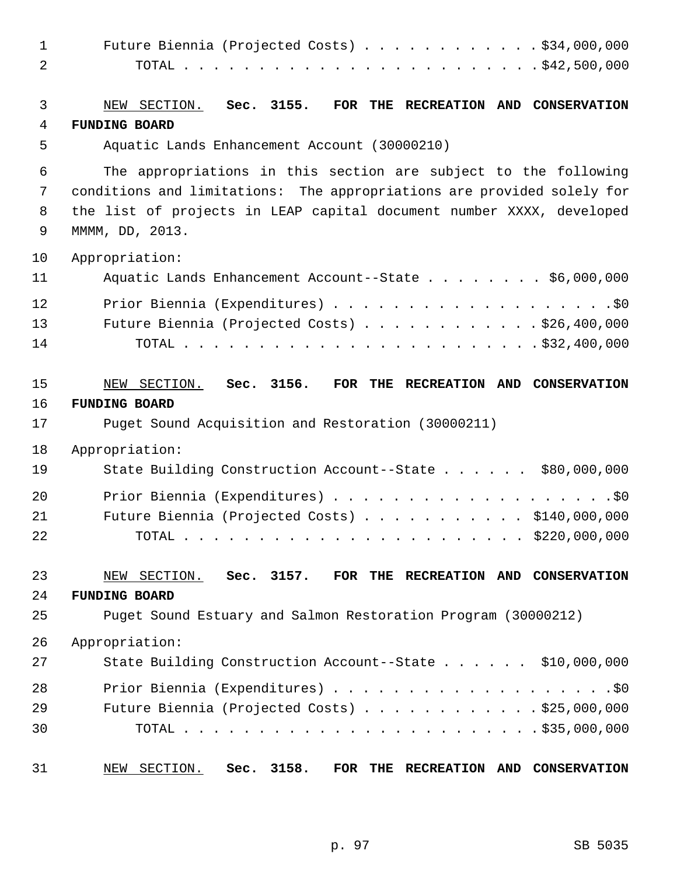| 1              | Future Biennia (Projected Costs) \$34,000,000                                         |
|----------------|---------------------------------------------------------------------------------------|
| $\overline{2}$ |                                                                                       |
|                |                                                                                       |
| 3              | NEW SECTION.<br>Sec. 3155.<br>FOR THE RECREATION AND CONSERVATION                     |
| 4              | <b>FUNDING BOARD</b>                                                                  |
| 5              | Aquatic Lands Enhancement Account (30000210)                                          |
| 6              | The appropriations in this section are subject to the following                       |
| 7              | conditions and limitations: The appropriations are provided solely for                |
| 8              | the list of projects in LEAP capital document number XXXX, developed                  |
| 9              | MMMM, DD, 2013.                                                                       |
| 10             | Appropriation:                                                                        |
| 11             | Aquatic Lands Enhancement Account--State \$6,000,000                                  |
| 12             |                                                                                       |
| 13             | Future Biennia (Projected Costs) $\ldots$ \$26,400,000                                |
| 14             |                                                                                       |
|                |                                                                                       |
| 15             | NEW SECTION.<br>Sec. 3156.<br>FOR THE RECREATION AND CONSERVATION                     |
| 16             | <b>FUNDING BOARD</b>                                                                  |
| 17             | Puget Sound Acquisition and Restoration (30000211)                                    |
| 18             | Appropriation:                                                                        |
| 19             | State Building Construction Account--State \$80,000,000                               |
| 20             |                                                                                       |
| 21             | Future Biennia (Projected Costs) \$140,000,000                                        |
| 22             |                                                                                       |
|                |                                                                                       |
| 23             | NEW SECTION. Sec. 3157.<br>FOR THE RECREATION AND CONSERVATION                        |
| 24<br>25       | <b>FUNDING BOARD</b><br>Puget Sound Estuary and Salmon Restoration Program (30000212) |
|                |                                                                                       |
| 26             | Appropriation:                                                                        |
| 27             | State Building Construction Account--State \$10,000,000                               |
| 28             |                                                                                       |
| 29             | Future Biennia (Projected Costs) \$25,000,000                                         |
| 30             |                                                                                       |
| 31             | NEW SECTION.<br>Sec. 3158.<br>FOR<br>THE RECREATION AND CONSERVATION                  |
|                |                                                                                       |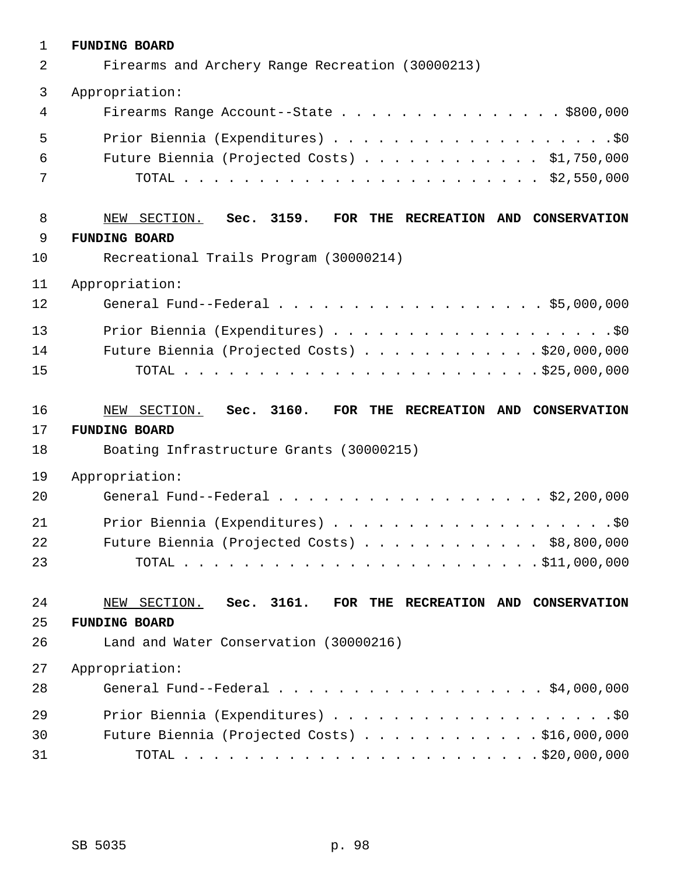| $\mathbf{1}$ | <b>FUNDING BOARD</b>                                           |
|--------------|----------------------------------------------------------------|
| 2            | Firearms and Archery Range Recreation (30000213)               |
| 3            | Appropriation:                                                 |
| 4            | Firearms Range Account--State \$800,000                        |
| 5            |                                                                |
| 6            | Future Biennia (Projected Costs) $\ldots$ \$1,750,000          |
| 7            |                                                                |
| 8            | NEW SECTION. Sec. 3159.<br>FOR THE RECREATION AND CONSERVATION |
| 9            | <b>FUNDING BOARD</b>                                           |
| 10           | Recreational Trails Program (30000214)                         |
| 11           | Appropriation:                                                 |
| 12           | General Fund--Federal \$5,000,000                              |
| 13           |                                                                |
| 14           | Future Biennia (Projected Costs) \$20,000,000                  |
| 15           |                                                                |
|              |                                                                |
| 16           | NEW SECTION. Sec. 3160.<br>FOR THE RECREATION AND CONSERVATION |
| 17           | <b>FUNDING BOARD</b>                                           |
| 18           | Boating Infrastructure Grants (30000215)                       |
| 19           | Appropriation:                                                 |
| 20           | General Fund--Federal \$2,200,000                              |
| 21           |                                                                |
| 22           | Future Biennia (Projected Costs) \$8,800,000                   |
| 23           |                                                                |
| 24           | NEW SECTION. Sec. 3161.<br>FOR THE RECREATION AND CONSERVATION |
| 25           | <b>FUNDING BOARD</b>                                           |
| 26           | Land and Water Conservation (30000216)                         |
| 27           | Appropriation:                                                 |
| 28           | General Fund--Federal \$4,000,000                              |
| 29           |                                                                |
| 30           | Future Biennia (Projected Costs) \$16,000,000                  |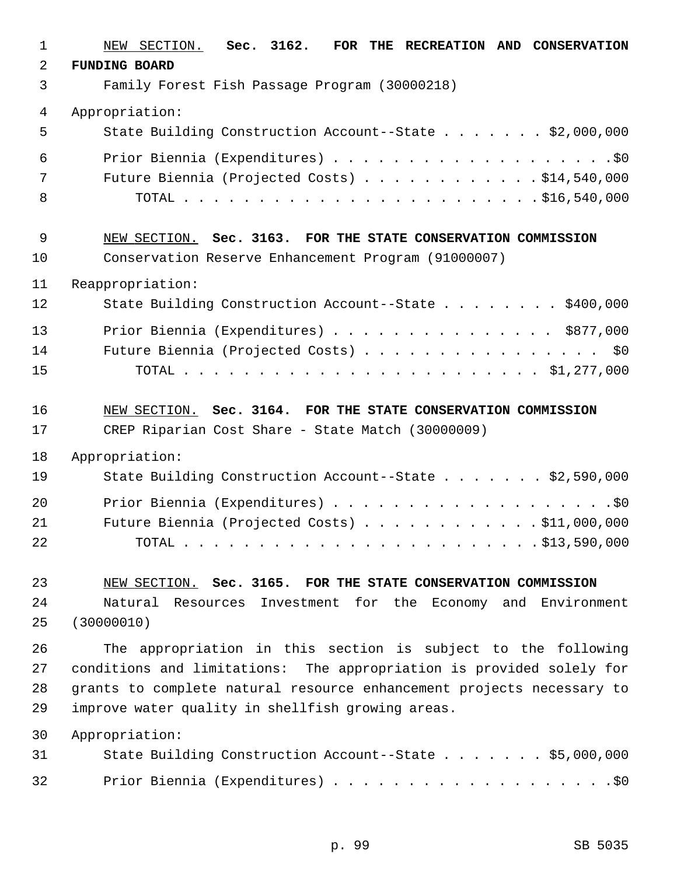| $\mathbf{1}$ | NEW SECTION. Sec. 3162.<br>FOR THE RECREATION AND CONSERVATION        |
|--------------|-----------------------------------------------------------------------|
| 2            | <b>FUNDING BOARD</b>                                                  |
| 3            | Family Forest Fish Passage Program (30000218)                         |
| 4            | Appropriation:                                                        |
| 5            | State Building Construction Account--State \$2,000,000                |
| 6            |                                                                       |
| 7            | Future Biennia (Projected Costs) \$14,540,000                         |
| 8            |                                                                       |
| 9            | NEW SECTION. Sec. 3163. FOR THE STATE CONSERVATION COMMISSION         |
| 10           | Conservation Reserve Enhancement Program (91000007)                   |
| 11           | Reappropriation:                                                      |
| 12           | State Building Construction Account--State \$400,000                  |
| 13           | Prior Biennia (Expenditures) \$877,000                                |
| 14           | Future Biennia (Projected Costs) \$0                                  |
| 15           |                                                                       |
| 16           | NEW SECTION. Sec. 3164. FOR THE STATE CONSERVATION COMMISSION         |
| 17           | CREP Riparian Cost Share - State Match (30000009)                     |
| 18           | Appropriation:                                                        |
| 19           | State Building Construction Account--State \$2,590,000                |
| 20           |                                                                       |
| 21           | Future Biennia (Projected Costs) $\ldots$ \$11,000,000                |
| 22           |                                                                       |
| 23           | NEW SECTION. Sec. 3165. FOR THE STATE CONSERVATION COMMISSION         |
| 24           | Natural Resources Investment for the Economy and Environment          |
| 25           | (30000010)                                                            |
| 26           | The appropriation in this section is subject to the following         |
| 27           | conditions and limitations: The appropriation is provided solely for  |
| 28           | grants to complete natural resource enhancement projects necessary to |
| 29           | improve water quality in shellfish growing areas.                     |
| 30           | Appropriation:                                                        |
| 31           | State Building Construction Account--State \$5,000,000                |
| 32           |                                                                       |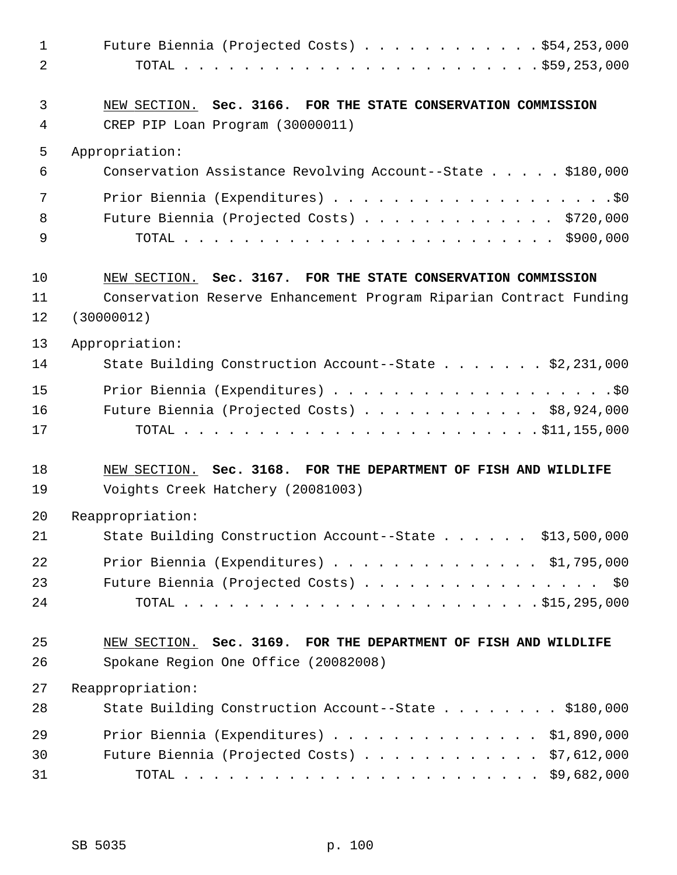| $\mathbf 1$    | Future Biennia (Projected Costs) \$54,253,000                      |
|----------------|--------------------------------------------------------------------|
| $\overline{2}$ |                                                                    |
| 3              | NEW SECTION. Sec. 3166. FOR THE STATE CONSERVATION COMMISSION      |
| 4              | CREP PIP Loan Program (30000011)                                   |
| 5              | Appropriation:                                                     |
| 6              | Conservation Assistance Revolving Account--State \$180,000         |
| 7              |                                                                    |
| 8              | Future Biennia (Projected Costs) \$720,000                         |
| 9              |                                                                    |
| 10             | NEW SECTION. Sec. 3167. FOR THE STATE CONSERVATION COMMISSION      |
| 11             | Conservation Reserve Enhancement Program Riparian Contract Funding |
| 12             | (30000012)                                                         |
| 13             | Appropriation:                                                     |
| 14             | State Building Construction Account--State \$2,231,000             |
| 15             |                                                                    |
| 16             | Future Biennia (Projected Costs) \$8,924,000                       |
| 17             |                                                                    |
| 18             | NEW SECTION. Sec. 3168. FOR THE DEPARTMENT OF FISH AND WILDLIFE    |
| 19             | Voights Creek Hatchery (20081003)                                  |
| 20             | Reappropriation:                                                   |
| 21             | State Building Construction Account--State \$13,500,000            |
| 22             | Prior Biennia (Expenditures) $\ldots$ \$1,795,000                  |
| 23             | Future Biennia (Projected Costs) \$0                               |
| 24             |                                                                    |
| 25             | NEW SECTION. Sec. 3169. FOR THE DEPARTMENT OF FISH AND WILDLIFE    |
| 26             | Spokane Region One Office (20082008)                               |
| 27             | Reappropriation:                                                   |
| 28             | State Building Construction Account--State \$180,000               |
| 29             | Prior Biennia (Expenditures) \$1,890,000                           |
| 30             | Future Biennia (Projected Costs) $\ldots$ \$7,612,000              |
| 31             |                                                                    |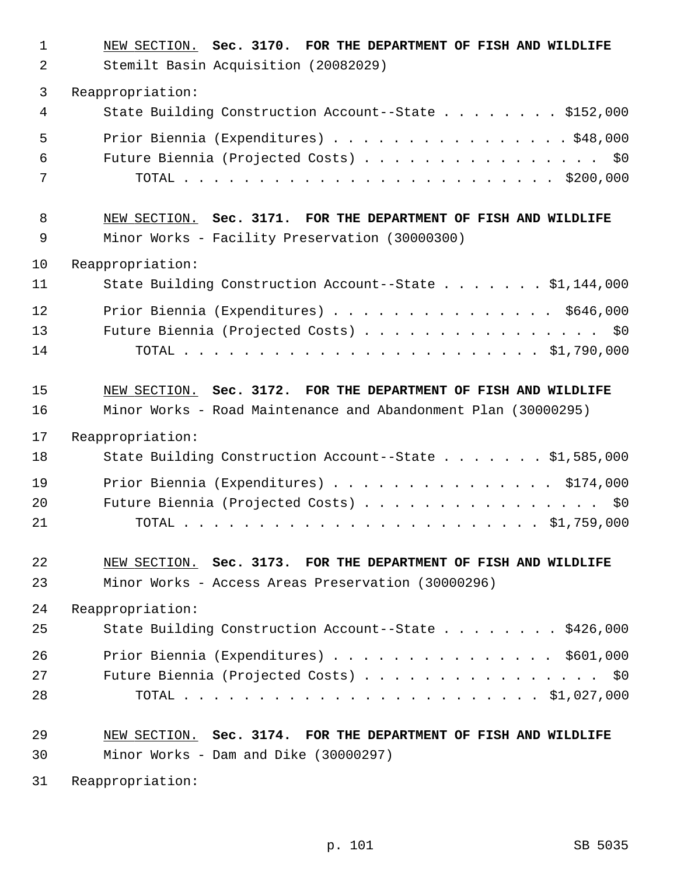| $\mathbf 1$ | NEW SECTION. Sec. 3170. FOR THE DEPARTMENT OF FISH AND WILDLIFE |
|-------------|-----------------------------------------------------------------|
| 2           | Stemilt Basin Acquisition (20082029)                            |
| 3           | Reappropriation:                                                |
| 4           | State Building Construction Account--State \$152,000            |
| 5           | Prior Biennia (Expenditures) \$48,000                           |
| 6           | Future Biennia (Projected Costs) \$0                            |
| 7           |                                                                 |
| 8           | NEW SECTION. Sec. 3171. FOR THE DEPARTMENT OF FISH AND WILDLIFE |
| 9           | Minor Works - Facility Preservation (30000300)                  |
| 10          | Reappropriation:                                                |
| 11          | State Building Construction Account--State \$1,144,000          |
| 12          | Prior Biennia (Expenditures) $\ldots$ \$646,000                 |
| 13          | Future Biennia (Projected Costs) \$0                            |
| 14          |                                                                 |
| 15          | NEW SECTION. Sec. 3172. FOR THE DEPARTMENT OF FISH AND WILDLIFE |
| 16          | Minor Works - Road Maintenance and Abandonment Plan (30000295)  |
| 17          | Reappropriation:                                                |
| 18          | State Building Construction Account--State \$1,585,000          |
| 19          | Prior Biennia (Expenditures) \$174,000                          |
| 20          | Future Biennia (Projected Costs) \$0                            |
| 21          |                                                                 |
| 22          | NEW SECTION. Sec. 3173. FOR THE DEPARTMENT OF FISH AND WILDLIFE |
| 23          | Minor Works - Access Areas Preservation (30000296)              |
| 24          | Reappropriation:                                                |
| 25          | State Building Construction Account--State \$426,000            |
| 26          | Prior Biennia (Expenditures) \$601,000                          |
| 27          | Future Biennia (Projected Costs) $\cdots$ \$0                   |
| 28          |                                                                 |
| 29          | NEW SECTION. Sec. 3174. FOR THE DEPARTMENT OF FISH AND WILDLIFE |
| 30          | Minor Works - Dam and Dike (30000297)                           |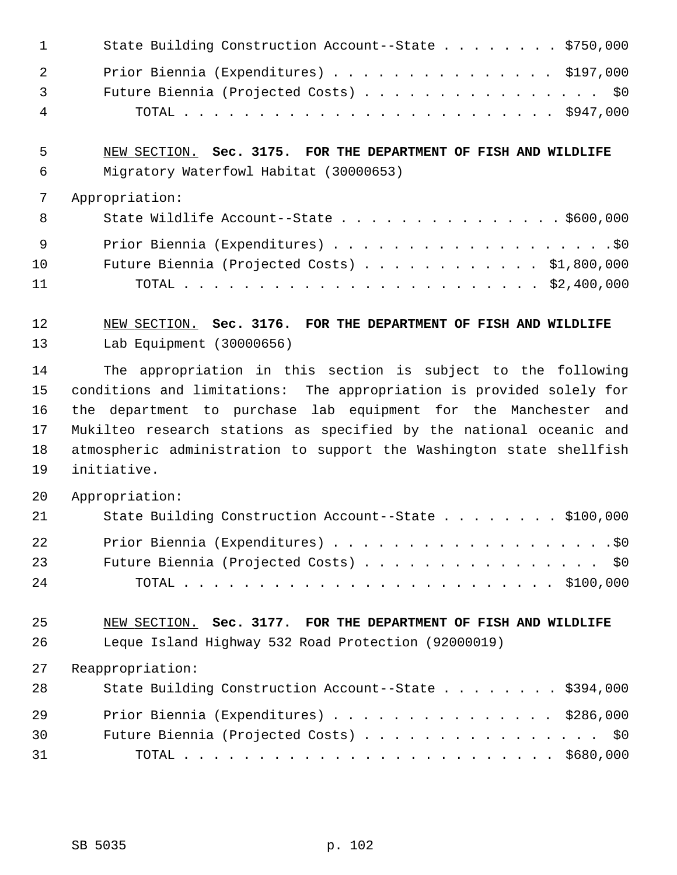|                                 | State Building Construction Account--State \$750,000                                                      |
|---------------------------------|-----------------------------------------------------------------------------------------------------------|
| $\mathcal{L}$<br>$\overline{3}$ | Prior Biennia (Expenditures) \$197,000<br>Future Biennia (Projected Costs) \$0                            |
| 4                               |                                                                                                           |
| 5<br>6                          | NEW SECTION. Sec. 3175. FOR THE DEPARTMENT OF FISH AND WILDLIFE<br>Migratory Waterfowl Habitat (30000653) |
|                                 | Appropriation:                                                                                            |

| - 8 | State Wildlife Account--State $\ldots$ \$600,000 |
|-----|--------------------------------------------------|
| - 9 |                                                  |
| 10  | Future Biennia (Projected Costs) \$1,800,000     |
| 11  |                                                  |

12 NEW SECTION. **Sec. 3176. FOR THE DEPARTMENT OF FISH AND WILDLIFE** 13 Lab Equipment (30000656)

14 The appropriation in this section is subject to the following 15 conditions and limitations: The appropriation is provided solely for 16 the department to purchase lab equipment for the Manchester and 17 Mukilteo research stations as specified by the national oceanic and 18 atmospheric administration to support the Washington state shellfish 19 initiative.

20 Appropriation:

| 21 | State Building Construction Account--State \$100,000 |
|----|------------------------------------------------------|
| 22 |                                                      |
| 23 | Future Biennia (Projected Costs) \$0                 |
| 24 |                                                      |

25 NEW SECTION. **Sec. 3177. FOR THE DEPARTMENT OF FISH AND WILDLIFE** 26 Leque Island Highway 532 Road Protection (92000019)

| 28 | State Building Construction Account--State \$394,000 |
|----|------------------------------------------------------|
| 29 | Prior Biennia (Expenditures) \$286,000               |
| 30 | Future Biennia (Projected Costs) \$0                 |
| 31 |                                                      |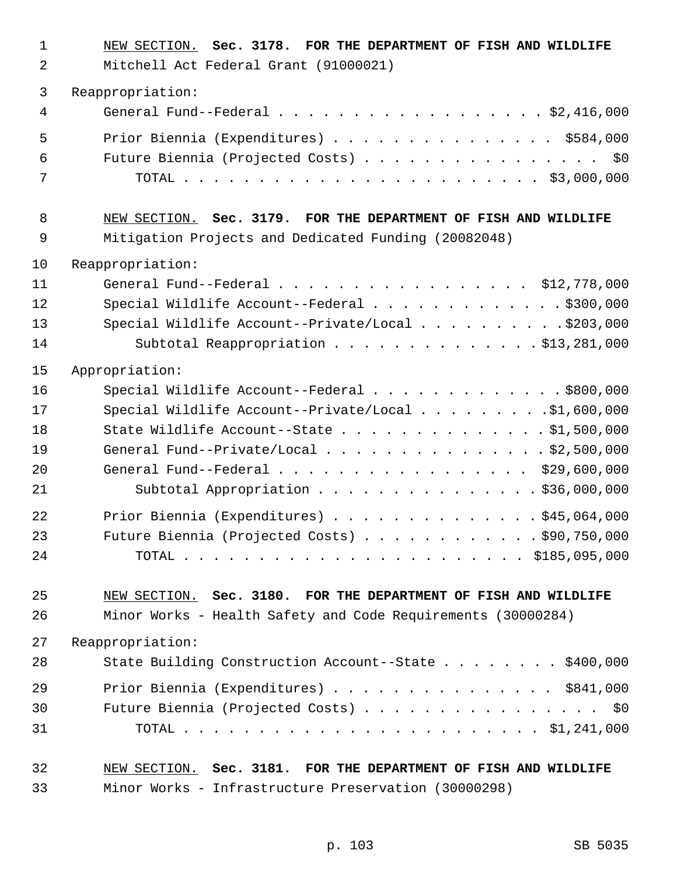| $\mathbf 1$<br>2 | NEW SECTION. Sec. 3178. FOR THE DEPARTMENT OF FISH AND WILDLIFE<br>Mitchell Act Federal Grant (91000021) |
|------------------|----------------------------------------------------------------------------------------------------------|
| 3                | Reappropriation:                                                                                         |
| 4                | General Fund--Federal \$2,416,000                                                                        |
| 5                | Prior Biennia (Expenditures) \$584,000                                                                   |
| 6                | Future Biennia (Projected Costs) \$0                                                                     |
| 7                |                                                                                                          |
| 8                | NEW SECTION. Sec. 3179. FOR THE DEPARTMENT OF FISH AND WILDLIFE                                          |
| 9                | Mitigation Projects and Dedicated Funding (20082048)                                                     |
| 10               | Reappropriation:                                                                                         |
| 11               | General Fund--Federal $\ldots$ , \$12,778,000                                                            |
| 12               | Special Wildlife Account--Federal \$300,000                                                              |
| 13               | Special Wildlife Account--Private/Local \$203,000                                                        |
| 14               | Subtotal Reappropriation \$13,281,000                                                                    |
| 15               | Appropriation:                                                                                           |
| 16               | Special Wildlife Account--Federal $\ldots$ \$800,000                                                     |
| 17               | Special Wildlife Account--Private/Local \$1,600,000                                                      |
| 18               | State Wildlife Account--State \$1,500,000                                                                |
| 19               | General Fund--Private/Local \$2,500,000                                                                  |
| 20               | General Fund--Federal \$29,600,000                                                                       |
| 21               | Subtotal Appropriation \$36,000,000                                                                      |
| 22               | Prior Biennia (Expenditures) \$45,064,000                                                                |
| 23               | Future Biennia (Projected Costs) $\ldots$ \$90,750,000                                                   |
| 24               |                                                                                                          |
| 25               | NEW SECTION. Sec. 3180. FOR THE DEPARTMENT OF FISH AND WILDLIFE                                          |
| 26               | Minor Works - Health Safety and Code Requirements (30000284)                                             |
| 27               | Reappropriation:                                                                                         |
| 28               | State Building Construction Account--State \$400,000                                                     |
| 29               | Prior Biennia (Expenditures) \$841,000                                                                   |
| 30               | Future Biennia (Projected Costs) \$0                                                                     |
| 31               |                                                                                                          |
| 32               | NEW SECTION. Sec. 3181. FOR THE DEPARTMENT OF FISH AND WILDLIFE                                          |

33 Minor Works - Infrastructure Preservation (30000298)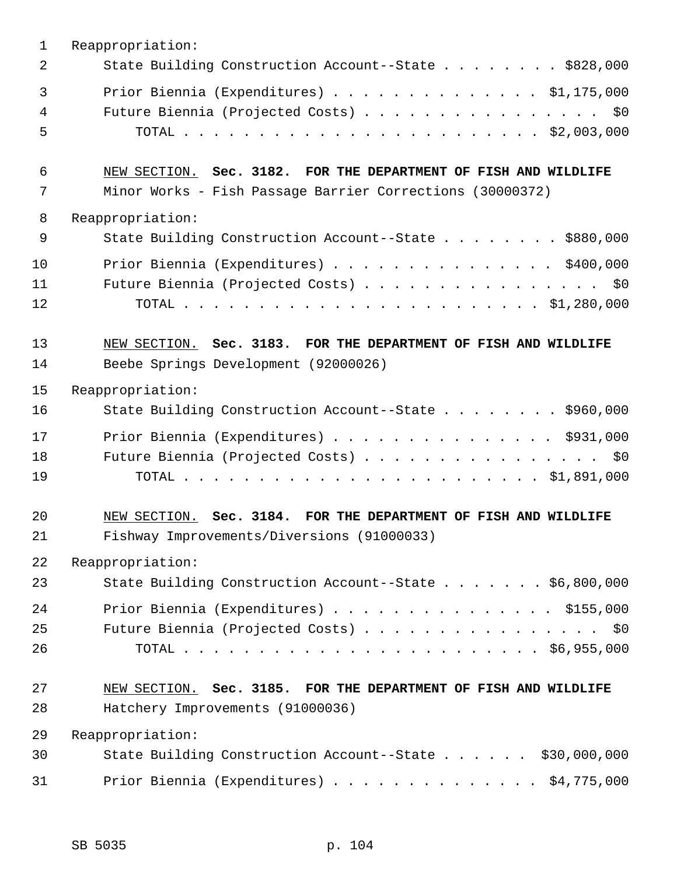| $\mathbf{1}$ | Reappropriation:                                                |
|--------------|-----------------------------------------------------------------|
| 2            | State Building Construction Account--State \$828,000            |
| 3            | Prior Biennia (Expenditures) $\ldots$ \$1,175,000               |
| 4            | Future Biennia (Projected Costs) \$0                            |
| 5            |                                                                 |
| 6            | NEW SECTION. Sec. 3182. FOR THE DEPARTMENT OF FISH AND WILDLIFE |
| 7            | Minor Works - Fish Passage Barrier Corrections (30000372)       |
| 8            | Reappropriation:                                                |
| 9            | State Building Construction Account--State \$880,000            |
| 10           | Prior Biennia (Expenditures) \$400,000                          |
| 11           | Future Biennia (Projected Costs) \$0                            |
| 12           |                                                                 |
| 13           | NEW SECTION. Sec. 3183. FOR THE DEPARTMENT OF FISH AND WILDLIFE |
| 14           | Beebe Springs Development (92000026)                            |
| 15           | Reappropriation:                                                |
| 16           | State Building Construction Account--State \$960,000            |
| 17           | Prior Biennia (Expenditures) \$931,000                          |
| 18           | Future Biennia (Projected Costs) \$0                            |
| 19           |                                                                 |
| 20           | NEW SECTION. Sec. 3184. FOR THE DEPARTMENT OF FISH AND WILDLIFE |
| 21           | Fishway Improvements/Diversions (91000033)                      |
| 22           | Reappropriation:                                                |
| 23           | State Building Construction Account--State \$6,800,000          |
| 24           | Prior Biennia (Expenditures) \$155,000                          |
| 25           | Future Biennia (Projected Costs) \$0                            |
| 26           |                                                                 |
| 27           | NEW SECTION. Sec. 3185. FOR THE DEPARTMENT OF FISH AND WILDLIFE |
| 28           | Hatchery Improvements (91000036)                                |
| 29           | Reappropriation:                                                |
| 30           | State Building Construction Account--State \$30,000,000         |
| 31           | Prior Biennia (Expenditures) \$4,775,000                        |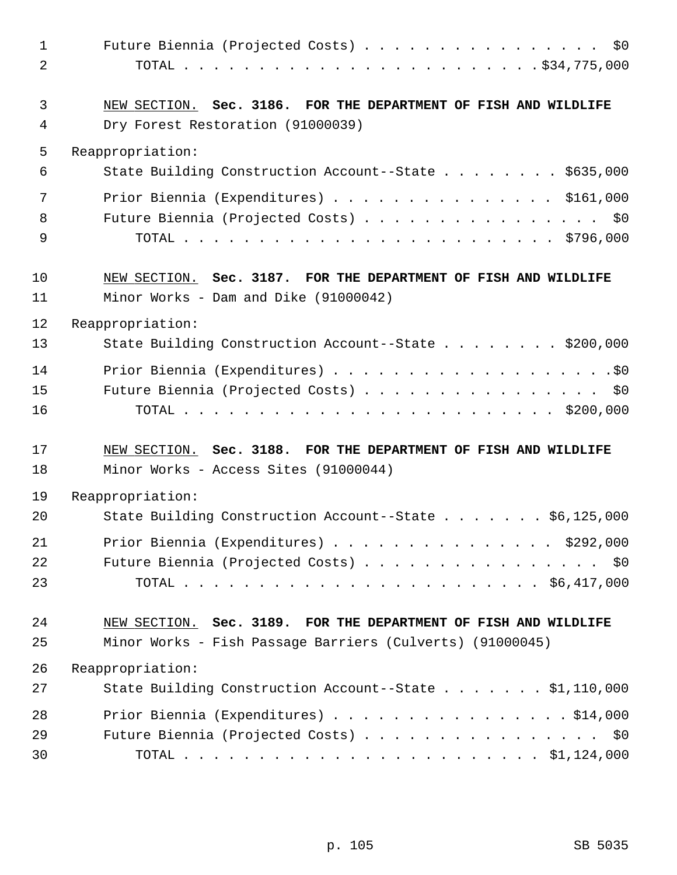| 1<br>$\overline{2}$ | Future Biennia (Projected Costs) $\cdots$ \$0                                                        |
|---------------------|------------------------------------------------------------------------------------------------------|
| 3<br>4              | NEW SECTION. Sec. 3186. FOR THE DEPARTMENT OF FISH AND WILDLIFE<br>Dry Forest Restoration (91000039) |
| 5                   | Reappropriation:                                                                                     |
| 6                   | State Building Construction Account--State \$635,000                                                 |
| 7                   | Prior Biennia (Expenditures) \$161,000                                                               |
| 8                   | Future Biennia (Projected Costs) \$0                                                                 |
| 9                   |                                                                                                      |
| 10                  | NEW SECTION. Sec. 3187. FOR THE DEPARTMENT OF FISH AND WILDLIFE                                      |
| 11                  | Minor Works - Dam and Dike (91000042)                                                                |
| 12                  | Reappropriation:                                                                                     |
| 13                  | State Building Construction Account--State \$200,000                                                 |
| 14                  |                                                                                                      |
| 15                  | Future Biennia (Projected Costs) \$0                                                                 |
| 16                  |                                                                                                      |
| 17                  | NEW SECTION. Sec. 3188. FOR THE DEPARTMENT OF FISH AND WILDLIFE                                      |
| 18                  | Minor Works - Access Sites (91000044)                                                                |
| 19                  | Reappropriation:                                                                                     |
| 20                  | State Building Construction Account--State \$6,125,000                                               |
| 21                  | Prior Biennia (Expenditures) $\ldots$ \$292,000                                                      |
| 22                  | Future Biennia (Projected Costs) \$0                                                                 |
| 23                  |                                                                                                      |
| 24                  | NEW SECTION. Sec. 3189. FOR THE DEPARTMENT OF FISH AND WILDLIFE                                      |
| 25                  | Minor Works - Fish Passage Barriers (Culverts) (91000045)                                            |
| 26                  | Reappropriation:                                                                                     |
| 27                  | State Building Construction Account--State \$1,110,000                                               |
| 28                  | Prior Biennia (Expenditures) \$14,000                                                                |
| 29                  | Future Biennia (Projected Costs) \$0                                                                 |
| 30                  |                                                                                                      |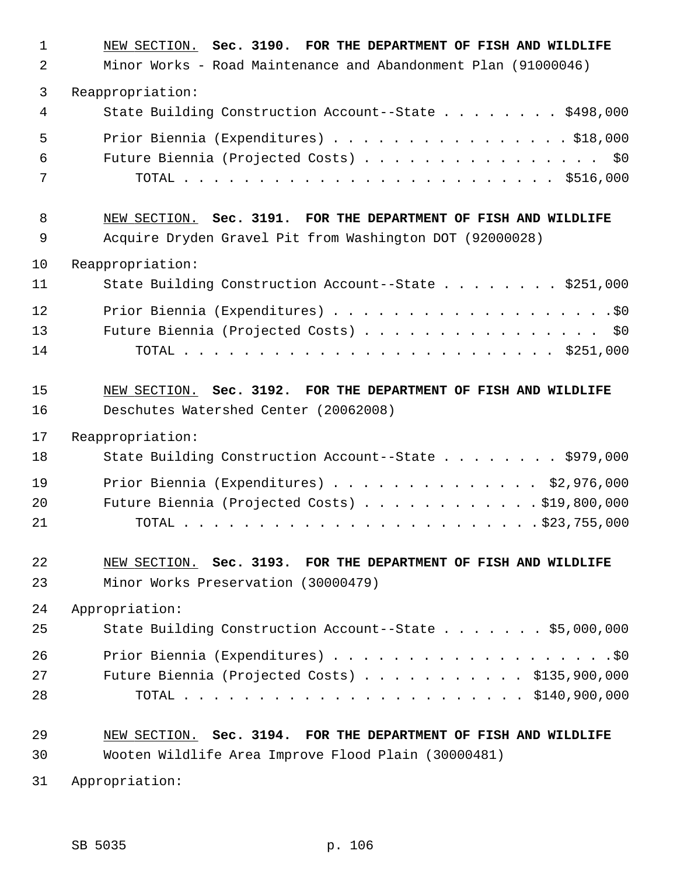| $\mathbf{1}$ | NEW SECTION. Sec. 3190. FOR THE DEPARTMENT OF FISH AND WILDLIFE |
|--------------|-----------------------------------------------------------------|
| 2            | Minor Works - Road Maintenance and Abandonment Plan (91000046)  |
| 3            | Reappropriation:                                                |
| 4            | State Building Construction Account--State \$498,000            |
| 5            | Prior Biennia (Expenditures) \$18,000                           |
| 6            | Future Biennia (Projected Costs) \$0                            |
| 7            |                                                                 |
| 8            | NEW SECTION. Sec. 3191. FOR THE DEPARTMENT OF FISH AND WILDLIFE |
| 9            | Acquire Dryden Gravel Pit from Washington DOT (92000028)        |
| 10           | Reappropriation:                                                |
| 11           | State Building Construction Account--State \$251,000            |
| 12           |                                                                 |
| 13           | Future Biennia (Projected Costs) \$0                            |
| 14           |                                                                 |
| 15           | NEW SECTION. Sec. 3192. FOR THE DEPARTMENT OF FISH AND WILDLIFE |
| 16           | Deschutes Watershed Center (20062008)                           |
| 17           | Reappropriation:                                                |
| 18           | State Building Construction Account--State \$979,000            |
| 19           | Prior Biennia (Expenditures) \$2,976,000                        |
| 20           | Future Biennia (Projected Costs) \$19,800,000                   |
| 21           |                                                                 |
| 22           | NEW SECTION. Sec. 3193. FOR THE DEPARTMENT OF FISH AND WILDLIFE |
| 23           | Minor Works Preservation (30000479)                             |
| 24           | Appropriation:                                                  |
| 25           | State Building Construction Account--State \$5,000,000          |
| 26           |                                                                 |
| 27           | Future Biennia (Projected Costs) \$135,900,000                  |
| 28           |                                                                 |
| 29           | NEW SECTION. Sec. 3194. FOR THE DEPARTMENT OF FISH AND WILDLIFE |
| 30           | Wooten Wildlife Area Improve Flood Plain (30000481)             |
| 31           | Appropriation:                                                  |

SB 5035 p. 106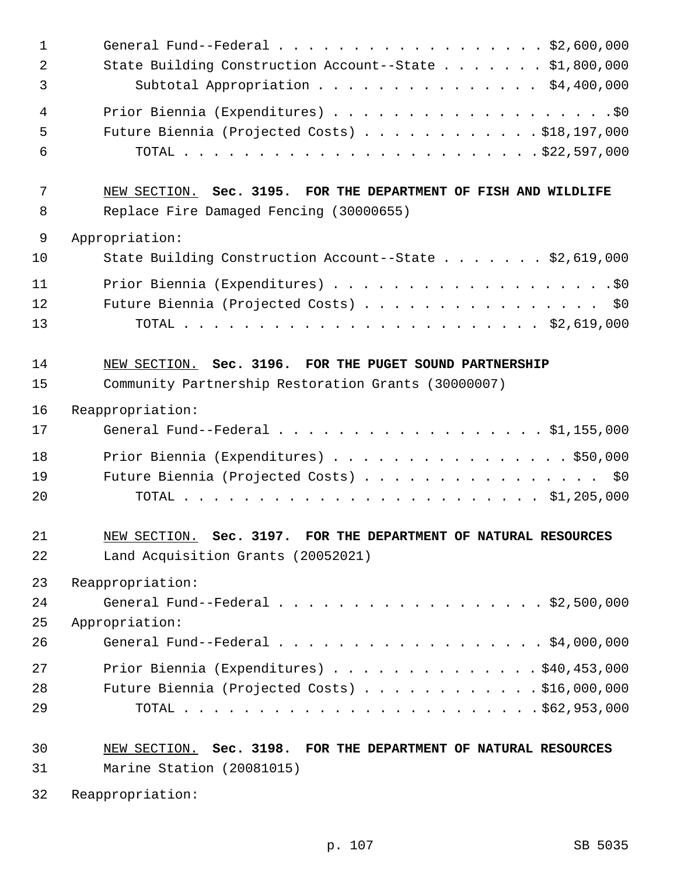| $\mathbf{1}$   | General Fund--Federal $\ldots$ , \$2,600,000                    |
|----------------|-----------------------------------------------------------------|
| $\overline{2}$ | State Building Construction Account--State \$1,800,000          |
| 3              | Subtotal Appropriation \$4,400,000                              |
| 4              |                                                                 |
| 5              | Future Biennia (Projected Costs) \$18,197,000                   |
| 6              |                                                                 |
| 7              | NEW SECTION. Sec. 3195. FOR THE DEPARTMENT OF FISH AND WILDLIFE |
| 8              | Replace Fire Damaged Fencing (30000655)                         |
| $\mathsf 9$    | Appropriation:                                                  |
| 10             | State Building Construction Account--State \$2,619,000          |
| 11             |                                                                 |
| 12             | Future Biennia (Projected Costs) \$0                            |
| 13             |                                                                 |
| 14             | NEW SECTION. Sec. 3196. FOR THE PUGET SOUND PARTNERSHIP         |
| 15             | Community Partnership Restoration Grants (30000007)             |
| 16             | Reappropriation:                                                |
| 17             | General Fund--Federal $\ldots$ , \$1,155,000                    |
| 18             | Prior Biennia (Expenditures) \$50,000                           |
| 19             | Future Biennia (Projected Costs) \$0                            |
| 20             |                                                                 |
| 21             | NEW SECTION. Sec. 3197. FOR THE DEPARTMENT OF NATURAL RESOURCES |
| 22             | Land Acquisition Grants (20052021)                              |
| 23             | Reappropriation:                                                |
| 24             | General Fund--Federal \$2,500,000                               |
| 25             | Appropriation:                                                  |
| 26             | General Fund--Federal \$4,000,000                               |
| 27             | Prior Biennia (Expenditures) \$40,453,000                       |
| 28             | Future Biennia (Projected Costs) \$16,000,000                   |
| 29             |                                                                 |
| 30             | NEW SECTION. Sec. 3198. FOR THE DEPARTMENT OF NATURAL RESOURCES |
| 31             | Marine Station (20081015)                                       |
| 32             | Reappropriation:                                                |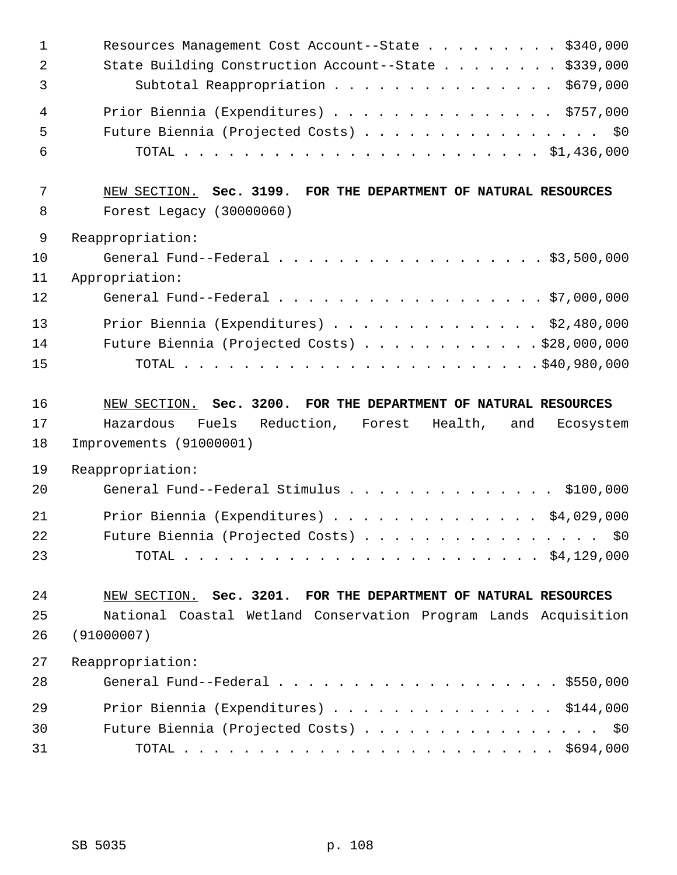| $\mathbf{1}$<br>$\overline{2}$<br>3 | Resources Management Cost Account--State \$340,000<br>State Building Construction Account--State \$339,000<br>Subtotal Reappropriation \$679,000 |
|-------------------------------------|--------------------------------------------------------------------------------------------------------------------------------------------------|
| $\overline{4}$<br>5<br>6            | Prior Biennia (Expenditures) \$757,000<br>Future Biennia (Projected Costs) \$0                                                                   |
| 7<br>8                              | NEW SECTION. Sec. 3199. FOR THE DEPARTMENT OF NATURAL RESOURCES<br>Forest Legacy (30000060)                                                      |
| $\mathsf 9$                         | Reappropriation:                                                                                                                                 |
| 10<br>11                            | General Fund--Federal \$3,500,000<br>Appropriation:                                                                                              |
| 12                                  | General Fund--Federal \$7,000,000                                                                                                                |
|                                     |                                                                                                                                                  |
| 13<br>14                            | Prior Biennia (Expenditures) \$2,480,000<br>Future Biennia (Projected Costs) \$28,000,000                                                        |
| 15                                  |                                                                                                                                                  |
|                                     |                                                                                                                                                  |
|                                     |                                                                                                                                                  |
| 16                                  | NEW SECTION. Sec. 3200. FOR THE DEPARTMENT OF NATURAL RESOURCES                                                                                  |
| 17                                  | Fuels Reduction, Forest Health,<br>Hazardous<br>and<br>Ecosystem                                                                                 |
| 18                                  | Improvements (91000001)                                                                                                                          |
| 19                                  | Reappropriation:                                                                                                                                 |
| 20                                  | General Fund--Federal Stimulus<br>\$100,000                                                                                                      |
| 21                                  | Prior Biennia (Expenditures) \$4,029,000                                                                                                         |
| 22                                  | Future Biennia (Projected Costs) \$0                                                                                                             |
| 23                                  |                                                                                                                                                  |
|                                     |                                                                                                                                                  |
| 24                                  | NEW SECTION. Sec. 3201. FOR THE DEPARTMENT OF NATURAL RESOURCES                                                                                  |
| 25                                  | National Coastal Wetland Conservation Program Lands Acquisition                                                                                  |
| 26                                  | (91000007)                                                                                                                                       |
| 27                                  | Reappropriation:                                                                                                                                 |
| 28                                  | General Fund--Federal $\ldots$ , \$550,000                                                                                                       |
| 29                                  | Prior Biennia (Expenditures) \$144,000                                                                                                           |
| 30                                  | Future Biennia (Projected Costs) \$0                                                                                                             |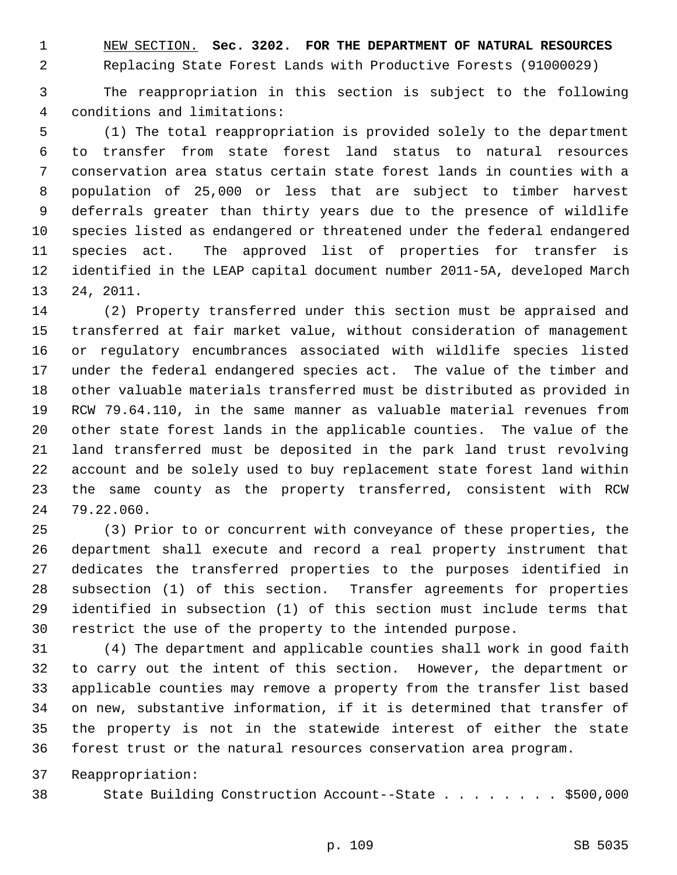1 NEW SECTION. **Sec. 3202. FOR THE DEPARTMENT OF NATURAL RESOURCES**

2 Replacing State Forest Lands with Productive Forests (91000029)

 3 The reappropriation in this section is subject to the following 4 conditions and limitations:

 5 (1) The total reappropriation is provided solely to the department 6 to transfer from state forest land status to natural resources 7 conservation area status certain state forest lands in counties with a 8 population of 25,000 or less that are subject to timber harvest 9 deferrals greater than thirty years due to the presence of wildlife 10 species listed as endangered or threatened under the federal endangered 11 species act. The approved list of properties for transfer is 12 identified in the LEAP capital document number 2011-5A, developed March 13 24, 2011.

14 (2) Property transferred under this section must be appraised and 15 transferred at fair market value, without consideration of management 16 or regulatory encumbrances associated with wildlife species listed 17 under the federal endangered species act. The value of the timber and 18 other valuable materials transferred must be distributed as provided in 19 RCW 79.64.110, in the same manner as valuable material revenues from 20 other state forest lands in the applicable counties. The value of the 21 land transferred must be deposited in the park land trust revolving 22 account and be solely used to buy replacement state forest land within 23 the same county as the property transferred, consistent with RCW 24 79.22.060.

25 (3) Prior to or concurrent with conveyance of these properties, the 26 department shall execute and record a real property instrument that 27 dedicates the transferred properties to the purposes identified in 28 subsection (1) of this section. Transfer agreements for properties 29 identified in subsection (1) of this section must include terms that 30 restrict the use of the property to the intended purpose.

31 (4) The department and applicable counties shall work in good faith 32 to carry out the intent of this section. However, the department or 33 applicable counties may remove a property from the transfer list based 34 on new, substantive information, if it is determined that transfer of 35 the property is not in the statewide interest of either the state 36 forest trust or the natural resources conservation area program.

37 Reappropriation:

38 State Building Construction Account--State . . . . . . . . \$500,000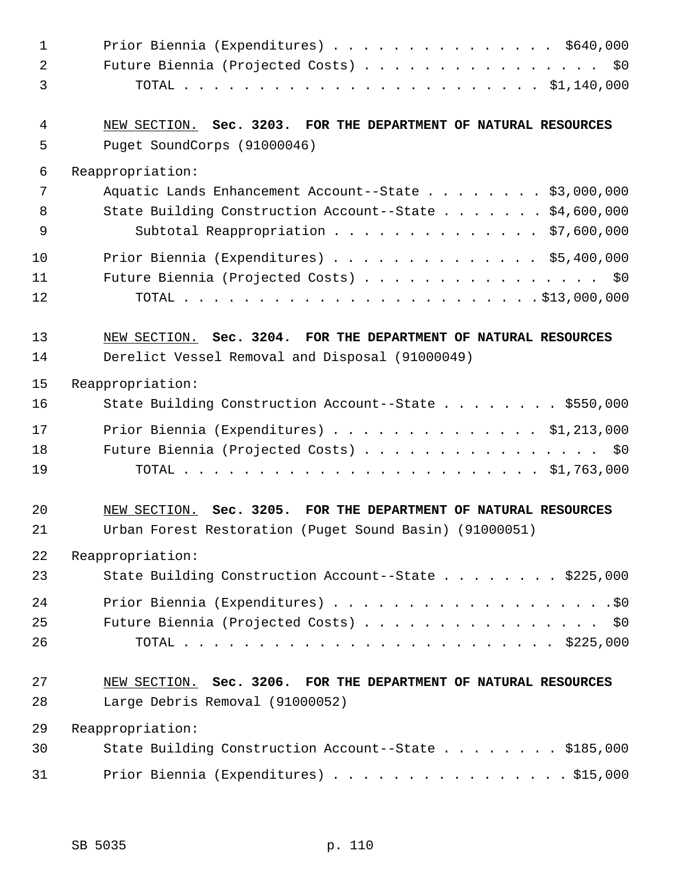| $\mathbf 1$    | Prior Biennia (Expenditures) $\ldots$ \$640,000                 |
|----------------|-----------------------------------------------------------------|
| $\overline{2}$ | Future Biennia (Projected Costs) \$0                            |
| 3              |                                                                 |
| 4              | NEW SECTION. Sec. 3203. FOR THE DEPARTMENT OF NATURAL RESOURCES |
| 5              | Puget SoundCorps (91000046)                                     |
| 6              | Reappropriation:                                                |
| 7              | Aquatic Lands Enhancement Account--State \$3,000,000            |
| 8              | State Building Construction Account--State \$4,600,000          |
| 9              | Subtotal Reappropriation \$7,600,000                            |
| 10             | Prior Biennia (Expenditures) \$5,400,000                        |
| 11             | Future Biennia (Projected Costs) \$0                            |
| 12             |                                                                 |
| 13             | NEW SECTION. Sec. 3204. FOR THE DEPARTMENT OF NATURAL RESOURCES |
| 14             | Derelict Vessel Removal and Disposal (91000049)                 |
| 15             | Reappropriation:                                                |
| 16             | State Building Construction Account--State \$550,000            |
| 17             | Prior Biennia (Expenditures) $\ldots$ \$1,213,000               |
| 18             | Future Biennia (Projected Costs) \$0                            |
| 19             |                                                                 |
| 20             | NEW SECTION. Sec. 3205. FOR THE DEPARTMENT OF NATURAL RESOURCES |
| 21             | Urban Forest Restoration (Puget Sound Basin) (91000051)         |
| 22             | Reappropriation:                                                |
| 23             | State Building Construction Account--State \$225,000            |
| 24             |                                                                 |
| 25             | Future Biennia (Projected Costs) \$0                            |
| 26             |                                                                 |
| 27             | NEW SECTION. Sec. 3206. FOR THE DEPARTMENT OF NATURAL RESOURCES |
| 28             | Large Debris Removal (91000052)                                 |
| 29             | Reappropriation:                                                |
| 30             |                                                                 |
|                | State Building Construction Account--State \$185,000            |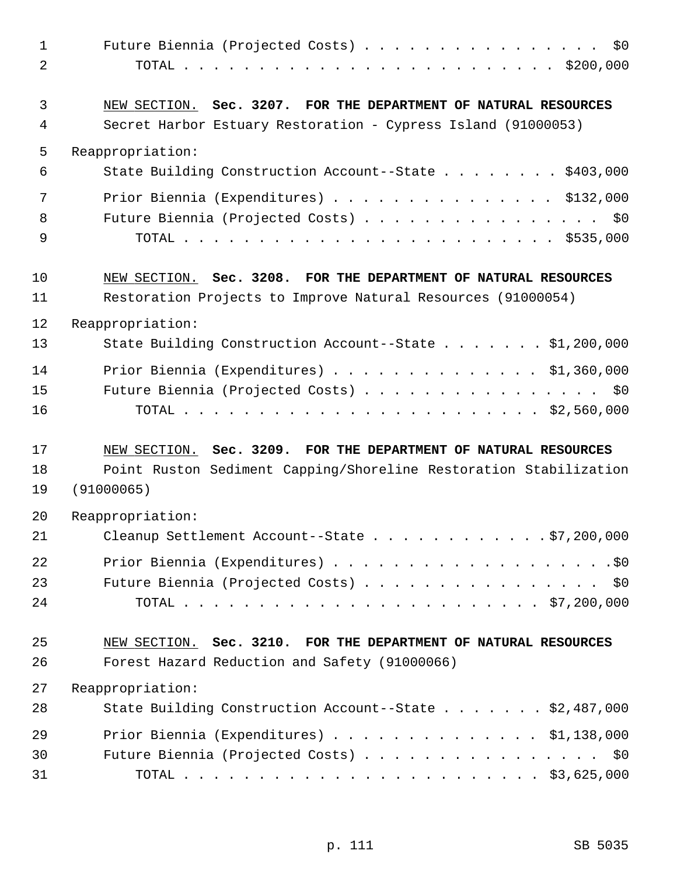| $\mathbf{1}$<br>2 | Future Biennia (Projected Costs)<br>\$0                                                                                          |
|-------------------|----------------------------------------------------------------------------------------------------------------------------------|
| 3<br>4            | NEW SECTION. Sec. 3207. FOR THE DEPARTMENT OF NATURAL RESOURCES<br>Secret Harbor Estuary Restoration - Cypress Island (91000053) |
| 5                 | Reappropriation:                                                                                                                 |
| 6                 | State Building Construction Account--State \$403,000                                                                             |
| 7                 | Prior Biennia (Expenditures) $\ldots$ \$132,000                                                                                  |
| 8                 | Future Biennia (Projected Costs) \$0                                                                                             |
| 9                 |                                                                                                                                  |
| 10                | NEW SECTION. Sec. 3208. FOR THE DEPARTMENT OF NATURAL RESOURCES                                                                  |
| 11                | Restoration Projects to Improve Natural Resources (91000054)                                                                     |
| 12                | Reappropriation:                                                                                                                 |
| 13                | State Building Construction Account--State \$1,200,000                                                                           |
| 14                | Prior Biennia (Expenditures) $\ldots$ \$1,360,000                                                                                |
| 15                | Future Biennia (Projected Costs) \$0                                                                                             |
| 16                |                                                                                                                                  |
| 17                | NEW SECTION. Sec. 3209. FOR THE DEPARTMENT OF NATURAL RESOURCES                                                                  |
| 18                | Point Ruston Sediment Capping/Shoreline Restoration Stabilization                                                                |
| 19                | (91000065)                                                                                                                       |
| 20                | Reappropriation:                                                                                                                 |
| 21                | Cleanup Settlement Account--State \$7,200,000                                                                                    |
| 22                |                                                                                                                                  |
| 23                | Future Biennia (Projected Costs) \$0                                                                                             |
| 24                |                                                                                                                                  |
| 25                | NEW SECTION. Sec. 3210. FOR THE DEPARTMENT OF NATURAL RESOURCES                                                                  |
| 26                | Forest Hazard Reduction and Safety (91000066)                                                                                    |
| 27                | Reappropriation:                                                                                                                 |
| 28                | State Building Construction Account--State \$2,487,000                                                                           |
| 29                | Prior Biennia (Expenditures) \$1,138,000                                                                                         |
| 30                | Future Biennia (Projected Costs) \$0                                                                                             |
| 31                |                                                                                                                                  |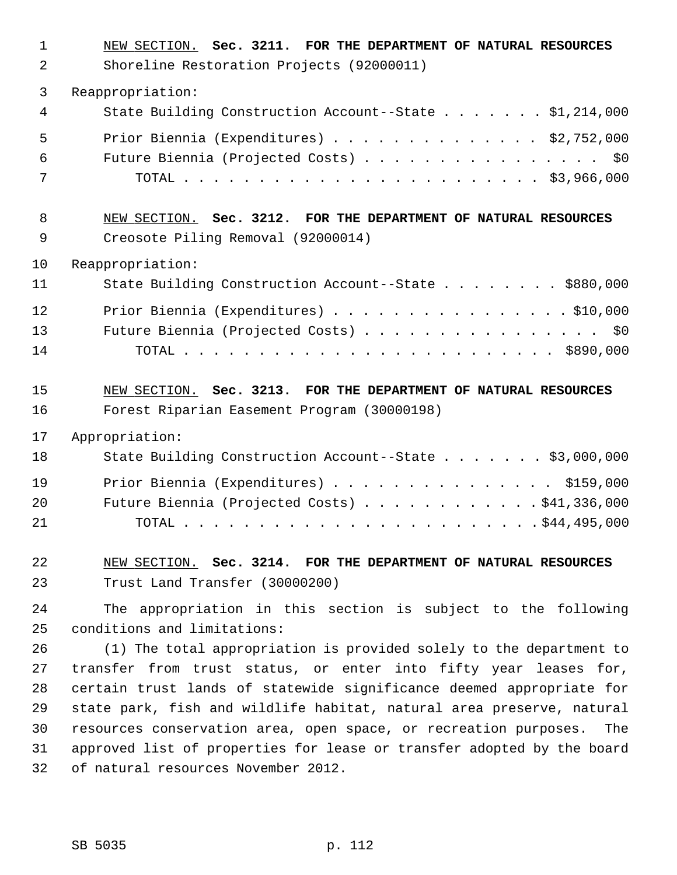| $\mathbf 1$<br>$\overline{2}$ | NEW SECTION. Sec. 3211. FOR THE DEPARTMENT OF NATURAL RESOURCES<br>Shoreline Restoration Projects (92000011)                                  |
|-------------------------------|-----------------------------------------------------------------------------------------------------------------------------------------------|
| 3                             | Reappropriation:                                                                                                                              |
| 4                             | State Building Construction Account--State \$1,214,000                                                                                        |
| 5                             | Prior Biennia (Expenditures) \$2,752,000                                                                                                      |
| 6                             | Future Biennia (Projected Costs) \$0                                                                                                          |
| 7                             |                                                                                                                                               |
| 8                             | NEW SECTION. Sec. 3212. FOR THE DEPARTMENT OF NATURAL RESOURCES                                                                               |
| 9                             | Creosote Piling Removal (92000014)                                                                                                            |
| 10                            | Reappropriation:                                                                                                                              |
| 11                            | State Building Construction Account--State \$880,000                                                                                          |
| 12                            | Prior Biennia (Expenditures) \$10,000                                                                                                         |
| 13                            | Future Biennia (Projected Costs) \$0                                                                                                          |
| 14                            |                                                                                                                                               |
| 15                            | NEW SECTION. Sec. 3213. FOR THE DEPARTMENT OF NATURAL RESOURCES                                                                               |
| 16                            | Forest Riparian Easement Program (30000198)                                                                                                   |
| 17                            | Appropriation:                                                                                                                                |
| 18                            | State Building Construction Account--State \$3,000,000                                                                                        |
| 19                            | Prior Biennia (Expenditures) \$159,000                                                                                                        |
| 20                            | Future Biennia (Projected Costs) \$41,336,000                                                                                                 |
| 21                            |                                                                                                                                               |
| 22                            | NEW SECTION. Sec. 3214. FOR THE DEPARTMENT OF NATURAL RESOURCES                                                                               |
| 23                            | Trust Land Transfer (30000200)                                                                                                                |
| 24                            | The appropriation in this section is subject to the following                                                                                 |
| 25                            | conditions and limitations:                                                                                                                   |
| 26                            | (1) The total appropriation is provided solely to the department to                                                                           |
| 27                            | transfer from trust status, or enter into fifty year leases for,                                                                              |
| 28                            | certain trust lands of statewide significance deemed appropriate for                                                                          |
| 29<br>30                      | state park, fish and wildlife habitat, natural area preserve, natural<br>resources conservation area, open space, or recreation purposes. The |
| 31                            | approved list of properties for lease or transfer adopted by the board                                                                        |
| 32                            | of natural resources November 2012.                                                                                                           |
|                               |                                                                                                                                               |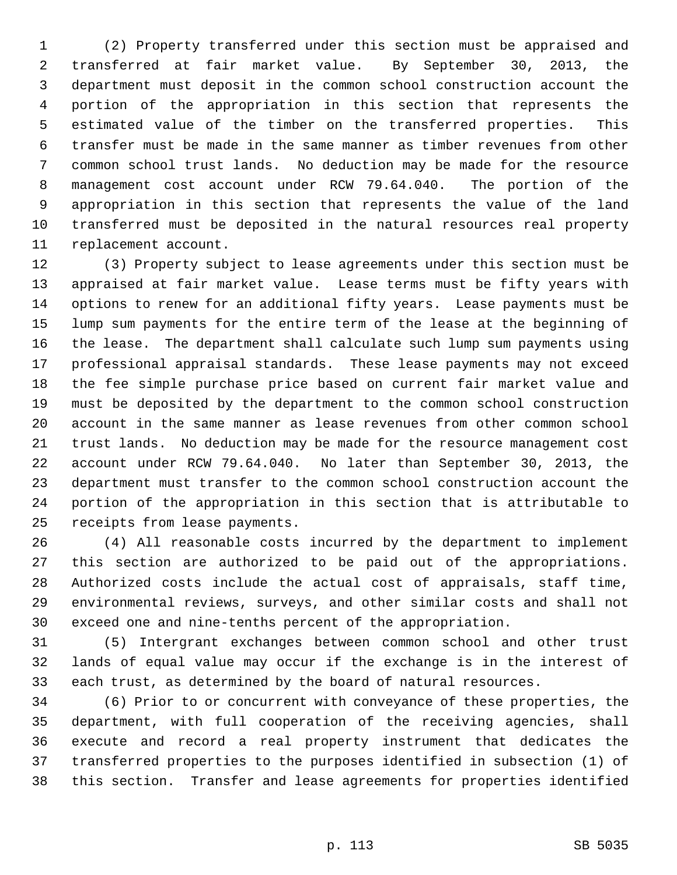1 (2) Property transferred under this section must be appraised and 2 transferred at fair market value. By September 30, 2013, the 3 department must deposit in the common school construction account the 4 portion of the appropriation in this section that represents the 5 estimated value of the timber on the transferred properties. This 6 transfer must be made in the same manner as timber revenues from other 7 common school trust lands. No deduction may be made for the resource 8 management cost account under RCW 79.64.040. The portion of the 9 appropriation in this section that represents the value of the land 10 transferred must be deposited in the natural resources real property 11 replacement account.

12 (3) Property subject to lease agreements under this section must be 13 appraised at fair market value. Lease terms must be fifty years with 14 options to renew for an additional fifty years. Lease payments must be 15 lump sum payments for the entire term of the lease at the beginning of 16 the lease. The department shall calculate such lump sum payments using 17 professional appraisal standards. These lease payments may not exceed 18 the fee simple purchase price based on current fair market value and 19 must be deposited by the department to the common school construction 20 account in the same manner as lease revenues from other common school 21 trust lands. No deduction may be made for the resource management cost 22 account under RCW 79.64.040. No later than September 30, 2013, the 23 department must transfer to the common school construction account the 24 portion of the appropriation in this section that is attributable to 25 receipts from lease payments.

26 (4) All reasonable costs incurred by the department to implement 27 this section are authorized to be paid out of the appropriations. 28 Authorized costs include the actual cost of appraisals, staff time, 29 environmental reviews, surveys, and other similar costs and shall not 30 exceed one and nine-tenths percent of the appropriation.

31 (5) Intergrant exchanges between common school and other trust 32 lands of equal value may occur if the exchange is in the interest of 33 each trust, as determined by the board of natural resources.

34 (6) Prior to or concurrent with conveyance of these properties, the 35 department, with full cooperation of the receiving agencies, shall 36 execute and record a real property instrument that dedicates the 37 transferred properties to the purposes identified in subsection (1) of 38 this section. Transfer and lease agreements for properties identified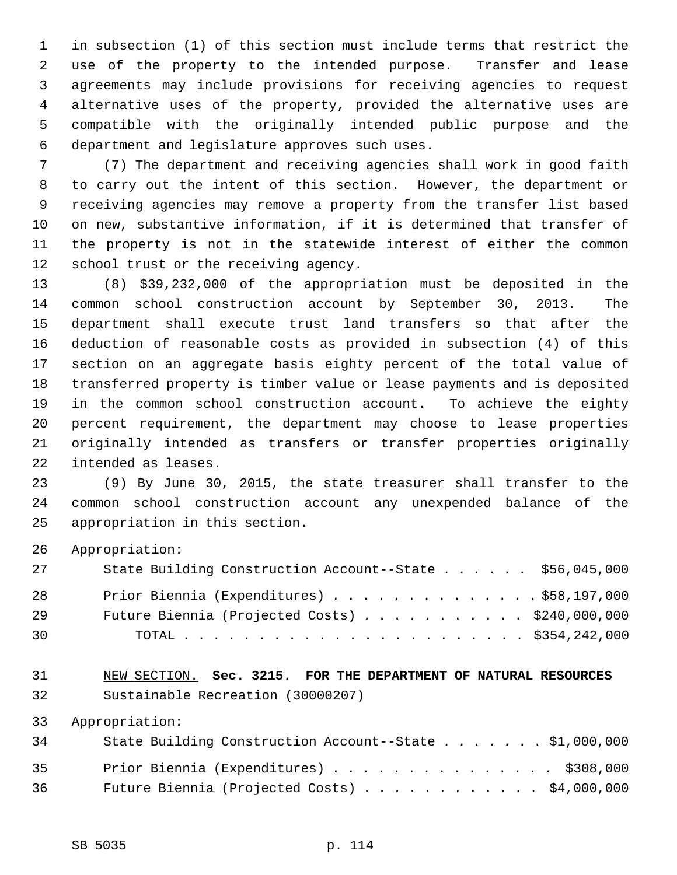1 in subsection (1) of this section must include terms that restrict the 2 use of the property to the intended purpose. Transfer and lease 3 agreements may include provisions for receiving agencies to request 4 alternative uses of the property, provided the alternative uses are 5 compatible with the originally intended public purpose and the 6 department and legislature approves such uses.

 7 (7) The department and receiving agencies shall work in good faith 8 to carry out the intent of this section. However, the department or 9 receiving agencies may remove a property from the transfer list based 10 on new, substantive information, if it is determined that transfer of 11 the property is not in the statewide interest of either the common 12 school trust or the receiving agency.

13 (8) \$39,232,000 of the appropriation must be deposited in the 14 common school construction account by September 30, 2013. The 15 department shall execute trust land transfers so that after the 16 deduction of reasonable costs as provided in subsection (4) of this 17 section on an aggregate basis eighty percent of the total value of 18 transferred property is timber value or lease payments and is deposited 19 in the common school construction account. To achieve the eighty 20 percent requirement, the department may choose to lease properties 21 originally intended as transfers or transfer properties originally 22 intended as leases.

23 (9) By June 30, 2015, the state treasurer shall transfer to the 24 common school construction account any unexpended balance of the 25 appropriation in this section.

26 Appropriation:

| 27 | State Building Construction Account--State \$56,045,000 |  |
|----|---------------------------------------------------------|--|
| 28 | Prior Biennia (Expenditures) \$58,197,000               |  |
| 29 | Future Biennia (Projected Costs) $\ldots$ \$240,000,000 |  |
| 30 |                                                         |  |

31 NEW SECTION. **Sec. 3215. FOR THE DEPARTMENT OF NATURAL RESOURCES** 32 Sustainable Recreation (30000207)

33 Appropriation:

| 34 | State Building Construction Account--State $\ldots$ \$1,000,000 |
|----|-----------------------------------------------------------------|
| 35 | Prior Biennia (Expenditures) \$308,000                          |
| 36 | Future Biennia (Projected Costs) $\ldots$ \$4,000,000           |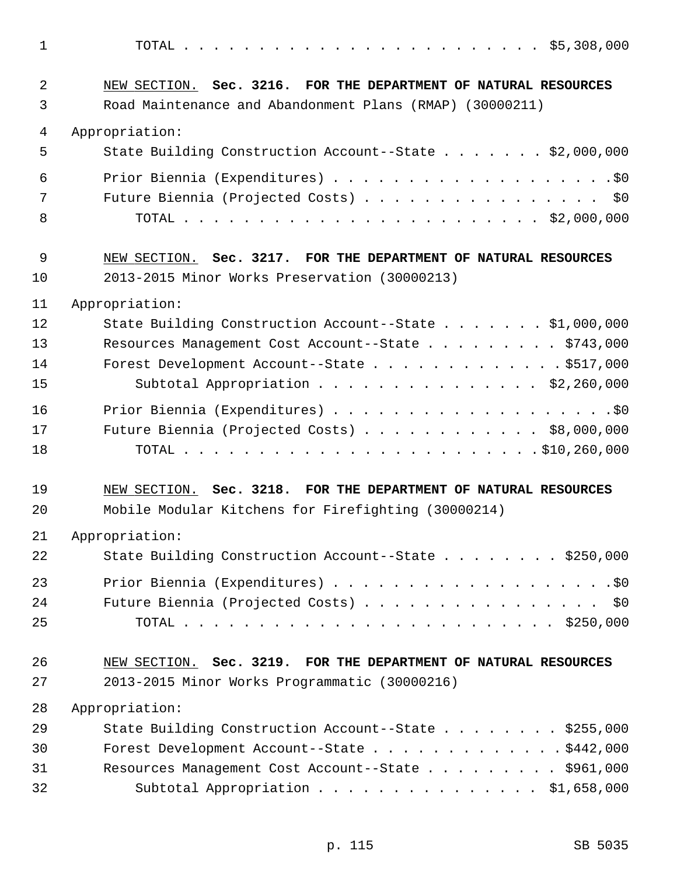1 TOTAL . . . . . . . . . . . . . . . . . . . . . . . . \$5,308,000 2 NEW SECTION. **Sec. 3216. FOR THE DEPARTMENT OF NATURAL RESOURCES** 3 Road Maintenance and Abandonment Plans (RMAP) (30000211) 4 Appropriation: 5 State Building Construction Account--State . . . . . . . \$2,000,000 6 Prior Biennia (Expenditures) . . . . . . . . . . . . . . . . . . .\$0 7 Future Biennia (Projected Costs) . . . . . . . . . . . . . . . \$0 8 TOTAL . . . . . . . . . . . . . . . . . . . . . . . . \$2,000,000 9 NEW SECTION. **Sec. 3217. FOR THE DEPARTMENT OF NATURAL RESOURCES** 10 2013-2015 Minor Works Preservation (30000213) 11 Appropriation: 12 State Building Construction Account--State . . . . . . . \$1,000,000 13 Resources Management Cost Account--State . . . . . . . . \$743,000 14 Forest Development Account--State . . . . . . . . . . . . . \$517,000 15 Subtotal Appropriation . . . . . . . . . . . . . . . \$2,260,000 16 Prior Biennia (Expenditures) . . . . . . . . . . . . . . . . . . .\$0 17 Future Biennia (Projected Costs) . . . . . . . . . . . . \$8,000,000 18 TOTAL . . . . . . . . . . . . . . . . . . . . . . . . \$10,260,000 19 NEW SECTION. **Sec. 3218. FOR THE DEPARTMENT OF NATURAL RESOURCES** 20 Mobile Modular Kitchens for Firefighting (30000214) 21 Appropriation: 22 State Building Construction Account--State . . . . . . . . \$250,000 23 Prior Biennia (Expenditures) . . . . . . . . . . . . . . . . . . .\$0 24 Future Biennia (Projected Costs) . . . . . . . . . . . . . . . \$0 25 TOTAL . . . . . . . . . . . . . . . . . . . . . . . . . \$250,000 26 NEW SECTION. **Sec. 3219. FOR THE DEPARTMENT OF NATURAL RESOURCES** 27 2013-2015 Minor Works Programmatic (30000216) 28 Appropriation: 29 State Building Construction Account--State . . . . . . . \$255,000 30 Forest Development Account--State . . . . . . . . . . . . . \$442,000 31 Resources Management Cost Account--State . . . . . . . . . \$961,000 32 Subtotal Appropriation . . . . . . . . . . . . . . . \$1,658,000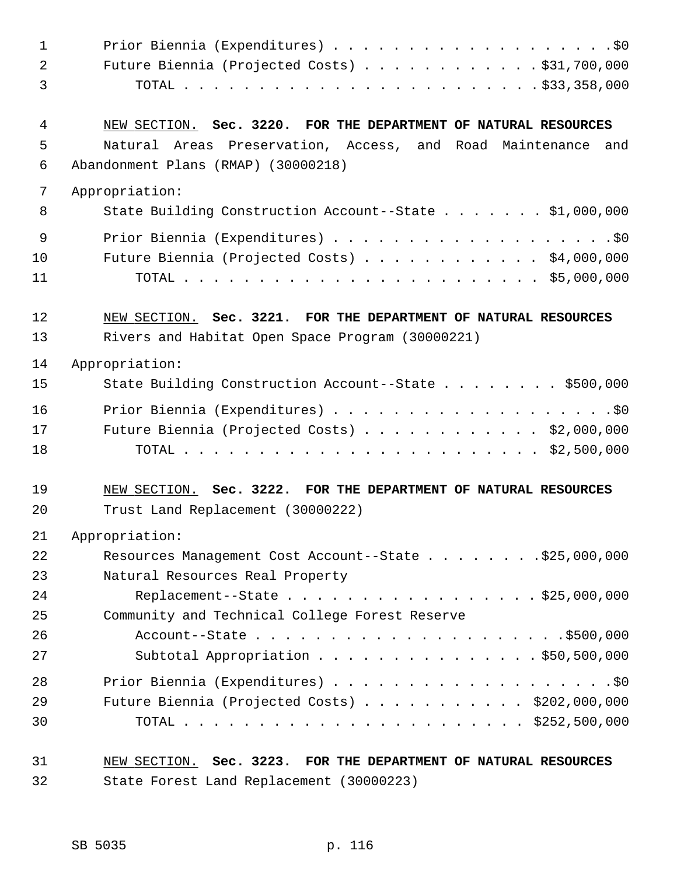| $\mathbf{1}$ |                                                                 |
|--------------|-----------------------------------------------------------------|
| 2            | Future Biennia (Projected Costs) \$31,700,000                   |
| 3            |                                                                 |
| 4            | NEW SECTION. Sec. 3220. FOR THE DEPARTMENT OF NATURAL RESOURCES |
| 5            | Natural Areas Preservation, Access, and Road Maintenance and    |
| 6            | Abandonment Plans (RMAP) (30000218)                             |
| 7            | Appropriation:                                                  |
| 8            | State Building Construction Account--State \$1,000,000          |
| 9            |                                                                 |
| 10           | Future Biennia (Projected Costs) $\ldots$ \$4,000,000           |
| 11           |                                                                 |
| 12           | NEW SECTION. Sec. 3221. FOR THE DEPARTMENT OF NATURAL RESOURCES |
| 13           | Rivers and Habitat Open Space Program (30000221)                |
| 14           | Appropriation:                                                  |
| 15           | State Building Construction Account--State \$500,000            |
| 16           |                                                                 |
| 17           | Future Biennia (Projected Costs) $\ldots$ \$2,000,000           |
| 18           |                                                                 |
| 19           | NEW SECTION. Sec. 3222. FOR THE DEPARTMENT OF NATURAL RESOURCES |
| 20           | Trust Land Replacement (30000222)                               |
| 21           | Appropriation:                                                  |
| 22           | Resources Management Cost Account--State \$25,000,000           |
| 23           | Natural Resources Real Property                                 |
| 24           | Replacement--State \$25,000,000                                 |
| 25           | Community and Technical College Forest Reserve                  |
| 26           |                                                                 |
| 27           | Subtotal Appropriation $\ldots$ \$50,500,000                    |
| 28           |                                                                 |
| 29           | Future Biennia (Projected Costs) $\ldots$ \$202,000,000         |
| 30           |                                                                 |
| 31           | NEW SECTION. Sec. 3223. FOR THE DEPARTMENT OF NATURAL RESOURCES |

32 State Forest Land Replacement (30000223)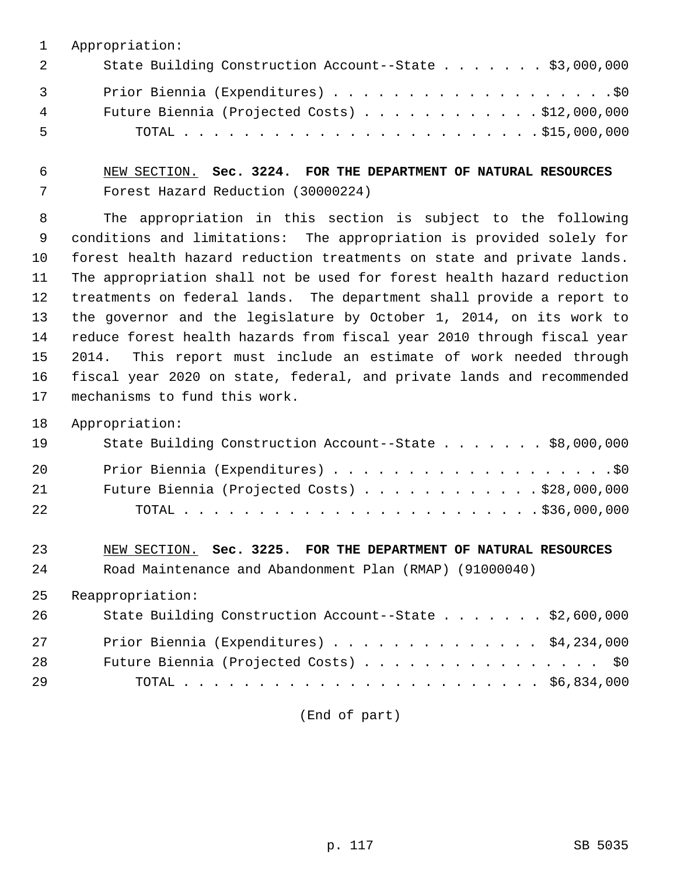1 Appropriation:

| 2              | State Building Construction Account--State \$3,000,000 |
|----------------|--------------------------------------------------------|
| $\overline{3}$ |                                                        |
| $4\degree$     | Future Biennia (Projected Costs) $\ldots$ \$12,000,000 |
| -5             |                                                        |

 6 NEW SECTION. **Sec. 3224. FOR THE DEPARTMENT OF NATURAL RESOURCES** 7 Forest Hazard Reduction (30000224)

 8 The appropriation in this section is subject to the following 9 conditions and limitations: The appropriation is provided solely for 10 forest health hazard reduction treatments on state and private lands. 11 The appropriation shall not be used for forest health hazard reduction 12 treatments on federal lands. The department shall provide a report to 13 the governor and the legislature by October 1, 2014, on its work to 14 reduce forest health hazards from fiscal year 2010 through fiscal year 15 2014. This report must include an estimate of work needed through 16 fiscal year 2020 on state, federal, and private lands and recommended 17 mechanisms to fund this work.

18 Appropriation:

| 19 | State Building Construction Account--State \$8,000,000 |
|----|--------------------------------------------------------|
| 20 |                                                        |
| 21 | Future Biennia (Projected Costs) $\ldots$ \$28,000,000 |
| 22 |                                                        |

23 NEW SECTION. **Sec. 3225. FOR THE DEPARTMENT OF NATURAL RESOURCES** 24 Road Maintenance and Abandonment Plan (RMAP) (91000040)

25 Reappropriation:

| 26 | State Building Construction Account--State \$2,600,000 |
|----|--------------------------------------------------------|
| 27 | Prior Biennia (Expenditures) $\ldots$ \$4,234,000      |
| 28 | Future Biennia (Projected Costs) \$0                   |
| 29 |                                                        |

(End of part)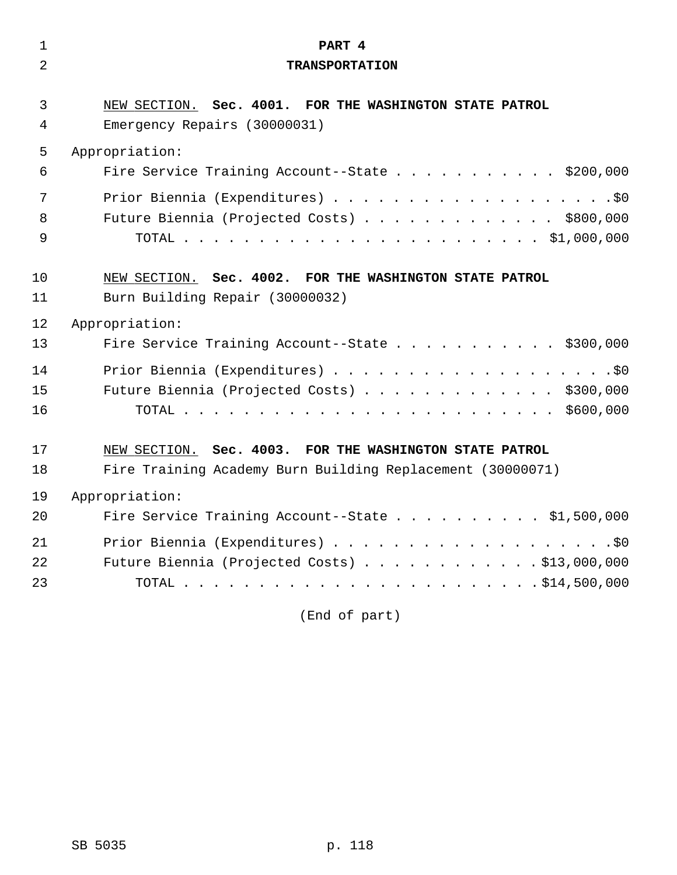| $\mathbf{1}$   | PART 4                                                     |
|----------------|------------------------------------------------------------|
| $\overline{2}$ | <b>TRANSPORTATION</b>                                      |
|                |                                                            |
| 3              | NEW SECTION. Sec. 4001. FOR THE WASHINGTON STATE PATROL    |
| 4              | Emergency Repairs (30000031)                               |
| 5              | Appropriation:                                             |
| 6              | Fire Service Training Account--State \$200,000             |
| 7              |                                                            |
| 8              | Future Biennia (Projected Costs) \$800,000                 |
| 9              |                                                            |
|                |                                                            |
| 10             | NEW SECTION. Sec. 4002. FOR THE WASHINGTON STATE PATROL    |
| 11             | Burn Building Repair (30000032)                            |
| 12             | Appropriation:                                             |
| 13             | Fire Service Training Account--State \$300,000             |
| 14             |                                                            |
| 15             | Future Biennia (Projected Costs) \$300,000                 |
| 16             |                                                            |
|                |                                                            |
| 17             | NEW SECTION. Sec. 4003. FOR THE WASHINGTON STATE PATROL    |
| 18             | Fire Training Academy Burn Building Replacement (30000071) |
| 19             | Appropriation:                                             |
| 20             | Fire Service Training Account--State \$1,500,000           |
| 21             |                                                            |
| 22             | Future Biennia (Projected Costs) \$13,000,000              |
| 23             |                                                            |
|                |                                                            |

(End of part)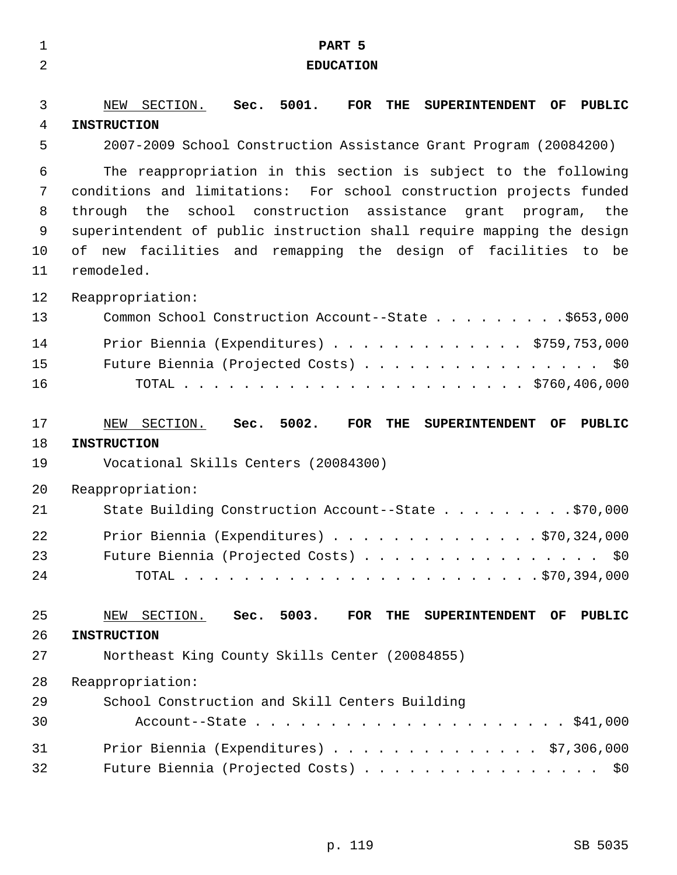| $\mathbf 1$    | PART 5                                                                                         |
|----------------|------------------------------------------------------------------------------------------------|
| $\overline{2}$ | <b>EDUCATION</b>                                                                               |
| 3              | THE<br><b>OF</b><br>PUBLIC                                                                     |
| 4              | SECTION. Sec. 5001.<br>FOR<br><b>SUPERINTENDENT</b><br>NEW<br><b>INSTRUCTION</b>               |
| 5              | 2007-2009 School Construction Assistance Grant Program (20084200)                              |
| 6              | The reappropriation in this section is subject to the following                                |
| 7              | conditions and limitations: For school construction projects funded                            |
| 8              | school construction assistance grant program, the<br>through the                               |
| 9              | superintendent of public instruction shall require mapping the design                          |
| 10             | of new facilities and remapping the design of facilities to be                                 |
| 11             | remodeled.                                                                                     |
| 12             | Reappropriation:                                                                               |
| 13             | Common School Construction Account--State \$653,000                                            |
| 14             | Prior Biennia (Expenditures) $\ldots$ \$759,753,000                                            |
| 15             | Future Biennia (Projected Costs) \$0                                                           |
| 16             |                                                                                                |
| 17             | Sec. 5002.<br>NEW SECTION.<br><b>FOR</b><br>THE<br><b>OF</b><br>SUPERINTENDENT<br>PUBLIC       |
| 18             | <b>INSTRUCTION</b>                                                                             |
| 19             | Vocational Skills Centers (20084300)                                                           |
| 20             | Reappropriation:                                                                               |
| 21             | State Building Construction Account--State \$70,000                                            |
| 22             | Prior Biennia (Expenditures) $\ldots$ 970, 324, 000                                            |
| 23             | Future Biennia (Projected Costs) \$0                                                           |
| 24             |                                                                                                |
|                |                                                                                                |
| 25             | Sec. 5003.<br>SECTION.<br>$\overline{\text{FOR}}$<br>THE SUPERINTENDENT<br>OF<br>PUBLIC<br>NEW |
| 26             | <b>INSTRUCTION</b>                                                                             |
| 27             | Northeast King County Skills Center (20084855)                                                 |
| 28             | Reappropriation:                                                                               |
| 29             | School Construction and Skill Centers Building                                                 |
| 30             |                                                                                                |
| 31             | Prior Biennia (Expenditures) $\ldots$ \$7,306,000                                              |
| 32             | Future Biennia (Projected Costs) \$0                                                           |

p. 119 SB 5035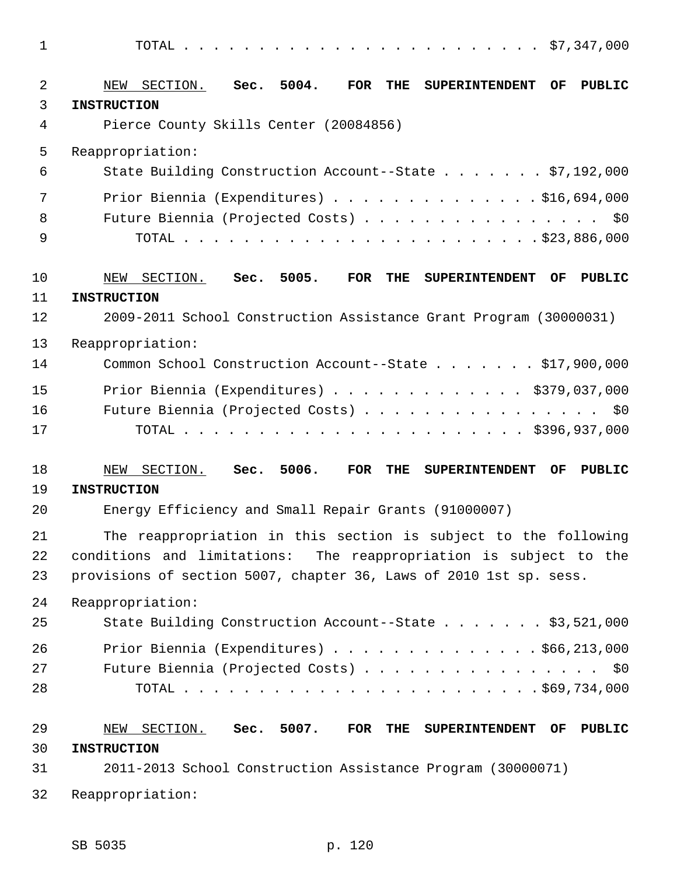1 TOTAL . . . . . . . . . . . . . . . . . . . . . . . . \$7,347,000

| 2<br>3   | Sec. 5004.<br>SECTION.<br><b>FOR</b><br>THE<br>NEW<br><b>SUPERINTENDENT</b><br>OF.<br>PUBLIC<br><b>INSTRUCTION</b>                      |
|----------|-----------------------------------------------------------------------------------------------------------------------------------------|
| 4        | Pierce County Skills Center (20084856)                                                                                                  |
| 5        | Reappropriation:                                                                                                                        |
| 6        | State Building Construction Account--State \$7,192,000                                                                                  |
| 7        | Prior Biennia (Expenditures) \$16,694,000                                                                                               |
| 8<br>9   | Future Biennia (Projected Costs) \$0                                                                                                    |
| 10       | SECTION. Sec. 5005.<br><b>FOR</b><br>THE<br><b>SUPERINTENDENT</b><br>OF<br>PUBLIC<br>NEW                                                |
| 11       | <b>INSTRUCTION</b>                                                                                                                      |
| 12       | 2009-2011 School Construction Assistance Grant Program (30000031)                                                                       |
| 13       | Reappropriation:                                                                                                                        |
| 14       | Common School Construction Account--State \$17,900,000                                                                                  |
| 15       | Prior Biennia (Expenditures) \$379,037,000                                                                                              |
| 16       | Future Biennia (Projected Costs) \$0                                                                                                    |
| 17       |                                                                                                                                         |
| 18       | SECTION. Sec. 5006.<br><b>FOR</b><br>THE<br><b>SUPERINTENDENT</b><br>OF<br>PUBLIC<br>NEW                                                |
| 19<br>20 | <b>INSTRUCTION</b><br>Energy Efficiency and Small Repair Grants (91000007)                                                              |
|          |                                                                                                                                         |
| 21<br>22 | The reappropriation in this section is subject to the following<br>conditions and limitations:<br>The reappropriation is subject to the |
| 23       | provisions of section 5007, chapter 36, Laws of 2010 1st sp. sess.                                                                      |
| 24       | Reappropriation:                                                                                                                        |
| 25       | State Building Construction Account--State \$3,521,000                                                                                  |
| 26       | Prior Biennia (Expenditures) \$66,213,000                                                                                               |
| 27       | Future Biennia (Projected Costs) \$0                                                                                                    |
| 28       |                                                                                                                                         |
| 29       | NEW SECTION. Sec. 5007.<br>THE SUPERINTENDENT OF<br><b>PUBLIC</b><br>FOR                                                                |
| 30       | <b>INSTRUCTION</b>                                                                                                                      |
| 31       | 2011-2013 School Construction Assistance Program (30000071)                                                                             |
| 32       | Reappropriation:                                                                                                                        |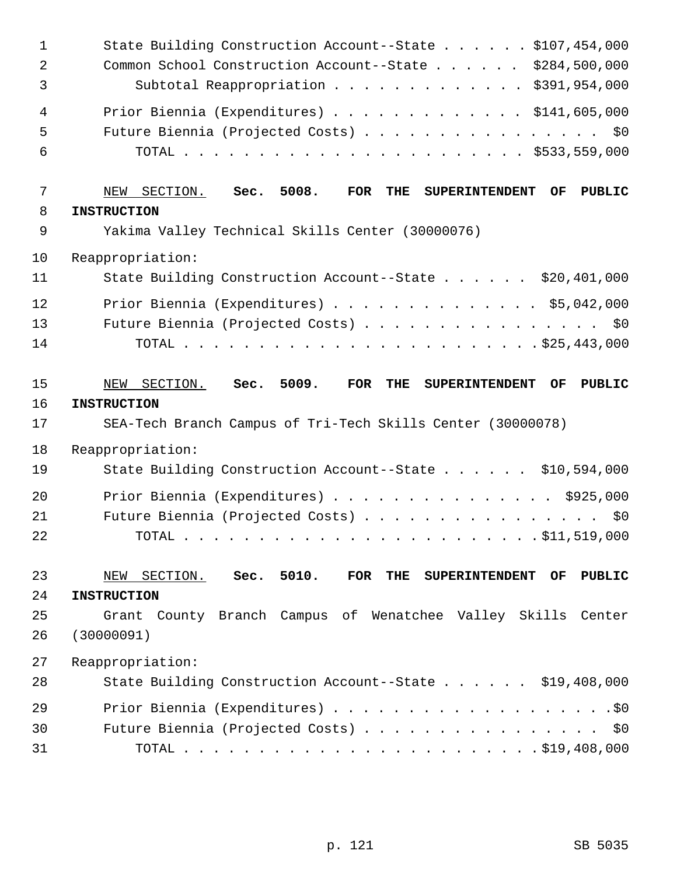| $\mathbf 1$<br>$\overline{2}$<br>3 | State Building Construction Account--State \$107,454,000<br>Common School Construction Account--State \$284,500,000<br>Subtotal Reappropriation \$391,954,000 |
|------------------------------------|---------------------------------------------------------------------------------------------------------------------------------------------------------------|
| 4<br>5<br>6                        | Prior Biennia (Expenditures) \$141,605,000<br>Future Biennia (Projected Costs) \$0                                                                            |
| 7                                  | SECTION. Sec. 5008.<br><b>FOR</b><br>THE<br>NEW<br><b>SUPERINTENDENT</b><br>OF.<br>PUBLIC                                                                     |
| 8                                  | <b>INSTRUCTION</b>                                                                                                                                            |
| 9                                  | Yakima Valley Technical Skills Center (30000076)                                                                                                              |
| 10                                 | Reappropriation:                                                                                                                                              |
| 11                                 | State Building Construction Account--State \$20,401,000                                                                                                       |
| 12                                 | Prior Biennia (Expenditures) \$5,042,000                                                                                                                      |
| 13                                 | Future Biennia (Projected Costs) \$0                                                                                                                          |
| 14                                 |                                                                                                                                                               |
| 15                                 | Sec. 5009.<br>NEW SECTION.<br><b>THE</b><br>FOR<br><b>SUPERINTENDENT</b><br>OF<br><b>PUBLIC</b>                                                               |
|                                    |                                                                                                                                                               |
| 16                                 | <b>INSTRUCTION</b>                                                                                                                                            |
| 17                                 | SEA-Tech Branch Campus of Tri-Tech Skills Center (30000078)                                                                                                   |
| 18                                 | Reappropriation:                                                                                                                                              |
| 19                                 | State Building Construction Account--State \$10,594,000                                                                                                       |
| 20                                 | Prior Biennia (Expenditures) \$925,000                                                                                                                        |
| 21                                 | Future Biennia (Projected Costs)<br>\$0                                                                                                                       |
| 22                                 | $\cdot$ \$11,519,000<br>TOTAL                                                                                                                                 |
| 23                                 | NEW SECTION. Sec. 5010.<br>FOR<br>THE<br>SUPERINTENDENT OF<br><b>PUBLIC</b>                                                                                   |
| 24                                 | <b>INSTRUCTION</b>                                                                                                                                            |
| 25                                 | Grant County Branch Campus of Wenatchee Valley Skills Center                                                                                                  |
| 26                                 | (30000091)                                                                                                                                                    |
| 27                                 | Reappropriation:                                                                                                                                              |
| 28                                 | State Building Construction Account--State \$19,408,000                                                                                                       |
| 29                                 |                                                                                                                                                               |
| 30                                 | Future Biennia (Projected Costs) \$0                                                                                                                          |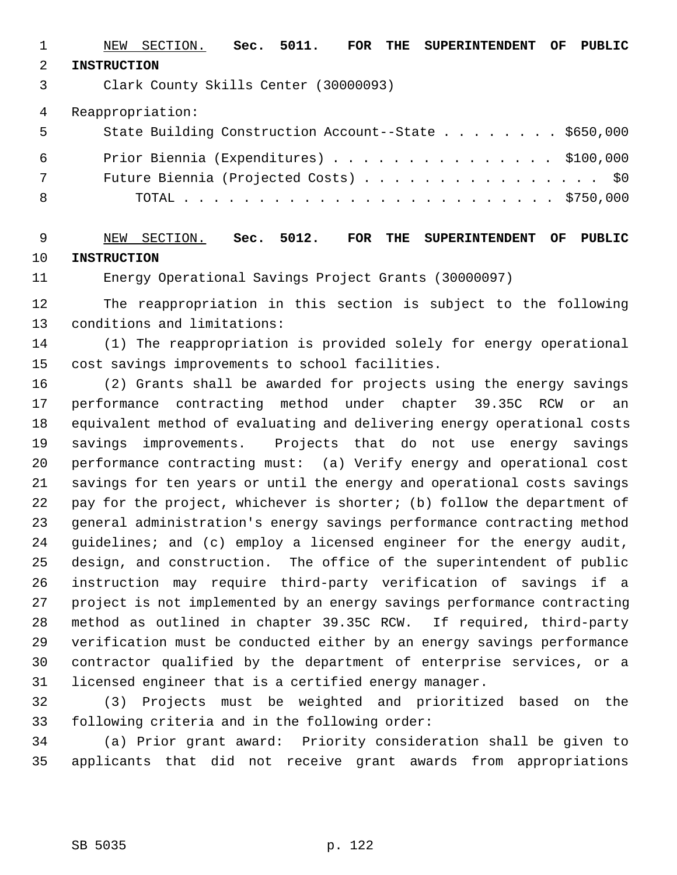1 NEW SECTION. **Sec. 5011. FOR THE SUPERINTENDENT OF PUBLIC** 2 **INSTRUCTION** 3 Clark County Skills Center (30000093) 4 Reappropriation: 5 State Building Construction Account--State . . . . . . . . \$650,000 6 Prior Biennia (Expenditures) . . . . . . . . . . . . . . . \$100,000 7 Future Biennia (Projected Costs) . . . . . . . . . . . . . . . . \$0 8 TOTAL . . . . . . . . . . . . . . . . . . . . . . . . . \$750,000

 9 NEW SECTION. **Sec. 5012. FOR THE SUPERINTENDENT OF PUBLIC** 10 **INSTRUCTION**

11 Energy Operational Savings Project Grants (30000097)

12 The reappropriation in this section is subject to the following 13 conditions and limitations:

14 (1) The reappropriation is provided solely for energy operational 15 cost savings improvements to school facilities.

16 (2) Grants shall be awarded for projects using the energy savings 17 performance contracting method under chapter 39.35C RCW or an 18 equivalent method of evaluating and delivering energy operational costs 19 savings improvements. Projects that do not use energy savings 20 performance contracting must: (a) Verify energy and operational cost 21 savings for ten years or until the energy and operational costs savings 22 pay for the project, whichever is shorter; (b) follow the department of 23 general administration's energy savings performance contracting method 24 guidelines; and (c) employ a licensed engineer for the energy audit, 25 design, and construction. The office of the superintendent of public 26 instruction may require third-party verification of savings if a 27 project is not implemented by an energy savings performance contracting 28 method as outlined in chapter 39.35C RCW. If required, third-party 29 verification must be conducted either by an energy savings performance 30 contractor qualified by the department of enterprise services, or a 31 licensed engineer that is a certified energy manager.

32 (3) Projects must be weighted and prioritized based on the 33 following criteria and in the following order:

34 (a) Prior grant award: Priority consideration shall be given to 35 applicants that did not receive grant awards from appropriations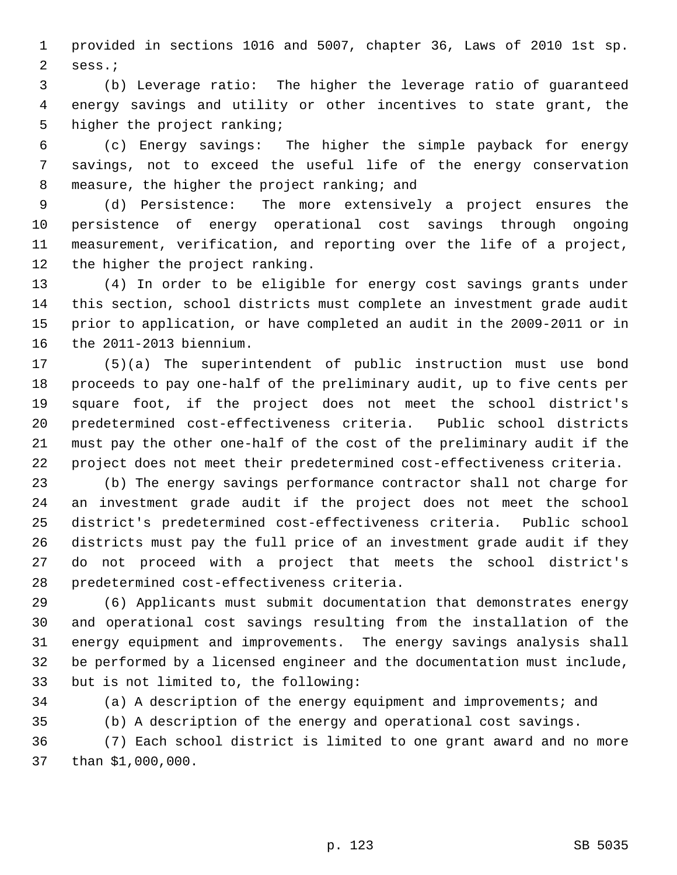1 provided in sections 1016 and 5007, chapter 36, Laws of 2010 1st sp. 2 sess.;

 3 (b) Leverage ratio: The higher the leverage ratio of guaranteed 4 energy savings and utility or other incentives to state grant, the 5 higher the project ranking;

 6 (c) Energy savings: The higher the simple payback for energy 7 savings, not to exceed the useful life of the energy conservation 8 measure, the higher the project ranking; and

 9 (d) Persistence: The more extensively a project ensures the 10 persistence of energy operational cost savings through ongoing 11 measurement, verification, and reporting over the life of a project, 12 the higher the project ranking.

13 (4) In order to be eligible for energy cost savings grants under 14 this section, school districts must complete an investment grade audit 15 prior to application, or have completed an audit in the 2009-2011 or in 16 the 2011-2013 biennium.

17 (5)(a) The superintendent of public instruction must use bond 18 proceeds to pay one-half of the preliminary audit, up to five cents per 19 square foot, if the project does not meet the school district's 20 predetermined cost-effectiveness criteria. Public school districts 21 must pay the other one-half of the cost of the preliminary audit if the 22 project does not meet their predetermined cost-effectiveness criteria.

23 (b) The energy savings performance contractor shall not charge for 24 an investment grade audit if the project does not meet the school 25 district's predetermined cost-effectiveness criteria. Public school 26 districts must pay the full price of an investment grade audit if they 27 do not proceed with a project that meets the school district's 28 predetermined cost-effectiveness criteria.

29 (6) Applicants must submit documentation that demonstrates energy 30 and operational cost savings resulting from the installation of the 31 energy equipment and improvements. The energy savings analysis shall 32 be performed by a licensed engineer and the documentation must include, 33 but is not limited to, the following:

34 (a) A description of the energy equipment and improvements; and

35 (b) A description of the energy and operational cost savings.

36 (7) Each school district is limited to one grant award and no more 37 than \$1,000,000.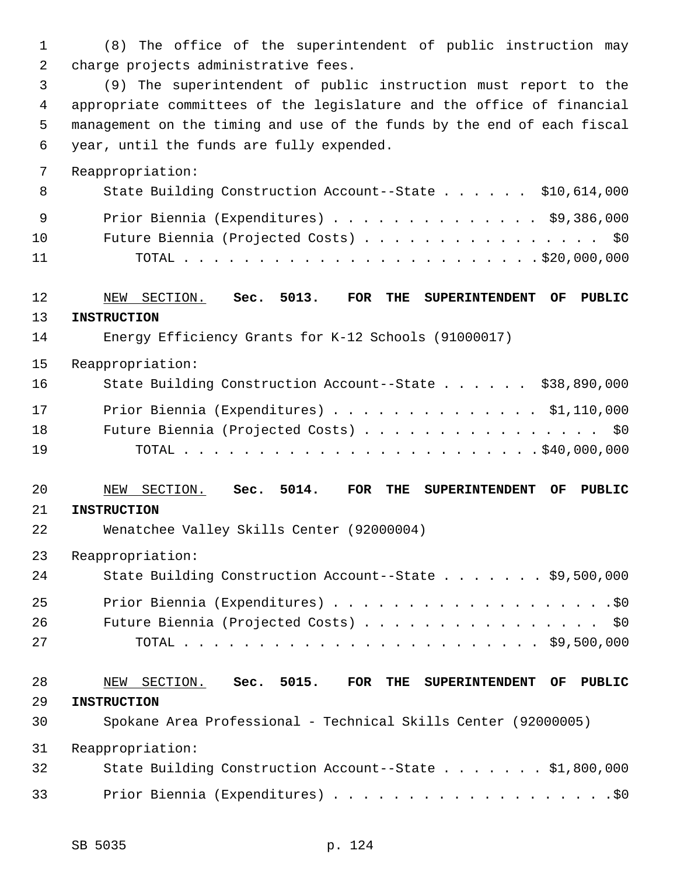1 (8) The office of the superintendent of public instruction may 2 charge projects administrative fees.

 3 (9) The superintendent of public instruction must report to the 4 appropriate committees of the legislature and the office of financial 5 management on the timing and use of the funds by the end of each fiscal 6 year, until the funds are fully expended.

7 Reappropriation:

| 8   | State Building Construction Account--State \$10,614,000 |
|-----|---------------------------------------------------------|
| - 9 | Prior Biennia (Expenditures) \$9,386,000                |
| 10  | Future Biennia (Projected Costs) \$0                    |
| 11  |                                                         |

# 12 NEW SECTION. **Sec. 5013. FOR THE SUPERINTENDENT OF PUBLIC** 13 **INSTRUCTION**

14 Energy Efficiency Grants for K-12 Schools (91000017)

15 Reappropriation:

| 16 | State Building Construction Account--State \$38,890,000 |
|----|---------------------------------------------------------|
| 17 | Prior Biennia (Expenditures) $\ldots$ \$1,110,000       |
| 18 | Future Biennia (Projected Costs) \$0                    |
| 19 |                                                         |

## 20 NEW SECTION. **Sec. 5014. FOR THE SUPERINTENDENT OF PUBLIC** 21 **INSTRUCTION**

22 Wenatchee Valley Skills Center (92000004)

23 Reappropriation:

| 24 | State Building Construction Account--State \$9,500,000 |
|----|--------------------------------------------------------|
| 25 |                                                        |
| 26 | Future Biennia (Projected Costs) \$0                   |
| 27 |                                                        |

# 28 NEW SECTION. **Sec. 5015. FOR THE SUPERINTENDENT OF PUBLIC** 29 **INSTRUCTION** 30 Spokane Area Professional - Technical Skills Center (92000005)

31 Reappropriation:

| 32 | State Building Construction Account--State \$1,800,000 |
|----|--------------------------------------------------------|
| 33 |                                                        |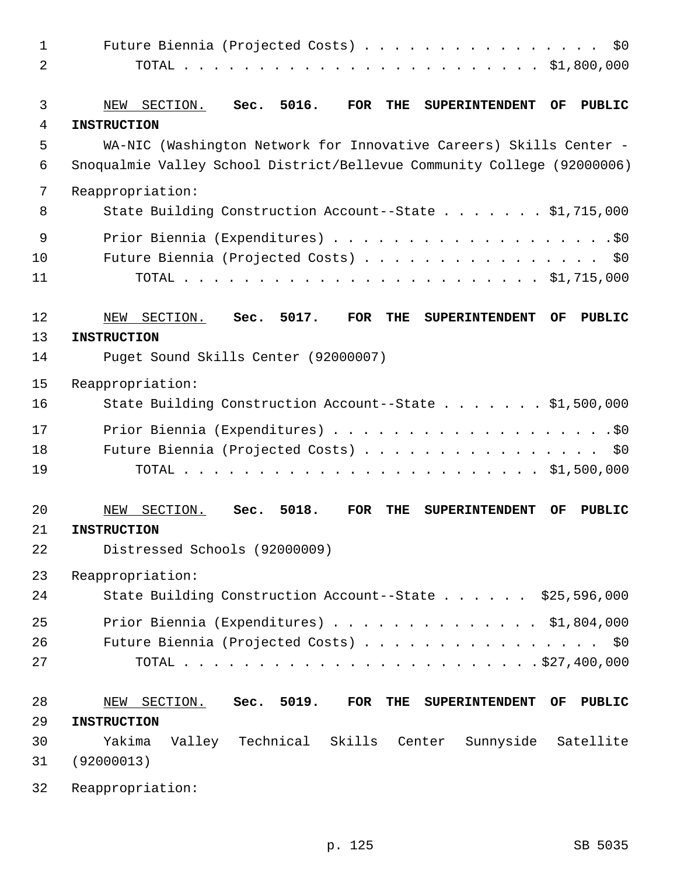| $\mathbf{1}$ | Future Biennia (Projected Costs)<br>\$0                                                                      |
|--------------|--------------------------------------------------------------------------------------------------------------|
| 2            |                                                                                                              |
|              |                                                                                                              |
| 3            | Sec. 5016.<br><b>FOR</b><br><b>THE</b><br>SECTION.<br><b>SUPERINTENDENT</b><br>OF<br><b>PUBLIC</b><br>NEW    |
| 4            | <b>INSTRUCTION</b>                                                                                           |
| 5            | WA-NIC (Washington Network for Innovative Careers) Skills Center -                                           |
| 6            | Snoqualmie Valley School District/Bellevue Community College (92000006)                                      |
| 7            | Reappropriation:                                                                                             |
| 8            | State Building Construction Account--State \$1,715,000                                                       |
| 9            |                                                                                                              |
| 10           | Future Biennia (Projected Costs)<br>\$0                                                                      |
| 11           |                                                                                                              |
|              |                                                                                                              |
| 12           | Sec. 5017.<br><b>FOR</b><br><b>THE</b><br>SECTION.<br><b>SUPERINTENDENT</b><br>OF<br><b>PUBLIC</b><br>NEW    |
| 13           | <b>INSTRUCTION</b>                                                                                           |
| 14           | Puget Sound Skills Center (92000007)                                                                         |
| 15           | Reappropriation:                                                                                             |
| 16           | State Building Construction Account--State \$1,500,000                                                       |
| 17           |                                                                                                              |
| 18           | Future Biennia (Projected Costs)<br>\$0\$                                                                    |
| 19           |                                                                                                              |
|              |                                                                                                              |
| 20           | 5018.<br>SECTION.<br>Sec.<br><b>FOR</b><br><b>THE</b><br><b>PUBLIC</b><br>NEW<br><b>SUPERINTENDENT</b><br>OF |
| 21           | <b>INSTRUCTION</b>                                                                                           |
| 22           | Distressed Schools (92000009)                                                                                |
| 23           | Reappropriation:                                                                                             |
| 24           | State Building Construction Account--State \$25,596,000                                                      |
|              |                                                                                                              |
| 25           | Prior Biennia (Expenditures) \$1,804,000                                                                     |
| 26           | Future Biennia (Projected Costs) \$0                                                                         |
| 27           |                                                                                                              |
| 28           | NEW SECTION. Sec. 5019.<br>FOR THE SUPERINTENDENT OF<br><b>PUBLIC</b>                                        |
| 29           | <b>INSTRUCTION</b>                                                                                           |
| 30           | Yakima<br>Valley Technical Skills Center<br>Sunnyside Satellite                                              |
| 31           | (92000013)                                                                                                   |
| 32           | Reappropriation:                                                                                             |
|              |                                                                                                              |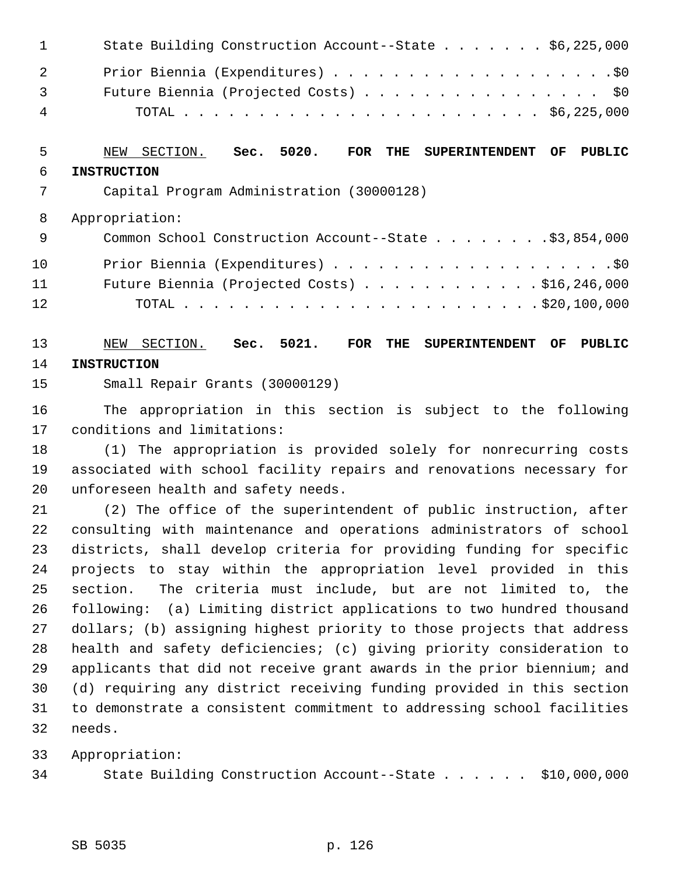| $\mathbf{1}$   | State Building Construction Account--State \$6,225,000 |
|----------------|--------------------------------------------------------|
| 2              |                                                        |
| $\overline{3}$ | Future Biennia (Projected Costs) \$0                   |
| 4              |                                                        |

# 5 NEW SECTION. **Sec. 5020. FOR THE SUPERINTENDENT OF PUBLIC** 6 **INSTRUCTION**

7 Capital Program Administration (30000128)

8 Appropriation:

| - 9 | Common School Construction Account--State \$3,854,000  |
|-----|--------------------------------------------------------|
| 10  |                                                        |
| 11  | Future Biennia (Projected Costs) $\ldots$ \$16,246,000 |
| 12. |                                                        |

## 13 NEW SECTION. **Sec. 5021. FOR THE SUPERINTENDENT OF PUBLIC** 14 **INSTRUCTION**

15 Small Repair Grants (30000129)

16 The appropriation in this section is subject to the following 17 conditions and limitations:

18 (1) The appropriation is provided solely for nonrecurring costs 19 associated with school facility repairs and renovations necessary for 20 unforeseen health and safety needs.

21 (2) The office of the superintendent of public instruction, after 22 consulting with maintenance and operations administrators of school 23 districts, shall develop criteria for providing funding for specific 24 projects to stay within the appropriation level provided in this 25 section. The criteria must include, but are not limited to, the 26 following: (a) Limiting district applications to two hundred thousand 27 dollars; (b) assigning highest priority to those projects that address 28 health and safety deficiencies; (c) giving priority consideration to 29 applicants that did not receive grant awards in the prior biennium; and 30 (d) requiring any district receiving funding provided in this section 31 to demonstrate a consistent commitment to addressing school facilities 32 needs.

33 Appropriation:

34 State Building Construction Account--State . . . . . . \$10,000,000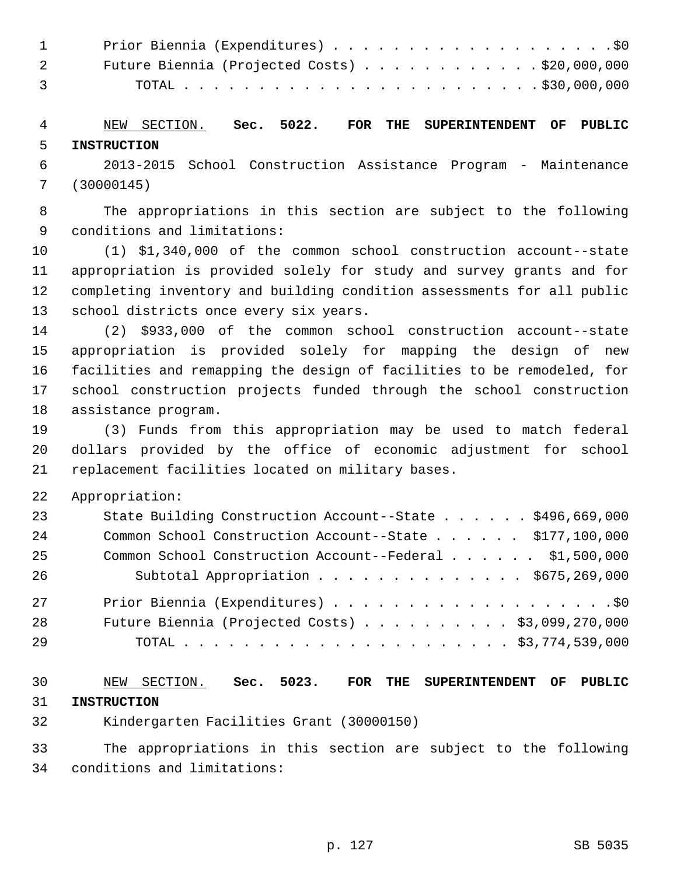| $1 \quad \cdots$ |                                                        |
|------------------|--------------------------------------------------------|
| 2 3 4 4 $\sim$   | Future Biennia (Projected Costs) $\ldots$ \$20,000,000 |
| $\overline{3}$   |                                                        |

 4 NEW SECTION. **Sec. 5022. FOR THE SUPERINTENDENT OF PUBLIC** 5 **INSTRUCTION**

 6 2013-2015 School Construction Assistance Program - Maintenance 7 (30000145)

 8 The appropriations in this section are subject to the following 9 conditions and limitations:

10 (1) \$1,340,000 of the common school construction account--state 11 appropriation is provided solely for study and survey grants and for 12 completing inventory and building condition assessments for all public 13 school districts once every six years.

14 (2) \$933,000 of the common school construction account--state 15 appropriation is provided solely for mapping the design of new 16 facilities and remapping the design of facilities to be remodeled, for 17 school construction projects funded through the school construction 18 assistance program.

19 (3) Funds from this appropriation may be used to match federal 20 dollars provided by the office of economic adjustment for school 21 replacement facilities located on military bases.

22 Appropriation:

| 23 | State Building Construction Account--State \$496,669,000  |
|----|-----------------------------------------------------------|
| 24 | Common School Construction Account--State \$177,100,000   |
| 25 | Common School Construction Account--Federal \$1,500,000   |
| 26 | Subtotal Appropriation \$675,269,000                      |
| 27 |                                                           |
| 28 | Future Biennia (Projected Costs) $\ldots$ \$3,099,270,000 |
| 29 |                                                           |

30 NEW SECTION. **Sec. 5023. FOR THE SUPERINTENDENT OF PUBLIC** 31 **INSTRUCTION**

32 Kindergarten Facilities Grant (30000150)

33 The appropriations in this section are subject to the following 34 conditions and limitations: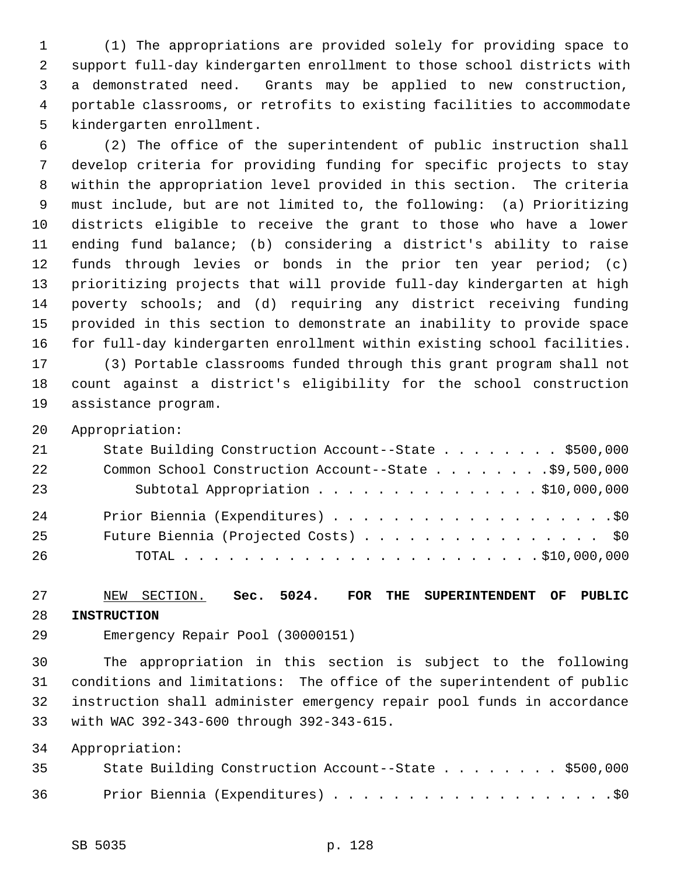1 (1) The appropriations are provided solely for providing space to 2 support full-day kindergarten enrollment to those school districts with 3 a demonstrated need. Grants may be applied to new construction, 4 portable classrooms, or retrofits to existing facilities to accommodate 5 kindergarten enrollment.

 6 (2) The office of the superintendent of public instruction shall 7 develop criteria for providing funding for specific projects to stay 8 within the appropriation level provided in this section. The criteria 9 must include, but are not limited to, the following: (a) Prioritizing 10 districts eligible to receive the grant to those who have a lower 11 ending fund balance; (b) considering a district's ability to raise 12 funds through levies or bonds in the prior ten year period; (c) 13 prioritizing projects that will provide full-day kindergarten at high 14 poverty schools; and (d) requiring any district receiving funding 15 provided in this section to demonstrate an inability to provide space 16 for full-day kindergarten enrollment within existing school facilities. 17 (3) Portable classrooms funded through this grant program shall not 18 count against a district's eligibility for the school construction 19 assistance program.

20 Appropriation:

| 21 | State Building Construction Account--State \$500,000  |
|----|-------------------------------------------------------|
| 22 | Common School Construction Account--State \$9,500,000 |
| 23 | Subtotal Appropriation \$10,000,000                   |
| 24 |                                                       |
| 25 | Future Biennia (Projected Costs) \$0                  |
| 26 |                                                       |

27 NEW SECTION. **Sec. 5024. FOR THE SUPERINTENDENT OF PUBLIC** 28 **INSTRUCTION**

29 Emergency Repair Pool (30000151)

30 The appropriation in this section is subject to the following 31 conditions and limitations: The office of the superintendent of public 32 instruction shall administer emergency repair pool funds in accordance 33 with WAC 392-343-600 through 392-343-615.

34 Appropriation:

| 35 | State Building Construction Account--State \$500,000 |
|----|------------------------------------------------------|
| 36 |                                                      |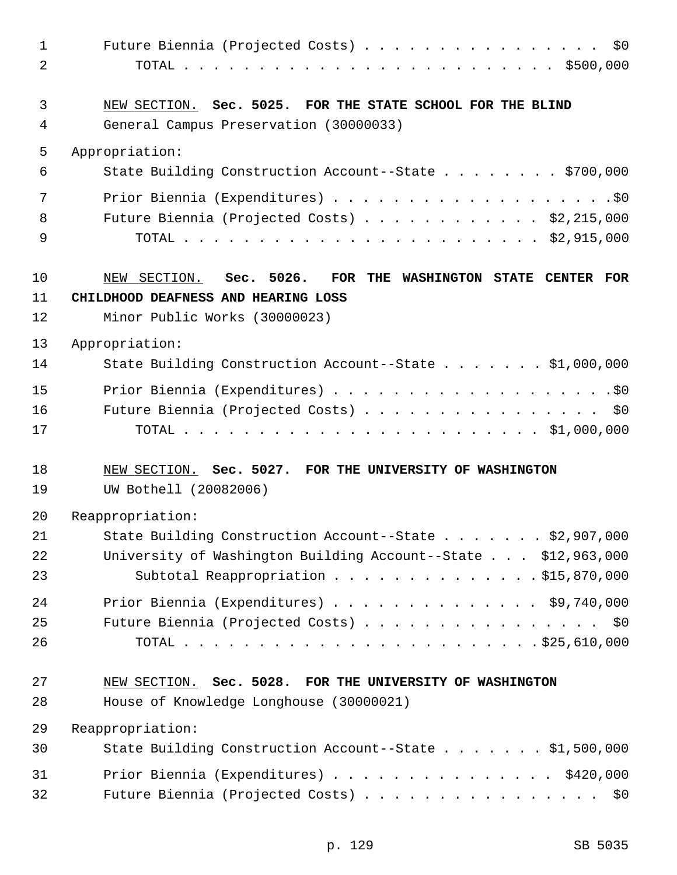| $\mathbf 1$<br>$\overline{2}$ | \$0<br>Future Biennia (Projected Costs)                                                                                                |
|-------------------------------|----------------------------------------------------------------------------------------------------------------------------------------|
| $\mathfrak{Z}$<br>4           | NEW SECTION. Sec. 5025. FOR THE STATE SCHOOL FOR THE BLIND<br>General Campus Preservation (30000033)                                   |
| 5                             | Appropriation:                                                                                                                         |
| 6                             | State Building Construction Account--State \$700,000                                                                                   |
| 7                             |                                                                                                                                        |
| 8                             | Future Biennia (Projected Costs) \$2,215,000                                                                                           |
| 9                             |                                                                                                                                        |
| 10<br>11<br>12                | NEW SECTION. Sec. 5026.<br>FOR THE WASHINGTON STATE CENTER FOR<br>CHILDHOOD DEAFNESS AND HEARING LOSS<br>Minor Public Works (30000023) |
| 13                            | Appropriation:                                                                                                                         |
| 14                            | State Building Construction Account--State \$1,000,000                                                                                 |
| 15<br>16<br>17                | Future Biennia (Projected Costs) \$0                                                                                                   |
| 18<br>19                      | NEW SECTION. Sec. 5027. FOR THE UNIVERSITY OF WASHINGTON<br>UW Bothell (20082006)                                                      |
| 20                            | Reappropriation:                                                                                                                       |
| 21                            | State Building Construction Account--State \$2,907,000                                                                                 |
| 22<br>23                      | University of Washington Building Account--State \$12,963,000<br>Subtotal Reappropriation \$15,870,000                                 |
| 24                            | Prior Biennia (Expenditures) \$9,740,000                                                                                               |
| 25                            | Future Biennia (Projected Costs) \$0                                                                                                   |
| 26                            |                                                                                                                                        |
| 27                            | NEW SECTION. Sec. 5028. FOR THE UNIVERSITY OF WASHINGTON                                                                               |
| 28                            | House of Knowledge Longhouse (30000021)                                                                                                |
| 29                            | Reappropriation:                                                                                                                       |
| 30                            | State Building Construction Account--State \$1,500,000                                                                                 |
| 31                            | Prior Biennia (Expenditures) \$420,000                                                                                                 |
| 32                            | Future Biennia (Projected Costs) \$0                                                                                                   |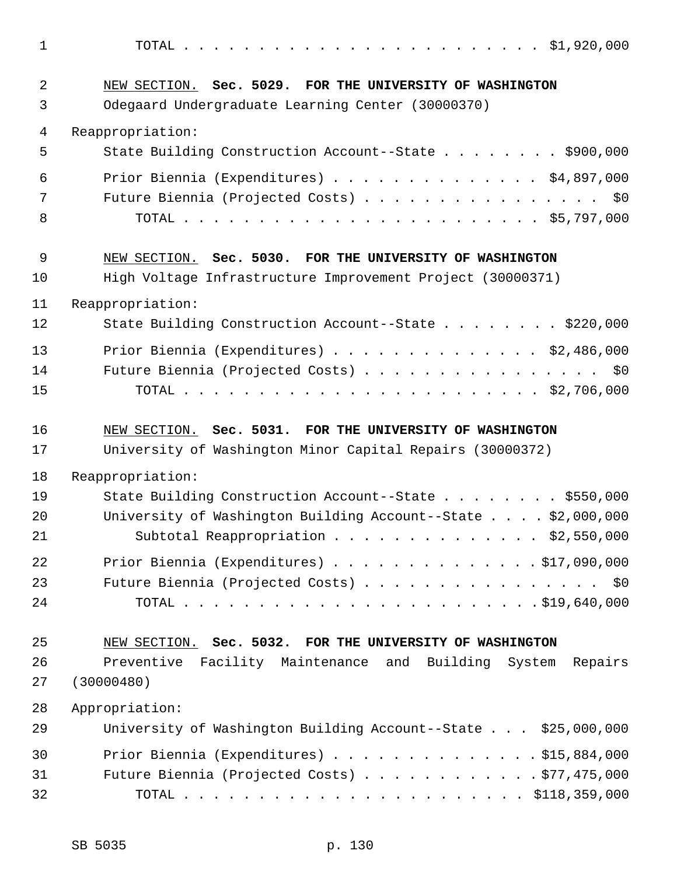1 TOTAL . . . . . . . . . . . . . . . . . . . . . . . . \$1,920,000 2 NEW SECTION. **Sec. 5029. FOR THE UNIVERSITY OF WASHINGTON** 3 Odegaard Undergraduate Learning Center (30000370) 4 Reappropriation: 5 State Building Construction Account--State . . . . . . . . \$900,000 6 Prior Biennia (Expenditures) . . . . . . . . . . . . . . \$4,897,000 7 Future Biennia (Projected Costs) . . . . . . . . . . . . . . . \$0 8 TOTAL . . . . . . . . . . . . . . . . . . . . . . . . \$5,797,000 9 NEW SECTION. **Sec. 5030. FOR THE UNIVERSITY OF WASHINGTON** 10 High Voltage Infrastructure Improvement Project (30000371) 11 Reappropriation: 12 State Building Construction Account--State . . . . . . . . \$220,000 13 Prior Biennia (Expenditures) . . . . . . . . . . . . . . \$2,486,000 14 Future Biennia (Projected Costs) . . . . . . . . . . . . . . . . \$0 15 TOTAL . . . . . . . . . . . . . . . . . . . . . . . . \$2,706,000 16 NEW SECTION. **Sec. 5031. FOR THE UNIVERSITY OF WASHINGTON** 17 University of Washington Minor Capital Repairs (30000372) 18 Reappropriation: 19 State Building Construction Account--State . . . . . . . . \$550,000 20 University of Washington Building Account--State . . . . \$2,000,000 21 Subtotal Reappropriation . . . . . . . . . . . . . \$2,550,000 22 Prior Biennia (Expenditures) . . . . . . . . . . . . . . \$17,090,000 23 Future Biennia (Projected Costs) . . . . . . . . . . . . . . . \$0 24 TOTAL . . . . . . . . . . . . . . . . . . . . . . . . \$19,640,000 25 NEW SECTION. **Sec. 5032. FOR THE UNIVERSITY OF WASHINGTON** 26 Preventive Facility Maintenance and Building System Repairs 27 (30000480) 28 Appropriation: 29 University of Washington Building Account--State . . . \$25,000,000 30 Prior Biennia (Expenditures) . . . . . . . . . . . . . . \$15,884,000 31 Future Biennia (Projected Costs) . . . . . . . . . . . . \$77,475,000

32 TOTAL . . . . . . . . . . . . . . . . . . . . . . . \$118,359,000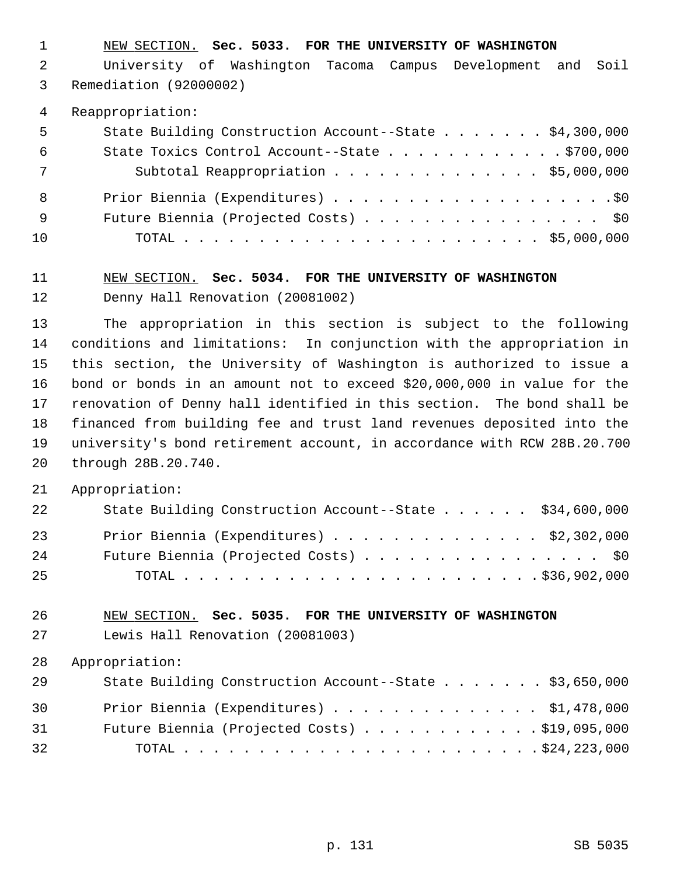1 NEW SECTION. **Sec. 5033. FOR THE UNIVERSITY OF WASHINGTON**

 2 University of Washington Tacoma Campus Development and Soil 3 Remediation (92000002)

4 Reappropriation:

| 5   | State Building Construction Account--State \$4,300,000 |
|-----|--------------------------------------------------------|
| -6  | State Toxics Control Account--State $\ldots$ 9700,000  |
| 7   | Subtotal Reappropriation \$5,000,000                   |
| - 8 |                                                        |
| - 9 | Future Biennia (Projected Costs) \$0                   |
| 10  |                                                        |

# 11 NEW SECTION. **Sec. 5034. FOR THE UNIVERSITY OF WASHINGTON** 12 Denny Hall Renovation (20081002)

13 The appropriation in this section is subject to the following 14 conditions and limitations: In conjunction with the appropriation in 15 this section, the University of Washington is authorized to issue a 16 bond or bonds in an amount not to exceed \$20,000,000 in value for the 17 renovation of Denny hall identified in this section. The bond shall be 18 financed from building fee and trust land revenues deposited into the 19 university's bond retirement account, in accordance with RCW 28B.20.700 20 through 28B.20.740.

21 Appropriation:

| 22 | State Building Construction Account--State \$34,600,000 |  |
|----|---------------------------------------------------------|--|
| 23 | Prior Biennia (Expenditures) $\ldots$ \$2,302,000       |  |
| 24 | Future Biennia (Projected Costs) \$0                    |  |
| 25 |                                                         |  |

### 26 NEW SECTION. **Sec. 5035. FOR THE UNIVERSITY OF WASHINGTON**

27 Lewis Hall Renovation (20081003)

28 Appropriation:

| 29 | State Building Construction Account--State \$3,650,000 |  |
|----|--------------------------------------------------------|--|
| 30 | Prior Biennia (Expenditures) $\ldots$ \$1,478,000      |  |
| 31 | Future Biennia (Projected Costs) $\ldots$ \$19,095,000 |  |
| 32 |                                                        |  |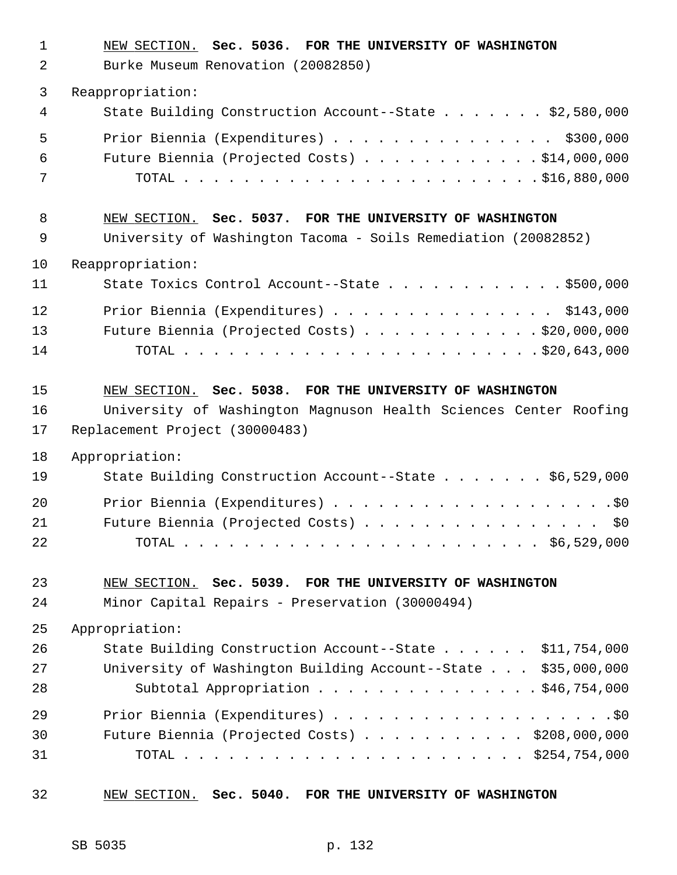1 NEW SECTION. **Sec. 5036. FOR THE UNIVERSITY OF WASHINGTON**

2 Burke Museum Renovation (20082850)

3 Reappropriation:

| 4 | State Building Construction Account--State \$2,580,000 |
|---|--------------------------------------------------------|
| 5 | Prior Biennia (Expenditures) \$300,000                 |
| 6 | Future Biennia (Projected Costs) $\ldots$ \$14,000,000 |
| 7 |                                                        |

### 8 NEW SECTION. **Sec. 5037. FOR THE UNIVERSITY OF WASHINGTON**

9 University of Washington Tacoma - Soils Remediation (20082852)

#### 10 Reappropriation:

| 11              | State Toxics Control Account--State $\ldots$ \$500,000 |
|-----------------|--------------------------------------------------------|
| 12 <sub>1</sub> | Prior Biennia (Expenditures) \$143,000                 |
| 13              | Future Biennia (Projected Costs) $\ldots$ \$20,000,000 |
| 14              |                                                        |

15 NEW SECTION. **Sec. 5038. FOR THE UNIVERSITY OF WASHINGTON** 16 University of Washington Magnuson Health Sciences Center Roofing

17 Replacement Project (30000483)

18 Appropriation:

| 19 | State Building Construction Account--State \$6,529,000 |
|----|--------------------------------------------------------|
| 20 |                                                        |
| 21 | Future Biennia (Projected Costs) \$0                   |
| 22 |                                                        |

#### 23 NEW SECTION. **Sec. 5039. FOR THE UNIVERSITY OF WASHINGTON**

24 Minor Capital Repairs - Preservation (30000494)

25 Appropriation:

| 26 | State Building Construction Account--State \$11,754,000       |  |
|----|---------------------------------------------------------------|--|
| 27 | University of Washington Building Account--State \$35,000,000 |  |
| 28 | Subtotal Appropriation \$46,754,000                           |  |
| 29 |                                                               |  |
| 30 | Future Biennia (Projected Costs) $\ldots$ \$208,000,000       |  |
| 31 |                                                               |  |

#### 32 NEW SECTION. **Sec. 5040. FOR THE UNIVERSITY OF WASHINGTON**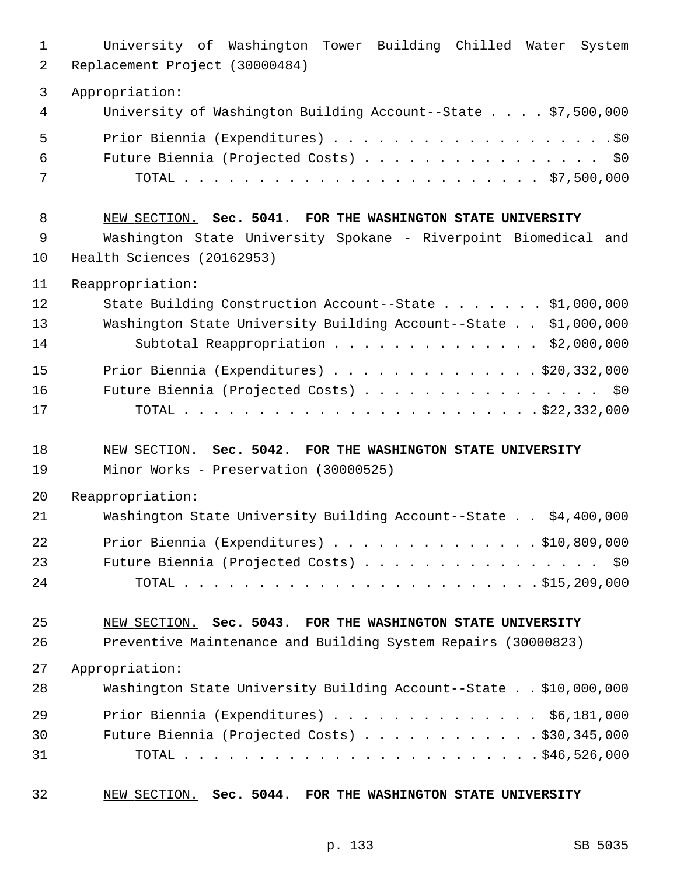| 1<br>2      | University of Washington Tower Building Chilled Water System<br>Replacement Project (30000484) |
|-------------|------------------------------------------------------------------------------------------------|
| 3           | Appropriation:                                                                                 |
| 4           | University of Washington Building Account--State $\ldots$ , \$7,500,000                        |
| 5           |                                                                                                |
| 6           | Future Biennia (Projected Costs) \$0                                                           |
| 7           |                                                                                                |
| 8           | NEW SECTION. Sec. 5041. FOR THE WASHINGTON STATE UNIVERSITY                                    |
| $\mathsf 9$ | Washington State University Spokane - Riverpoint Biomedical and                                |
| 10          | Health Sciences (20162953)                                                                     |
| 11          | Reappropriation:                                                                               |
| 12          | State Building Construction Account--State \$1,000,000                                         |
| 13          | Washington State University Building Account--State \$1,000,000                                |
| 14          | Subtotal Reappropriation \$2,000,000                                                           |
| 15          | Prior Biennia (Expenditures) \$20,332,000                                                      |
| 16          | Future Biennia (Projected Costs) \$0                                                           |
| 17          |                                                                                                |
| 18          | NEW SECTION. Sec. 5042. FOR THE WASHINGTON STATE UNIVERSITY                                    |
| 19          | Minor Works - Preservation (30000525)                                                          |
| 20          | Reappropriation:                                                                               |
| 21          | Washington State University Building Account--State \$4,400,000                                |
| 22          | Prior Biennia (Expenditures) $\ldots$ 910,809,000                                              |
| 23          | Future Biennia (Projected Costs) \$0                                                           |
| 24          |                                                                                                |
| 25          | NEW SECTION. Sec. 5043. FOR THE WASHINGTON STATE UNIVERSITY                                    |
| 26          | Preventive Maintenance and Building System Repairs (30000823)                                  |
| 27          | Appropriation:                                                                                 |
| 28          | Washington State University Building Account--State \$10,000,000                               |
| 29          | Prior Biennia (Expenditures) $\ldots$ \$6,181,000                                              |
| 30          | Future Biennia (Projected Costs) $\ldots$ \$30,345,000                                         |
| 31          |                                                                                                |

32 NEW SECTION. **Sec. 5044. FOR THE WASHINGTON STATE UNIVERSITY**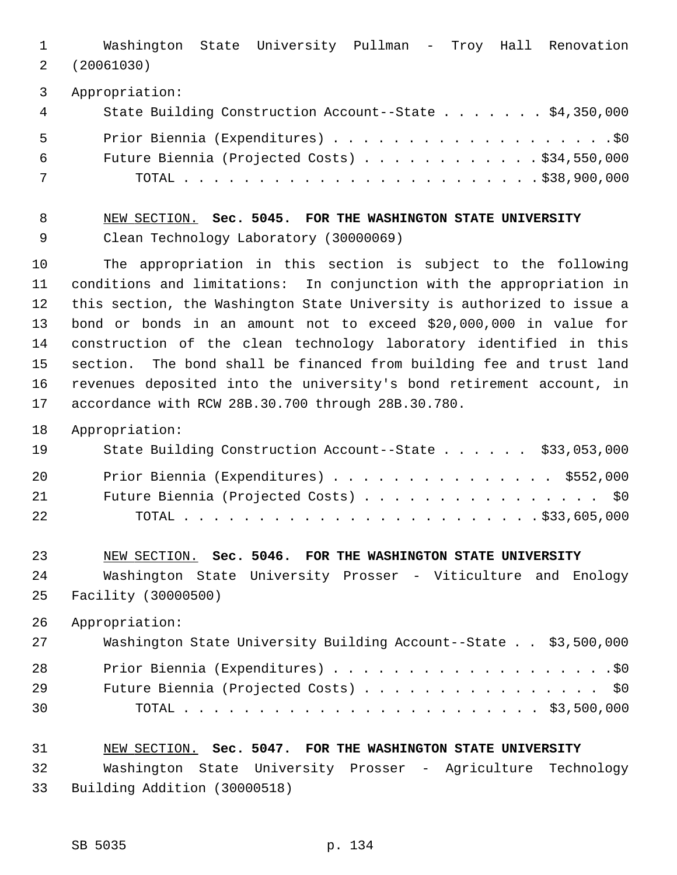1 Washington State University Pullman - Troy Hall Renovation 2 (20061030)

3 Appropriation:

| 4 | State Building Construction Account--State \$4,350,000 |
|---|--------------------------------------------------------|
| 5 |                                                        |
| 6 | Future Biennia (Projected Costs) $\ldots$ \$34,550,000 |
| 7 |                                                        |

# 8 NEW SECTION. **Sec. 5045. FOR THE WASHINGTON STATE UNIVERSITY** 9 Clean Technology Laboratory (30000069)

10 The appropriation in this section is subject to the following 11 conditions and limitations: In conjunction with the appropriation in 12 this section, the Washington State University is authorized to issue a 13 bond or bonds in an amount not to exceed \$20,000,000 in value for 14 construction of the clean technology laboratory identified in this 15 section. The bond shall be financed from building fee and trust land 16 revenues deposited into the university's bond retirement account, in 17 accordance with RCW 28B.30.700 through 28B.30.780.

18 Appropriation:

| 19 | State Building Construction Account--State \$33,053,000 |
|----|---------------------------------------------------------|
| 20 | Prior Biennia (Expenditures) \$552,000                  |
| 21 | Future Biennia (Projected Costs) \$0                    |
| 22 |                                                         |

23 NEW SECTION. **Sec. 5046. FOR THE WASHINGTON STATE UNIVERSITY** 24 Washington State University Prosser - Viticulture and Enology 25 Facility (30000500)

26 Appropriation:

| 27 | Washington State University Building Account--State \$3,500,000 |
|----|-----------------------------------------------------------------|
| 28 |                                                                 |
| 29 | Future Biennia (Projected Costs) \$0                            |
| 30 |                                                                 |

#### 31 NEW SECTION. **Sec. 5047. FOR THE WASHINGTON STATE UNIVERSITY**

32 Washington State University Prosser - Agriculture Technology 33 Building Addition (30000518)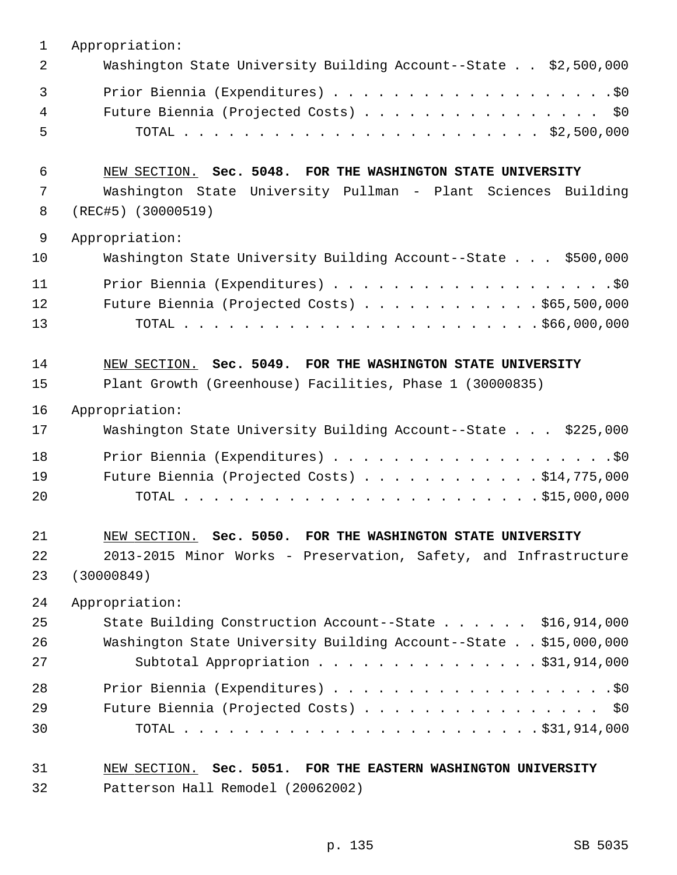| $\mathbf 1$    | Appropriation:                                                   |
|----------------|------------------------------------------------------------------|
| $\overline{2}$ | Washington State University Building Account--State \$2,500,000  |
| $\mathfrak{Z}$ |                                                                  |
| 4              | Future Biennia (Projected Costs) \$0                             |
| 5              |                                                                  |
| 6              | NEW SECTION. Sec. 5048. FOR THE WASHINGTON STATE UNIVERSITY      |
| 7              | Washington State University Pullman - Plant Sciences Building    |
| 8              | $(REC#5)$ (30000519)                                             |
| 9              | Appropriation:                                                   |
| 10             | Washington State University Building Account--State \$500,000    |
| 11             |                                                                  |
| 12             | Future Biennia (Projected Costs) $\ldots$ \$65,500,000           |
| 13             |                                                                  |
| 14             | NEW SECTION. Sec. 5049. FOR THE WASHINGTON STATE UNIVERSITY      |
| 15             | Plant Growth (Greenhouse) Facilities, Phase 1 (30000835)         |
| 16             | Appropriation:                                                   |
| 17             | Washington State University Building Account--State \$225,000    |
| 18             |                                                                  |
| 19             | Future Biennia (Projected Costs) $\ldots$ \$14,775,000           |
| 20             |                                                                  |
| 21             | NEW SECTION. Sec. 5050. FOR THE WASHINGTON STATE UNIVERSITY      |
| 22             | 2013-2015 Minor Works - Preservation, Safety, and Infrastructure |
| 23             | (30000849)                                                       |
| 24             | Appropriation:                                                   |
| 25             | State Building Construction Account--State \$16,914,000          |
| 26             | Washington State University Building Account--State \$15,000,000 |
| 27             | Subtotal Appropriation $\ldots$ \$31,914,000                     |
| 28             |                                                                  |
| 29             | Future Biennia (Projected Costs) \$0                             |
| 30             |                                                                  |
| 31             | NEW SECTION. Sec. 5051. FOR THE EASTERN WASHINGTON UNIVERSITY    |
| 32             | Patterson Hall Remodel (20062002)                                |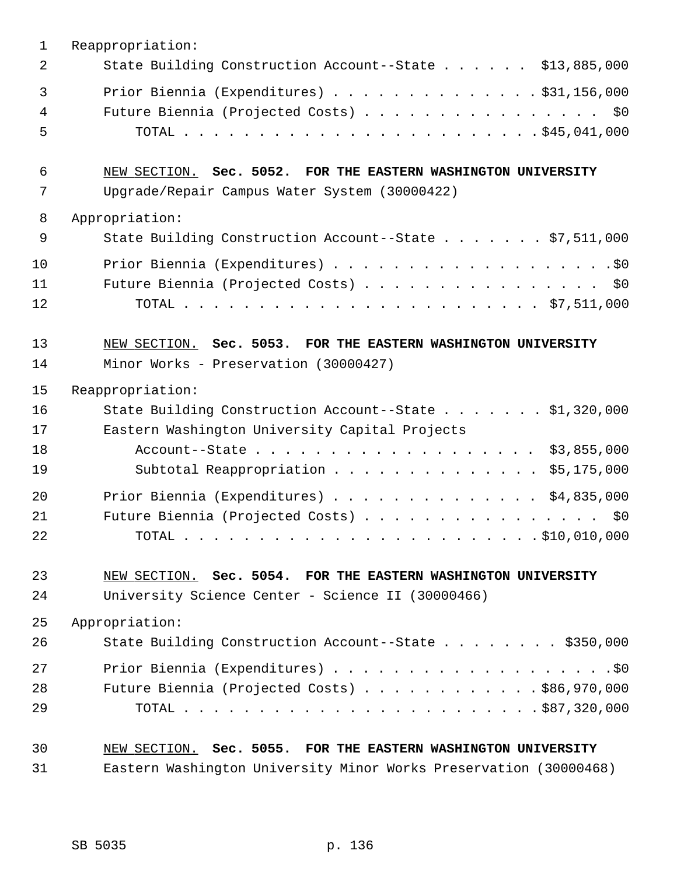| $\mathbf 1$    | Reappropriation:                                                  |
|----------------|-------------------------------------------------------------------|
| $\overline{2}$ | State Building Construction Account--State \$13,885,000           |
| $\overline{3}$ | Prior Biennia (Expenditures) $\ldots$ \$31,156,000                |
| 4              | Future Biennia (Projected Costs) \$0                              |
| 5              |                                                                   |
| 6              | NEW SECTION. Sec. 5052. FOR THE EASTERN WASHINGTON UNIVERSITY     |
| 7              | Upgrade/Repair Campus Water System (30000422)                     |
| 8              | Appropriation:                                                    |
| $\mathsf 9$    | State Building Construction Account--State \$7,511,000            |
| 10             |                                                                   |
| 11             | Future Biennia (Projected Costs) \$0                              |
| 12             |                                                                   |
| 13             | NEW SECTION. Sec. 5053. FOR THE EASTERN WASHINGTON UNIVERSITY     |
| 14             | Minor Works - Preservation (30000427)                             |
| 15             | Reappropriation:                                                  |
| 16             | State Building Construction Account--State \$1,320,000            |
| 17             | Eastern Washington University Capital Projects                    |
| 18             | Account--State \$3,855,000                                        |
| 19             | Subtotal Reappropriation \$5,175,000                              |
| 20             | Prior Biennia (Expenditures) $\ldots$ \$4,835,000                 |
| 21             | Future Biennia (Projected Costs) \$0                              |
| 22             |                                                                   |
| 23             | NEW SECTION. Sec. 5054. FOR THE EASTERN WASHINGTON UNIVERSITY     |
| 24             | University Science Center - Science II (30000466)                 |
| 25             | Appropriation:                                                    |
| 26             | State Building Construction Account--State \$350,000              |
| 27             |                                                                   |
| 28             | Future Biennia (Projected Costs) $\ldots$ \$86,970,000            |
| 29             |                                                                   |
| 30             | NEW SECTION. Sec. 5055. FOR THE EASTERN WASHINGTON UNIVERSITY     |
| 31             | Eastern Washington University Minor Works Preservation (30000468) |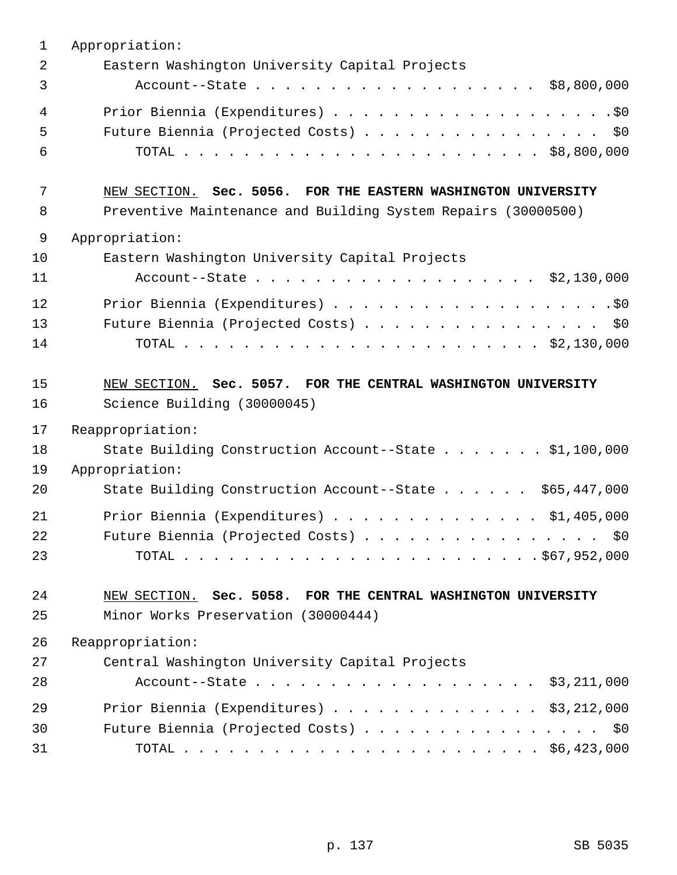| $\mathbf{1}$ | Appropriation:                                                |
|--------------|---------------------------------------------------------------|
| 2            | Eastern Washington University Capital Projects                |
| 3            | Account--State \$8,800,000                                    |
| 4            |                                                               |
| 5            | Future Biennia (Projected Costs) \$0                          |
| 6            |                                                               |
| 7            | NEW SECTION. Sec. 5056. FOR THE EASTERN WASHINGTON UNIVERSITY |
| 8            | Preventive Maintenance and Building System Repairs (30000500) |
| 9            | Appropriation:                                                |
| 10           | Eastern Washington University Capital Projects                |
| 11           | Account--State \$2,130,000                                    |
| 12           |                                                               |
| 13           | Future Biennia (Projected Costs) \$0                          |
| 14           |                                                               |
| 15           | NEW SECTION. Sec. 5057. FOR THE CENTRAL WASHINGTON UNIVERSITY |
| 16           | Science Building (30000045)                                   |
| 17           | Reappropriation:                                              |
| 18           | State Building Construction Account--State \$1,100,000        |
| 19           | Appropriation:                                                |
| 20           | State Building Construction Account--State \$65,447,000       |
| 21           | Prior Biennia (Expenditures) $\ldots$ \$1,405,000             |
| 22           | Future Biennia (Projected Costs)<br>\$0                       |
| 23           |                                                               |
| 24           | NEW SECTION. Sec. 5058. FOR THE CENTRAL WASHINGTON UNIVERSITY |
| 25           | Minor Works Preservation (30000444)                           |
| 26           | Reappropriation:                                              |
| 27           | Central Washington University Capital Projects                |
| 28           | Account--State \$3,211,000                                    |
| 29           | Prior Biennia (Expenditures) \$3,212,000                      |
| 30           | Future Biennia (Projected Costs) \$0                          |
| 31           |                                                               |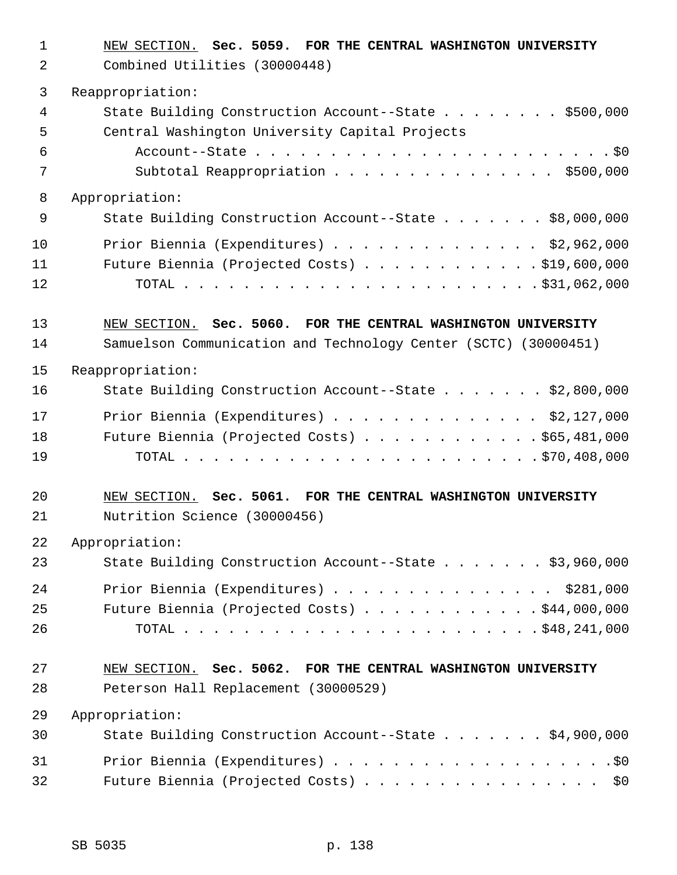1 NEW SECTION. **Sec. 5059. FOR THE CENTRAL WASHINGTON UNIVERSITY** 2 Combined Utilities (30000448) 3 Reappropriation: 4 State Building Construction Account--State . . . . . . . . \$500,000 5 Central Washington University Capital Projects 6 Account--State . . . . . . . . . . . . . . . . . . . . . . . . \$0 7 Subtotal Reappropriation . . . . . . . . . . . . . . . \$500,000 8 Appropriation: 9 State Building Construction Account--State . . . . . . \$8,000,000 10 Prior Biennia (Expenditures) . . . . . . . . . . . . . . \$2,962,000 11 Future Biennia (Projected Costs) . . . . . . . . . . . . \$19,600,000 12 TOTAL . . . . . . . . . . . . . . . . . . . . . . . . \$31,062,000 13 NEW SECTION. **Sec. 5060. FOR THE CENTRAL WASHINGTON UNIVERSITY** 14 Samuelson Communication and Technology Center (SCTC) (30000451) 15 Reappropriation: 16 State Building Construction Account--State . . . . . . . \$2,800,000 17 Prior Biennia (Expenditures) . . . . . . . . . . . . . . \$2,127,000 18 Future Biennia (Projected Costs) . . . . . . . . . . . \$65,481,000 19 TOTAL . . . . . . . . . . . . . . . . . . . . . . . . \$70,408,000 20 NEW SECTION. **Sec. 5061. FOR THE CENTRAL WASHINGTON UNIVERSITY** 21 Nutrition Science (30000456) 22 Appropriation: 23 State Building Construction Account--State . . . . . . \$3,960,000 24 Prior Biennia (Expenditures) . . . . . . . . . . . . . . \$281,000 25 Future Biennia (Projected Costs) . . . . . . . . . . . . \$44,000,000 26 TOTAL . . . . . . . . . . . . . . . . . . . . . . . . \$48,241,000 27 NEW SECTION. **Sec. 5062. FOR THE CENTRAL WASHINGTON UNIVERSITY** 28 Peterson Hall Replacement (30000529) 29 Appropriation: 30 State Building Construction Account--State . . . . . . . \$4,900,000 31 Prior Biennia (Expenditures) . . . . . . . . . . . . . . . . . . .\$0 32 Future Biennia (Projected Costs) . . . . . . . . . . . . . . . \$0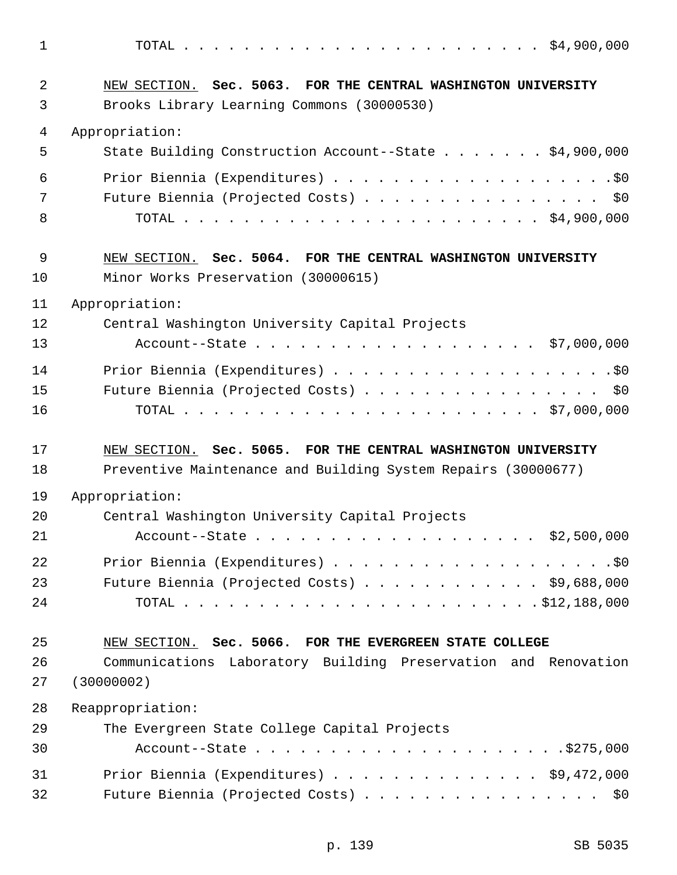1 TOTAL . . . . . . . . . . . . . . . . . . . . . . . . \$4,900,000 2 NEW SECTION. **Sec. 5063. FOR THE CENTRAL WASHINGTON UNIVERSITY** 3 Brooks Library Learning Commons (30000530) 4 Appropriation: 5 State Building Construction Account--State . . . . . . . \$4,900,000 6 Prior Biennia (Expenditures) . . . . . . . . . . . . . . . . . . .\$0 7 Future Biennia (Projected Costs) . . . . . . . . . . . . . . . \$0 8 TOTAL . . . . . . . . . . . . . . . . . . . . . . . . \$4,900,000 9 NEW SECTION. **Sec. 5064. FOR THE CENTRAL WASHINGTON UNIVERSITY** 10 Minor Works Preservation (30000615) 11 Appropriation: 12 Central Washington University Capital Projects 13 Account--State . . . . . . . . . . . . . . . . . . . \$7,000,000 14 Prior Biennia (Expenditures) . . . . . . . . . . . . . . . . . . .\$0 15 Future Biennia (Projected Costs) . . . . . . . . . . . . . . . \$0 16 TOTAL . . . . . . . . . . . . . . . . . . . . . . . . \$7,000,000 17 NEW SECTION. **Sec. 5065. FOR THE CENTRAL WASHINGTON UNIVERSITY** 18 Preventive Maintenance and Building System Repairs (30000677) 19 Appropriation: 20 Central Washington University Capital Projects 21 Account--State . . . . . . . . . . . . . . . . . . . \$2,500,000 22 Prior Biennia (Expenditures) . . . . . . . . . . . . . . . . . . .\$0 23 Future Biennia (Projected Costs) . . . . . . . . . . . . \$9,688,000 24 TOTAL . . . . . . . . . . . . . . . . . . . . . . . . \$12,188,000 25 NEW SECTION. **Sec. 5066. FOR THE EVERGREEN STATE COLLEGE** 26 Communications Laboratory Building Preservation and Renovation 27 (30000002) 28 Reappropriation: 29 The Evergreen State College Capital Projects 30 Account--State . . . . . . . . . . . . . . . . . . . . .\$275,000 31 Prior Biennia (Expenditures) . . . . . . . . . . . . . . \$9,472,000 32 Future Biennia (Projected Costs) . . . . . . . . . . . . . . . . \$0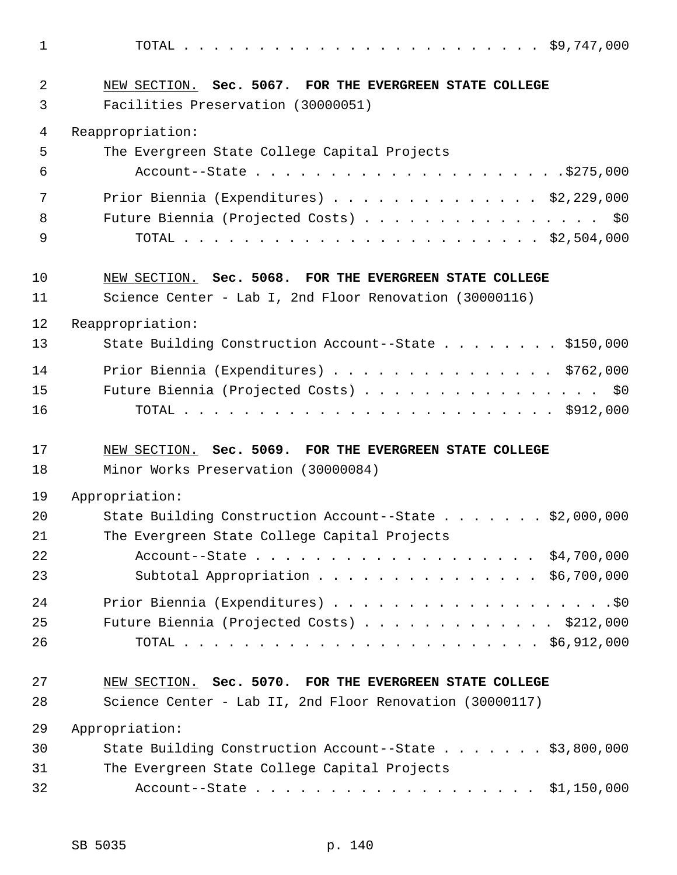1 TOTAL . . . . . . . . . . . . . . . . . . . . . . . . \$9,747,000

| 2<br>3 | NEW SECTION. Sec. 5067. FOR THE EVERGREEN STATE COLLEGE<br>Facilities Preservation (30000051) |
|--------|-----------------------------------------------------------------------------------------------|
|        |                                                                                               |
| 4      | Reappropriation:                                                                              |
| 5      | The Evergreen State College Capital Projects                                                  |
| 6      |                                                                                               |
| 7      | Prior Biennia (Expenditures) \$2,229,000                                                      |
| 8      | Future Biennia (Projected Costs) \$0                                                          |
| 9      |                                                                                               |
| 10     | NEW SECTION. Sec. 5068. FOR THE EVERGREEN STATE COLLEGE                                       |
| 11     | Science Center - Lab I, 2nd Floor Renovation (30000116)                                       |
| 12     | Reappropriation:                                                                              |
| 13     | State Building Construction Account--State \$150,000                                          |
| 14     | Prior Biennia (Expenditures) \$762,000                                                        |
| 15     | Future Biennia (Projected Costs) \$0                                                          |
| 16     |                                                                                               |
| 17     | NEW SECTION. Sec. 5069. FOR THE EVERGREEN STATE COLLEGE                                       |
| 18     | Minor Works Preservation (30000084)                                                           |
| 19     | Appropriation:                                                                                |
| 20     | State Building Construction Account--State \$2,000,000                                        |
| 21     | The Evergreen State College Capital Projects                                                  |
| 22     |                                                                                               |
| 23     | Subtotal Appropriation \$6,700,000                                                            |
| 24     |                                                                                               |
| 25     | Future Biennia (Projected Costs) \$212,000                                                    |
| 26     |                                                                                               |
| 27     | NEW SECTION. Sec. 5070. FOR THE EVERGREEN STATE COLLEGE                                       |
| 28     | Science Center - Lab II, 2nd Floor Renovation (30000117)                                      |
| 29     | Appropriation:                                                                                |
| 30     | State Building Construction Account--State \$3,800,000                                        |
| 31     |                                                                                               |
|        | The Evergreen State College Capital Projects                                                  |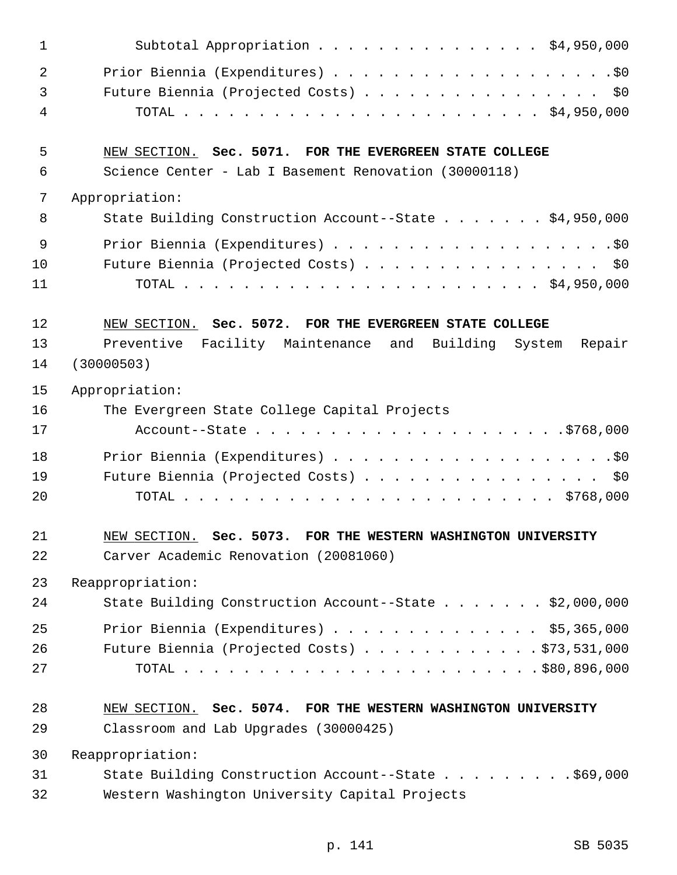| 1  | Subtotal Appropriation \$4,950,000                            |
|----|---------------------------------------------------------------|
| 2  |                                                               |
| 3  | Future Biennia (Projected Costs) \$0                          |
| 4  |                                                               |
| 5  | NEW SECTION. Sec. 5071. FOR THE EVERGREEN STATE COLLEGE       |
| 6  | Science Center - Lab I Basement Renovation (30000118)         |
| 7  | Appropriation:                                                |
| 8  | State Building Construction Account--State \$4,950,000        |
| 9  |                                                               |
| 10 | Future Biennia (Projected Costs) \$0                          |
| 11 |                                                               |
| 12 | NEW SECTION. Sec. 5072. FOR THE EVERGREEN STATE COLLEGE       |
| 13 | Repair<br>Preventive Facility Maintenance and Building System |
| 14 | (30000503)                                                    |
| 15 | Appropriation:                                                |
| 16 | The Evergreen State College Capital Projects                  |
| 17 |                                                               |
| 18 |                                                               |
| 19 | Future Biennia (Projected Costs) \$0                          |
| 20 |                                                               |
| 21 | NEW SECTION. Sec. 5073. FOR THE WESTERN WASHINGTON UNIVERSITY |
| 22 | Carver Academic Renovation (20081060)                         |
| 23 | Reappropriation:                                              |
| 24 | State Building Construction Account--State \$2,000,000        |
| 25 | Prior Biennia (Expenditures) \$5,365,000                      |
| 26 | Future Biennia (Projected Costs) \$73,531,000                 |
| 27 |                                                               |
| 28 | NEW SECTION. Sec. 5074. FOR THE WESTERN WASHINGTON UNIVERSITY |
| 29 | Classroom and Lab Upgrades (30000425)                         |
| 30 | Reappropriation:                                              |
| 31 | State Building Construction Account--State \$69,000           |
| 32 | Western Washington University Capital Projects                |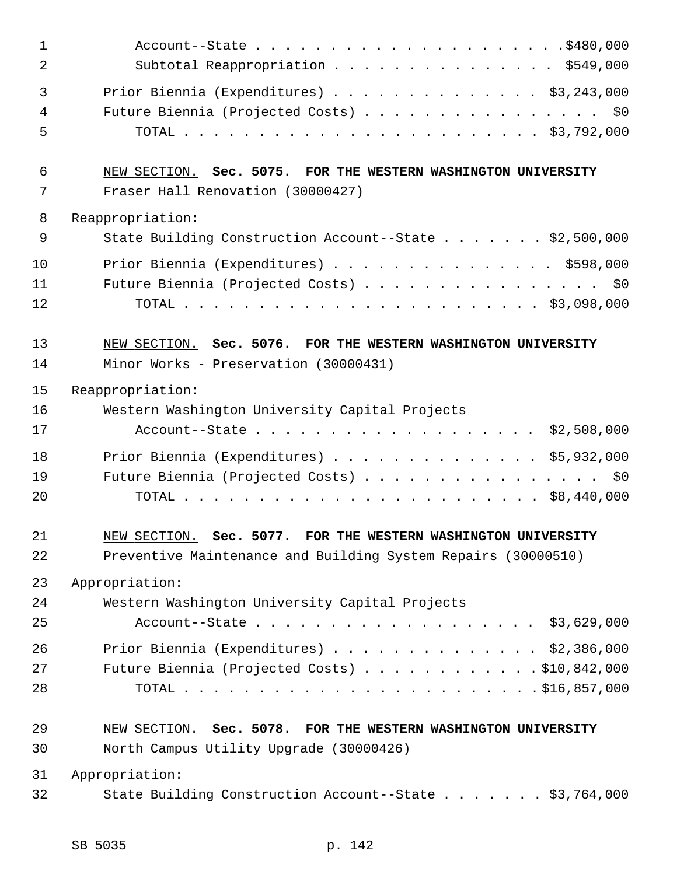| $\mathbf{1}$ |                                                               |
|--------------|---------------------------------------------------------------|
| 2            | Subtotal Reappropriation \$549,000                            |
| 3            | Prior Biennia (Expenditures) \$3,243,000                      |
| 4            | Future Biennia (Projected Costs) \$0                          |
| 5            |                                                               |
| 6            | NEW SECTION. Sec. 5075. FOR THE WESTERN WASHINGTON UNIVERSITY |
| 7            | Fraser Hall Renovation (30000427)                             |
| 8            | Reappropriation:                                              |
| 9            | State Building Construction Account--State \$2,500,000        |
| 10           | Prior Biennia (Expenditures) \$598,000                        |
| 11           | Future Biennia (Projected Costs) \$0                          |
| 12           |                                                               |
| 13           | NEW SECTION. Sec. 5076. FOR THE WESTERN WASHINGTON UNIVERSITY |
| 14           | Minor Works - Preservation (30000431)                         |
| 15           | Reappropriation:                                              |
| 16           | Western Washington University Capital Projects                |
| 17           | Account--State \$2,508,000                                    |
| 18           | Prior Biennia (Expenditures) $\ldots$ \$5,932,000             |
| 19           | Future Biennia (Projected Costs) \$0                          |
| 20           |                                                               |
| 21           | NEW SECTION. Sec. 5077. FOR THE WESTERN WASHINGTON UNIVERSITY |
| 22           | Preventive Maintenance and Building System Repairs (30000510) |
| 23           | Appropriation:                                                |
| 24           | Western Washington University Capital Projects                |
| 25           | Account--State \$3,629,000                                    |
| 26           | Prior Biennia (Expenditures) \$2,386,000                      |
| 27           | Future Biennia (Projected Costs) \$10,842,000                 |
| 28           |                                                               |
| 29           | NEW SECTION. Sec. 5078. FOR THE WESTERN WASHINGTON UNIVERSITY |
| 30           | North Campus Utility Upgrade (30000426)                       |
| 31           | Appropriation:                                                |
| 32           | State Building Construction Account--State \$3,764,000        |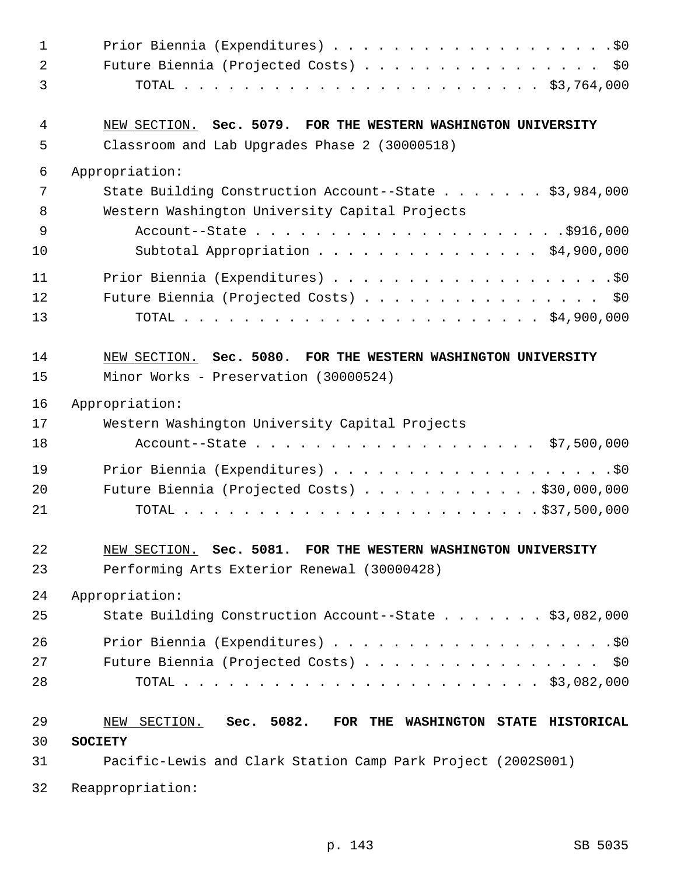| $\mathbf 1$ |                                                                      |
|-------------|----------------------------------------------------------------------|
| 2           | Future Biennia (Projected Costs) \$0                                 |
| 3           |                                                                      |
| 4           | NEW SECTION. Sec. 5079. FOR THE WESTERN WASHINGTON UNIVERSITY        |
| 5           | Classroom and Lab Upgrades Phase 2 (30000518)                        |
| 6           | Appropriation:                                                       |
| 7           | State Building Construction Account--State \$3,984,000               |
| 8           | Western Washington University Capital Projects                       |
| 9           |                                                                      |
| 10          | Subtotal Appropriation \$4,900,000                                   |
| 11          |                                                                      |
| 12<br>13    | Future Biennia (Projected Costs) \$0                                 |
|             |                                                                      |
| 14          | NEW SECTION. Sec. 5080. FOR THE WESTERN WASHINGTON UNIVERSITY        |
| 15          | Minor Works - Preservation (30000524)                                |
| 16          | Appropriation:                                                       |
| 17          | Western Washington University Capital Projects                       |
| 18          | Account--State \$7,500,000                                           |
| 19          |                                                                      |
| 20          | Future Biennia (Projected Costs) \$30,000,000                        |
| 21          |                                                                      |
| 22          | NEW SECTION. Sec. 5081. FOR THE WESTERN WASHINGTON UNIVERSITY        |
| 23          | Performing Arts Exterior Renewal (30000428)                          |
| 24          | Appropriation:                                                       |
| 25          | State Building Construction Account--State \$3,082,000               |
|             |                                                                      |
| 26<br>27    | Future Biennia (Projected Costs) \$0                                 |
| 28          |                                                                      |
|             |                                                                      |
| 29          | SECTION.<br>Sec. 5082.<br>FOR THE WASHINGTON STATE HISTORICAL<br>NEW |
| 30          | <b>SOCIETY</b>                                                       |
| 31          | Pacific-Lewis and Clark Station Camp Park Project (2002S001)         |
| 32          | Reappropriation:                                                     |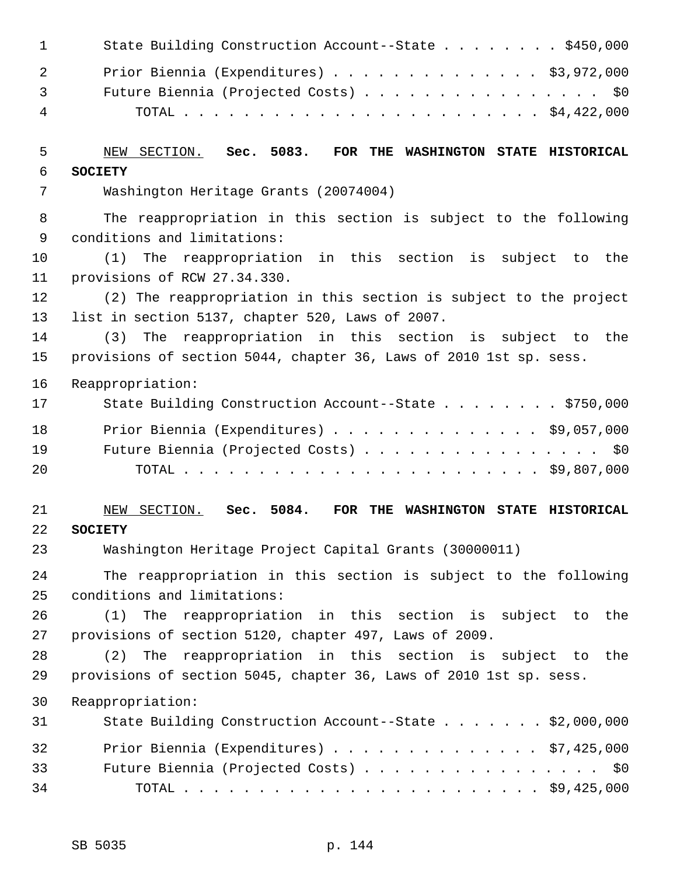| 1      | State Building Construction Account--State \$450,000                                           |
|--------|------------------------------------------------------------------------------------------------|
| 2      | Prior Biennia (Expenditures) \$3,972,000                                                       |
| 3      | Future Biennia (Projected Costs) \$0                                                           |
| 4      |                                                                                                |
| 5      | NEW SECTION.<br>Sec. 5083. FOR THE WASHINGTON STATE HISTORICAL                                 |
| 6      | <b>SOCIETY</b>                                                                                 |
| 7      | Washington Heritage Grants (20074004)                                                          |
| 8<br>9 | The reappropriation in this section is subject to the following<br>conditions and limitations: |
| 10     | (1)<br>The reappropriation in this section is subject to the                                   |
| 11     | provisions of RCW 27.34.330.                                                                   |
| 12     | (2) The reappropriation in this section is subject to the project                              |
| 13     | list in section 5137, chapter 520, Laws of 2007.                                               |
| 14     | reappropriation in this section is subject to the<br>(3)<br>The                                |
| 15     | provisions of section 5044, chapter 36, Laws of 2010 1st sp. sess.                             |
| 16     | Reappropriation:                                                                               |
| 17     | State Building Construction Account--State \$750,000                                           |
| 18     | Prior Biennia (Expenditures) $\ldots$ \$9,057,000                                              |
| 19     | Future Biennia (Projected Costs) \$0                                                           |
| 20     |                                                                                                |
| 21     | NEW SECTION. Sec. 5084. FOR THE WASHINGTON STATE HISTORICAL                                    |
| 22     | <b>SOCIETY</b>                                                                                 |
| 23     | Washington Heritage Project Capital Grants (30000011)                                          |
| 24     | The reappropriation in this section is subject to the following                                |
| 25     | conditions and limitations:                                                                    |
| 26     | The reappropriation in this section is subject to the<br>(1)                                   |
| 27     | provisions of section 5120, chapter 497, Laws of 2009.                                         |
| 28     | The<br>reappropriation in this section is subject to the<br>(2)                                |
| 29     | provisions of section 5045, chapter 36, Laws of 2010 1st sp. sess.                             |
| 30     | Reappropriation:                                                                               |
| 31     | State Building Construction Account--State \$2,000,000                                         |
| 32     | Prior Biennia (Expenditures) \$7,425,000                                                       |
| 33     | Future Biennia (Projected Costs) \$0                                                           |
| 34     |                                                                                                |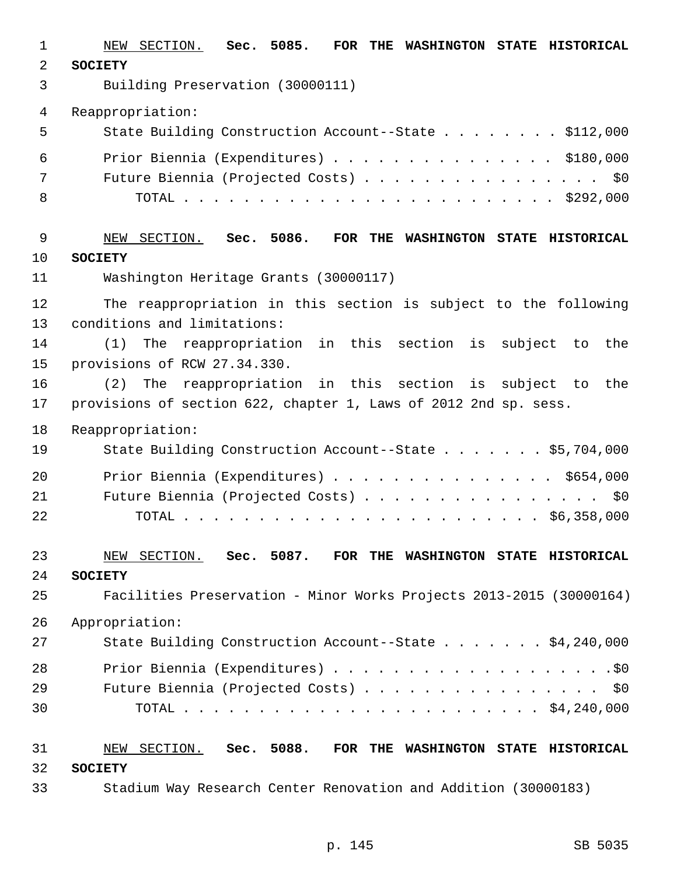1 NEW SECTION. **Sec. 5085. FOR THE WASHINGTON STATE HISTORICAL** 2 **SOCIETY** 3 Building Preservation (30000111) 4 Reappropriation: 5 State Building Construction Account--State . . . . . . . . \$112,000 6 Prior Biennia (Expenditures) . . . . . . . . . . . . . . . \$180,000 7 Future Biennia (Projected Costs) . . . . . . . . . . . . . . . . \$0 8 TOTAL . . . . . . . . . . . . . . . . . . . . . . . . . \$292,000 9 NEW SECTION. **Sec. 5086. FOR THE WASHINGTON STATE HISTORICAL** 10 **SOCIETY** 11 Washington Heritage Grants (30000117) 12 The reappropriation in this section is subject to the following 13 conditions and limitations: 14 (1) The reappropriation in this section is subject to the 15 provisions of RCW 27.34.330. 16 (2) The reappropriation in this section is subject to the 17 provisions of section 622, chapter 1, Laws of 2012 2nd sp. sess. 18 Reappropriation: 19 State Building Construction Account--State . . . . . . \$5,704,000 20 Prior Biennia (Expenditures) . . . . . . . . . . . . . . \$654,000 21 Future Biennia (Projected Costs) . . . . . . . . . . . . . . . . \$0 22 TOTAL . . . . . . . . . . . . . . . . . . . . . . . . \$6,358,000 23 NEW SECTION. **Sec. 5087. FOR THE WASHINGTON STATE HISTORICAL** 24 **SOCIETY** 25 Facilities Preservation - Minor Works Projects 2013-2015 (30000164) 26 Appropriation: 27 State Building Construction Account--State . . . . . . . \$4,240,000 28 Prior Biennia (Expenditures) . . . . . . . . . . . . . . . . . . .\$0 29 Future Biennia (Projected Costs) . . . . . . . . . . . . . . . \$0 30 TOTAL . . . . . . . . . . . . . . . . . . . . . . . . \$4,240,000 31 NEW SECTION. **Sec. 5088. FOR THE WASHINGTON STATE HISTORICAL** 32 **SOCIETY** 33 Stadium Way Research Center Renovation and Addition (30000183)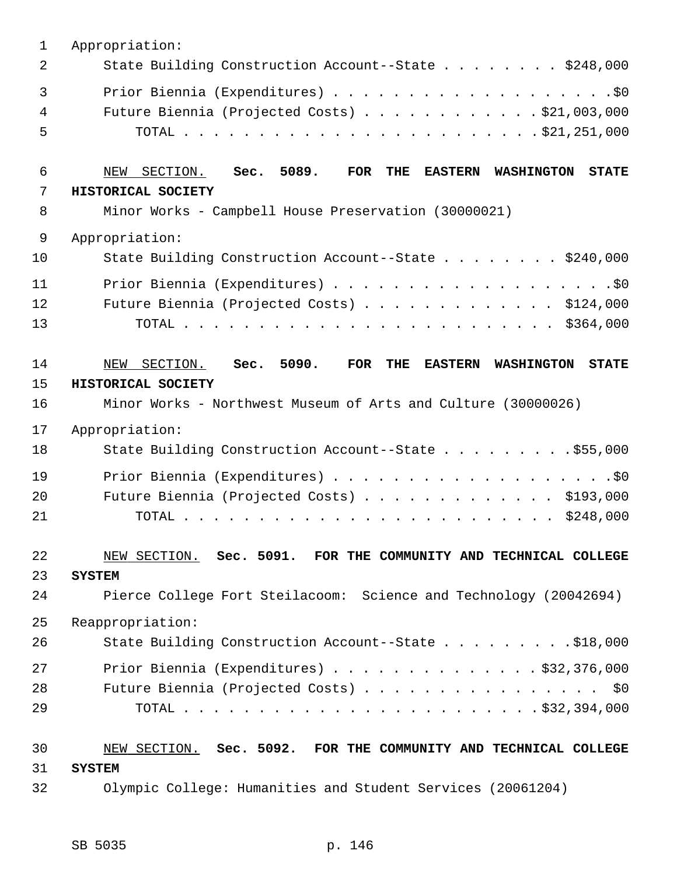| $\mathbf{1}$ | Appropriation:                                                                                                   |
|--------------|------------------------------------------------------------------------------------------------------------------|
| 2            | State Building Construction Account--State \$248,000                                                             |
| 3            |                                                                                                                  |
| 4            | Future Biennia (Projected Costs) $\ldots$ \$21,003,000                                                           |
| 5            |                                                                                                                  |
| 6            | Sec. 5089.<br><b>THE</b><br>SECTION.<br><b>FOR</b><br><b>EASTERN</b><br><b>STATE</b><br>NEW<br><b>WASHINGTON</b> |
| 7            | HISTORICAL SOCIETY                                                                                               |
| 8            | Minor Works - Campbell House Preservation (30000021)                                                             |
| 9            | Appropriation:                                                                                                   |
| 10           | State Building Construction Account--State \$240,000                                                             |
| 11           |                                                                                                                  |
| 12           | Future Biennia (Projected Costs) $\ldots$ \$124,000                                                              |
| 13           |                                                                                                                  |
| 14           | Sec. 5090.<br>THE<br>SECTION.<br>FOR<br><b>EASTERN</b><br>NEW<br><b>WASHINGTON</b><br><b>STATE</b>               |
| 15           | HISTORICAL SOCIETY                                                                                               |
| 16           | Minor Works - Northwest Museum of Arts and Culture (30000026)                                                    |
| 17           | Appropriation:                                                                                                   |
| 18           | State Building Construction Account--State \$55,000                                                              |
| 19           |                                                                                                                  |
| 20           | Future Biennia (Projected Costs) \$193,000                                                                       |
| 21           |                                                                                                                  |
| 22           | NEW SECTION. Sec. 5091. FOR THE COMMUNITY AND TECHNICAL COLLEGE                                                  |
| 23           | <b>SYSTEM</b>                                                                                                    |
| 24           | Pierce College Fort Steilacoom: Science and Technology (20042694)                                                |
| 25           | Reappropriation:                                                                                                 |
| 26           | State Building Construction Account--State \$18,000                                                              |
| 27           | Prior Biennia (Expenditures) $\ldots$ \$32,376,000                                                               |
| 28           | Future Biennia (Projected Costs) \$0                                                                             |
| 29           |                                                                                                                  |
| 30           | NEW SECTION. Sec. 5092. FOR THE COMMUNITY AND TECHNICAL COLLEGE                                                  |
| 31           | <b>SYSTEM</b>                                                                                                    |
| 32           | Olympic College: Humanities and Student Services (20061204)                                                      |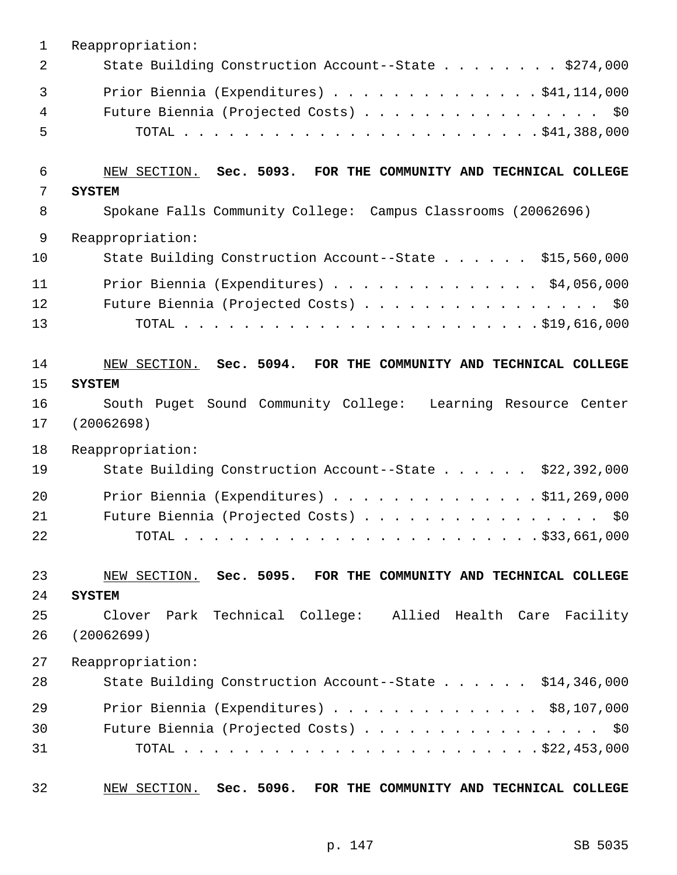| $\mathbf 1$    | Reappropriation:                                                |
|----------------|-----------------------------------------------------------------|
| $\overline{2}$ | State Building Construction Account--State \$274,000            |
| 3              | Prior Biennia (Expenditures) \$41,114,000                       |
| 4              | Future Biennia (Projected Costs) \$0                            |
| 5              |                                                                 |
| 6              | NEW SECTION. Sec. 5093. FOR THE COMMUNITY AND TECHNICAL COLLEGE |
| 7              | <b>SYSTEM</b>                                                   |
| 8              | Spokane Falls Community College: Campus Classrooms (20062696)   |
| $\mathsf 9$    | Reappropriation:                                                |
| 10             | State Building Construction Account--State \$15,560,000         |
| 11             | Prior Biennia (Expenditures) \$4,056,000                        |
| 12             | Future Biennia (Projected Costs) \$0                            |
| 13             |                                                                 |
| 14             | NEW SECTION. Sec. 5094. FOR THE COMMUNITY AND TECHNICAL COLLEGE |
| 15             | <b>SYSTEM</b>                                                   |
| 16             | South Puget Sound Community College: Learning Resource Center   |
| 17             | (20062698)                                                      |
| 18             | Reappropriation:                                                |
| 19             | State Building Construction Account--State \$22,392,000         |
| 20             | Prior Biennia (Expenditures) \$11,269,000                       |
| 21             | Future Biennia (Projected Costs) \$0                            |
| 22             |                                                                 |
| 23             | NEW SECTION. Sec. 5095. FOR THE COMMUNITY AND TECHNICAL COLLEGE |
| 24             | <b>SYSTEM</b>                                                   |
| 25             | Park Technical College: Allied Health Care Facility<br>Clover   |
| 26             | (20062699)                                                      |
| 27             | Reappropriation:                                                |
| 28             | State Building Construction Account--State \$14,346,000         |
| 29             | Prior Biennia (Expenditures) $\ldots$ \$8,107,000               |
| 30             | Future Biennia (Projected Costs) \$0                            |
| 31             |                                                                 |
| 32             | NEW SECTION. Sec. 5096. FOR THE COMMUNITY AND TECHNICAL COLLEGE |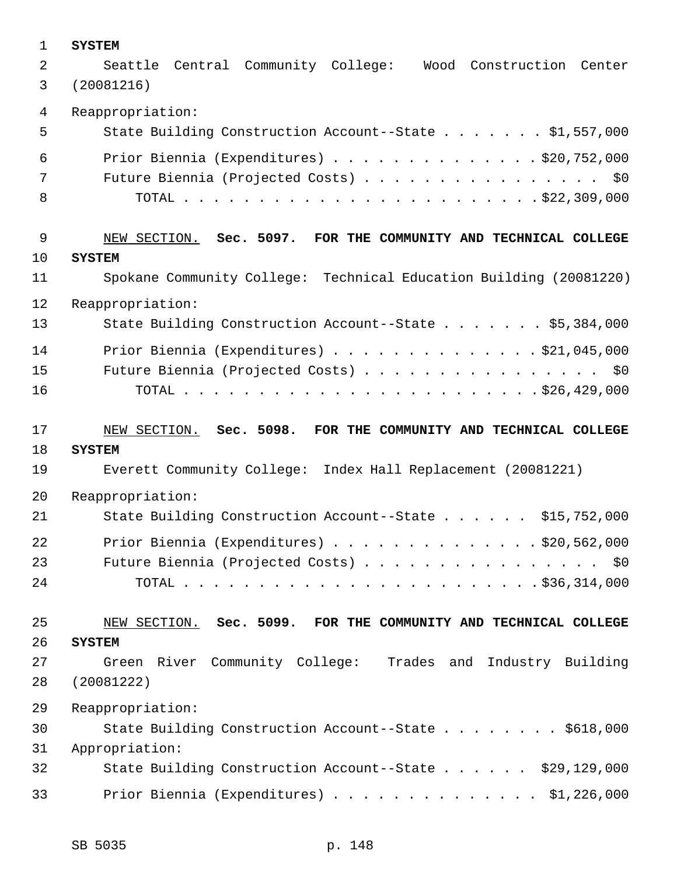| 1              | <b>SYSTEM</b>                                                      |
|----------------|--------------------------------------------------------------------|
| 2              | Central Community College: Wood<br>Construction Center<br>Seattle  |
| 3              | (20081216)                                                         |
| 4              | Reappropriation:                                                   |
| 5              | State Building Construction Account--State \$1,557,000             |
| 6              | Prior Biennia (Expenditures) \$20,752,000                          |
| 7              | Future Biennia (Projected Costs) \$0                               |
| 8              |                                                                    |
| $\overline{9}$ | NEW SECTION. Sec. 5097. FOR THE COMMUNITY AND TECHNICAL COLLEGE    |
| 10             | <b>SYSTEM</b>                                                      |
| 11             | Spokane Community College: Technical Education Building (20081220) |
| 12             | Reappropriation:                                                   |
| 13             | State Building Construction Account--State \$5,384,000             |
| 14             | Prior Biennia (Expenditures) \$21,045,000                          |
| 15             | Future Biennia (Projected Costs) \$0                               |
| 16             |                                                                    |
|                |                                                                    |
| 17             | NEW SECTION. Sec. 5098. FOR THE COMMUNITY AND TECHNICAL COLLEGE    |
| 18             | <b>SYSTEM</b>                                                      |
| 19             | Everett Community College: Index Hall Replacement (20081221)       |
| 20             | Reappropriation:                                                   |
| 21             | State Building Construction Account--State \$15,752,000            |
| 22             | Prior Biennia (Expenditures) \$20,562,000                          |
| 23             | Future Biennia (Projected Costs) \$0                               |
| 24             |                                                                    |
| 25             | NEW SECTION. Sec. 5099. FOR THE COMMUNITY AND TECHNICAL COLLEGE    |
| 26             | <b>SYSTEM</b>                                                      |
| 27             | Green River Community College: Trades and Industry Building        |
| 28             | (20081222)                                                         |
| 29             | Reappropriation:                                                   |
| 30             | State Building Construction Account--State \$618,000               |
| 31             | Appropriation:                                                     |
| 32             | State Building Construction Account--State \$29,129,000            |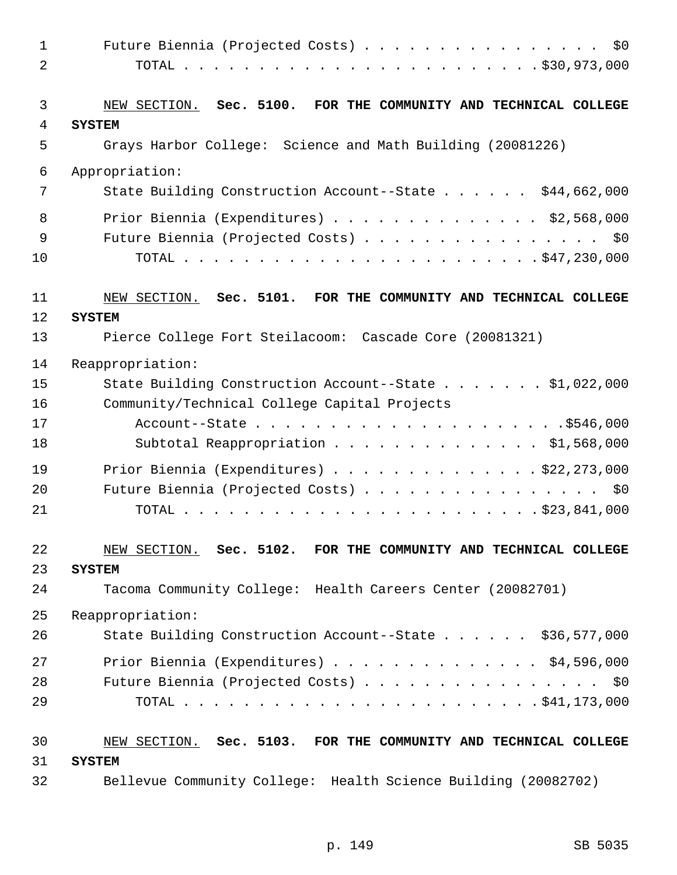| 1              | Future Biennia (Projected Costs) \$0                                             |
|----------------|----------------------------------------------------------------------------------|
| $\overline{2}$ |                                                                                  |
| 3              | NEW SECTION. Sec. 5100. FOR THE COMMUNITY AND TECHNICAL COLLEGE                  |
| 4              | <b>SYSTEM</b>                                                                    |
| 5              | Grays Harbor College: Science and Math Building (20081226)                       |
| 6              | Appropriation:                                                                   |
| 7              | State Building Construction Account--State \$44,662,000                          |
| 8              | Prior Biennia (Expenditures) $\ldots$ \$2,568,000                                |
| 9              | Future Biennia (Projected Costs) \$0                                             |
| 10             |                                                                                  |
| 11<br>12       | NEW SECTION. Sec. 5101. FOR THE COMMUNITY AND TECHNICAL COLLEGE<br><b>SYSTEM</b> |
| 13             | Pierce College Fort Steilacoom: Cascade Core (20081321)                          |
| 14             | Reappropriation:                                                                 |
| 15             | State Building Construction Account--State \$1,022,000                           |
| 16             | Community/Technical College Capital Projects                                     |
| 17             |                                                                                  |
| 18             | Subtotal Reappropriation \$1,568,000                                             |
| 19             | Prior Biennia (Expenditures) \$22,273,000                                        |
| 20             | Future Biennia (Projected Costs) \$0                                             |
| 21             |                                                                                  |
| 22<br>23       | NEW SECTION. Sec. 5102. FOR THE COMMUNITY AND TECHNICAL COLLEGE<br><b>SYSTEM</b> |
| 24             | Tacoma Community College: Health Careers Center (20082701)                       |
| 25             | Reappropriation:                                                                 |
| 26             | State Building Construction Account--State \$36,577,000                          |
| 27             | Prior Biennia (Expenditures) $\ldots$ \$4,596,000                                |
| 28             | Future Biennia (Projected Costs) \$0                                             |
| 29             |                                                                                  |
| 30             | NEW SECTION. Sec. 5103. FOR THE COMMUNITY AND TECHNICAL COLLEGE                  |
| 31             | <b>SYSTEM</b>                                                                    |
| 32             | Bellevue Community College: Health Science Building (20082702)                   |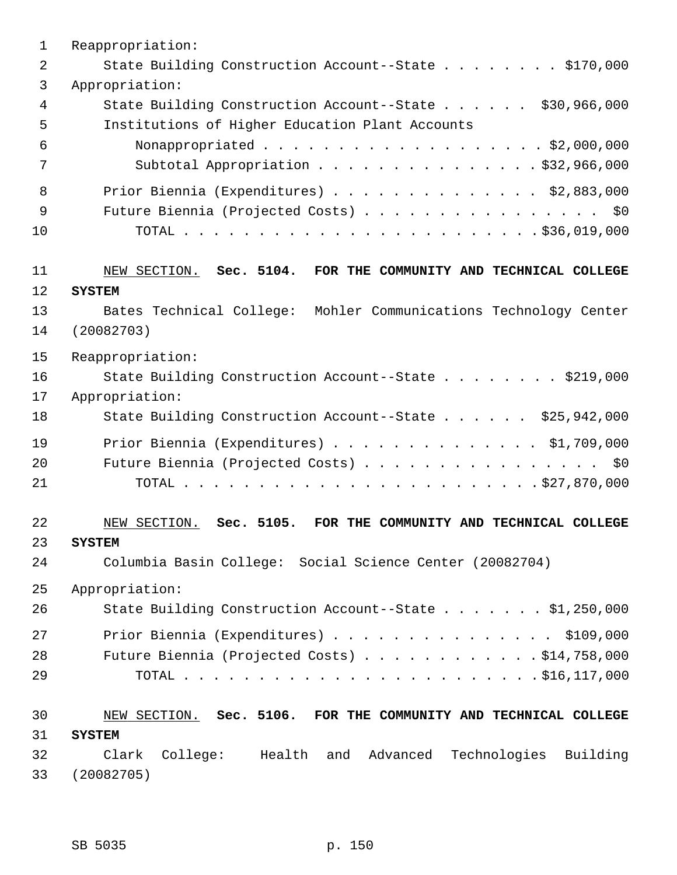| $\mathbf 1$    | Reappropriation:                                                     |
|----------------|----------------------------------------------------------------------|
| $\overline{2}$ | State Building Construction Account--State \$170,000                 |
| 3              | Appropriation:                                                       |
| $\overline{4}$ | State Building Construction Account--State \$30,966,000              |
| 5              | Institutions of Higher Education Plant Accounts                      |
| 6              | Nonappropriated \$2,000,000                                          |
| 7              | Subtotal Appropriation \$32,966,000                                  |
| 8              | Prior Biennia (Expenditures) \$2,883,000                             |
| 9              | Future Biennia (Projected Costs) \$0                                 |
| 10             |                                                                      |
|                |                                                                      |
| 11             | NEW SECTION. Sec. 5104. FOR THE COMMUNITY AND TECHNICAL COLLEGE      |
| 12             | <b>SYSTEM</b>                                                        |
| 13             | Bates Technical College: Mohler Communications Technology Center     |
| 14             | (20082703)                                                           |
| 15             | Reappropriation:                                                     |
| 16             | State Building Construction Account--State \$219,000                 |
| 17             | Appropriation:                                                       |
| 18             | State Building Construction Account--State \$25,942,000              |
| 19             | Prior Biennia (Expenditures) \$1,709,000                             |
| 20             | Future Biennia (Projected Costs) \$0                                 |
| 21             |                                                                      |
| 22             | NEW SECTION. Sec. 5105. FOR THE COMMUNITY AND TECHNICAL COLLEGE      |
| 23             | <b>SYSTEM</b>                                                        |
| 24             | Columbia Basin College: Social Science Center (20082704)             |
|                |                                                                      |
| 25             | Appropriation:                                                       |
| 26             | State Building Construction Account--State \$1,250,000               |
| 27             | Prior Biennia (Expenditures) \$109,000                               |
| 28             | Future Biennia (Projected Costs) $\ldots$ \$14,758,000               |
| 29             |                                                                      |
| 30             | NEW SECTION. Sec. 5106. FOR THE COMMUNITY AND TECHNICAL COLLEGE      |
| 31             | <b>SYSTEM</b>                                                        |
| 32             | Clark<br>College: Health and<br>Advanced<br>Technologies<br>Building |
| 33             | (20082705)                                                           |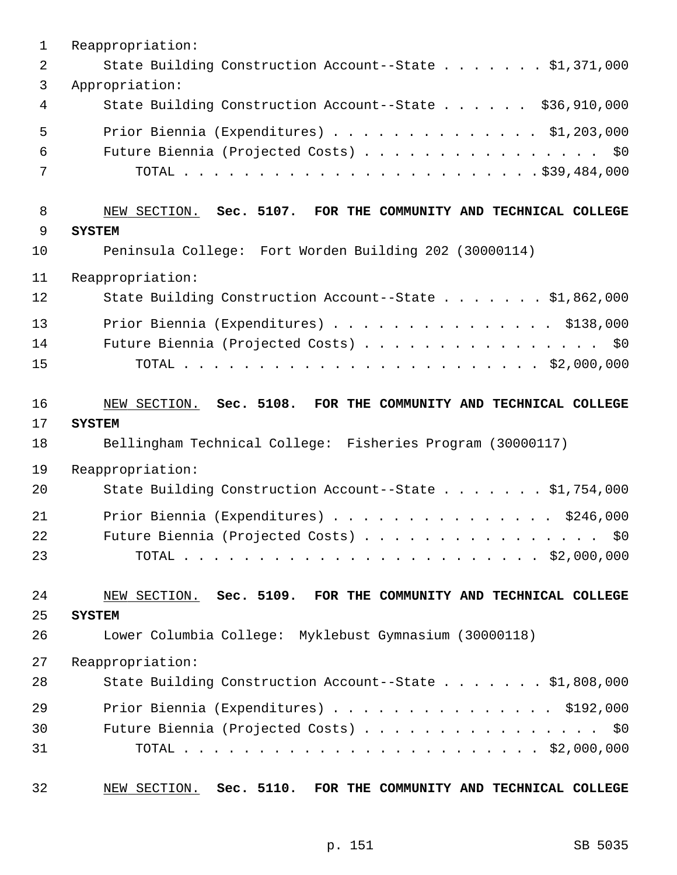| $\mathbf{1}$ | Reappropriation:                                                |
|--------------|-----------------------------------------------------------------|
| 2            | State Building Construction Account--State \$1,371,000          |
| 3            | Appropriation:                                                  |
| 4            | State Building Construction Account--State \$36,910,000         |
| 5            | Prior Biennia (Expenditures) $\ldots$ \$1,203,000               |
| 6            | Future Biennia (Projected Costs) \$0                            |
| 7            |                                                                 |
| 8            | NEW SECTION. Sec. 5107. FOR THE COMMUNITY AND TECHNICAL COLLEGE |
| 9            | <b>SYSTEM</b>                                                   |
| 10           | Peninsula College: Fort Worden Building 202 (30000114)          |
| 11           | Reappropriation:                                                |
| 12           | State Building Construction Account--State \$1,862,000          |
| 13           | Prior Biennia (Expenditures) \$138,000                          |
| 14           | Future Biennia (Projected Costs) \$0                            |
| 15           |                                                                 |
| 16           | NEW SECTION. Sec. 5108. FOR THE COMMUNITY AND TECHNICAL COLLEGE |
| 17           | <b>SYSTEM</b>                                                   |
| 18           | Bellingham Technical College: Fisheries Program (30000117)      |
| 19           | Reappropriation:                                                |
| 20           | State Building Construction Account--State \$1,754,000          |
| 21           | Prior Biennia (Expenditures) \$246,000                          |
| 22           | Future Biennia (Projected Costs)<br>\$0                         |
| 23           |                                                                 |
| 24           | NEW SECTION. Sec. 5109. FOR THE COMMUNITY AND TECHNICAL COLLEGE |
| 25           | <b>SYSTEM</b>                                                   |
| 26           | Lower Columbia College: Myklebust Gymnasium (30000118)          |
| 27           | Reappropriation:                                                |
| 28           | State Building Construction Account--State \$1,808,000          |
| 29           | Prior Biennia (Expenditures) \$192,000                          |
| 30           | Future Biennia (Projected Costs) \$0                            |
| 31           |                                                                 |
|              |                                                                 |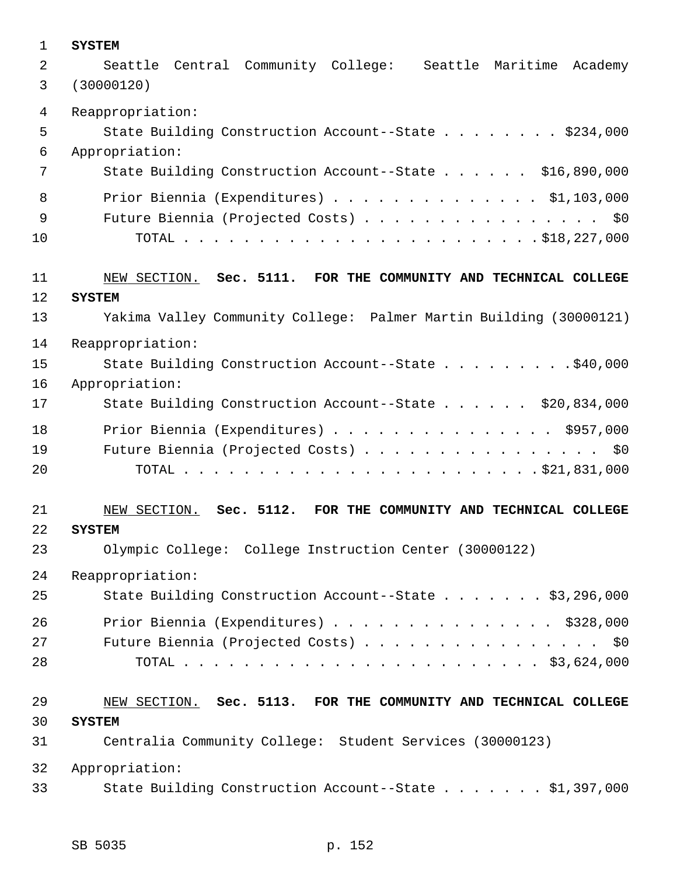| $\mathbf 1$    | <b>SYSTEM</b>                                                         |
|----------------|-----------------------------------------------------------------------|
| $\overline{a}$ | Seattle Central Community College: Seattle Maritime<br>Academy        |
| 3              | (30000120)                                                            |
| 4              | Reappropriation:                                                      |
| 5              | State Building Construction Account--State \$234,000                  |
| 6              | Appropriation:                                                        |
| 7              | State Building Construction Account--State \$16,890,000               |
| 8              | Prior Biennia (Expenditures) $\ldots$ \$1,103,000                     |
| 9              | Future Biennia (Projected Costs) \$0                                  |
| 10             |                                                                       |
| 11             | NEW SECTION. Sec. 5111. FOR THE COMMUNITY AND TECHNICAL COLLEGE       |
| 12             | <b>SYSTEM</b>                                                         |
| 13             | Yakima Valley Community College: Palmer Martin Building (30000121)    |
| 14             | Reappropriation:                                                      |
| 15             | State Building Construction Account--State \$40,000                   |
| 16             | Appropriation:                                                        |
| 17             | State Building Construction Account--State \$20,834,000               |
| 18             | Prior Biennia (Expenditures) \$957,000                                |
| 19             | Future Biennia (Projected Costs) \$0                                  |
| 20             |                                                                       |
| 21             | NEW SECTION.<br>Sec. 5112.<br>FOR THE COMMUNITY AND TECHNICAL COLLEGE |
| 22             | <b>SYSTEM</b>                                                         |
| 23             | Olympic College: College Instruction Center (30000122)                |
| 24             | Reappropriation:                                                      |
| 25             | State Building Construction Account--State \$3,296,000                |
| 26             | Prior Biennia (Expenditures) \$328,000                                |
| 27             | Future Biennia (Projected Costs) \$0                                  |
| 28             |                                                                       |
| 29             | NEW SECTION. Sec. 5113. FOR THE COMMUNITY AND TECHNICAL COLLEGE       |
| 30             | <b>SYSTEM</b>                                                         |
| 31             | Centralia Community College: Student Services (30000123)              |
| 32             | Appropriation:                                                        |
| 33             | State Building Construction Account--State \$1,397,000                |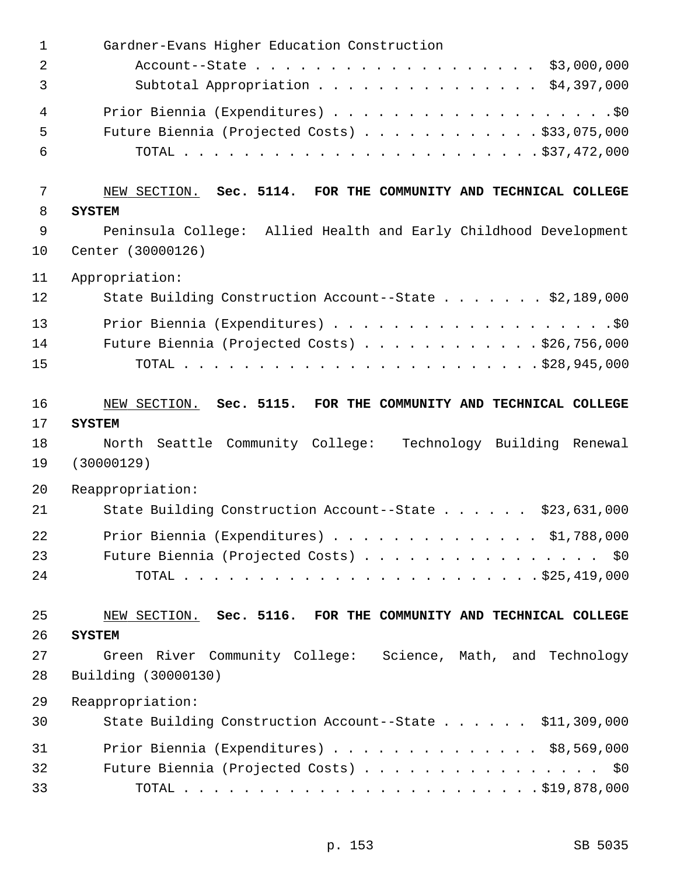| $\mathbf 1$    | Gardner-Evans Higher Education Construction                      |
|----------------|------------------------------------------------------------------|
| $\overline{2}$ | Account--State \$3,000,000                                       |
| 3              | Subtotal Appropriation \$4,397,000                               |
| 4              |                                                                  |
| 5              | Future Biennia (Projected Costs) \$33,075,000                    |
| 6              |                                                                  |
| 7              | NEW SECTION. Sec. 5114. FOR THE COMMUNITY AND TECHNICAL COLLEGE  |
| 8              | <b>SYSTEM</b>                                                    |
| $\mathsf 9$    | Peninsula College: Allied Health and Early Childhood Development |
| 10             | Center (30000126)                                                |
| 11             | Appropriation:                                                   |
| 12             | State Building Construction Account--State \$2,189,000           |
| 13             |                                                                  |
| 14             | Future Biennia (Projected Costs) \$26,756,000                    |
| 15             |                                                                  |
| 16             | NEW SECTION. Sec. 5115. FOR THE COMMUNITY AND TECHNICAL COLLEGE  |
| 17             | <b>SYSTEM</b>                                                    |
| 18             | North Seattle Community College: Technology Building Renewal     |
| 19             | (30000129)                                                       |
| 20             | Reappropriation:                                                 |
| 21             | State Building Construction Account--State<br>\$23,631,000       |
| 22             | Prior Biennia (Expenditures) \$1,788,000                         |
| 23             | Future Biennia (Projected Costs) \$0                             |
| 24             |                                                                  |
| 25             | NEW SECTION. Sec. 5116. FOR THE COMMUNITY AND TECHNICAL COLLEGE  |
| 26             | <b>SYSTEM</b>                                                    |
| 27             | Green River Community College: Science, Math, and Technology     |
| 28             | Building (30000130)                                              |
| 29             | Reappropriation:                                                 |
| 30             | State Building Construction Account--State \$11,309,000          |
| 31             | Prior Biennia (Expenditures) $\ldots$ \$8,569,000                |
| 32             | Future Biennia (Projected Costs) \$0                             |
| 33             |                                                                  |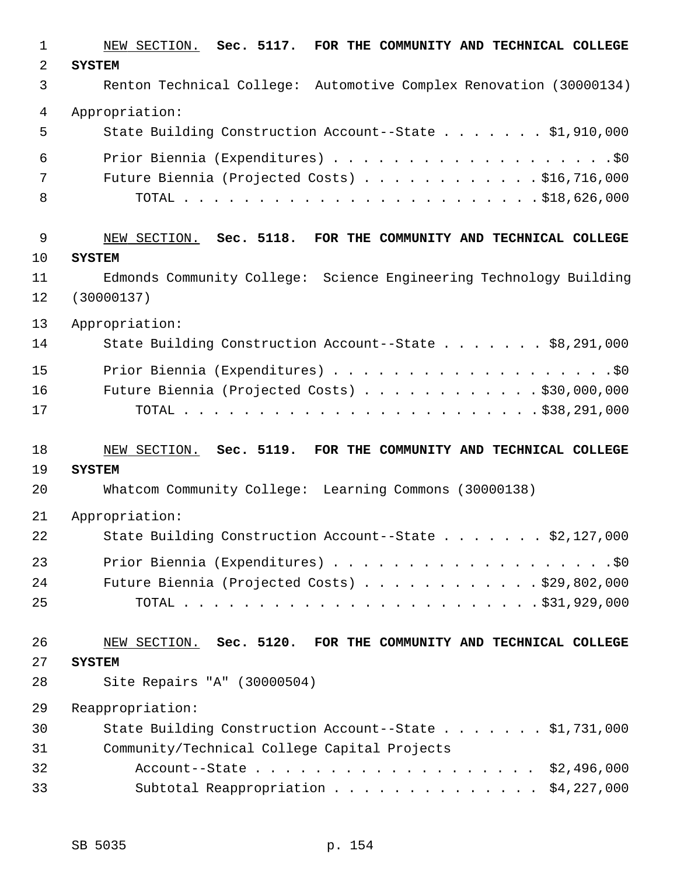| $\mathbf{1}$ | NEW SECTION. Sec. 5117. FOR THE COMMUNITY AND TECHNICAL COLLEGE                  |
|--------------|----------------------------------------------------------------------------------|
| 2            | <b>SYSTEM</b>                                                                    |
| 3            | Renton Technical College: Automotive Complex Renovation (30000134)               |
| 4            | Appropriation:                                                                   |
| 5            | State Building Construction Account--State \$1,910,000                           |
| 6            |                                                                                  |
| 7            | Future Biennia (Projected Costs) $\ldots$ \$16,716,000                           |
| 8            |                                                                                  |
| 9            | NEW SECTION. Sec. 5118. FOR THE COMMUNITY AND TECHNICAL COLLEGE                  |
| 10           | <b>SYSTEM</b>                                                                    |
| 11<br>12     | Edmonds Community College: Science Engineering Technology Building<br>(30000137) |
| 13           | Appropriation:                                                                   |
| 14           | State Building Construction Account--State \$8,291,000                           |
| 15           |                                                                                  |
| 16           | Future Biennia (Projected Costs) \$30,000,000                                    |
| 17           |                                                                                  |
| 18           | NEW SECTION. Sec. 5119. FOR THE COMMUNITY AND TECHNICAL COLLEGE                  |
| 19           | <b>SYSTEM</b>                                                                    |
| 20           | Whatcom Community College: Learning Commons (30000138)                           |
| 21           | Appropriation:                                                                   |
| 22           | State Building Construction Account--State \$2,127,000                           |
| 23           |                                                                                  |
| 24           | Future Biennia (Projected Costs) $\ldots$ \$29,802,000                           |
| 25           |                                                                                  |
| 26           | NEW SECTION. Sec. 5120. FOR THE COMMUNITY AND TECHNICAL COLLEGE                  |
| 27           | <b>SYSTEM</b>                                                                    |
| 28           | Site Repairs "A" (30000504)                                                      |
| 29           | Reappropriation:                                                                 |
| 30           | State Building Construction Account--State \$1,731,000                           |
| 31           | Community/Technical College Capital Projects                                     |
| 32           | Account--State \$2,496,000                                                       |
| 33           | Subtotal Reappropriation \$4,227,000                                             |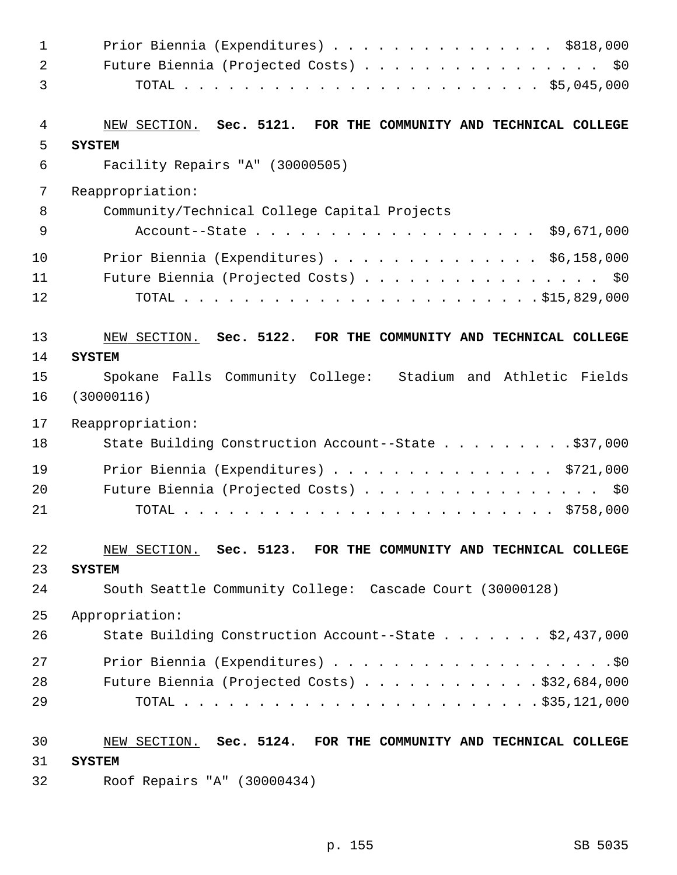| $\mathbf 1$ | Prior Biennia (Expenditures) \$818,000                             |
|-------------|--------------------------------------------------------------------|
| 2           | Future Biennia (Projected Costs) \$0                               |
| 3           |                                                                    |
| 4           | NEW SECTION. Sec. 5121.<br>FOR THE COMMUNITY AND TECHNICAL COLLEGE |
| 5           | <b>SYSTEM</b>                                                      |
| 6           | Facility Repairs "A" (30000505)                                    |
| 7           | Reappropriation:                                                   |
| 8           | Community/Technical College Capital Projects                       |
| $\mathsf 9$ |                                                                    |
| 10          | Prior Biennia (Expenditures) \$6,158,000                           |
| 11          | Future Biennia (Projected Costs) \$0                               |
| 12          |                                                                    |
| 13          | NEW SECTION. Sec. 5122.<br>FOR THE COMMUNITY AND TECHNICAL COLLEGE |
| 14          | <b>SYSTEM</b>                                                      |
| 15          | Spokane Falls Community College: Stadium and Athletic Fields       |
| 16          | (30000116)                                                         |
| 17          | Reappropriation:                                                   |
| 18          | State Building Construction Account--State \$37,000                |
| 19          | Prior Biennia (Expenditures) \$721,000                             |
| 20          | Future Biennia (Projected Costs) \$0                               |
| 21          |                                                                    |
| 22          | NEW SECTION. Sec. 5123. FOR THE COMMUNITY AND TECHNICAL COLLEGE    |
| 23          | <b>SYSTEM</b>                                                      |
| 24          | South Seattle Community College: Cascade Court (30000128)          |
| 25          | Appropriation:                                                     |
| 26          | State Building Construction Account--State \$2,437,000             |
| 27          |                                                                    |
| 28          | Future Biennia (Projected Costs) $\ldots$ \$32,684,000             |
| 29          |                                                                    |
| 30          | NEW SECTION. Sec. 5124. FOR THE COMMUNITY AND TECHNICAL COLLEGE    |
| 31          | <b>SYSTEM</b>                                                      |
| 32          | Roof Repairs "A" (30000434)                                        |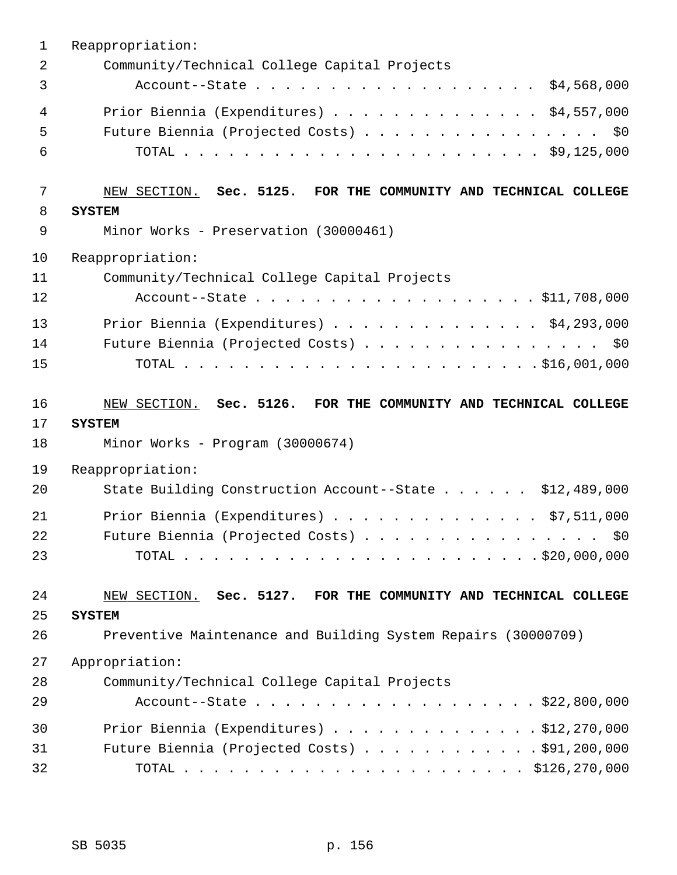| $\mathbf 1$    | Reappropriation:                                                |
|----------------|-----------------------------------------------------------------|
| $\overline{2}$ | Community/Technical College Capital Projects                    |
| 3              | Account--State \$4,568,000                                      |
| 4              | Prior Biennia (Expenditures) \$4,557,000                        |
| 5              | Future Biennia (Projected Costs) \$0                            |
| 6              |                                                                 |
| 7              | NEW SECTION. Sec. 5125. FOR THE COMMUNITY AND TECHNICAL COLLEGE |
| 8              | <b>SYSTEM</b>                                                   |
| $\mathsf 9$    | Minor Works - Preservation (30000461)                           |
| 10             | Reappropriation:                                                |
| 11             | Community/Technical College Capital Projects                    |
| 12             | Account--State \$11,708,000                                     |
| 13             | Prior Biennia (Expenditures) $\ldots$ \$4,293,000               |
| 14             | Future Biennia (Projected Costs) \$0                            |
| 15             |                                                                 |
| 16             | NEW SECTION. Sec. 5126. FOR THE COMMUNITY AND TECHNICAL COLLEGE |
| 17             | <b>SYSTEM</b>                                                   |
| 18             | Minor Works - Program (30000674)                                |
| 19             | Reappropriation:                                                |
| 20             | State Building Construction Account--State \$12,489,000         |
| 21             | Prior Biennia (Expenditures) \$7,511,000                        |
| 22             | Future Biennia (Projected Costs)<br>\$0                         |
| 23             |                                                                 |
| 24             | NEW SECTION. Sec. 5127. FOR THE COMMUNITY AND TECHNICAL COLLEGE |
| 25             | <b>SYSTEM</b>                                                   |
| 26             | Preventive Maintenance and Building System Repairs (30000709)   |
| 27             | Appropriation:                                                  |
| 28             | Community/Technical College Capital Projects                    |
| 29             | Account--State \$22,800,000                                     |
| 30             | Prior Biennia (Expenditures) \$12,270,000                       |
| 31             | Future Biennia (Projected Costs) \$91,200,000                   |
| 32             |                                                                 |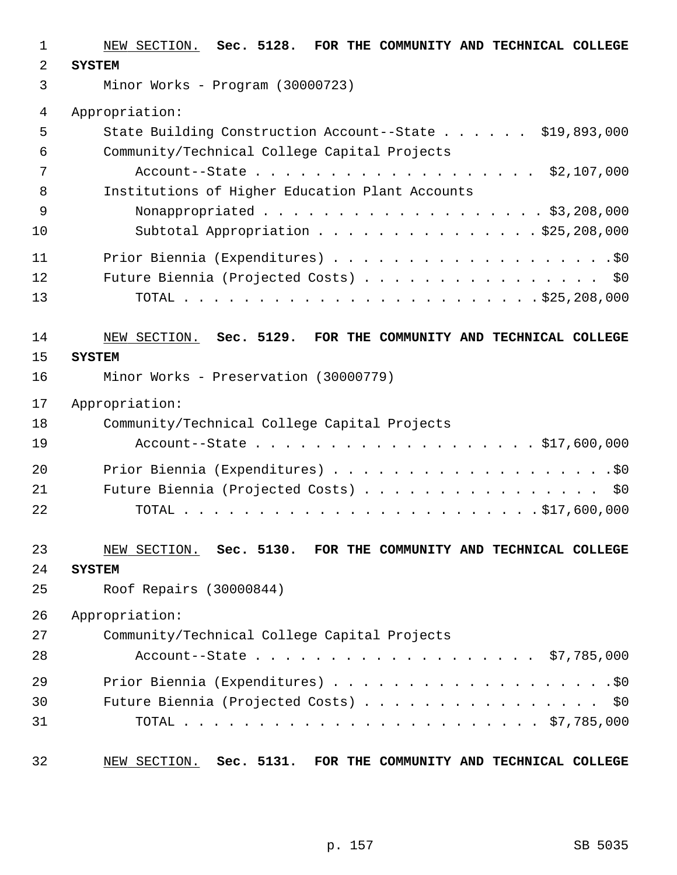| $\mathbf{1}$   | NEW SECTION. Sec. 5128. FOR THE COMMUNITY AND TECHNICAL COLLEGE |
|----------------|-----------------------------------------------------------------|
| 2              | <b>SYSTEM</b>                                                   |
| $\mathfrak{Z}$ | Minor Works - Program (30000723)                                |
| 4              | Appropriation:                                                  |
| 5              | State Building Construction Account--State \$19,893,000         |
| 6              | Community/Technical College Capital Projects                    |
| 7              | Account--State \$2,107,000                                      |
| 8              | Institutions of Higher Education Plant Accounts                 |
| 9              | Nonappropriated \$3,208,000                                     |
| 10             | Subtotal Appropriation \$25,208,000                             |
| 11             |                                                                 |
| 12             | Future Biennia (Projected Costs) \$0                            |
| 13             |                                                                 |
| 14             | NEW SECTION. Sec. 5129. FOR THE COMMUNITY AND TECHNICAL COLLEGE |
| 15             | <b>SYSTEM</b>                                                   |
| 16             | Minor Works - Preservation (30000779)                           |
| 17             | Appropriation:                                                  |
| 18             | Community/Technical College Capital Projects                    |
| 19             | Account--State \$17,600,000                                     |
| 20             |                                                                 |
| 21             | Future Biennia (Projected Costs) \$0                            |
| 22             |                                                                 |
| 23             | NEW SECTION. Sec. 5130. FOR THE COMMUNITY AND TECHNICAL COLLEGE |
| 24             | <b>SYSTEM</b>                                                   |
| 25             | Roof Repairs (30000844)                                         |
| 26             | Appropriation:                                                  |
| 27             | Community/Technical College Capital Projects                    |
| 28             |                                                                 |
| 29             |                                                                 |
| 30             | Future Biennia (Projected Costs) \$0                            |
| 31             |                                                                 |
| 32             | NEW SECTION. Sec. 5131. FOR THE COMMUNITY AND TECHNICAL COLLEGE |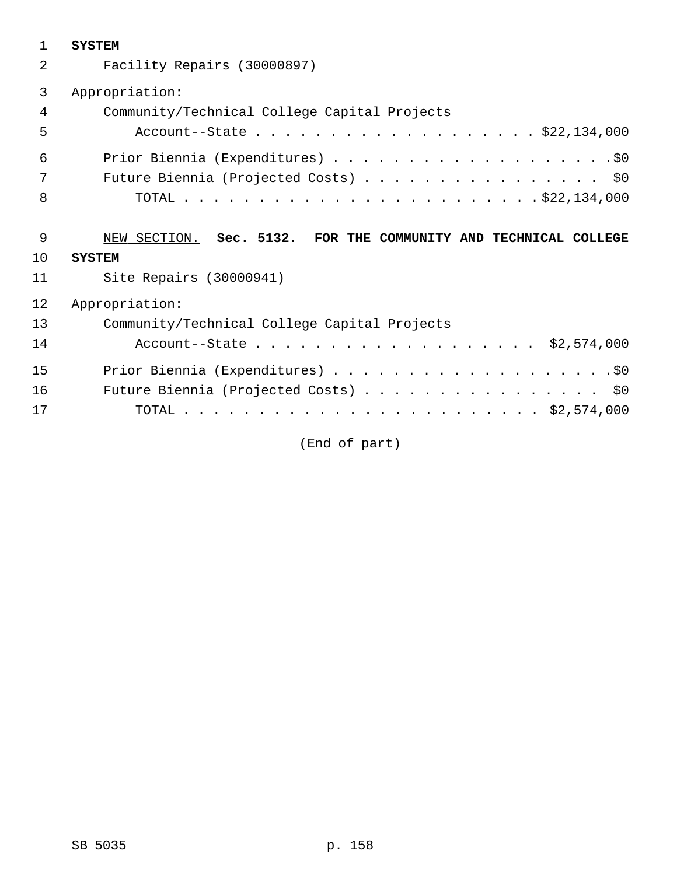| $\mathbf{1}$ | <b>SYSTEM</b>                                                   |
|--------------|-----------------------------------------------------------------|
| 2            | Facility Repairs (30000897)                                     |
| 3            | Appropriation:                                                  |
| 4            | Community/Technical College Capital Projects                    |
| 5            | Account--State \$22,134,000                                     |
| 6            |                                                                 |
| 7            | Future Biennia (Projected Costs) \$0                            |
| 8            |                                                                 |
| 9            | NEW SECTION. Sec. 5132. FOR THE COMMUNITY AND TECHNICAL COLLEGE |
| 10           | <b>SYSTEM</b>                                                   |
| 11           | Site Repairs (30000941)                                         |
| 12           | Appropriation:                                                  |
| 13           | Community/Technical College Capital Projects                    |
| 14           |                                                                 |
| 15           |                                                                 |
| 16           |                                                                 |
|              | Future Biennia (Projected Costs) \$0                            |

(End of part)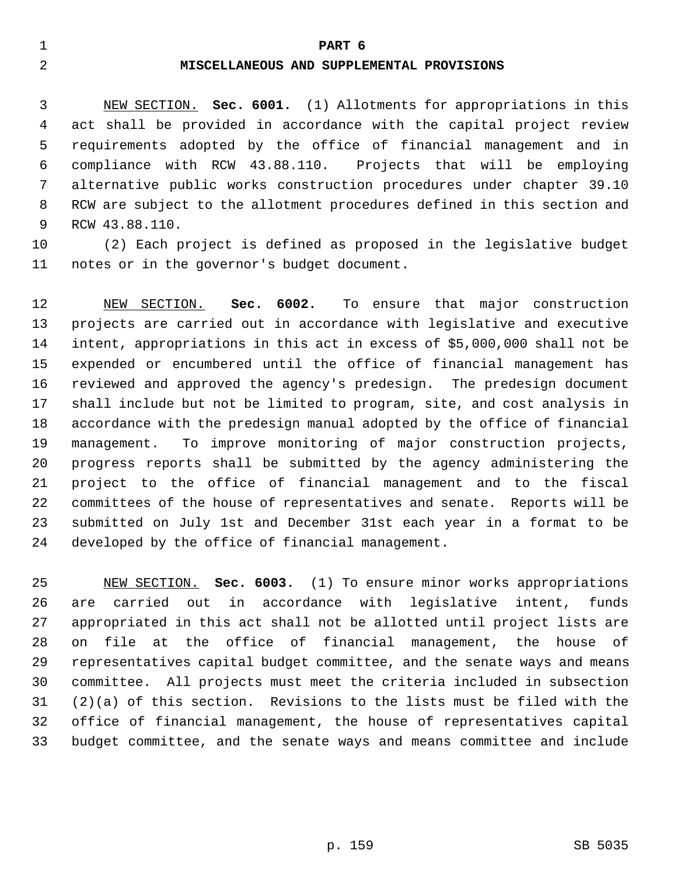## 1 **PART 6**

## 2 **MISCELLANEOUS AND SUPPLEMENTAL PROVISIONS**

 3 NEW SECTION. **Sec. 6001.** (1) Allotments for appropriations in this 4 act shall be provided in accordance with the capital project review 5 requirements adopted by the office of financial management and in 6 compliance with RCW 43.88.110. Projects that will be employing 7 alternative public works construction procedures under chapter 39.10 8 RCW are subject to the allotment procedures defined in this section and 9 RCW 43.88.110.

10 (2) Each project is defined as proposed in the legislative budget 11 notes or in the governor's budget document.

12 NEW SECTION. **Sec. 6002.** To ensure that major construction 13 projects are carried out in accordance with legislative and executive 14 intent, appropriations in this act in excess of \$5,000,000 shall not be 15 expended or encumbered until the office of financial management has 16 reviewed and approved the agency's predesign. The predesign document 17 shall include but not be limited to program, site, and cost analysis in 18 accordance with the predesign manual adopted by the office of financial 19 management. To improve monitoring of major construction projects, 20 progress reports shall be submitted by the agency administering the 21 project to the office of financial management and to the fiscal 22 committees of the house of representatives and senate. Reports will be 23 submitted on July 1st and December 31st each year in a format to be 24 developed by the office of financial management.

25 NEW SECTION. **Sec. 6003.** (1) To ensure minor works appropriations 26 are carried out in accordance with legislative intent, funds 27 appropriated in this act shall not be allotted until project lists are 28 on file at the office of financial management, the house of 29 representatives capital budget committee, and the senate ways and means 30 committee. All projects must meet the criteria included in subsection 31 (2)(a) of this section. Revisions to the lists must be filed with the 32 office of financial management, the house of representatives capital 33 budget committee, and the senate ways and means committee and include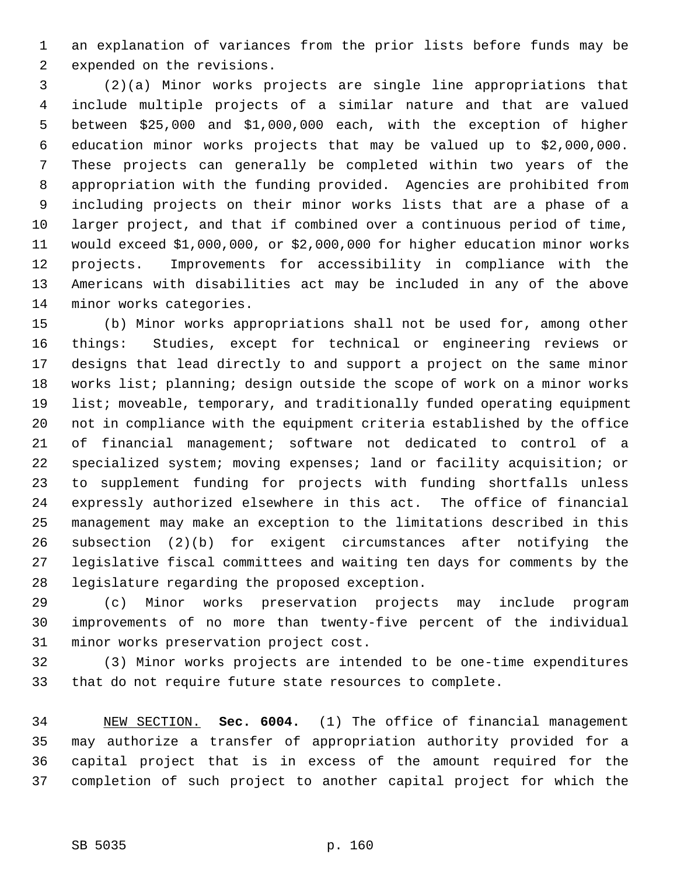1 an explanation of variances from the prior lists before funds may be 2 expended on the revisions.

 3 (2)(a) Minor works projects are single line appropriations that 4 include multiple projects of a similar nature and that are valued 5 between \$25,000 and \$1,000,000 each, with the exception of higher 6 education minor works projects that may be valued up to \$2,000,000. 7 These projects can generally be completed within two years of the 8 appropriation with the funding provided. Agencies are prohibited from 9 including projects on their minor works lists that are a phase of a 10 larger project, and that if combined over a continuous period of time, 11 would exceed \$1,000,000, or \$2,000,000 for higher education minor works 12 projects. Improvements for accessibility in compliance with the 13 Americans with disabilities act may be included in any of the above 14 minor works categories.

15 (b) Minor works appropriations shall not be used for, among other 16 things: Studies, except for technical or engineering reviews or 17 designs that lead directly to and support a project on the same minor 18 works list; planning; design outside the scope of work on a minor works 19 list; moveable, temporary, and traditionally funded operating equipment 20 not in compliance with the equipment criteria established by the office 21 of financial management; software not dedicated to control of a 22 specialized system; moving expenses; land or facility acquisition; or 23 to supplement funding for projects with funding shortfalls unless 24 expressly authorized elsewhere in this act. The office of financial 25 management may make an exception to the limitations described in this 26 subsection (2)(b) for exigent circumstances after notifying the 27 legislative fiscal committees and waiting ten days for comments by the 28 legislature regarding the proposed exception.

29 (c) Minor works preservation projects may include program 30 improvements of no more than twenty-five percent of the individual 31 minor works preservation project cost.

32 (3) Minor works projects are intended to be one-time expenditures 33 that do not require future state resources to complete.

34 NEW SECTION. **Sec. 6004.** (1) The office of financial management 35 may authorize a transfer of appropriation authority provided for a 36 capital project that is in excess of the amount required for the 37 completion of such project to another capital project for which the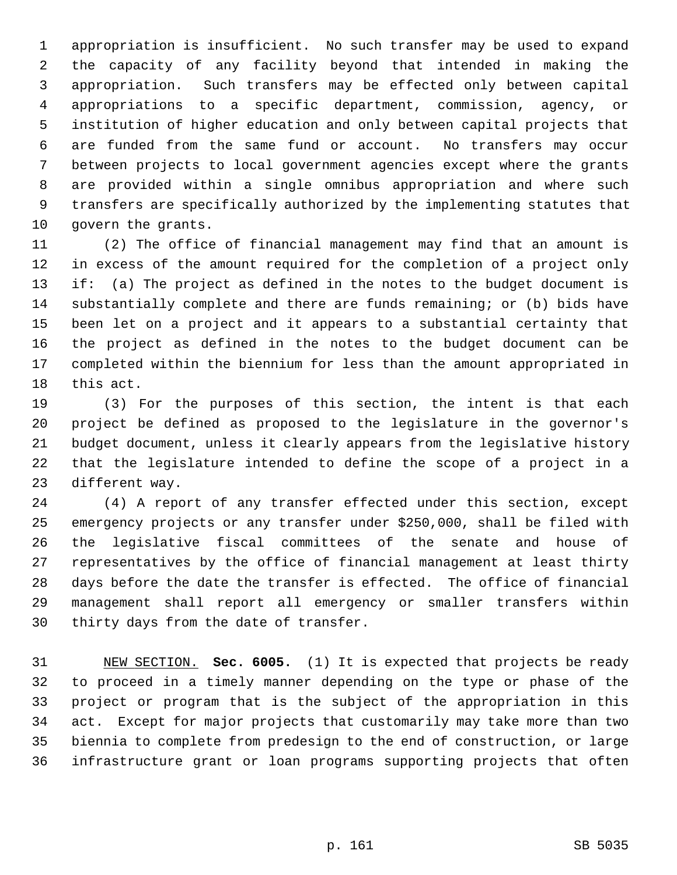1 appropriation is insufficient. No such transfer may be used to expand 2 the capacity of any facility beyond that intended in making the 3 appropriation. Such transfers may be effected only between capital 4 appropriations to a specific department, commission, agency, or 5 institution of higher education and only between capital projects that 6 are funded from the same fund or account. No transfers may occur 7 between projects to local government agencies except where the grants 8 are provided within a single omnibus appropriation and where such 9 transfers are specifically authorized by the implementing statutes that 10 govern the grants.

11 (2) The office of financial management may find that an amount is 12 in excess of the amount required for the completion of a project only 13 if: (a) The project as defined in the notes to the budget document is 14 substantially complete and there are funds remaining; or (b) bids have 15 been let on a project and it appears to a substantial certainty that 16 the project as defined in the notes to the budget document can be 17 completed within the biennium for less than the amount appropriated in 18 this act.

19 (3) For the purposes of this section, the intent is that each 20 project be defined as proposed to the legislature in the governor's 21 budget document, unless it clearly appears from the legislative history 22 that the legislature intended to define the scope of a project in a 23 different way.

24 (4) A report of any transfer effected under this section, except 25 emergency projects or any transfer under \$250,000, shall be filed with 26 the legislative fiscal committees of the senate and house of 27 representatives by the office of financial management at least thirty 28 days before the date the transfer is effected. The office of financial 29 management shall report all emergency or smaller transfers within 30 thirty days from the date of transfer.

31 NEW SECTION. **Sec. 6005.** (1) It is expected that projects be ready 32 to proceed in a timely manner depending on the type or phase of the 33 project or program that is the subject of the appropriation in this 34 act. Except for major projects that customarily may take more than two 35 biennia to complete from predesign to the end of construction, or large 36 infrastructure grant or loan programs supporting projects that often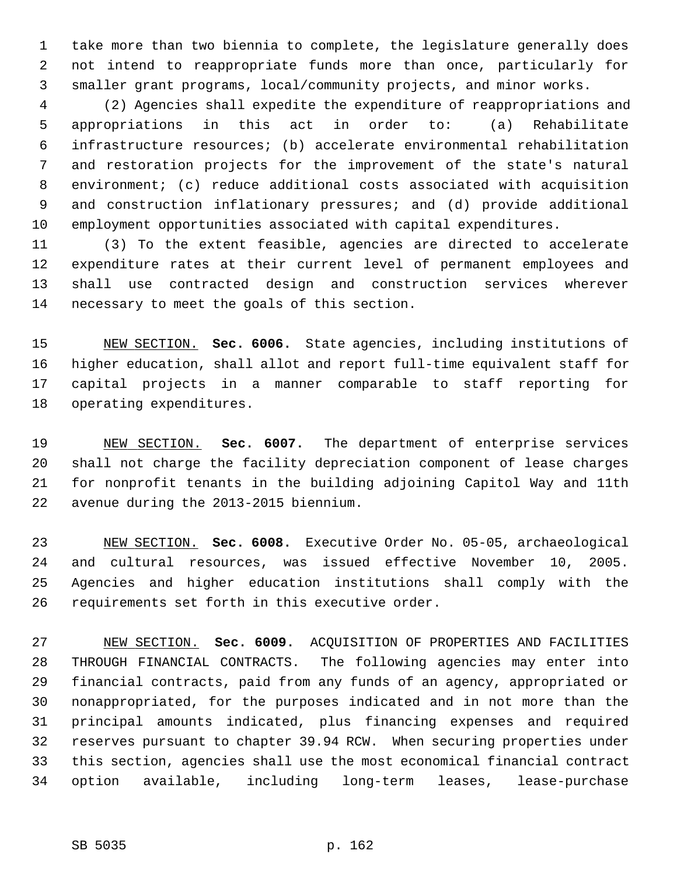1 take more than two biennia to complete, the legislature generally does 2 not intend to reappropriate funds more than once, particularly for 3 smaller grant programs, local/community projects, and minor works.

 4 (2) Agencies shall expedite the expenditure of reappropriations and 5 appropriations in this act in order to: (a) Rehabilitate 6 infrastructure resources; (b) accelerate environmental rehabilitation 7 and restoration projects for the improvement of the state's natural 8 environment; (c) reduce additional costs associated with acquisition 9 and construction inflationary pressures; and (d) provide additional 10 employment opportunities associated with capital expenditures.

11 (3) To the extent feasible, agencies are directed to accelerate 12 expenditure rates at their current level of permanent employees and 13 shall use contracted design and construction services wherever 14 necessary to meet the goals of this section.

15 NEW SECTION. **Sec. 6006.** State agencies, including institutions of 16 higher education, shall allot and report full-time equivalent staff for 17 capital projects in a manner comparable to staff reporting for 18 operating expenditures.

19 NEW SECTION. **Sec. 6007.** The department of enterprise services 20 shall not charge the facility depreciation component of lease charges 21 for nonprofit tenants in the building adjoining Capitol Way and 11th 22 avenue during the 2013-2015 biennium.

23 NEW SECTION. **Sec. 6008.** Executive Order No. 05-05, archaeological 24 and cultural resources, was issued effective November 10, 2005. 25 Agencies and higher education institutions shall comply with the 26 requirements set forth in this executive order.

27 NEW SECTION. **Sec. 6009.** ACQUISITION OF PROPERTIES AND FACILITIES 28 THROUGH FINANCIAL CONTRACTS. The following agencies may enter into 29 financial contracts, paid from any funds of an agency, appropriated or 30 nonappropriated, for the purposes indicated and in not more than the 31 principal amounts indicated, plus financing expenses and required 32 reserves pursuant to chapter 39.94 RCW. When securing properties under 33 this section, agencies shall use the most economical financial contract 34 option available, including long-term leases, lease-purchase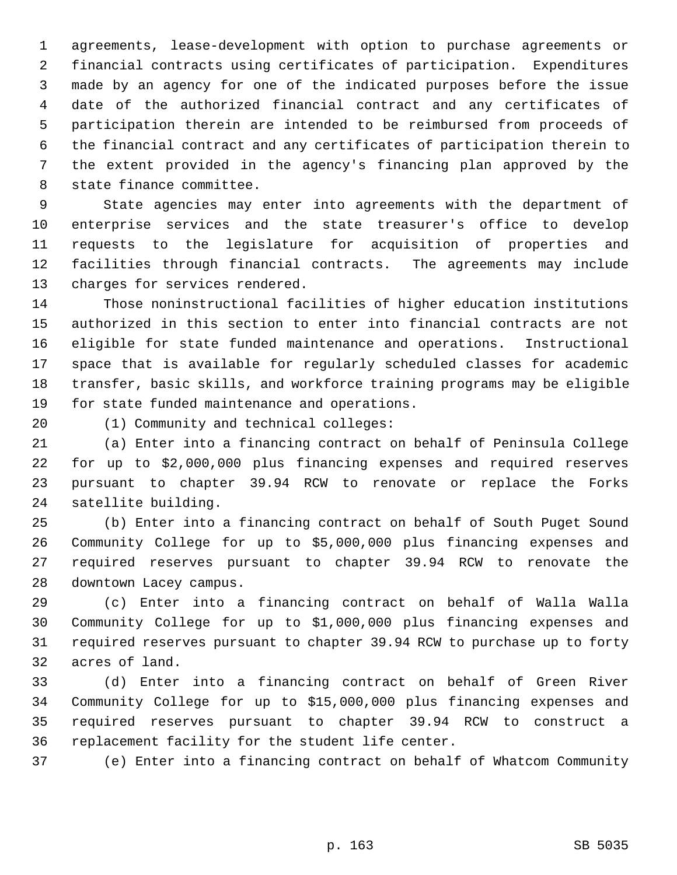1 agreements, lease-development with option to purchase agreements or 2 financial contracts using certificates of participation. Expenditures 3 made by an agency for one of the indicated purposes before the issue 4 date of the authorized financial contract and any certificates of 5 participation therein are intended to be reimbursed from proceeds of 6 the financial contract and any certificates of participation therein to 7 the extent provided in the agency's financing plan approved by the 8 state finance committee.

 9 State agencies may enter into agreements with the department of 10 enterprise services and the state treasurer's office to develop 11 requests to the legislature for acquisition of properties and 12 facilities through financial contracts. The agreements may include 13 charges for services rendered.

14 Those noninstructional facilities of higher education institutions 15 authorized in this section to enter into financial contracts are not 16 eligible for state funded maintenance and operations. Instructional 17 space that is available for regularly scheduled classes for academic 18 transfer, basic skills, and workforce training programs may be eligible 19 for state funded maintenance and operations.

20 (1) Community and technical colleges:

21 (a) Enter into a financing contract on behalf of Peninsula College 22 for up to \$2,000,000 plus financing expenses and required reserves 23 pursuant to chapter 39.94 RCW to renovate or replace the Forks 24 satellite building.

25 (b) Enter into a financing contract on behalf of South Puget Sound 26 Community College for up to \$5,000,000 plus financing expenses and 27 required reserves pursuant to chapter 39.94 RCW to renovate the 28 downtown Lacey campus.

29 (c) Enter into a financing contract on behalf of Walla Walla 30 Community College for up to \$1,000,000 plus financing expenses and 31 required reserves pursuant to chapter 39.94 RCW to purchase up to forty 32 acres of land.

33 (d) Enter into a financing contract on behalf of Green River 34 Community College for up to \$15,000,000 plus financing expenses and 35 required reserves pursuant to chapter 39.94 RCW to construct a 36 replacement facility for the student life center.

37 (e) Enter into a financing contract on behalf of Whatcom Community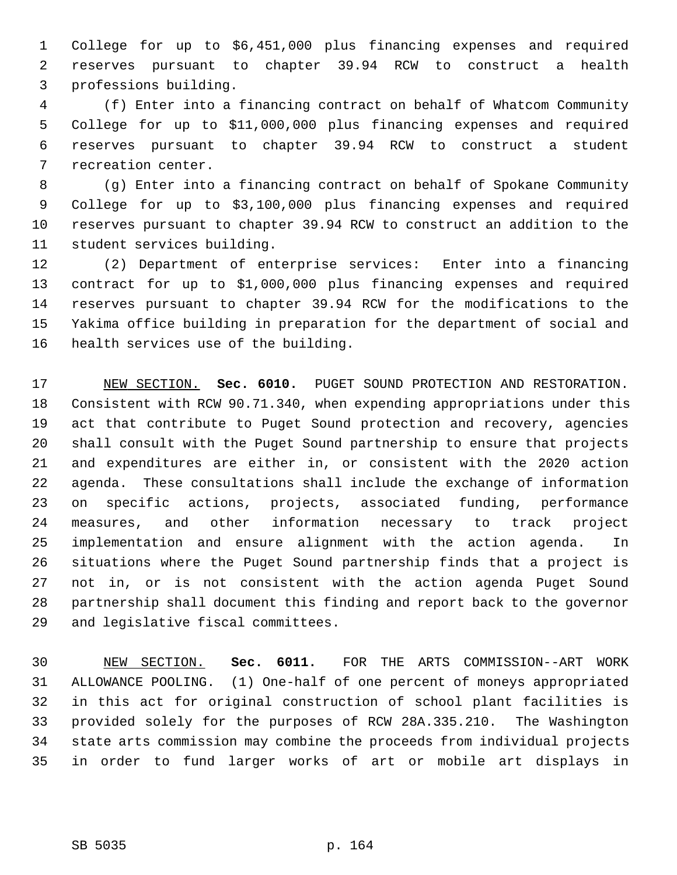1 College for up to \$6,451,000 plus financing expenses and required 2 reserves pursuant to chapter 39.94 RCW to construct a health 3 professions building.

 4 (f) Enter into a financing contract on behalf of Whatcom Community 5 College for up to \$11,000,000 plus financing expenses and required 6 reserves pursuant to chapter 39.94 RCW to construct a student 7 recreation center.

 8 (g) Enter into a financing contract on behalf of Spokane Community 9 College for up to \$3,100,000 plus financing expenses and required 10 reserves pursuant to chapter 39.94 RCW to construct an addition to the 11 student services building.

12 (2) Department of enterprise services: Enter into a financing 13 contract for up to \$1,000,000 plus financing expenses and required 14 reserves pursuant to chapter 39.94 RCW for the modifications to the 15 Yakima office building in preparation for the department of social and 16 health services use of the building.

17 NEW SECTION. **Sec. 6010.** PUGET SOUND PROTECTION AND RESTORATION. 18 Consistent with RCW 90.71.340, when expending appropriations under this 19 act that contribute to Puget Sound protection and recovery, agencies 20 shall consult with the Puget Sound partnership to ensure that projects 21 and expenditures are either in, or consistent with the 2020 action 22 agenda. These consultations shall include the exchange of information 23 on specific actions, projects, associated funding, performance 24 measures, and other information necessary to track project 25 implementation and ensure alignment with the action agenda. In 26 situations where the Puget Sound partnership finds that a project is 27 not in, or is not consistent with the action agenda Puget Sound 28 partnership shall document this finding and report back to the governor 29 and legislative fiscal committees.

30 NEW SECTION. **Sec. 6011.** FOR THE ARTS COMMISSION--ART WORK 31 ALLOWANCE POOLING. (1) One-half of one percent of moneys appropriated 32 in this act for original construction of school plant facilities is 33 provided solely for the purposes of RCW 28A.335.210. The Washington 34 state arts commission may combine the proceeds from individual projects 35 in order to fund larger works of art or mobile art displays in

SB 5035 p. 164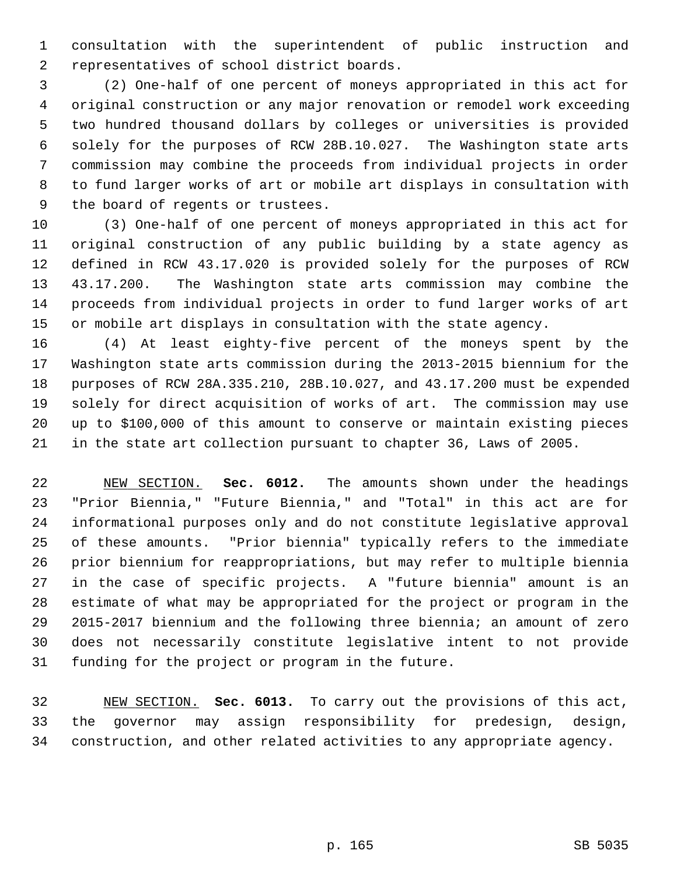1 consultation with the superintendent of public instruction and 2 representatives of school district boards.

 3 (2) One-half of one percent of moneys appropriated in this act for 4 original construction or any major renovation or remodel work exceeding 5 two hundred thousand dollars by colleges or universities is provided 6 solely for the purposes of RCW 28B.10.027. The Washington state arts 7 commission may combine the proceeds from individual projects in order 8 to fund larger works of art or mobile art displays in consultation with 9 the board of regents or trustees.

10 (3) One-half of one percent of moneys appropriated in this act for 11 original construction of any public building by a state agency as 12 defined in RCW 43.17.020 is provided solely for the purposes of RCW 13 43.17.200. The Washington state arts commission may combine the 14 proceeds from individual projects in order to fund larger works of art 15 or mobile art displays in consultation with the state agency.

16 (4) At least eighty-five percent of the moneys spent by the 17 Washington state arts commission during the 2013-2015 biennium for the 18 purposes of RCW 28A.335.210, 28B.10.027, and 43.17.200 must be expended 19 solely for direct acquisition of works of art. The commission may use 20 up to \$100,000 of this amount to conserve or maintain existing pieces 21 in the state art collection pursuant to chapter 36, Laws of 2005.

22 NEW SECTION. **Sec. 6012.** The amounts shown under the headings 23 "Prior Biennia," "Future Biennia," and "Total" in this act are for 24 informational purposes only and do not constitute legislative approval 25 of these amounts. "Prior biennia" typically refers to the immediate 26 prior biennium for reappropriations, but may refer to multiple biennia 27 in the case of specific projects. A "future biennia" amount is an 28 estimate of what may be appropriated for the project or program in the 29 2015-2017 biennium and the following three biennia; an amount of zero 30 does not necessarily constitute legislative intent to not provide 31 funding for the project or program in the future.

32 NEW SECTION. **Sec. 6013.** To carry out the provisions of this act, 33 the governor may assign responsibility for predesign, design, 34 construction, and other related activities to any appropriate agency.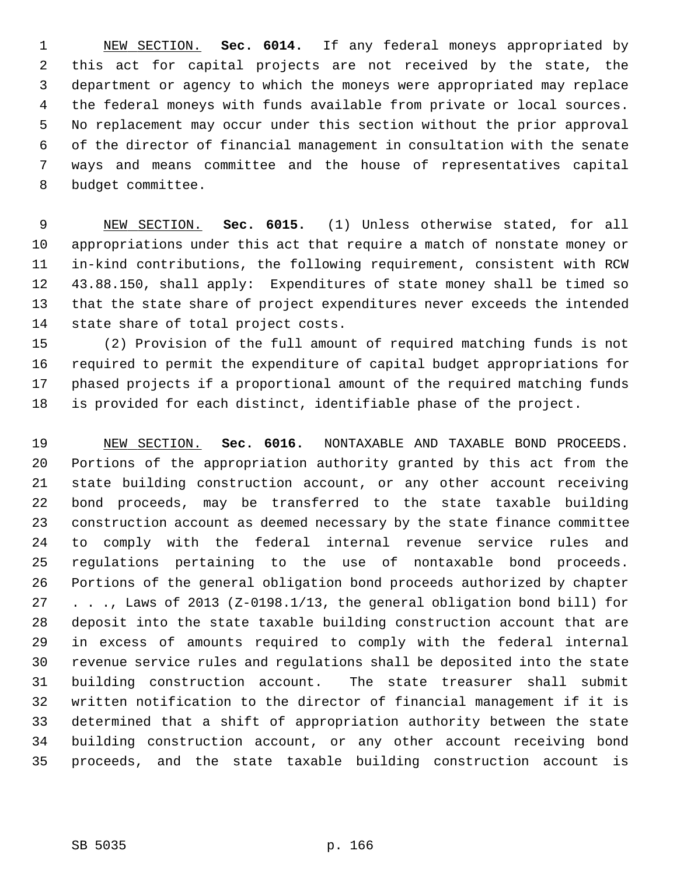1 NEW SECTION. **Sec. 6014.** If any federal moneys appropriated by 2 this act for capital projects are not received by the state, the 3 department or agency to which the moneys were appropriated may replace 4 the federal moneys with funds available from private or local sources. 5 No replacement may occur under this section without the prior approval 6 of the director of financial management in consultation with the senate 7 ways and means committee and the house of representatives capital 8 budget committee.

 9 NEW SECTION. **Sec. 6015.** (1) Unless otherwise stated, for all 10 appropriations under this act that require a match of nonstate money or 11 in-kind contributions, the following requirement, consistent with RCW 12 43.88.150, shall apply: Expenditures of state money shall be timed so 13 that the state share of project expenditures never exceeds the intended 14 state share of total project costs.

15 (2) Provision of the full amount of required matching funds is not 16 required to permit the expenditure of capital budget appropriations for 17 phased projects if a proportional amount of the required matching funds 18 is provided for each distinct, identifiable phase of the project.

19 NEW SECTION. **Sec. 6016.** NONTAXABLE AND TAXABLE BOND PROCEEDS. 20 Portions of the appropriation authority granted by this act from the 21 state building construction account, or any other account receiving 22 bond proceeds, may be transferred to the state taxable building 23 construction account as deemed necessary by the state finance committee 24 to comply with the federal internal revenue service rules and 25 regulations pertaining to the use of nontaxable bond proceeds. 26 Portions of the general obligation bond proceeds authorized by chapter 27 . . ., Laws of 2013 (Z-0198.1/13, the general obligation bond bill) for 28 deposit into the state taxable building construction account that are 29 in excess of amounts required to comply with the federal internal 30 revenue service rules and regulations shall be deposited into the state 31 building construction account. The state treasurer shall submit 32 written notification to the director of financial management if it is 33 determined that a shift of appropriation authority between the state 34 building construction account, or any other account receiving bond 35 proceeds, and the state taxable building construction account is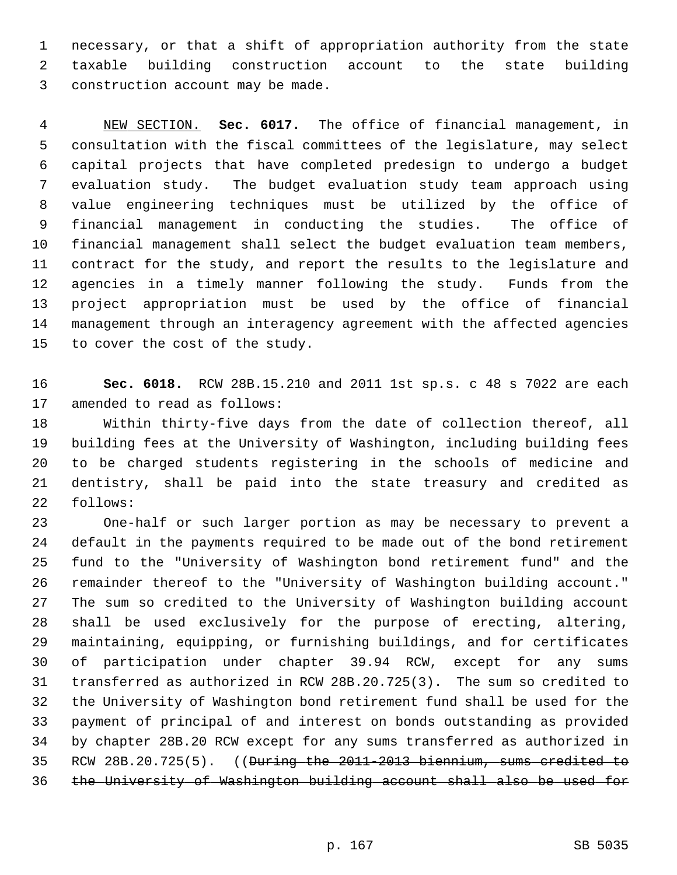1 necessary, or that a shift of appropriation authority from the state 2 taxable building construction account to the state building 3 construction account may be made.

 4 NEW SECTION. **Sec. 6017.** The office of financial management, in 5 consultation with the fiscal committees of the legislature, may select 6 capital projects that have completed predesign to undergo a budget 7 evaluation study. The budget evaluation study team approach using 8 value engineering techniques must be utilized by the office of 9 financial management in conducting the studies. The office of 10 financial management shall select the budget evaluation team members, 11 contract for the study, and report the results to the legislature and 12 agencies in a timely manner following the study. Funds from the 13 project appropriation must be used by the office of financial 14 management through an interagency agreement with the affected agencies 15 to cover the cost of the study.

16 **Sec. 6018.** RCW 28B.15.210 and 2011 1st sp.s. c 48 s 7022 are each 17 amended to read as follows:

18 Within thirty-five days from the date of collection thereof, all 19 building fees at the University of Washington, including building fees 20 to be charged students registering in the schools of medicine and 21 dentistry, shall be paid into the state treasury and credited as 22 follows:

23 One-half or such larger portion as may be necessary to prevent a 24 default in the payments required to be made out of the bond retirement 25 fund to the "University of Washington bond retirement fund" and the 26 remainder thereof to the "University of Washington building account." 27 The sum so credited to the University of Washington building account 28 shall be used exclusively for the purpose of erecting, altering, 29 maintaining, equipping, or furnishing buildings, and for certificates 30 of participation under chapter 39.94 RCW, except for any sums 31 transferred as authorized in RCW 28B.20.725(3). The sum so credited to 32 the University of Washington bond retirement fund shall be used for the 33 payment of principal of and interest on bonds outstanding as provided 34 by chapter 28B.20 RCW except for any sums transferred as authorized in 35 RCW 28B.20.725(5). ((During the 2011-2013 biennium, sums credited to 36 the University of Washington building account shall also be used for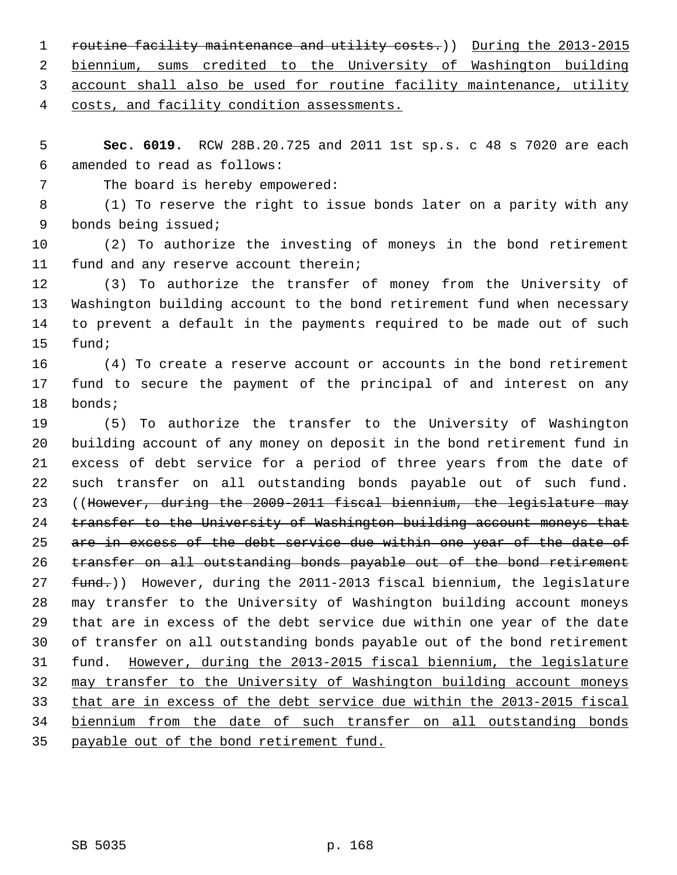1 routine facility maintenance and utility costs.)) During the 2013-2015 biennium, sums credited to the University of Washington building account shall also be used for routine facility maintenance, utility costs, and facility condition assessments.

 5 **Sec. 6019.** RCW 28B.20.725 and 2011 1st sp.s. c 48 s 7020 are each 6 amended to read as follows:

7 The board is hereby empowered:

 8 (1) To reserve the right to issue bonds later on a parity with any 9 bonds being issued;

10 (2) To authorize the investing of moneys in the bond retirement 11 fund and any reserve account therein;

12 (3) To authorize the transfer of money from the University of 13 Washington building account to the bond retirement fund when necessary 14 to prevent a default in the payments required to be made out of such 15 fund;

16 (4) To create a reserve account or accounts in the bond retirement 17 fund to secure the payment of the principal of and interest on any 18 bonds;

19 (5) To authorize the transfer to the University of Washington 20 building account of any money on deposit in the bond retirement fund in 21 excess of debt service for a period of three years from the date of 22 such transfer on all outstanding bonds payable out of such fund. 23 ((However, during the 2009-2011 fiscal biennium, the legislature may 24 transfer to the University of Washington building account moneys that 25 are in excess of the debt service due within one year of the date of 26 transfer on all outstanding bonds payable out of the bond retirement 27 fund.)) However, during the 2011-2013 fiscal biennium, the legislature 28 may transfer to the University of Washington building account moneys 29 that are in excess of the debt service due within one year of the date 30 of transfer on all outstanding bonds payable out of the bond retirement 31 fund. However, during the 2013-2015 fiscal biennium, the legislature 32 may transfer to the University of Washington building account moneys 33 that are in excess of the debt service due within the 2013-2015 fiscal 34 biennium from the date of such transfer on all outstanding bonds 35 payable out of the bond retirement fund.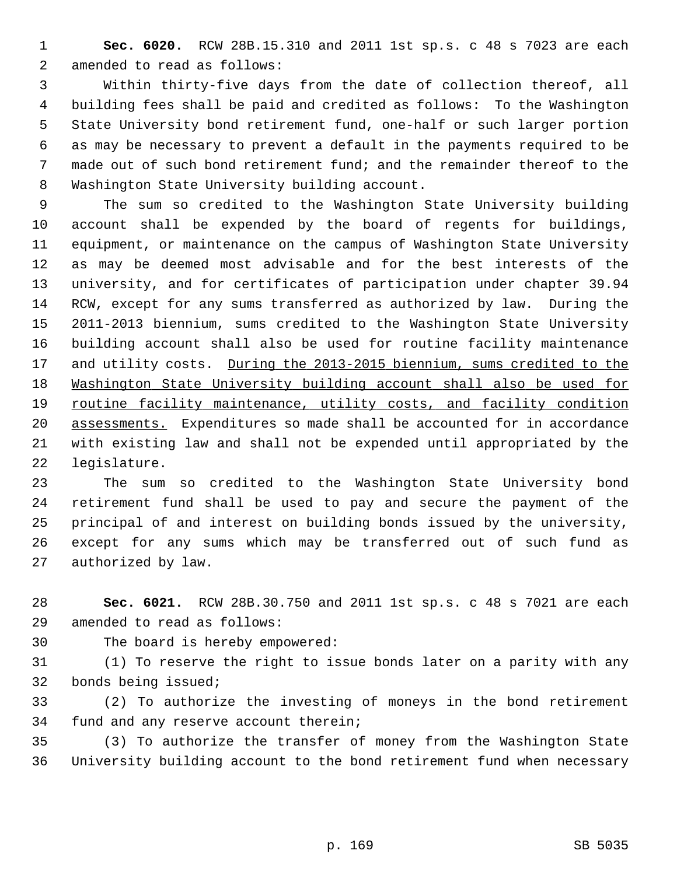1 **Sec. 6020.** RCW 28B.15.310 and 2011 1st sp.s. c 48 s 7023 are each 2 amended to read as follows:

 3 Within thirty-five days from the date of collection thereof, all 4 building fees shall be paid and credited as follows: To the Washington 5 State University bond retirement fund, one-half or such larger portion 6 as may be necessary to prevent a default in the payments required to be 7 made out of such bond retirement fund; and the remainder thereof to the 8 Washington State University building account.

 9 The sum so credited to the Washington State University building 10 account shall be expended by the board of regents for buildings, 11 equipment, or maintenance on the campus of Washington State University 12 as may be deemed most advisable and for the best interests of the 13 university, and for certificates of participation under chapter 39.94 14 RCW, except for any sums transferred as authorized by law. During the 15 2011-2013 biennium, sums credited to the Washington State University 16 building account shall also be used for routine facility maintenance 17 and utility costs. During the 2013-2015 biennium, sums credited to the 18 Washington State University building account shall also be used for 19 routine facility maintenance, utility costs, and facility condition 20 assessments. Expenditures so made shall be accounted for in accordance 21 with existing law and shall not be expended until appropriated by the 22 legislature.

23 The sum so credited to the Washington State University bond 24 retirement fund shall be used to pay and secure the payment of the 25 principal of and interest on building bonds issued by the university, 26 except for any sums which may be transferred out of such fund as 27 authorized by law.

28 **Sec. 6021.** RCW 28B.30.750 and 2011 1st sp.s. c 48 s 7021 are each 29 amended to read as follows:

30 The board is hereby empowered:

31 (1) To reserve the right to issue bonds later on a parity with any 32 bonds being issued;

33 (2) To authorize the investing of moneys in the bond retirement 34 fund and any reserve account therein;

35 (3) To authorize the transfer of money from the Washington State 36 University building account to the bond retirement fund when necessary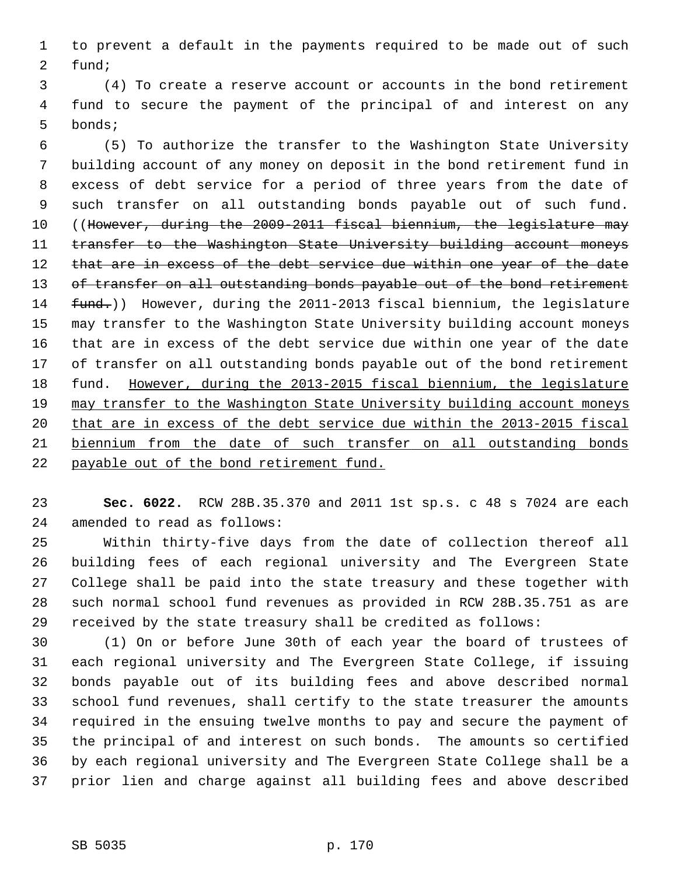1 to prevent a default in the payments required to be made out of such 2 fund;

 3 (4) To create a reserve account or accounts in the bond retirement 4 fund to secure the payment of the principal of and interest on any 5 bonds;

 6 (5) To authorize the transfer to the Washington State University 7 building account of any money on deposit in the bond retirement fund in 8 excess of debt service for a period of three years from the date of 9 such transfer on all outstanding bonds payable out of such fund. 10 ((However, during the 2009-2011 fiscal biennium, the legislature may 11 transfer to the Washington State University building account moneys 12 that are in excess of the debt service due within one year of the date 13 of transfer on all outstanding bonds payable out of the bond retirement 14 fund.)) However, during the 2011-2013 fiscal biennium, the legislature 15 may transfer to the Washington State University building account moneys 16 that are in excess of the debt service due within one year of the date 17 of transfer on all outstanding bonds payable out of the bond retirement 18 fund. However, during the 2013-2015 fiscal biennium, the legislature 19 may transfer to the Washington State University building account moneys 20 that are in excess of the debt service due within the 2013-2015 fiscal 21 biennium from the date of such transfer on all outstanding bonds 22 payable out of the bond retirement fund.

23 **Sec. 6022.** RCW 28B.35.370 and 2011 1st sp.s. c 48 s 7024 are each 24 amended to read as follows:

25 Within thirty-five days from the date of collection thereof all 26 building fees of each regional university and The Evergreen State 27 College shall be paid into the state treasury and these together with 28 such normal school fund revenues as provided in RCW 28B.35.751 as are 29 received by the state treasury shall be credited as follows:

30 (1) On or before June 30th of each year the board of trustees of 31 each regional university and The Evergreen State College, if issuing 32 bonds payable out of its building fees and above described normal 33 school fund revenues, shall certify to the state treasurer the amounts 34 required in the ensuing twelve months to pay and secure the payment of 35 the principal of and interest on such bonds. The amounts so certified 36 by each regional university and The Evergreen State College shall be a 37 prior lien and charge against all building fees and above described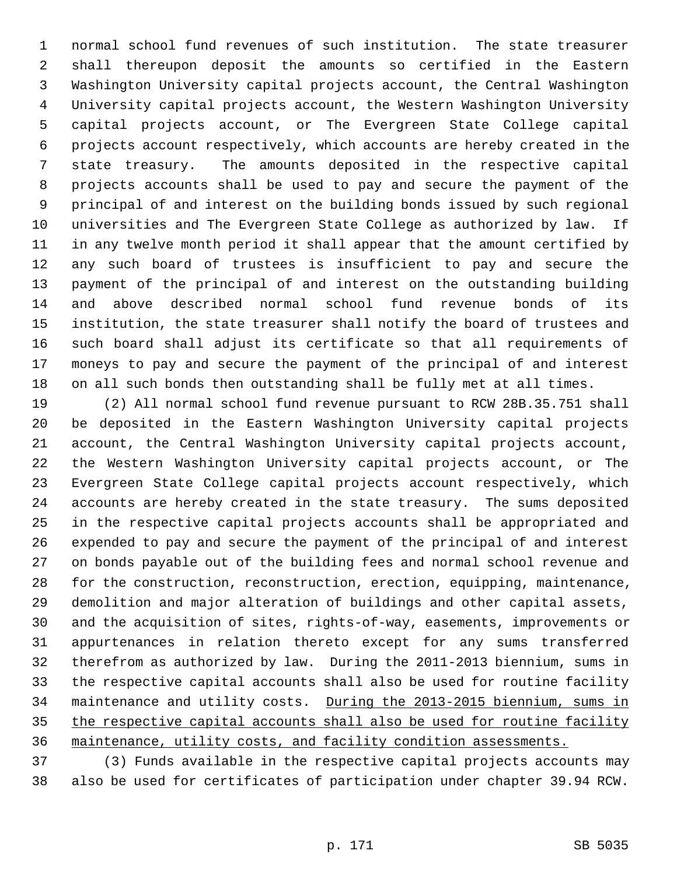1 normal school fund revenues of such institution. The state treasurer 2 shall thereupon deposit the amounts so certified in the Eastern 3 Washington University capital projects account, the Central Washington 4 University capital projects account, the Western Washington University 5 capital projects account, or The Evergreen State College capital 6 projects account respectively, which accounts are hereby created in the 7 state treasury. The amounts deposited in the respective capital 8 projects accounts shall be used to pay and secure the payment of the 9 principal of and interest on the building bonds issued by such regional 10 universities and The Evergreen State College as authorized by law. If 11 in any twelve month period it shall appear that the amount certified by 12 any such board of trustees is insufficient to pay and secure the 13 payment of the principal of and interest on the outstanding building 14 and above described normal school fund revenue bonds of its 15 institution, the state treasurer shall notify the board of trustees and 16 such board shall adjust its certificate so that all requirements of 17 moneys to pay and secure the payment of the principal of and interest 18 on all such bonds then outstanding shall be fully met at all times.

19 (2) All normal school fund revenue pursuant to RCW 28B.35.751 shall 20 be deposited in the Eastern Washington University capital projects 21 account, the Central Washington University capital projects account, 22 the Western Washington University capital projects account, or The 23 Evergreen State College capital projects account respectively, which 24 accounts are hereby created in the state treasury. The sums deposited 25 in the respective capital projects accounts shall be appropriated and 26 expended to pay and secure the payment of the principal of and interest 27 on bonds payable out of the building fees and normal school revenue and 28 for the construction, reconstruction, erection, equipping, maintenance, 29 demolition and major alteration of buildings and other capital assets, 30 and the acquisition of sites, rights-of-way, easements, improvements or 31 appurtenances in relation thereto except for any sums transferred 32 therefrom as authorized by law. During the 2011-2013 biennium, sums in 33 the respective capital accounts shall also be used for routine facility 34 maintenance and utility costs. During the 2013-2015 biennium, sums in 35 the respective capital accounts shall also be used for routine facility 36 maintenance, utility costs, and facility condition assessments.

37 (3) Funds available in the respective capital projects accounts may 38 also be used for certificates of participation under chapter 39.94 RCW.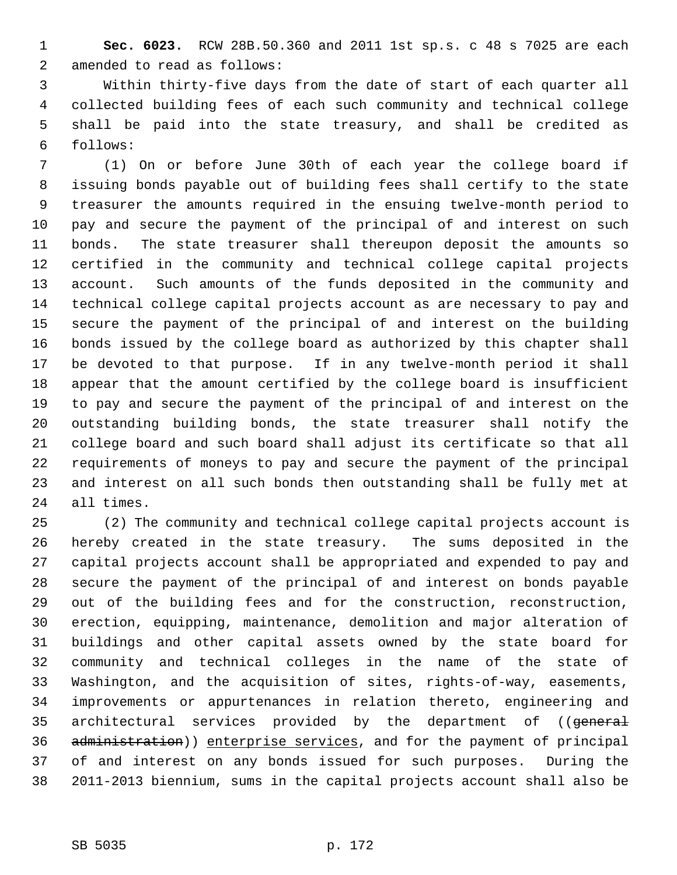1 **Sec. 6023.** RCW 28B.50.360 and 2011 1st sp.s. c 48 s 7025 are each 2 amended to read as follows:

 3 Within thirty-five days from the date of start of each quarter all 4 collected building fees of each such community and technical college 5 shall be paid into the state treasury, and shall be credited as 6 follows:

 7 (1) On or before June 30th of each year the college board if 8 issuing bonds payable out of building fees shall certify to the state 9 treasurer the amounts required in the ensuing twelve-month period to 10 pay and secure the payment of the principal of and interest on such 11 bonds. The state treasurer shall thereupon deposit the amounts so 12 certified in the community and technical college capital projects 13 account. Such amounts of the funds deposited in the community and 14 technical college capital projects account as are necessary to pay and 15 secure the payment of the principal of and interest on the building 16 bonds issued by the college board as authorized by this chapter shall 17 be devoted to that purpose. If in any twelve-month period it shall 18 appear that the amount certified by the college board is insufficient 19 to pay and secure the payment of the principal of and interest on the 20 outstanding building bonds, the state treasurer shall notify the 21 college board and such board shall adjust its certificate so that all 22 requirements of moneys to pay and secure the payment of the principal 23 and interest on all such bonds then outstanding shall be fully met at 24 all times.

25 (2) The community and technical college capital projects account is 26 hereby created in the state treasury. The sums deposited in the 27 capital projects account shall be appropriated and expended to pay and 28 secure the payment of the principal of and interest on bonds payable 29 out of the building fees and for the construction, reconstruction, 30 erection, equipping, maintenance, demolition and major alteration of 31 buildings and other capital assets owned by the state board for 32 community and technical colleges in the name of the state of 33 Washington, and the acquisition of sites, rights-of-way, easements, 34 improvements or appurtenances in relation thereto, engineering and 35 architectural services provided by the department of ((general 36 administration)) enterprise services, and for the payment of principal 37 of and interest on any bonds issued for such purposes. During the 38 2011-2013 biennium, sums in the capital projects account shall also be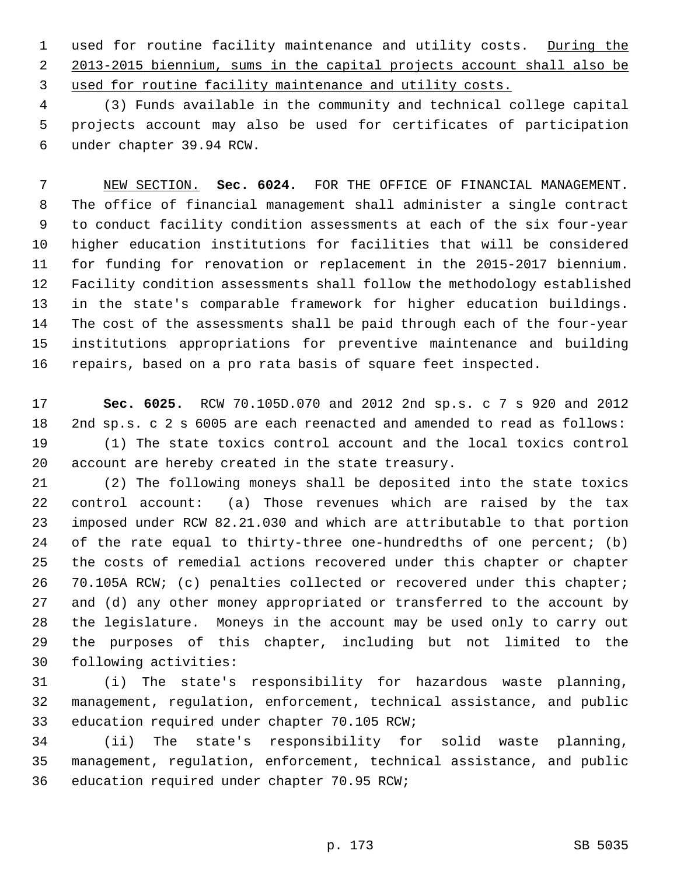1 used for routine facility maintenance and utility costs. During the 2 2013-2015 biennium, sums in the capital projects account shall also be 3 used for routine facility maintenance and utility costs.

 4 (3) Funds available in the community and technical college capital 5 projects account may also be used for certificates of participation 6 under chapter 39.94 RCW.

 7 NEW SECTION. **Sec. 6024.** FOR THE OFFICE OF FINANCIAL MANAGEMENT. 8 The office of financial management shall administer a single contract 9 to conduct facility condition assessments at each of the six four-year 10 higher education institutions for facilities that will be considered 11 for funding for renovation or replacement in the 2015-2017 biennium. 12 Facility condition assessments shall follow the methodology established 13 in the state's comparable framework for higher education buildings. 14 The cost of the assessments shall be paid through each of the four-year 15 institutions appropriations for preventive maintenance and building 16 repairs, based on a pro rata basis of square feet inspected.

17 **Sec. 6025.** RCW 70.105D.070 and 2012 2nd sp.s. c 7 s 920 and 2012 18 2nd sp.s. c 2 s 6005 are each reenacted and amended to read as follows: 19 (1) The state toxics control account and the local toxics control 20 account are hereby created in the state treasury.

21 (2) The following moneys shall be deposited into the state toxics 22 control account: (a) Those revenues which are raised by the tax 23 imposed under RCW 82.21.030 and which are attributable to that portion 24 of the rate equal to thirty-three one-hundredths of one percent; (b) 25 the costs of remedial actions recovered under this chapter or chapter 26 70.105A RCW; (c) penalties collected or recovered under this chapter; 27 and (d) any other money appropriated or transferred to the account by 28 the legislature. Moneys in the account may be used only to carry out 29 the purposes of this chapter, including but not limited to the 30 following activities:

31 (i) The state's responsibility for hazardous waste planning, 32 management, regulation, enforcement, technical assistance, and public 33 education required under chapter 70.105 RCW;

34 (ii) The state's responsibility for solid waste planning, 35 management, regulation, enforcement, technical assistance, and public 36 education required under chapter 70.95 RCW;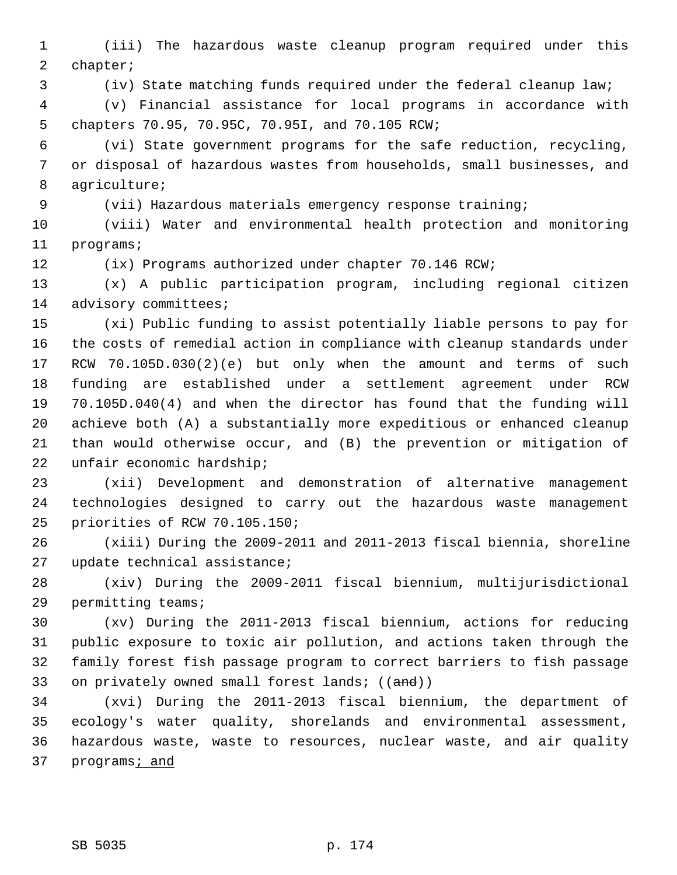1 (iii) The hazardous waste cleanup program required under this 2 chapter;

3 (iv) State matching funds required under the federal cleanup law;

 4 (v) Financial assistance for local programs in accordance with 5 chapters 70.95, 70.95C, 70.95I, and 70.105 RCW;

 6 (vi) State government programs for the safe reduction, recycling, 7 or disposal of hazardous wastes from households, small businesses, and 8 agriculture;

9 (vii) Hazardous materials emergency response training;

10 (viii) Water and environmental health protection and monitoring 11 programs;

12 (ix) Programs authorized under chapter 70.146 RCW;

13 (x) A public participation program, including regional citizen 14 advisory committees;

15 (xi) Public funding to assist potentially liable persons to pay for 16 the costs of remedial action in compliance with cleanup standards under 17 RCW 70.105D.030(2)(e) but only when the amount and terms of such 18 funding are established under a settlement agreement under RCW 19 70.105D.040(4) and when the director has found that the funding will 20 achieve both (A) a substantially more expeditious or enhanced cleanup 21 than would otherwise occur, and (B) the prevention or mitigation of 22 unfair economic hardship;

23 (xii) Development and demonstration of alternative management 24 technologies designed to carry out the hazardous waste management 25 priorities of RCW 70.105.150;

26 (xiii) During the 2009-2011 and 2011-2013 fiscal biennia, shoreline 27 update technical assistance;

28 (xiv) During the 2009-2011 fiscal biennium, multijurisdictional 29 permitting teams;

30 (xv) During the 2011-2013 fiscal biennium, actions for reducing 31 public exposure to toxic air pollution, and actions taken through the 32 family forest fish passage program to correct barriers to fish passage 33 on privately owned small forest lands;  $((and))$ 

34 (xvi) During the 2011-2013 fiscal biennium, the department of 35 ecology's water quality, shorelands and environmental assessment, 36 hazardous waste, waste to resources, nuclear waste, and air quality 37 programs; and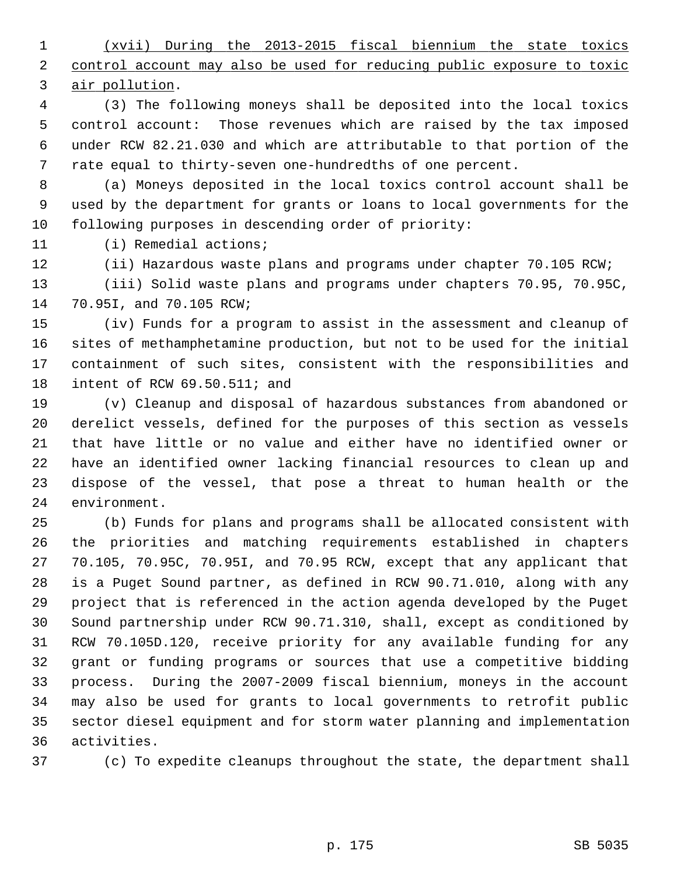1 (xvii) During the 2013-2015 fiscal biennium the state toxics 2 control account may also be used for reducing public exposure to toxic 3 air pollution.

 4 (3) The following moneys shall be deposited into the local toxics 5 control account: Those revenues which are raised by the tax imposed 6 under RCW 82.21.030 and which are attributable to that portion of the 7 rate equal to thirty-seven one-hundredths of one percent.

 8 (a) Moneys deposited in the local toxics control account shall be 9 used by the department for grants or loans to local governments for the 10 following purposes in descending order of priority:

11 (i) Remedial actions;

12 (ii) Hazardous waste plans and programs under chapter 70.105 RCW; 13 (iii) Solid waste plans and programs under chapters 70.95, 70.95C, 14 70.95I, and 70.105 RCW;

15 (iv) Funds for a program to assist in the assessment and cleanup of 16 sites of methamphetamine production, but not to be used for the initial 17 containment of such sites, consistent with the responsibilities and 18 intent of RCW 69.50.511; and

19 (v) Cleanup and disposal of hazardous substances from abandoned or 20 derelict vessels, defined for the purposes of this section as vessels 21 that have little or no value and either have no identified owner or 22 have an identified owner lacking financial resources to clean up and 23 dispose of the vessel, that pose a threat to human health or the 24 environment.

25 (b) Funds for plans and programs shall be allocated consistent with 26 the priorities and matching requirements established in chapters 27 70.105, 70.95C, 70.95I, and 70.95 RCW, except that any applicant that 28 is a Puget Sound partner, as defined in RCW 90.71.010, along with any 29 project that is referenced in the action agenda developed by the Puget 30 Sound partnership under RCW 90.71.310, shall, except as conditioned by 31 RCW 70.105D.120, receive priority for any available funding for any 32 grant or funding programs or sources that use a competitive bidding 33 process. During the 2007-2009 fiscal biennium, moneys in the account 34 may also be used for grants to local governments to retrofit public 35 sector diesel equipment and for storm water planning and implementation 36 activities.

37 (c) To expedite cleanups throughout the state, the department shall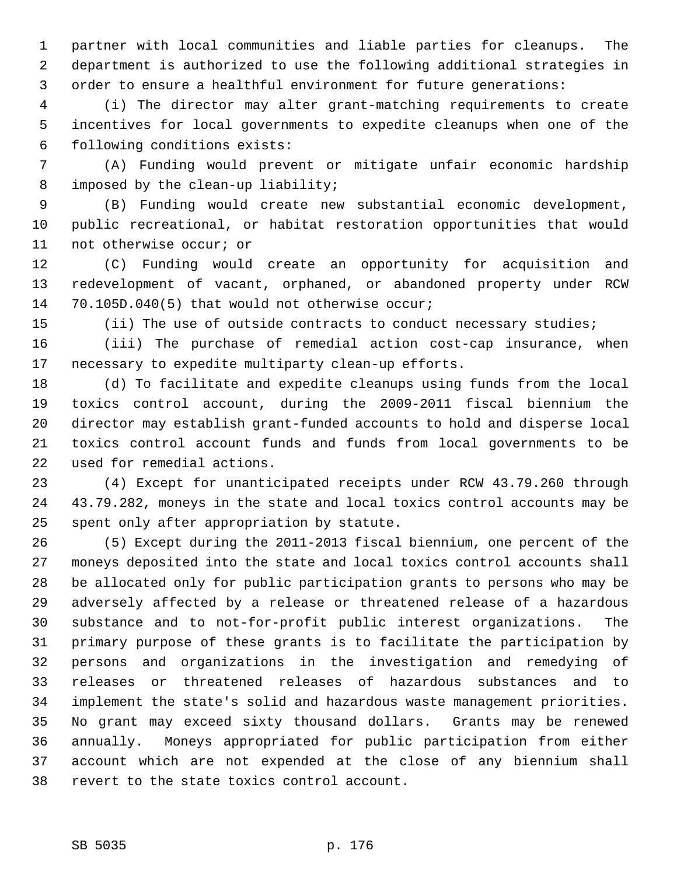1 partner with local communities and liable parties for cleanups. The 2 department is authorized to use the following additional strategies in 3 order to ensure a healthful environment for future generations:

 4 (i) The director may alter grant-matching requirements to create 5 incentives for local governments to expedite cleanups when one of the 6 following conditions exists:

 7 (A) Funding would prevent or mitigate unfair economic hardship 8 imposed by the clean-up liability;

 9 (B) Funding would create new substantial economic development, 10 public recreational, or habitat restoration opportunities that would 11 not otherwise occur; or

12 (C) Funding would create an opportunity for acquisition and 13 redevelopment of vacant, orphaned, or abandoned property under RCW 14 70.105D.040(5) that would not otherwise occur;

15 (ii) The use of outside contracts to conduct necessary studies;

16 (iii) The purchase of remedial action cost-cap insurance, when 17 necessary to expedite multiparty clean-up efforts.

18 (d) To facilitate and expedite cleanups using funds from the local 19 toxics control account, during the 2009-2011 fiscal biennium the 20 director may establish grant-funded accounts to hold and disperse local 21 toxics control account funds and funds from local governments to be 22 used for remedial actions.

23 (4) Except for unanticipated receipts under RCW 43.79.260 through 24 43.79.282, moneys in the state and local toxics control accounts may be 25 spent only after appropriation by statute.

26 (5) Except during the 2011-2013 fiscal biennium, one percent of the 27 moneys deposited into the state and local toxics control accounts shall 28 be allocated only for public participation grants to persons who may be 29 adversely affected by a release or threatened release of a hazardous 30 substance and to not-for-profit public interest organizations. The 31 primary purpose of these grants is to facilitate the participation by 32 persons and organizations in the investigation and remedying of 33 releases or threatened releases of hazardous substances and to 34 implement the state's solid and hazardous waste management priorities. 35 No grant may exceed sixty thousand dollars. Grants may be renewed 36 annually. Moneys appropriated for public participation from either 37 account which are not expended at the close of any biennium shall 38 revert to the state toxics control account.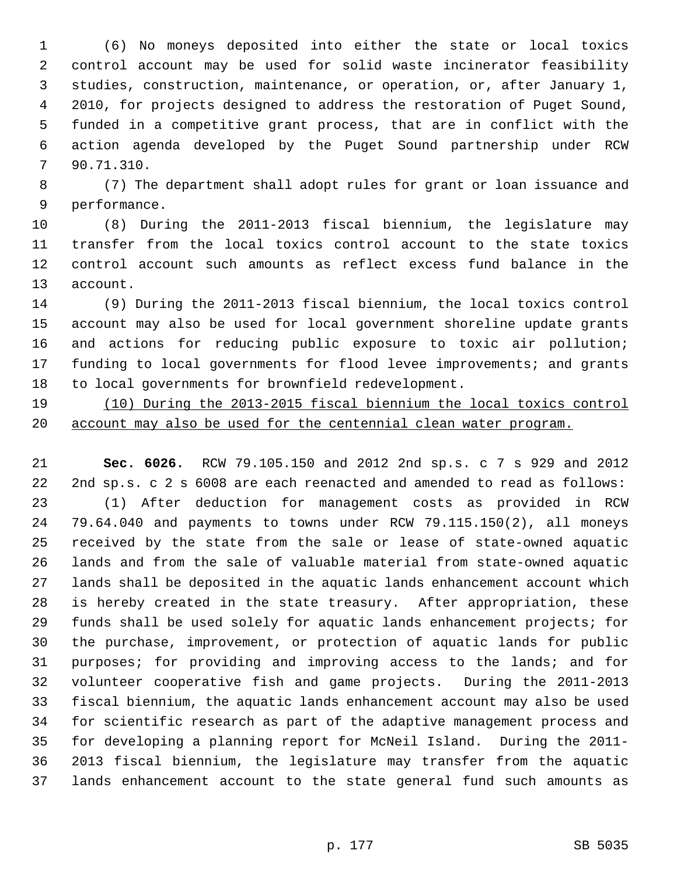1 (6) No moneys deposited into either the state or local toxics 2 control account may be used for solid waste incinerator feasibility 3 studies, construction, maintenance, or operation, or, after January 1, 4 2010, for projects designed to address the restoration of Puget Sound, 5 funded in a competitive grant process, that are in conflict with the 6 action agenda developed by the Puget Sound partnership under RCW 7 90.71.310.

 8 (7) The department shall adopt rules for grant or loan issuance and 9 performance.

10 (8) During the 2011-2013 fiscal biennium, the legislature may 11 transfer from the local toxics control account to the state toxics 12 control account such amounts as reflect excess fund balance in the 13 account.

14 (9) During the 2011-2013 fiscal biennium, the local toxics control 15 account may also be used for local government shoreline update grants 16 and actions for reducing public exposure to toxic air pollution; 17 funding to local governments for flood levee improvements; and grants 18 to local governments for brownfield redevelopment.

19 (10) During the 2013-2015 fiscal biennium the local toxics control 20 account may also be used for the centennial clean water program.

21 **Sec. 6026.** RCW 79.105.150 and 2012 2nd sp.s. c 7 s 929 and 2012 22 2nd sp.s. c 2 s 6008 are each reenacted and amended to read as follows: 23 (1) After deduction for management costs as provided in RCW 24 79.64.040 and payments to towns under RCW 79.115.150(2), all moneys 25 received by the state from the sale or lease of state-owned aquatic 26 lands and from the sale of valuable material from state-owned aquatic 27 lands shall be deposited in the aquatic lands enhancement account which 28 is hereby created in the state treasury. After appropriation, these 29 funds shall be used solely for aquatic lands enhancement projects; for 30 the purchase, improvement, or protection of aquatic lands for public 31 purposes; for providing and improving access to the lands; and for 32 volunteer cooperative fish and game projects. During the 2011-2013 33 fiscal biennium, the aquatic lands enhancement account may also be used 34 for scientific research as part of the adaptive management process and 35 for developing a planning report for McNeil Island. During the 2011- 36 2013 fiscal biennium, the legislature may transfer from the aquatic 37 lands enhancement account to the state general fund such amounts as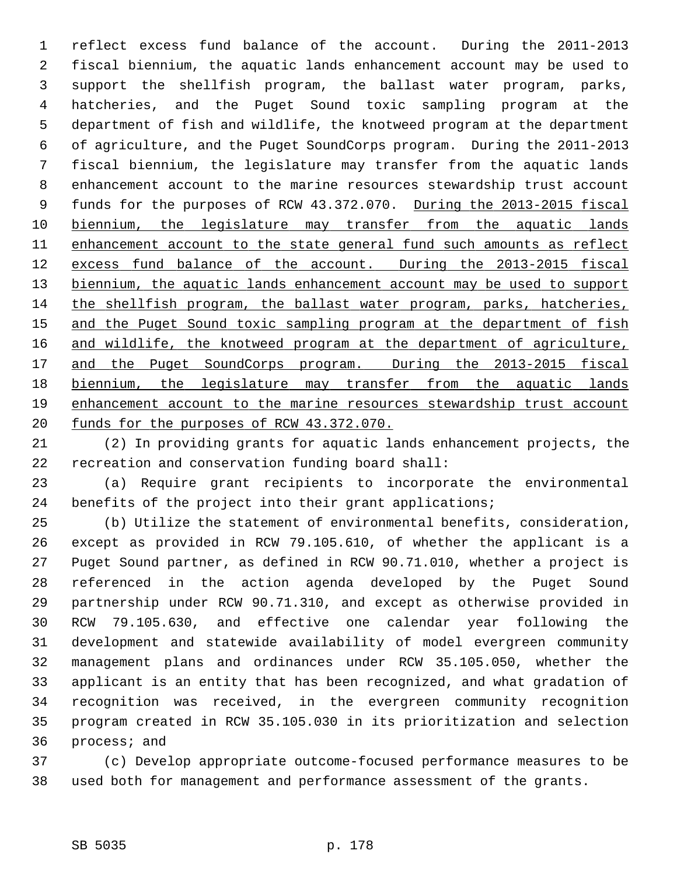1 reflect excess fund balance of the account. During the 2011-2013 2 fiscal biennium, the aquatic lands enhancement account may be used to 3 support the shellfish program, the ballast water program, parks, 4 hatcheries, and the Puget Sound toxic sampling program at the 5 department of fish and wildlife, the knotweed program at the department 6 of agriculture, and the Puget SoundCorps program. During the 2011-2013 7 fiscal biennium, the legislature may transfer from the aquatic lands 8 enhancement account to the marine resources stewardship trust account 9 funds for the purposes of RCW 43.372.070. During the 2013-2015 fiscal 10 biennium, the legislature may transfer from the aquatic lands 11 enhancement account to the state general fund such amounts as reflect 12 excess fund balance of the account. During the 2013-2015 fiscal 13 biennium, the aquatic lands enhancement account may be used to support 14 the shellfish program, the ballast water program, parks, hatcheries, 15 and the Puget Sound toxic sampling program at the department of fish 16 and wildlife, the knotweed program at the department of agriculture, 17 and the Puget SoundCorps program. During the 2013-2015 fiscal 18 biennium, the legislature may transfer from the aquatic lands 19 enhancement account to the marine resources stewardship trust account 20 funds for the purposes of RCW 43.372.070.

21 (2) In providing grants for aquatic lands enhancement projects, the 22 recreation and conservation funding board shall:

23 (a) Require grant recipients to incorporate the environmental 24 benefits of the project into their grant applications;

25 (b) Utilize the statement of environmental benefits, consideration, 26 except as provided in RCW 79.105.610, of whether the applicant is a 27 Puget Sound partner, as defined in RCW 90.71.010, whether a project is 28 referenced in the action agenda developed by the Puget Sound 29 partnership under RCW 90.71.310, and except as otherwise provided in 30 RCW 79.105.630, and effective one calendar year following the 31 development and statewide availability of model evergreen community 32 management plans and ordinances under RCW 35.105.050, whether the 33 applicant is an entity that has been recognized, and what gradation of 34 recognition was received, in the evergreen community recognition 35 program created in RCW 35.105.030 in its prioritization and selection 36 process; and

37 (c) Develop appropriate outcome-focused performance measures to be 38 used both for management and performance assessment of the grants.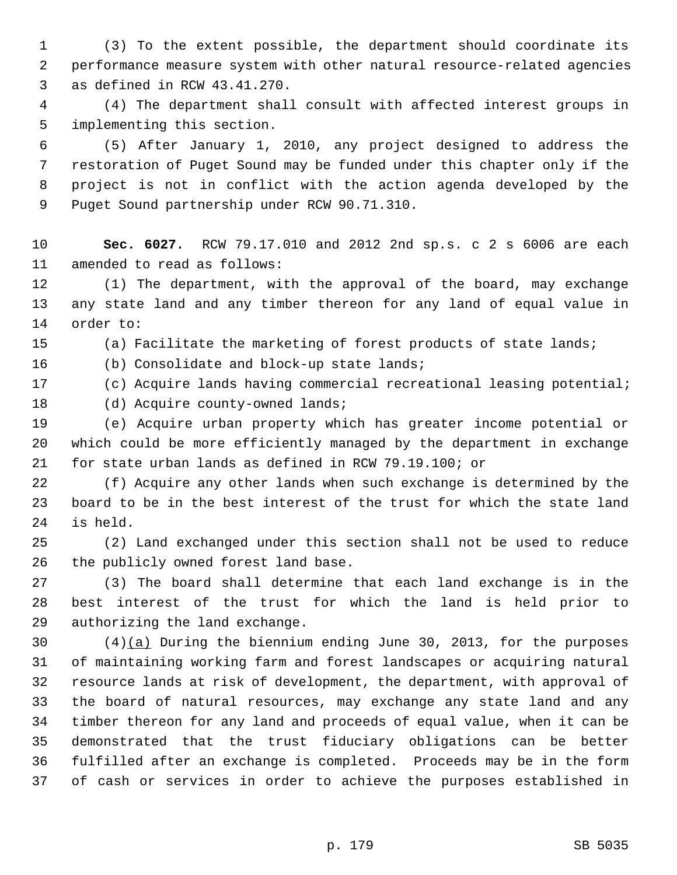1 (3) To the extent possible, the department should coordinate its 2 performance measure system with other natural resource-related agencies 3 as defined in RCW 43.41.270.

 4 (4) The department shall consult with affected interest groups in 5 implementing this section.

 6 (5) After January 1, 2010, any project designed to address the 7 restoration of Puget Sound may be funded under this chapter only if the 8 project is not in conflict with the action agenda developed by the 9 Puget Sound partnership under RCW 90.71.310.

10 **Sec. 6027.** RCW 79.17.010 and 2012 2nd sp.s. c 2 s 6006 are each 11 amended to read as follows:

12 (1) The department, with the approval of the board, may exchange 13 any state land and any timber thereon for any land of equal value in 14 order to:

15 (a) Facilitate the marketing of forest products of state lands;

16 (b) Consolidate and block-up state lands;

17 (c) Acquire lands having commercial recreational leasing potential;

## 18 (d) Acquire county-owned lands;

19 (e) Acquire urban property which has greater income potential or 20 which could be more efficiently managed by the department in exchange 21 for state urban lands as defined in RCW 79.19.100; or

22 (f) Acquire any other lands when such exchange is determined by the 23 board to be in the best interest of the trust for which the state land 24 is held.

25 (2) Land exchanged under this section shall not be used to reduce 26 the publicly owned forest land base.

27 (3) The board shall determine that each land exchange is in the 28 best interest of the trust for which the land is held prior to 29 authorizing the land exchange.

30 (4)(a) During the biennium ending June 30, 2013, for the purposes 31 of maintaining working farm and forest landscapes or acquiring natural 32 resource lands at risk of development, the department, with approval of 33 the board of natural resources, may exchange any state land and any 34 timber thereon for any land and proceeds of equal value, when it can be 35 demonstrated that the trust fiduciary obligations can be better 36 fulfilled after an exchange is completed. Proceeds may be in the form 37 of cash or services in order to achieve the purposes established in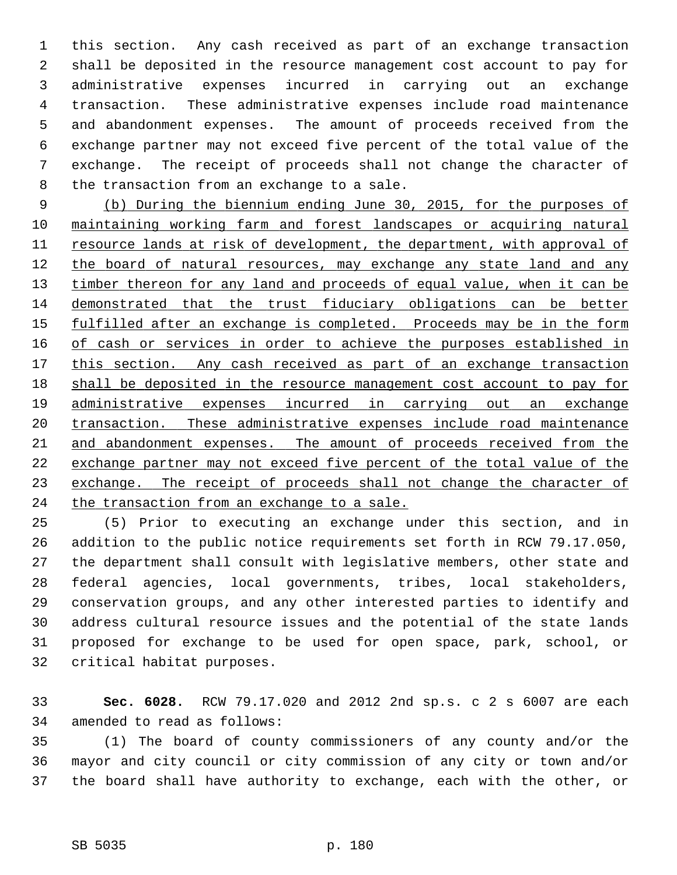1 this section. Any cash received as part of an exchange transaction 2 shall be deposited in the resource management cost account to pay for 3 administrative expenses incurred in carrying out an exchange 4 transaction. These administrative expenses include road maintenance 5 and abandonment expenses. The amount of proceeds received from the 6 exchange partner may not exceed five percent of the total value of the 7 exchange. The receipt of proceeds shall not change the character of 8 the transaction from an exchange to a sale.

 (b) During the biennium ending June 30, 2015, for the purposes of maintaining working farm and forest landscapes or acquiring natural resource lands at risk of development, the department, with approval of the board of natural resources, may exchange any state land and any timber thereon for any land and proceeds of equal value, when it can be demonstrated that the trust fiduciary obligations can be better fulfilled after an exchange is completed. Proceeds may be in the form of cash or services in order to achieve the purposes established in this section. Any cash received as part of an exchange transaction shall be deposited in the resource management cost account to pay for administrative expenses incurred in carrying out an exchange transaction. These administrative expenses include road maintenance and abandonment expenses. The amount of proceeds received from the exchange partner may not exceed five percent of the total value of the exchange. The receipt of proceeds shall not change the character of the transaction from an exchange to a sale.

25 (5) Prior to executing an exchange under this section, and in 26 addition to the public notice requirements set forth in RCW 79.17.050, 27 the department shall consult with legislative members, other state and 28 federal agencies, local governments, tribes, local stakeholders, 29 conservation groups, and any other interested parties to identify and 30 address cultural resource issues and the potential of the state lands 31 proposed for exchange to be used for open space, park, school, or 32 critical habitat purposes.

33 **Sec. 6028.** RCW 79.17.020 and 2012 2nd sp.s. c 2 s 6007 are each 34 amended to read as follows:

35 (1) The board of county commissioners of any county and/or the 36 mayor and city council or city commission of any city or town and/or 37 the board shall have authority to exchange, each with the other, or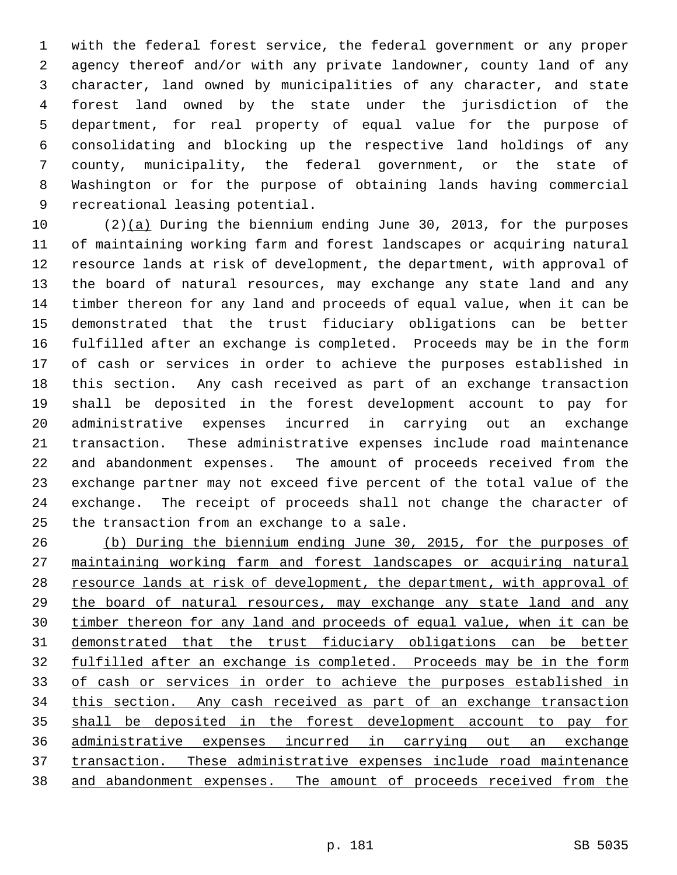1 with the federal forest service, the federal government or any proper 2 agency thereof and/or with any private landowner, county land of any 3 character, land owned by municipalities of any character, and state 4 forest land owned by the state under the jurisdiction of the 5 department, for real property of equal value for the purpose of 6 consolidating and blocking up the respective land holdings of any 7 county, municipality, the federal government, or the state of 8 Washington or for the purpose of obtaining lands having commercial 9 recreational leasing potential.

10 (2)(a) During the biennium ending June 30, 2013, for the purposes 11 of maintaining working farm and forest landscapes or acquiring natural 12 resource lands at risk of development, the department, with approval of 13 the board of natural resources, may exchange any state land and any 14 timber thereon for any land and proceeds of equal value, when it can be 15 demonstrated that the trust fiduciary obligations can be better 16 fulfilled after an exchange is completed. Proceeds may be in the form 17 of cash or services in order to achieve the purposes established in 18 this section. Any cash received as part of an exchange transaction 19 shall be deposited in the forest development account to pay for 20 administrative expenses incurred in carrying out an exchange 21 transaction. These administrative expenses include road maintenance 22 and abandonment expenses. The amount of proceeds received from the 23 exchange partner may not exceed five percent of the total value of the 24 exchange. The receipt of proceeds shall not change the character of 25 the transaction from an exchange to a sale.

 (b) During the biennium ending June 30, 2015, for the purposes of maintaining working farm and forest landscapes or acquiring natural 28 resource lands at risk of development, the department, with approval of the board of natural resources, may exchange any state land and any timber thereon for any land and proceeds of equal value, when it can be demonstrated that the trust fiduciary obligations can be better fulfilled after an exchange is completed. Proceeds may be in the form of cash or services in order to achieve the purposes established in this section. Any cash received as part of an exchange transaction shall be deposited in the forest development account to pay for administrative expenses incurred in carrying out an exchange transaction. These administrative expenses include road maintenance and abandonment expenses. The amount of proceeds received from the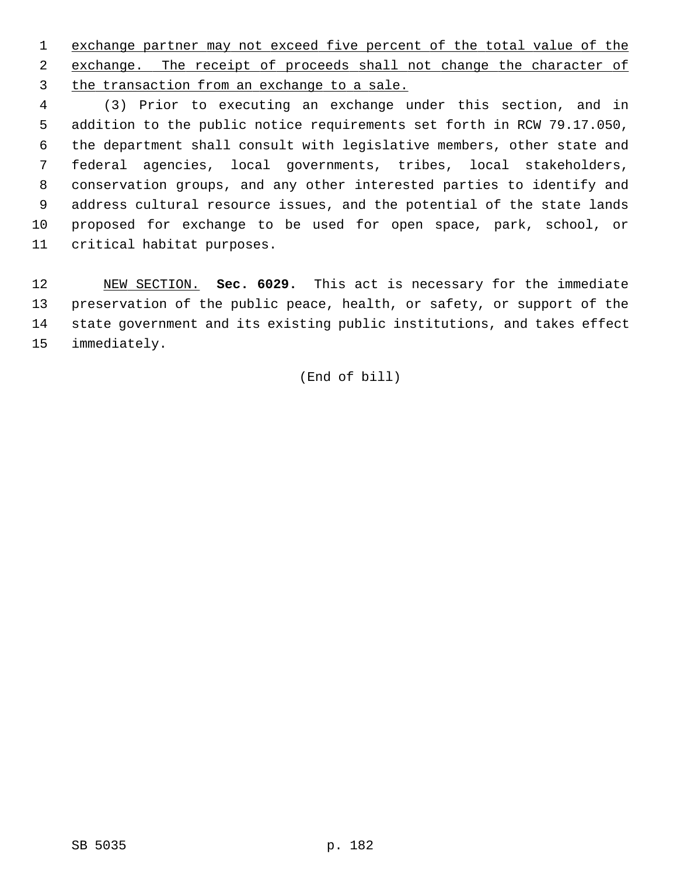1 exchange partner may not exceed five percent of the total value of the 2 exchange. The receipt of proceeds shall not change the character of 3 the transaction from an exchange to a sale.

 4 (3) Prior to executing an exchange under this section, and in 5 addition to the public notice requirements set forth in RCW 79.17.050, 6 the department shall consult with legislative members, other state and 7 federal agencies, local governments, tribes, local stakeholders, 8 conservation groups, and any other interested parties to identify and 9 address cultural resource issues, and the potential of the state lands 10 proposed for exchange to be used for open space, park, school, or 11 critical habitat purposes.

12 NEW SECTION. **Sec. 6029.** This act is necessary for the immediate 13 preservation of the public peace, health, or safety, or support of the 14 state government and its existing public institutions, and takes effect 15 immediately.

(End of bill)